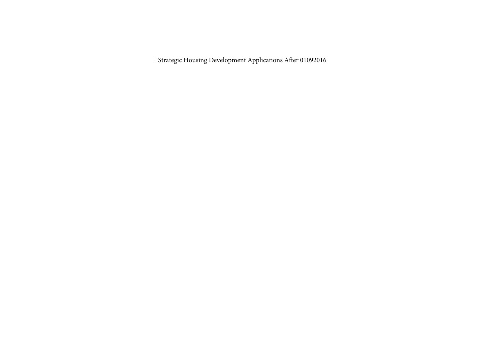Strategic Housing Development Applications After 01092016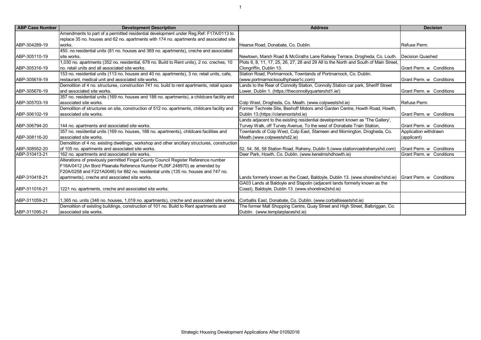| <b>ABP Case Number</b> | <b>Development Description</b>                                                                                                                             | <b>Address</b>                                                                                          | <b>Decision</b>          |
|------------------------|------------------------------------------------------------------------------------------------------------------------------------------------------------|---------------------------------------------------------------------------------------------------------|--------------------------|
|                        | Amendments to part of a permitted residential development under Req. Ref: F17A/0113 to                                                                     |                                                                                                         |                          |
|                        | replace 35 no. houses and 62 no. apartments with 174 no. apartments and associated site                                                                    |                                                                                                         |                          |
| ABP-304289-19          | works.                                                                                                                                                     | Hearse Road, Donabate, Co. Dublin.                                                                      | Refuse Perm.             |
|                        | 450. no residential units (81 no. houses and 369 no. apartments), creche and associated                                                                    |                                                                                                         |                          |
| ABP-305110-19          | site works.                                                                                                                                                | Newtown, Marsh Road & McGraths Lane Railway Terrace, Drogheda, Co. Louth.                               | Decision Quashed         |
|                        | 1,030 no. apartments (352 no. residential, 678 no. Build to Rent units), 2 no. creches, 10                                                                 | Plots 6, 8, 11, 17, 25, 26, 27, 28 and 29 All to the North and South of Main Street,                    |                          |
| ABP-305316-19          | no. retail units and all associated site works.                                                                                                            | Clongriffin, Dublin 13.                                                                                 | Grant Perm. w Conditions |
|                        | 153 no. residential units (113 no. houses and 40 no. apartments), 3 no. retail units, cafe,                                                                | Station Road, Portmarnock, Townlands of Portmarnock, Co. Dublin.                                        |                          |
| ABP-305619-19          | restaurant. medical unit and associated site works.                                                                                                        | (www.portmarnocksouthphase1c.com)                                                                       | Grant Perm. w Conditions |
|                        | Demolition of 4 no. structures, construction 741 no. build to rent apartments, retail space                                                                | Lands to the Rear of Connolly Station, Connolly Station car park, Sheriff Street                        |                          |
| ABP-305676-19          | and associated site works.                                                                                                                                 | Lower, Dublin 1. (https://theconnollyquartershd1.ie/)                                                   | Grant Perm. w Conditions |
|                        | 357 no. residential units (169 no. houses and 188 no. apartments), a childcare facility and                                                                |                                                                                                         |                          |
| ABP-305703-19          | associated site works.                                                                                                                                     | Colp West, Drogheda, Co. Meath. (www.colpwestshd.ie)                                                    | Refuse Perm.             |
|                        | Demolition of structures on site, construction of 512 no. apartments, childcare facility and                                                               | Former Techrete Site, Beshoff Motors amd Garden Centre, Howth Road, Howth,                              |                          |
| ABP-306102-19          | associated site works.                                                                                                                                     | Dublin 13.(https://claremontshd.ie)                                                                     | Grant Perm. w Conditions |
|                        |                                                                                                                                                            | Lands adjacent to the existing residential development known as 'The Gallery',                          |                          |
| ABP-306794-20          | 144 no. apartments and associated site works.                                                                                                              | Turvey Walk, off Turvey Avenue, To the west of Donabate Train Station,                                  | Grant Perm. w Conditions |
|                        | 357 no. residential units (169 no. houses, 188 no. apartments), childcare facilities and                                                                   | Townlands of Colp West, Colp East, Stameen and Mornington, Drogheda, Co.                                | Application withdrawn    |
| ABP-308116-20          | associated site works.                                                                                                                                     | Meath.(www.colpwestshd2.ie)                                                                             | (applicant)              |
|                        | Demolition of 4 no. existing dwellings, workshop and other ancillary structures, construction                                                              |                                                                                                         |                          |
| ABP-308552-20          | of 105 no. apartments and associated site works.                                                                                                           | [52, 54, 56, 58 Station Road, Raheny, Dublin 5. (www.stationroadrahenyshd.com)                          | Grant Perm. w Conditions |
| ABP-310413-21          | 162 no. apartments and associated site works.                                                                                                              | Deer Park, Howth, Co. Dublin. (www.kenelmshdhowth.ie)                                                   | Grant Perm. w Conditions |
|                        | Alterations of previously permitted Fingal County Council Register Reference number                                                                        |                                                                                                         |                          |
|                        | F16A/0412 (An Bord Pleanala Reference Number PL06F.248970) as amended by                                                                                   |                                                                                                         |                          |
|                        | F20A/0258 and F221A0046) for 882 no. residential units (135 no. houses and 747 no.                                                                         |                                                                                                         |                          |
| ABP-310418-21          | apartments), creche and associated site works.                                                                                                             | Lands formerly known as the Coast, Baldoyle, Dublin 13. (www.shoreline1shd.ie) Grant Perm. w Conditions |                          |
|                        |                                                                                                                                                            | GA03 Lands at Baldoyle and Stapolin (adjacent lands formerly known as the                               |                          |
| ABP-311016-21          | 1221 no. apartments, creche and associated site works.                                                                                                     | Coast), Baldoyle, Dublin 13. (www.shoreline2shd.ie)                                                     |                          |
|                        |                                                                                                                                                            |                                                                                                         |                          |
| ABP-311059-21          | 1,365 no. units (346 no. houses, 1,019 no. apartments), creche and associated site works.  Corballis East, Donabate, Co. Dublin. (www.corballiseastshd.ie) |                                                                                                         |                          |
|                        | Demolition of existing buildings, construction of 101 no. Build to Rent apartments and                                                                     | The former Mall Shopping Centre, Quay Street and High Street, Balbriggan, Co.                           |                          |
| ABP-311095-21          | associated site works.                                                                                                                                     | Dublin. (www.templarplaceshd.ie)                                                                        |                          |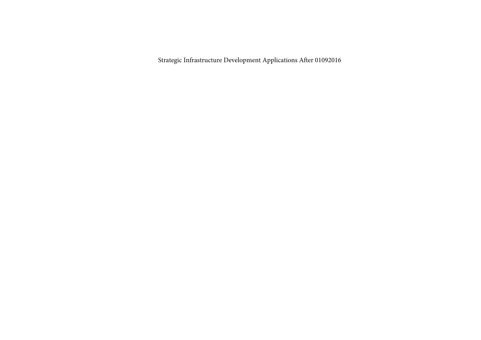Strategic Infrastructure Development Applications After 01092016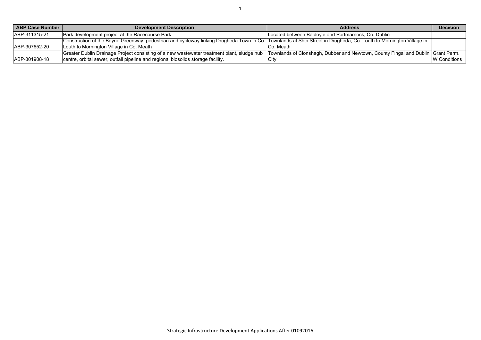| <b>ABP Case Number I</b> | <b>Development Description</b>                                                                                                                                                  | <b>Address</b>                                       | <b>Decision</b>     |
|--------------------------|---------------------------------------------------------------------------------------------------------------------------------------------------------------------------------|------------------------------------------------------|---------------------|
| ABP-311315-21            | <b>Park development project at the Racecourse Park</b>                                                                                                                          | Located between Baldoyle and Portmarnock, Co. Dublin |                     |
|                          | Construction of the Boyne Greenway, pedestrian and cycleway linking Drogheda Town in Co. Townlands at Ship Street in Drogheda, Co. Louth to Mornington Village in               |                                                      |                     |
| ABP-307652-20            | Louth to Mornington Village in Co. Meath                                                                                                                                        | Co. Meath                                            |                     |
|                          | [Greater Dublin Drainage Project consisting of a new wastewater treatment plant, sludge hub [Townlands of Clonshagh, Dubber and Newtown, County Fingal and Dublin [Grant Perm.] |                                                      |                     |
| ABP-301908-18            | centre, orbital sewer, outfall pipeline and regional biosolids storage facility.                                                                                                | <b>ICit</b>                                          | <b>W</b> Conditions |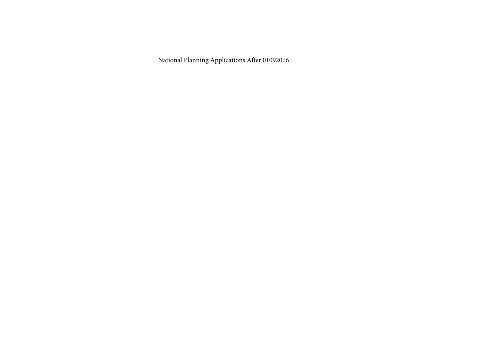National Planning Applications After 01092016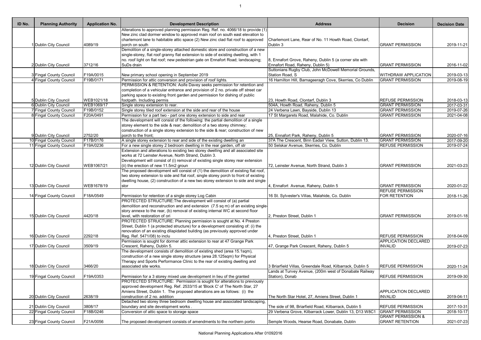1

| ID No. | <b>Planning Authority</b>      | <b>Application No.</b> | <b>Development Description</b>                                                                                                                              | <b>Address</b>                                                                              | <b>Decision</b>                                  | <b>Decision Date</b> |
|--------|--------------------------------|------------------------|-------------------------------------------------------------------------------------------------------------------------------------------------------------|---------------------------------------------------------------------------------------------|--------------------------------------------------|----------------------|
|        |                                |                        | Alterations to approved planning permission Reg. Ref. no. 4066/18 to provide (1)                                                                            |                                                                                             |                                                  |                      |
|        |                                |                        | New zinc clad dormer window to approved main roof on south east elevation to                                                                                |                                                                                             |                                                  |                      |
|        |                                |                        | charlemont lane to habitable attic space (2) New zinc clad flat roof to approved                                                                            | Charlemont Lane, Rear of No. 11 Howth Road, Clontarf,                                       |                                                  |                      |
|        | Dublin City Council            | 4089/19                | porch on south                                                                                                                                              | Dublin 3                                                                                    | <b>GRANT PERMISSION</b>                          | 2019-11-21           |
|        |                                |                        | Demolition of a single-storey attached domestic store and construction of a new                                                                             |                                                                                             |                                                  |                      |
|        |                                |                        | single-storey, flat roof granny flat extension to side of existing dwelling, with 1                                                                         |                                                                                             |                                                  |                      |
|        | 2 Dublin City Council          | 3712/16                | no. roof light on flat roof; new pedestrian gate on Ennafort Road; landscaping;<br>SuDs drain                                                               | 8, Ennafort Grove, Raheny, Dublin 5 (a corner site with<br>Ennafort Road, Raheny, Dublin 5) | <b>GRANT PERMISSION</b>                          | 2016-11-02           |
|        |                                |                        |                                                                                                                                                             | Suttonians Rugby Club, John McDowell Memorial Grounds,                                      |                                                  |                      |
|        | 3 Fingal County Council        | F19A/0015              | New primary school opening in September 2019                                                                                                                | Station Road, S                                                                             | <b>WITHDRAW APPLICATION</b>                      | 2019-03-13           |
|        | <b>Fingal County Council</b>   | F19B/0171              | Permission for attic conversion and provision of roof lights.                                                                                               | 16 Hamilton Hill, Barnageeragh Cove, Skerries, Co Dublin                                    | <b>GRANT PERMISSION</b>                          | 2019-08-19           |
|        |                                |                        | PERMISSION & RETENTION: Aoife Davey seeks permission for retention and                                                                                      |                                                                                             |                                                  |                      |
|        |                                |                        | completion of a vehicular entrance and provision of 2 no. private off street car                                                                            |                                                                                             |                                                  |                      |
|        |                                |                        | parking space to existing front garden and permission for dishing of public                                                                                 |                                                                                             |                                                  |                      |
|        | 5 Dublin City Council          | WEB1021/18             | footpath. Including permis                                                                                                                                  | 23, Howth Road, Clontarf, Dublin 3                                                          | <b>REFUSE PERMISSION</b>                         | 2018-03-13           |
|        | 6 Dublin City Council          | WEB1069/17             | Single storey extension to rear.                                                                                                                            | 504A, Howth Road, Raheny, Dublin 5                                                          | <b>GRANT PERMISSION</b>                          | 2017-03-31           |
|        | <b>7 Fingal County Council</b> | F19B/0152              | Single storey tiled roof extension at the side and rear of the house                                                                                        | 24 Verbena Lawn, Bayside, Dublin 13                                                         | <b>GRANT PERMISSION</b>                          | 2019-07-26           |
|        | 8 Fingal County Council        | F20A/0491              | Permission for a part two - part one storey extension to side and rear                                                                                      | 17 St Margarets Road, Malahide, Co. Dublin                                                  | <b>GRANT PERMISSION</b>                          | 2021-04-08           |
|        |                                |                        | The development will consist of the following: the partial demolition of a single<br>storey element to the side & rear; demolition of a two storey chimney; |                                                                                             |                                                  |                      |
|        |                                |                        | construction of a single storey extension to the side & rear; construction of new                                                                           |                                                                                             |                                                  |                      |
|        | 9 Dublin City Council          | 2752/20                | porch to the front;                                                                                                                                         | 25, Ennafort Park, Raheny, Dublin 5                                                         | <b>GRANT PERMISSION</b>                          | 2020-07-16           |
|        | 10 Fingal County Council       | F17B/0176              | A single storey extension to rear and side of the existing dwelling an                                                                                      | 37A The Crescent, Binn Eadair View, Sutton, Dublin 13.                                      | <b>GRANT PERMISSION</b>                          | 2017-09-20           |
|        | 11 Fingal County Council       | F19A/0236              | For a new single storey 2 bedroom dwelling in the rear garden, off str                                                                                      | 50 Selskar Avenue, Skerries, Co. Dublin                                                     | <b>REFUSE PERMISSION</b>                         | 2019-07-24           |
|        |                                |                        | Extension and alterations to existing two storey dwelling and all associated site                                                                           |                                                                                             |                                                  |                      |
|        |                                |                        | works at 72 Leinster Avenue, North Strand, Dublin 3.                                                                                                        |                                                                                             |                                                  |                      |
|        |                                |                        | Development will consist of (i) removal of existing single storey rear extension                                                                            |                                                                                             |                                                  |                      |
|        | 12 Dublin City Council         | WEB1067/21             | (ii) the erection of new 11.5m2 groun                                                                                                                       | 72, Leinster Avenue, North Strand, Dublin 3                                                 | <b>GRANT PERMISSION</b>                          | 2021-03-23           |
|        |                                |                        | The proposed development will consist of (1) the demolition of existing flat roof,                                                                          |                                                                                             |                                                  |                      |
|        |                                |                        | two storey extension to side and flat roof, single storey porch to front of existing                                                                        |                                                                                             |                                                  |                      |
|        |                                |                        | dwelling house, (2) construction of a new two storey extension to side and single                                                                           |                                                                                             |                                                  |                      |
|        | 13 Dublin City Council         | WEB1678/19             | stor                                                                                                                                                        | , Ennafort Avenue, Raheny, Dublin 5                                                         | <b>GRANT PERMISSION</b>                          | 2020-01-22           |
|        | 14 Fingal County Council       | F18A/0549              | Permission for retention of a single storey Log Cabin                                                                                                       | 16 St. Sylvester's Villas, Malahide, Co. Dublin                                             | <b>REFUSE PERMISSION</b><br><b>FOR RETENTION</b> | 2018-11-26           |
|        |                                |                        | PROTECTED STRUCTURE: The development will consist of (a) partial                                                                                            |                                                                                             |                                                  |                      |
|        |                                |                        | demolition and reconstruction and and extension (7.5 sq m) of an existing single-                                                                           |                                                                                             |                                                  |                      |
|        |                                |                        | story annexe to the rear, (b) removal of existing internal WC at second floor                                                                               |                                                                                             |                                                  |                      |
|        | 15 Dublin City Council         | 4420/18                | level, with restoration of ori                                                                                                                              | 2, Preston Street, Dublin 1                                                                 | <b>GRANT PERMISSION</b>                          | 2019-01-18           |
|        |                                |                        | PROTECTED STRUCTURE: Planning permission is sought at No. 4 Preston                                                                                         |                                                                                             |                                                  |                      |
|        |                                |                        | Street, Dublin 1 (a protected structure) for a development consisting of: (i) the                                                                           |                                                                                             |                                                  |                      |
|        |                                |                        | renovation of an existing dilapidated building (as previously approved under                                                                                |                                                                                             |                                                  |                      |
|        | 16 Dublin City Council         | 2292/18                | Reg. Ref. 5471/08) to inclu                                                                                                                                 | 4, Preston Street, Dublin 1                                                                 | <b>REFUSE PERMISSION</b>                         | 2018-04-09           |
|        |                                |                        | Permission is sought for dormer attic extension to rear at 47 Grange Park                                                                                   |                                                                                             | <b>APPLICATION DECLARED</b>                      |                      |
|        | 17 Dublin City Council         | 3509/19                | Crescent, Raheny, Dublin 5.                                                                                                                                 | 47, Grange Park Crescent, Raheny, Dublin 5                                                  | <b>INVALID</b>                                   | 2019-07-23           |
|        |                                |                        | The development consists of demolition of existing shed (area 15.1sqm),                                                                                     |                                                                                             |                                                  |                      |
|        |                                |                        | construction of a new single storey structure (area 28.125sqm) for Physical<br>Therapy and Sports Performance Clinic to the rear of existing dwelling and   |                                                                                             |                                                  |                      |
|        | 18 Dublin City Council         | 3466/20                | associated site works.                                                                                                                                      | 3 Briarfield Villas, Greendale Road, Kilbarrack, Dublin 5                                   | <b>REFUSE PERMISSION</b>                         | 2020-11-24           |
|        |                                |                        |                                                                                                                                                             | Lands at Turvey Avenue, (200m west of Donabate Railway                                      |                                                  |                      |
|        | 19 Fingal County Council       | F19A/0353              | Permission for a 3 storey mixed use development in lieu of the granted                                                                                      | Station), Donab                                                                             | <b>REFUSE PERMISSION</b>                         | 2019-09-30           |
|        |                                |                        | PROTECTED STRUCTURE: Permission is sought for alterations to previously                                                                                     |                                                                                             |                                                  |                      |
|        |                                |                        | approved development Reg. Ref. 2533/15 at 'Block C' of The North Star, 27                                                                                   |                                                                                             |                                                  |                      |
|        |                                |                        | Amiens Street, Dublin 1. The proposed alterations are as follows: (i) the                                                                                   |                                                                                             | <b>APPLICATION DECLARED</b>                      |                      |
|        | 20 Dublin City Council         | 2638/19                | construction of 2 no. addition                                                                                                                              | The North Star Hotel, 27, Amiens Street, Dublin 1                                           | <b>INVALID</b>                                   | 2019-04-11           |
|        |                                |                        | Detached two storey three bedroom dwelling house and associated landscaping,                                                                                |                                                                                             |                                                  |                      |
|        | 21 Dublin City Council         | 3808/17                | boundary and site development works.                                                                                                                        | The side of 98, Briarfield Road, Kilbarrack, Dublin 5                                       | <b>REFUSE PERMISSION</b>                         | 2017-10-31           |
|        | 22 Fingal County Council       | F18B/0246              | Conversion of attic space to storage space                                                                                                                  | 29 Verbena Grove, Kilbarrack Lower, Dublin 13, D13 W8C1                                     | <b>GRANT PERMISSION</b>                          | 2018-10-17           |
|        |                                |                        |                                                                                                                                                             |                                                                                             | <b>GRANT PERMISSION &amp;</b>                    |                      |
|        | 23 Fingal County Council       | F21A/0056              | The proposed development consists of amendments to the northern portio                                                                                      | Semple Woods, Hearse Road, Donabate, Dublin                                                 | <b>GRANT RETENTION</b>                           | 2021-07-23           |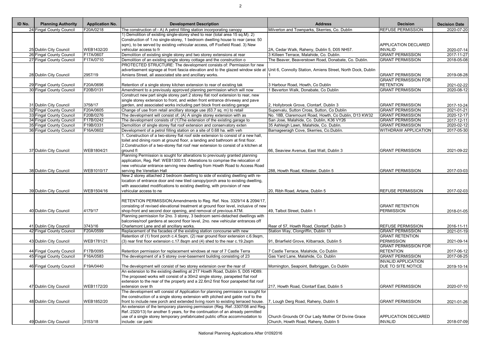| 24 Fingal County Council<br>1) Demolition of existing single-storey shed to rear (total area 15 sq.M). 2)<br>Construction of 1.no single-storey, 1 bedroom dwelling house to rear (area: 50<br>sqm), to be served by existing vehicular access, off Foxfield Road. 3) New<br>APPLICATION DECLARED<br>25 Dublin City Council<br>WEB1432/20<br>vehicular access to fr<br><b>INVALID</b><br>2A, Cedar Walk, Raheny, Dublin 5, D05 NH57.<br><b>GRANT PERMISSION</b><br>3 Killeen Terrace, Malahide, Co. Dublin.<br>26 Fingal County Council<br>F17A/0607<br>Demolition of existing single storey and two storey extensions at rear<br>27 Fingal County Council<br>F17A/0710<br>Demolition of an existing single storey cottage and the construction o<br>The Beaver, Beaverstown Road, Donabate, Co. Dublin.<br><b>GRANT PERMISSION</b><br>PROTECTED STRUCTURE: The development consists of: Permission for new<br>advertisement signage at front fascia elevation and to the glazed window side at Unit 6, Connolly Station, Amiens Street, North Dock, Dublin<br>28 Dublin City Council<br>2957/19<br>Amiens Street, all associated site and ancillary works.<br><b>GRANT PERMISSION</b><br><b>GRANT PERMISSION FOR</b><br>29 Fingal County Council<br>F20A/0696<br>Retention of a single storey kitchen extension to rear of existing tak<br>3 Harbour Road, Howth, Co Dublin<br><b>RETENTION</b><br>30 Fingal County Council<br>F20B/0131<br><b>GRANT PERMISSION</b><br>Amendment to a previously approved planning permission which will now<br>I Beverton Walk, Donabate, Co Dublin<br>Construct new part single storey part 2 storey flat roof extension to rear, new<br>single storey extension to front, and widen front entrance driveway and pave<br>3758/17<br>31 Dublin City Council<br>garden, and associated works including part block front existing garage<br><b>GRANT PERMISSION</b><br>2. Hollybrook Grove, Clontarf, Dublin 3<br>F20A/0605<br>Change of use from retail ancillary storage use (63.7 sq. m) to retail<br>Supervalu, Sutton Cross, Sutton, Co Dublin<br><b>GRANT PERMISSION</b><br>32 Fingal County Council<br>F20B/0276<br>The development will consist of; (A) A single storey extension with as<br>No. 18B, Claremount Road, Howth, Co Dublin, D13 KW32<br><b>GRANT PERMISSION</b><br>33 Fingal County Council<br>The development consists of (1) The extension of the existing garage to<br>34 Fingal County Council<br>F17B/0242<br>San Jose, Malahide, Co. Dublin, K36 VY26<br><b>GRANT PERMISSION</b><br>F19B/0331<br>Demolition of single storey flat roof extension and conservatory exten<br><b>GRANT PERMISSION</b><br>35 Fingal County Council<br>35 Ashleigh Lawn, Malahide, Co. Dublin.<br>F16A/0602<br><b>WITHDRAW APPLICATION</b><br>36 Fingal County Council<br>Development of a petrol filling station on a site of 0.68 ha. with veh<br>Barnageeragh Cove, Skerries, Co.Dublin.<br>. Construction of a two-storey flat roof side extension to consist of a new hall,<br>toilet and dining room at ground floor, a landing and bathroom at first floor.<br>2. Construction of a two-storey flat roof rear extension to consist of a kitchen at<br>37 Dublin City Council<br>WEB1804/21<br>66, Seaview Avenue, East Wall, Dublin 3<br><b>GRANT PERMISSION</b><br>ground fl<br>Planning Permission is sought for alterations to previously granted planning<br>application, Reg. Ref: WEB1300/13. Alterations to comprise the relocation of<br>new vehicular entrance serving new dwelling from Howth Road to Access Road<br>38 Dublin City Council<br>serving the Venetian Hall<br><b>GRANT PERMISSION</b><br>WEB1010/17<br>288, Howth Road, Killester, Dublin 5<br>New 2 storey attached 2 bedroom dwelling to side of existing dwelling with re-<br>location of entrance door and new tiled canopy/porch area to existing dwelling,<br>with associated modifications to existing dwelling, with provision of new<br>39 Dublin City Council<br>WEB1504/16<br><b>REFUSE PERMISSION</b><br>vehicular access to ne<br>20, Ribh Road, Artane, Dublin 5<br>RETENTION PERMISSION; Amendments to Reg. Ref. Nos. 3329/14 & 2094/17,<br>consisting of revised elevational treatment at ground floor level, inclusive of new<br><b>GRANT RETENTION</b><br>4179/17<br>shop-front and second door opening, and removal of previous ATM.<br><b>PERMISSION</b><br>40 Dublin City Council<br>49, Talbot Street, Dublin 1<br>Planning permission for 2no. 3 storey, 3 bedroom semi-detached dwellings with<br>balconies/roof gardens at second floor level, 2no. new vehicular entrances off<br>3743/16<br>Charlemont Lane and all ancillary works.<br>41 Dublin City Council<br>Rear of 57, Howth Road, Clontarf, Dublin 3<br><b>REFUSE PERMISSION</b><br>Replacement of the facades of the existing station concourse with new<br>42 Fingal County Council<br>F20A/0599<br>Station Way, Clongriffin, Dublin 13<br><b>GRANT PERMISSION</b><br>Retention of (1) front porch c.4.5sqm, (2) rear ground floor extension c.6.9sqm,<br><b>GRANT RETENTION</b><br>43 Dublin City Council<br>WEB1781/21<br>$(3)$ rear first floor extension c.17.8sqm and (4) shed to the rear c.19.2sqm<br>91, Briarfield Grove, Kilbarrack, Dublin 5<br><b>PERMISSION</b><br><b>GRANT PERMISSION FOR</b><br>F17B/0095<br>44 Fingal County Council<br>Retention permission for replacement windows at rear of 7 Castle Terra<br><b>RETENTION</b><br>7 Castle Terrace, Malahide, Co Dublin<br>F16A/0583<br>The development of a 5 storey over-basement building consisting of 23<br>Gas Yard Lane, Malahide, Co. Dublin<br><b>GRANT PERMISSION</b><br>45 Fingal County Council<br><b>INVALID APPLICATION</b><br>F19A/0440<br>46 Fingal County Council<br>The development will consist of two storey extension over the rear of<br>Mornington, Seapoint, Balbriggan, Co Dublin<br>DUE TO SITE NOTICE<br>An extension to the existing dwelling at 217 Howth Road, Dublin 5, D05 HD89.<br>The proposed works will consist of a 30m2 single storey, parapeted flat roof<br>extension to the rear of the property and a 22.6m2 first floor parapeted flat roof<br>47 Dublin City Council<br>WEB1172/20<br><b>GRANT PERMISSION</b><br>extension over th<br>217, Howth Road, Clontarf East, Dublin 5<br>The development will consist of Application for planning permission is sought for<br>the construction of a single storey extension with pitched and gable roof to the<br>48 Dublin City Council<br>WEB1852/20<br>front to include new porch and extended living room to existing terraced house.<br>, Lough Derg Road, Raheny, Dublin 5<br><b>GRANT PERMISSION</b><br>An extension of the temporary planning permission (Reg. Ref.:3307/08 and Reg.<br>Ref.: 2320/13) for another 5 years, for the continuation of an already permitted<br>Church Grounds Of Our Lady Mother Of Divine Grace<br><b>APPLICATION DECLARED</b><br>use of a single storey temporary prefabricated public office accommodation to<br>Church, Howth Road, Raheny, Dublin 5<br>49 Dublin City Council<br>3153/18<br><b>INVALID</b><br>include: car parki | ID No. | <b>Planning Authority</b> | <b>Application No.</b> | <b>Development Description</b>                                         | <b>Address</b>                                | <b>Decision</b>          | <b>Decision Date</b> |
|-----------------------------------------------------------------------------------------------------------------------------------------------------------------------------------------------------------------------------------------------------------------------------------------------------------------------------------------------------------------------------------------------------------------------------------------------------------------------------------------------------------------------------------------------------------------------------------------------------------------------------------------------------------------------------------------------------------------------------------------------------------------------------------------------------------------------------------------------------------------------------------------------------------------------------------------------------------------------------------------------------------------------------------------------------------------------------------------------------------------------------------------------------------------------------------------------------------------------------------------------------------------------------------------------------------------------------------------------------------------------------------------------------------------------------------------------------------------------------------------------------------------------------------------------------------------------------------------------------------------------------------------------------------------------------------------------------------------------------------------------------------------------------------------------------------------------------------------------------------------------------------------------------------------------------------------------------------------------------------------------------------------------------------------------------------------------------------------------------------------------------------------------------------------------------------------------------------------------------------------------------------------------------------------------------------------------------------------------------------------------------------------------------------------------------------------------------------------------------------------------------------------------------------------------------------------------------------------------------------------------------------------------------------------------------------------------------------------------------------------------------------------------------------------------------------------------------------------------------------------------------------------------------------------------------------------------------------------------------------------------------------------------------------------------------------------------------------------------------------------------------------------------------------------------------------------------------------------------------------------------------------------------------------------------------------------------------------------------------------------------------------------------------------------------------------------------------------------------------------------------------------------------------------------------------------------------------------------------------------------------------------------------------------------------------------------------------------------------------------------------------------------------------------------------------------------------------------------------------------------------------------------------------------------------------------------------------------------------------------------------------------------------------------------------------------------------------------------------------------------------------------------------------------------------------------------------------------------------------------------------------------------------------------------------------------------------------------------------------------------------------------------------------------------------------------------------------------------------------------------------------------------------------------------------------------------------------------------------------------------------------------------------------------------------------------------------------------------------------------------------------------------------------------------------------------------------------------------------------------------------------------------------------------------------------------------------------------------------------------------------------------------------------------------------------------------------------------------------------------------------------------------------------------------------------------------------------------------------------------------------------------------------------------------------------------------------------------------------------------------------------------------------------------------------------------------------------------------------------------------------------------------------------------------------------------------------------------------------------------------------------------------------------------------------------------------------------------------------------------------------------------------------------------------------------------------------------------------------------------------------------------------------------------------------------------------------------------------------------------------------------------------------------------------------------------------------------------------------------------------------------------------------------------------------------------------------------------------------------------------------------------------------------------------------------------------------------------------------------------------------------------------------------------------------------------------------------------------------------------------------------------------------------------------------------------------------------------------------------------------------------------------------------------------------------------------------------------------------------------------------------------------------------------------------------------------------------------------------------------------------------------------------------------------------------------------------------------------------------------------------------------------------------------------------------------------------------------------------------------------------------------------------|--------|---------------------------|------------------------|------------------------------------------------------------------------|-----------------------------------------------|--------------------------|----------------------|
|                                                                                                                                                                                                                                                                                                                                                                                                                                                                                                                                                                                                                                                                                                                                                                                                                                                                                                                                                                                                                                                                                                                                                                                                                                                                                                                                                                                                                                                                                                                                                                                                                                                                                                                                                                                                                                                                                                                                                                                                                                                                                                                                                                                                                                                                                                                                                                                                                                                                                                                                                                                                                                                                                                                                                                                                                                                                                                                                                                                                                                                                                                                                                                                                                                                                                                                                                                                                                                                                                                                                                                                                                                                                                                                                                                                                                                                                                                                                                                                                                                                                                                                                                                                                                                                                                                                                                                                                                                                                                                                                                                                                                                                                                                                                                                                                                                                                                                                                                                                                                                                                                                                                                                                                                                                                                                                                                                                                                                                                                                                                                                                                                                                                                                                                                                                                                                                                                                                                                                                                                                                                                                                                                                                                                                                                                                                                                                                                                                                                                                                                                                                                                                                                                                                                                                                                                                                                                                                                                                                                                                                                                                                                               |        |                           | F20A/0218              | The construction of:- A) A petrol filling station incorporating canopy | Milverton and Townparks, Skerries, Co. Dublin | <b>REFUSE PERMISSION</b> | 2020-07-20           |
| 2020-07-14<br>2017-11-27<br>$2018 - 05 - 08$<br>2019-08-28<br>2021-02-22<br>2020-08-12<br>2017-10-24<br>2021-01-21<br>2020-12-17<br>2017-12-11<br>2020-02-12<br>2017-05-30<br>2021-09-22<br>2017-02-03<br>2018-01-05<br>2016-11-11<br>2021-01-19<br>2021-09-14<br>2017-06-12<br>2017-08-25<br>2019-10-14<br>2020-07-10<br>2021-01-26<br>2018-07-09                                                                                                                                                                                                                                                                                                                                                                                                                                                                                                                                                                                                                                                                                                                                                                                                                                                                                                                                                                                                                                                                                                                                                                                                                                                                                                                                                                                                                                                                                                                                                                                                                                                                                                                                                                                                                                                                                                                                                                                                                                                                                                                                                                                                                                                                                                                                                                                                                                                                                                                                                                                                                                                                                                                                                                                                                                                                                                                                                                                                                                                                                                                                                                                                                                                                                                                                                                                                                                                                                                                                                                                                                                                                                                                                                                                                                                                                                                                                                                                                                                                                                                                                                                                                                                                                                                                                                                                                                                                                                                                                                                                                                                                                                                                                                                                                                                                                                                                                                                                                                                                                                                                                                                                                                                                                                                                                                                                                                                                                                                                                                                                                                                                                                                                                                                                                                                                                                                                                                                                                                                                                                                                                                                                                                                                                                                                                                                                                                                                                                                                                                                                                                                                                                                                                                                                            |        |                           |                        |                                                                        |                                               |                          |                      |
|                                                                                                                                                                                                                                                                                                                                                                                                                                                                                                                                                                                                                                                                                                                                                                                                                                                                                                                                                                                                                                                                                                                                                                                                                                                                                                                                                                                                                                                                                                                                                                                                                                                                                                                                                                                                                                                                                                                                                                                                                                                                                                                                                                                                                                                                                                                                                                                                                                                                                                                                                                                                                                                                                                                                                                                                                                                                                                                                                                                                                                                                                                                                                                                                                                                                                                                                                                                                                                                                                                                                                                                                                                                                                                                                                                                                                                                                                                                                                                                                                                                                                                                                                                                                                                                                                                                                                                                                                                                                                                                                                                                                                                                                                                                                                                                                                                                                                                                                                                                                                                                                                                                                                                                                                                                                                                                                                                                                                                                                                                                                                                                                                                                                                                                                                                                                                                                                                                                                                                                                                                                                                                                                                                                                                                                                                                                                                                                                                                                                                                                                                                                                                                                                                                                                                                                                                                                                                                                                                                                                                                                                                                                                               |        |                           |                        |                                                                        |                                               |                          |                      |
|                                                                                                                                                                                                                                                                                                                                                                                                                                                                                                                                                                                                                                                                                                                                                                                                                                                                                                                                                                                                                                                                                                                                                                                                                                                                                                                                                                                                                                                                                                                                                                                                                                                                                                                                                                                                                                                                                                                                                                                                                                                                                                                                                                                                                                                                                                                                                                                                                                                                                                                                                                                                                                                                                                                                                                                                                                                                                                                                                                                                                                                                                                                                                                                                                                                                                                                                                                                                                                                                                                                                                                                                                                                                                                                                                                                                                                                                                                                                                                                                                                                                                                                                                                                                                                                                                                                                                                                                                                                                                                                                                                                                                                                                                                                                                                                                                                                                                                                                                                                                                                                                                                                                                                                                                                                                                                                                                                                                                                                                                                                                                                                                                                                                                                                                                                                                                                                                                                                                                                                                                                                                                                                                                                                                                                                                                                                                                                                                                                                                                                                                                                                                                                                                                                                                                                                                                                                                                                                                                                                                                                                                                                                                               |        |                           |                        |                                                                        |                                               |                          |                      |
|                                                                                                                                                                                                                                                                                                                                                                                                                                                                                                                                                                                                                                                                                                                                                                                                                                                                                                                                                                                                                                                                                                                                                                                                                                                                                                                                                                                                                                                                                                                                                                                                                                                                                                                                                                                                                                                                                                                                                                                                                                                                                                                                                                                                                                                                                                                                                                                                                                                                                                                                                                                                                                                                                                                                                                                                                                                                                                                                                                                                                                                                                                                                                                                                                                                                                                                                                                                                                                                                                                                                                                                                                                                                                                                                                                                                                                                                                                                                                                                                                                                                                                                                                                                                                                                                                                                                                                                                                                                                                                                                                                                                                                                                                                                                                                                                                                                                                                                                                                                                                                                                                                                                                                                                                                                                                                                                                                                                                                                                                                                                                                                                                                                                                                                                                                                                                                                                                                                                                                                                                                                                                                                                                                                                                                                                                                                                                                                                                                                                                                                                                                                                                                                                                                                                                                                                                                                                                                                                                                                                                                                                                                                                               |        |                           |                        |                                                                        |                                               |                          |                      |
|                                                                                                                                                                                                                                                                                                                                                                                                                                                                                                                                                                                                                                                                                                                                                                                                                                                                                                                                                                                                                                                                                                                                                                                                                                                                                                                                                                                                                                                                                                                                                                                                                                                                                                                                                                                                                                                                                                                                                                                                                                                                                                                                                                                                                                                                                                                                                                                                                                                                                                                                                                                                                                                                                                                                                                                                                                                                                                                                                                                                                                                                                                                                                                                                                                                                                                                                                                                                                                                                                                                                                                                                                                                                                                                                                                                                                                                                                                                                                                                                                                                                                                                                                                                                                                                                                                                                                                                                                                                                                                                                                                                                                                                                                                                                                                                                                                                                                                                                                                                                                                                                                                                                                                                                                                                                                                                                                                                                                                                                                                                                                                                                                                                                                                                                                                                                                                                                                                                                                                                                                                                                                                                                                                                                                                                                                                                                                                                                                                                                                                                                                                                                                                                                                                                                                                                                                                                                                                                                                                                                                                                                                                                                               |        |                           |                        |                                                                        |                                               |                          |                      |
|                                                                                                                                                                                                                                                                                                                                                                                                                                                                                                                                                                                                                                                                                                                                                                                                                                                                                                                                                                                                                                                                                                                                                                                                                                                                                                                                                                                                                                                                                                                                                                                                                                                                                                                                                                                                                                                                                                                                                                                                                                                                                                                                                                                                                                                                                                                                                                                                                                                                                                                                                                                                                                                                                                                                                                                                                                                                                                                                                                                                                                                                                                                                                                                                                                                                                                                                                                                                                                                                                                                                                                                                                                                                                                                                                                                                                                                                                                                                                                                                                                                                                                                                                                                                                                                                                                                                                                                                                                                                                                                                                                                                                                                                                                                                                                                                                                                                                                                                                                                                                                                                                                                                                                                                                                                                                                                                                                                                                                                                                                                                                                                                                                                                                                                                                                                                                                                                                                                                                                                                                                                                                                                                                                                                                                                                                                                                                                                                                                                                                                                                                                                                                                                                                                                                                                                                                                                                                                                                                                                                                                                                                                                                               |        |                           |                        |                                                                        |                                               |                          |                      |
|                                                                                                                                                                                                                                                                                                                                                                                                                                                                                                                                                                                                                                                                                                                                                                                                                                                                                                                                                                                                                                                                                                                                                                                                                                                                                                                                                                                                                                                                                                                                                                                                                                                                                                                                                                                                                                                                                                                                                                                                                                                                                                                                                                                                                                                                                                                                                                                                                                                                                                                                                                                                                                                                                                                                                                                                                                                                                                                                                                                                                                                                                                                                                                                                                                                                                                                                                                                                                                                                                                                                                                                                                                                                                                                                                                                                                                                                                                                                                                                                                                                                                                                                                                                                                                                                                                                                                                                                                                                                                                                                                                                                                                                                                                                                                                                                                                                                                                                                                                                                                                                                                                                                                                                                                                                                                                                                                                                                                                                                                                                                                                                                                                                                                                                                                                                                                                                                                                                                                                                                                                                                                                                                                                                                                                                                                                                                                                                                                                                                                                                                                                                                                                                                                                                                                                                                                                                                                                                                                                                                                                                                                                                                               |        |                           |                        |                                                                        |                                               |                          |                      |
|                                                                                                                                                                                                                                                                                                                                                                                                                                                                                                                                                                                                                                                                                                                                                                                                                                                                                                                                                                                                                                                                                                                                                                                                                                                                                                                                                                                                                                                                                                                                                                                                                                                                                                                                                                                                                                                                                                                                                                                                                                                                                                                                                                                                                                                                                                                                                                                                                                                                                                                                                                                                                                                                                                                                                                                                                                                                                                                                                                                                                                                                                                                                                                                                                                                                                                                                                                                                                                                                                                                                                                                                                                                                                                                                                                                                                                                                                                                                                                                                                                                                                                                                                                                                                                                                                                                                                                                                                                                                                                                                                                                                                                                                                                                                                                                                                                                                                                                                                                                                                                                                                                                                                                                                                                                                                                                                                                                                                                                                                                                                                                                                                                                                                                                                                                                                                                                                                                                                                                                                                                                                                                                                                                                                                                                                                                                                                                                                                                                                                                                                                                                                                                                                                                                                                                                                                                                                                                                                                                                                                                                                                                                                               |        |                           |                        |                                                                        |                                               |                          |                      |
|                                                                                                                                                                                                                                                                                                                                                                                                                                                                                                                                                                                                                                                                                                                                                                                                                                                                                                                                                                                                                                                                                                                                                                                                                                                                                                                                                                                                                                                                                                                                                                                                                                                                                                                                                                                                                                                                                                                                                                                                                                                                                                                                                                                                                                                                                                                                                                                                                                                                                                                                                                                                                                                                                                                                                                                                                                                                                                                                                                                                                                                                                                                                                                                                                                                                                                                                                                                                                                                                                                                                                                                                                                                                                                                                                                                                                                                                                                                                                                                                                                                                                                                                                                                                                                                                                                                                                                                                                                                                                                                                                                                                                                                                                                                                                                                                                                                                                                                                                                                                                                                                                                                                                                                                                                                                                                                                                                                                                                                                                                                                                                                                                                                                                                                                                                                                                                                                                                                                                                                                                                                                                                                                                                                                                                                                                                                                                                                                                                                                                                                                                                                                                                                                                                                                                                                                                                                                                                                                                                                                                                                                                                                                               |        |                           |                        |                                                                        |                                               |                          |                      |
|                                                                                                                                                                                                                                                                                                                                                                                                                                                                                                                                                                                                                                                                                                                                                                                                                                                                                                                                                                                                                                                                                                                                                                                                                                                                                                                                                                                                                                                                                                                                                                                                                                                                                                                                                                                                                                                                                                                                                                                                                                                                                                                                                                                                                                                                                                                                                                                                                                                                                                                                                                                                                                                                                                                                                                                                                                                                                                                                                                                                                                                                                                                                                                                                                                                                                                                                                                                                                                                                                                                                                                                                                                                                                                                                                                                                                                                                                                                                                                                                                                                                                                                                                                                                                                                                                                                                                                                                                                                                                                                                                                                                                                                                                                                                                                                                                                                                                                                                                                                                                                                                                                                                                                                                                                                                                                                                                                                                                                                                                                                                                                                                                                                                                                                                                                                                                                                                                                                                                                                                                                                                                                                                                                                                                                                                                                                                                                                                                                                                                                                                                                                                                                                                                                                                                                                                                                                                                                                                                                                                                                                                                                                                               |        |                           |                        |                                                                        |                                               |                          |                      |
|                                                                                                                                                                                                                                                                                                                                                                                                                                                                                                                                                                                                                                                                                                                                                                                                                                                                                                                                                                                                                                                                                                                                                                                                                                                                                                                                                                                                                                                                                                                                                                                                                                                                                                                                                                                                                                                                                                                                                                                                                                                                                                                                                                                                                                                                                                                                                                                                                                                                                                                                                                                                                                                                                                                                                                                                                                                                                                                                                                                                                                                                                                                                                                                                                                                                                                                                                                                                                                                                                                                                                                                                                                                                                                                                                                                                                                                                                                                                                                                                                                                                                                                                                                                                                                                                                                                                                                                                                                                                                                                                                                                                                                                                                                                                                                                                                                                                                                                                                                                                                                                                                                                                                                                                                                                                                                                                                                                                                                                                                                                                                                                                                                                                                                                                                                                                                                                                                                                                                                                                                                                                                                                                                                                                                                                                                                                                                                                                                                                                                                                                                                                                                                                                                                                                                                                                                                                                                                                                                                                                                                                                                                                                               |        |                           |                        |                                                                        |                                               |                          |                      |
|                                                                                                                                                                                                                                                                                                                                                                                                                                                                                                                                                                                                                                                                                                                                                                                                                                                                                                                                                                                                                                                                                                                                                                                                                                                                                                                                                                                                                                                                                                                                                                                                                                                                                                                                                                                                                                                                                                                                                                                                                                                                                                                                                                                                                                                                                                                                                                                                                                                                                                                                                                                                                                                                                                                                                                                                                                                                                                                                                                                                                                                                                                                                                                                                                                                                                                                                                                                                                                                                                                                                                                                                                                                                                                                                                                                                                                                                                                                                                                                                                                                                                                                                                                                                                                                                                                                                                                                                                                                                                                                                                                                                                                                                                                                                                                                                                                                                                                                                                                                                                                                                                                                                                                                                                                                                                                                                                                                                                                                                                                                                                                                                                                                                                                                                                                                                                                                                                                                                                                                                                                                                                                                                                                                                                                                                                                                                                                                                                                                                                                                                                                                                                                                                                                                                                                                                                                                                                                                                                                                                                                                                                                                                               |        |                           |                        |                                                                        |                                               |                          |                      |
|                                                                                                                                                                                                                                                                                                                                                                                                                                                                                                                                                                                                                                                                                                                                                                                                                                                                                                                                                                                                                                                                                                                                                                                                                                                                                                                                                                                                                                                                                                                                                                                                                                                                                                                                                                                                                                                                                                                                                                                                                                                                                                                                                                                                                                                                                                                                                                                                                                                                                                                                                                                                                                                                                                                                                                                                                                                                                                                                                                                                                                                                                                                                                                                                                                                                                                                                                                                                                                                                                                                                                                                                                                                                                                                                                                                                                                                                                                                                                                                                                                                                                                                                                                                                                                                                                                                                                                                                                                                                                                                                                                                                                                                                                                                                                                                                                                                                                                                                                                                                                                                                                                                                                                                                                                                                                                                                                                                                                                                                                                                                                                                                                                                                                                                                                                                                                                                                                                                                                                                                                                                                                                                                                                                                                                                                                                                                                                                                                                                                                                                                                                                                                                                                                                                                                                                                                                                                                                                                                                                                                                                                                                                                               |        |                           |                        |                                                                        |                                               |                          |                      |
|                                                                                                                                                                                                                                                                                                                                                                                                                                                                                                                                                                                                                                                                                                                                                                                                                                                                                                                                                                                                                                                                                                                                                                                                                                                                                                                                                                                                                                                                                                                                                                                                                                                                                                                                                                                                                                                                                                                                                                                                                                                                                                                                                                                                                                                                                                                                                                                                                                                                                                                                                                                                                                                                                                                                                                                                                                                                                                                                                                                                                                                                                                                                                                                                                                                                                                                                                                                                                                                                                                                                                                                                                                                                                                                                                                                                                                                                                                                                                                                                                                                                                                                                                                                                                                                                                                                                                                                                                                                                                                                                                                                                                                                                                                                                                                                                                                                                                                                                                                                                                                                                                                                                                                                                                                                                                                                                                                                                                                                                                                                                                                                                                                                                                                                                                                                                                                                                                                                                                                                                                                                                                                                                                                                                                                                                                                                                                                                                                                                                                                                                                                                                                                                                                                                                                                                                                                                                                                                                                                                                                                                                                                                                               |        |                           |                        |                                                                        |                                               |                          |                      |
|                                                                                                                                                                                                                                                                                                                                                                                                                                                                                                                                                                                                                                                                                                                                                                                                                                                                                                                                                                                                                                                                                                                                                                                                                                                                                                                                                                                                                                                                                                                                                                                                                                                                                                                                                                                                                                                                                                                                                                                                                                                                                                                                                                                                                                                                                                                                                                                                                                                                                                                                                                                                                                                                                                                                                                                                                                                                                                                                                                                                                                                                                                                                                                                                                                                                                                                                                                                                                                                                                                                                                                                                                                                                                                                                                                                                                                                                                                                                                                                                                                                                                                                                                                                                                                                                                                                                                                                                                                                                                                                                                                                                                                                                                                                                                                                                                                                                                                                                                                                                                                                                                                                                                                                                                                                                                                                                                                                                                                                                                                                                                                                                                                                                                                                                                                                                                                                                                                                                                                                                                                                                                                                                                                                                                                                                                                                                                                                                                                                                                                                                                                                                                                                                                                                                                                                                                                                                                                                                                                                                                                                                                                                                               |        |                           |                        |                                                                        |                                               |                          |                      |
|                                                                                                                                                                                                                                                                                                                                                                                                                                                                                                                                                                                                                                                                                                                                                                                                                                                                                                                                                                                                                                                                                                                                                                                                                                                                                                                                                                                                                                                                                                                                                                                                                                                                                                                                                                                                                                                                                                                                                                                                                                                                                                                                                                                                                                                                                                                                                                                                                                                                                                                                                                                                                                                                                                                                                                                                                                                                                                                                                                                                                                                                                                                                                                                                                                                                                                                                                                                                                                                                                                                                                                                                                                                                                                                                                                                                                                                                                                                                                                                                                                                                                                                                                                                                                                                                                                                                                                                                                                                                                                                                                                                                                                                                                                                                                                                                                                                                                                                                                                                                                                                                                                                                                                                                                                                                                                                                                                                                                                                                                                                                                                                                                                                                                                                                                                                                                                                                                                                                                                                                                                                                                                                                                                                                                                                                                                                                                                                                                                                                                                                                                                                                                                                                                                                                                                                                                                                                                                                                                                                                                                                                                                                                               |        |                           |                        |                                                                        |                                               |                          |                      |
|                                                                                                                                                                                                                                                                                                                                                                                                                                                                                                                                                                                                                                                                                                                                                                                                                                                                                                                                                                                                                                                                                                                                                                                                                                                                                                                                                                                                                                                                                                                                                                                                                                                                                                                                                                                                                                                                                                                                                                                                                                                                                                                                                                                                                                                                                                                                                                                                                                                                                                                                                                                                                                                                                                                                                                                                                                                                                                                                                                                                                                                                                                                                                                                                                                                                                                                                                                                                                                                                                                                                                                                                                                                                                                                                                                                                                                                                                                                                                                                                                                                                                                                                                                                                                                                                                                                                                                                                                                                                                                                                                                                                                                                                                                                                                                                                                                                                                                                                                                                                                                                                                                                                                                                                                                                                                                                                                                                                                                                                                                                                                                                                                                                                                                                                                                                                                                                                                                                                                                                                                                                                                                                                                                                                                                                                                                                                                                                                                                                                                                                                                                                                                                                                                                                                                                                                                                                                                                                                                                                                                                                                                                                                               |        |                           |                        |                                                                        |                                               |                          |                      |
|                                                                                                                                                                                                                                                                                                                                                                                                                                                                                                                                                                                                                                                                                                                                                                                                                                                                                                                                                                                                                                                                                                                                                                                                                                                                                                                                                                                                                                                                                                                                                                                                                                                                                                                                                                                                                                                                                                                                                                                                                                                                                                                                                                                                                                                                                                                                                                                                                                                                                                                                                                                                                                                                                                                                                                                                                                                                                                                                                                                                                                                                                                                                                                                                                                                                                                                                                                                                                                                                                                                                                                                                                                                                                                                                                                                                                                                                                                                                                                                                                                                                                                                                                                                                                                                                                                                                                                                                                                                                                                                                                                                                                                                                                                                                                                                                                                                                                                                                                                                                                                                                                                                                                                                                                                                                                                                                                                                                                                                                                                                                                                                                                                                                                                                                                                                                                                                                                                                                                                                                                                                                                                                                                                                                                                                                                                                                                                                                                                                                                                                                                                                                                                                                                                                                                                                                                                                                                                                                                                                                                                                                                                                                               |        |                           |                        |                                                                        |                                               |                          |                      |
|                                                                                                                                                                                                                                                                                                                                                                                                                                                                                                                                                                                                                                                                                                                                                                                                                                                                                                                                                                                                                                                                                                                                                                                                                                                                                                                                                                                                                                                                                                                                                                                                                                                                                                                                                                                                                                                                                                                                                                                                                                                                                                                                                                                                                                                                                                                                                                                                                                                                                                                                                                                                                                                                                                                                                                                                                                                                                                                                                                                                                                                                                                                                                                                                                                                                                                                                                                                                                                                                                                                                                                                                                                                                                                                                                                                                                                                                                                                                                                                                                                                                                                                                                                                                                                                                                                                                                                                                                                                                                                                                                                                                                                                                                                                                                                                                                                                                                                                                                                                                                                                                                                                                                                                                                                                                                                                                                                                                                                                                                                                                                                                                                                                                                                                                                                                                                                                                                                                                                                                                                                                                                                                                                                                                                                                                                                                                                                                                                                                                                                                                                                                                                                                                                                                                                                                                                                                                                                                                                                                                                                                                                                                                               |        |                           |                        |                                                                        |                                               |                          |                      |
|                                                                                                                                                                                                                                                                                                                                                                                                                                                                                                                                                                                                                                                                                                                                                                                                                                                                                                                                                                                                                                                                                                                                                                                                                                                                                                                                                                                                                                                                                                                                                                                                                                                                                                                                                                                                                                                                                                                                                                                                                                                                                                                                                                                                                                                                                                                                                                                                                                                                                                                                                                                                                                                                                                                                                                                                                                                                                                                                                                                                                                                                                                                                                                                                                                                                                                                                                                                                                                                                                                                                                                                                                                                                                                                                                                                                                                                                                                                                                                                                                                                                                                                                                                                                                                                                                                                                                                                                                                                                                                                                                                                                                                                                                                                                                                                                                                                                                                                                                                                                                                                                                                                                                                                                                                                                                                                                                                                                                                                                                                                                                                                                                                                                                                                                                                                                                                                                                                                                                                                                                                                                                                                                                                                                                                                                                                                                                                                                                                                                                                                                                                                                                                                                                                                                                                                                                                                                                                                                                                                                                                                                                                                                               |        |                           |                        |                                                                        |                                               |                          |                      |
|                                                                                                                                                                                                                                                                                                                                                                                                                                                                                                                                                                                                                                                                                                                                                                                                                                                                                                                                                                                                                                                                                                                                                                                                                                                                                                                                                                                                                                                                                                                                                                                                                                                                                                                                                                                                                                                                                                                                                                                                                                                                                                                                                                                                                                                                                                                                                                                                                                                                                                                                                                                                                                                                                                                                                                                                                                                                                                                                                                                                                                                                                                                                                                                                                                                                                                                                                                                                                                                                                                                                                                                                                                                                                                                                                                                                                                                                                                                                                                                                                                                                                                                                                                                                                                                                                                                                                                                                                                                                                                                                                                                                                                                                                                                                                                                                                                                                                                                                                                                                                                                                                                                                                                                                                                                                                                                                                                                                                                                                                                                                                                                                                                                                                                                                                                                                                                                                                                                                                                                                                                                                                                                                                                                                                                                                                                                                                                                                                                                                                                                                                                                                                                                                                                                                                                                                                                                                                                                                                                                                                                                                                                                                               |        |                           |                        |                                                                        |                                               |                          |                      |
|                                                                                                                                                                                                                                                                                                                                                                                                                                                                                                                                                                                                                                                                                                                                                                                                                                                                                                                                                                                                                                                                                                                                                                                                                                                                                                                                                                                                                                                                                                                                                                                                                                                                                                                                                                                                                                                                                                                                                                                                                                                                                                                                                                                                                                                                                                                                                                                                                                                                                                                                                                                                                                                                                                                                                                                                                                                                                                                                                                                                                                                                                                                                                                                                                                                                                                                                                                                                                                                                                                                                                                                                                                                                                                                                                                                                                                                                                                                                                                                                                                                                                                                                                                                                                                                                                                                                                                                                                                                                                                                                                                                                                                                                                                                                                                                                                                                                                                                                                                                                                                                                                                                                                                                                                                                                                                                                                                                                                                                                                                                                                                                                                                                                                                                                                                                                                                                                                                                                                                                                                                                                                                                                                                                                                                                                                                                                                                                                                                                                                                                                                                                                                                                                                                                                                                                                                                                                                                                                                                                                                                                                                                                                               |        |                           |                        |                                                                        |                                               |                          |                      |
|                                                                                                                                                                                                                                                                                                                                                                                                                                                                                                                                                                                                                                                                                                                                                                                                                                                                                                                                                                                                                                                                                                                                                                                                                                                                                                                                                                                                                                                                                                                                                                                                                                                                                                                                                                                                                                                                                                                                                                                                                                                                                                                                                                                                                                                                                                                                                                                                                                                                                                                                                                                                                                                                                                                                                                                                                                                                                                                                                                                                                                                                                                                                                                                                                                                                                                                                                                                                                                                                                                                                                                                                                                                                                                                                                                                                                                                                                                                                                                                                                                                                                                                                                                                                                                                                                                                                                                                                                                                                                                                                                                                                                                                                                                                                                                                                                                                                                                                                                                                                                                                                                                                                                                                                                                                                                                                                                                                                                                                                                                                                                                                                                                                                                                                                                                                                                                                                                                                                                                                                                                                                                                                                                                                                                                                                                                                                                                                                                                                                                                                                                                                                                                                                                                                                                                                                                                                                                                                                                                                                                                                                                                                                               |        |                           |                        |                                                                        |                                               |                          |                      |
|                                                                                                                                                                                                                                                                                                                                                                                                                                                                                                                                                                                                                                                                                                                                                                                                                                                                                                                                                                                                                                                                                                                                                                                                                                                                                                                                                                                                                                                                                                                                                                                                                                                                                                                                                                                                                                                                                                                                                                                                                                                                                                                                                                                                                                                                                                                                                                                                                                                                                                                                                                                                                                                                                                                                                                                                                                                                                                                                                                                                                                                                                                                                                                                                                                                                                                                                                                                                                                                                                                                                                                                                                                                                                                                                                                                                                                                                                                                                                                                                                                                                                                                                                                                                                                                                                                                                                                                                                                                                                                                                                                                                                                                                                                                                                                                                                                                                                                                                                                                                                                                                                                                                                                                                                                                                                                                                                                                                                                                                                                                                                                                                                                                                                                                                                                                                                                                                                                                                                                                                                                                                                                                                                                                                                                                                                                                                                                                                                                                                                                                                                                                                                                                                                                                                                                                                                                                                                                                                                                                                                                                                                                                                               |        |                           |                        |                                                                        |                                               |                          |                      |
|                                                                                                                                                                                                                                                                                                                                                                                                                                                                                                                                                                                                                                                                                                                                                                                                                                                                                                                                                                                                                                                                                                                                                                                                                                                                                                                                                                                                                                                                                                                                                                                                                                                                                                                                                                                                                                                                                                                                                                                                                                                                                                                                                                                                                                                                                                                                                                                                                                                                                                                                                                                                                                                                                                                                                                                                                                                                                                                                                                                                                                                                                                                                                                                                                                                                                                                                                                                                                                                                                                                                                                                                                                                                                                                                                                                                                                                                                                                                                                                                                                                                                                                                                                                                                                                                                                                                                                                                                                                                                                                                                                                                                                                                                                                                                                                                                                                                                                                                                                                                                                                                                                                                                                                                                                                                                                                                                                                                                                                                                                                                                                                                                                                                                                                                                                                                                                                                                                                                                                                                                                                                                                                                                                                                                                                                                                                                                                                                                                                                                                                                                                                                                                                                                                                                                                                                                                                                                                                                                                                                                                                                                                                                               |        |                           |                        |                                                                        |                                               |                          |                      |
|                                                                                                                                                                                                                                                                                                                                                                                                                                                                                                                                                                                                                                                                                                                                                                                                                                                                                                                                                                                                                                                                                                                                                                                                                                                                                                                                                                                                                                                                                                                                                                                                                                                                                                                                                                                                                                                                                                                                                                                                                                                                                                                                                                                                                                                                                                                                                                                                                                                                                                                                                                                                                                                                                                                                                                                                                                                                                                                                                                                                                                                                                                                                                                                                                                                                                                                                                                                                                                                                                                                                                                                                                                                                                                                                                                                                                                                                                                                                                                                                                                                                                                                                                                                                                                                                                                                                                                                                                                                                                                                                                                                                                                                                                                                                                                                                                                                                                                                                                                                                                                                                                                                                                                                                                                                                                                                                                                                                                                                                                                                                                                                                                                                                                                                                                                                                                                                                                                                                                                                                                                                                                                                                                                                                                                                                                                                                                                                                                                                                                                                                                                                                                                                                                                                                                                                                                                                                                                                                                                                                                                                                                                                                               |        |                           |                        |                                                                        |                                               |                          |                      |
|                                                                                                                                                                                                                                                                                                                                                                                                                                                                                                                                                                                                                                                                                                                                                                                                                                                                                                                                                                                                                                                                                                                                                                                                                                                                                                                                                                                                                                                                                                                                                                                                                                                                                                                                                                                                                                                                                                                                                                                                                                                                                                                                                                                                                                                                                                                                                                                                                                                                                                                                                                                                                                                                                                                                                                                                                                                                                                                                                                                                                                                                                                                                                                                                                                                                                                                                                                                                                                                                                                                                                                                                                                                                                                                                                                                                                                                                                                                                                                                                                                                                                                                                                                                                                                                                                                                                                                                                                                                                                                                                                                                                                                                                                                                                                                                                                                                                                                                                                                                                                                                                                                                                                                                                                                                                                                                                                                                                                                                                                                                                                                                                                                                                                                                                                                                                                                                                                                                                                                                                                                                                                                                                                                                                                                                                                                                                                                                                                                                                                                                                                                                                                                                                                                                                                                                                                                                                                                                                                                                                                                                                                                                                               |        |                           |                        |                                                                        |                                               |                          | 2017-03-03           |
|                                                                                                                                                                                                                                                                                                                                                                                                                                                                                                                                                                                                                                                                                                                                                                                                                                                                                                                                                                                                                                                                                                                                                                                                                                                                                                                                                                                                                                                                                                                                                                                                                                                                                                                                                                                                                                                                                                                                                                                                                                                                                                                                                                                                                                                                                                                                                                                                                                                                                                                                                                                                                                                                                                                                                                                                                                                                                                                                                                                                                                                                                                                                                                                                                                                                                                                                                                                                                                                                                                                                                                                                                                                                                                                                                                                                                                                                                                                                                                                                                                                                                                                                                                                                                                                                                                                                                                                                                                                                                                                                                                                                                                                                                                                                                                                                                                                                                                                                                                                                                                                                                                                                                                                                                                                                                                                                                                                                                                                                                                                                                                                                                                                                                                                                                                                                                                                                                                                                                                                                                                                                                                                                                                                                                                                                                                                                                                                                                                                                                                                                                                                                                                                                                                                                                                                                                                                                                                                                                                                                                                                                                                                                               |        |                           |                        |                                                                        |                                               |                          |                      |
|                                                                                                                                                                                                                                                                                                                                                                                                                                                                                                                                                                                                                                                                                                                                                                                                                                                                                                                                                                                                                                                                                                                                                                                                                                                                                                                                                                                                                                                                                                                                                                                                                                                                                                                                                                                                                                                                                                                                                                                                                                                                                                                                                                                                                                                                                                                                                                                                                                                                                                                                                                                                                                                                                                                                                                                                                                                                                                                                                                                                                                                                                                                                                                                                                                                                                                                                                                                                                                                                                                                                                                                                                                                                                                                                                                                                                                                                                                                                                                                                                                                                                                                                                                                                                                                                                                                                                                                                                                                                                                                                                                                                                                                                                                                                                                                                                                                                                                                                                                                                                                                                                                                                                                                                                                                                                                                                                                                                                                                                                                                                                                                                                                                                                                                                                                                                                                                                                                                                                                                                                                                                                                                                                                                                                                                                                                                                                                                                                                                                                                                                                                                                                                                                                                                                                                                                                                                                                                                                                                                                                                                                                                                                               |        |                           |                        |                                                                        |                                               |                          |                      |
|                                                                                                                                                                                                                                                                                                                                                                                                                                                                                                                                                                                                                                                                                                                                                                                                                                                                                                                                                                                                                                                                                                                                                                                                                                                                                                                                                                                                                                                                                                                                                                                                                                                                                                                                                                                                                                                                                                                                                                                                                                                                                                                                                                                                                                                                                                                                                                                                                                                                                                                                                                                                                                                                                                                                                                                                                                                                                                                                                                                                                                                                                                                                                                                                                                                                                                                                                                                                                                                                                                                                                                                                                                                                                                                                                                                                                                                                                                                                                                                                                                                                                                                                                                                                                                                                                                                                                                                                                                                                                                                                                                                                                                                                                                                                                                                                                                                                                                                                                                                                                                                                                                                                                                                                                                                                                                                                                                                                                                                                                                                                                                                                                                                                                                                                                                                                                                                                                                                                                                                                                                                                                                                                                                                                                                                                                                                                                                                                                                                                                                                                                                                                                                                                                                                                                                                                                                                                                                                                                                                                                                                                                                                                               |        |                           |                        |                                                                        |                                               |                          |                      |
|                                                                                                                                                                                                                                                                                                                                                                                                                                                                                                                                                                                                                                                                                                                                                                                                                                                                                                                                                                                                                                                                                                                                                                                                                                                                                                                                                                                                                                                                                                                                                                                                                                                                                                                                                                                                                                                                                                                                                                                                                                                                                                                                                                                                                                                                                                                                                                                                                                                                                                                                                                                                                                                                                                                                                                                                                                                                                                                                                                                                                                                                                                                                                                                                                                                                                                                                                                                                                                                                                                                                                                                                                                                                                                                                                                                                                                                                                                                                                                                                                                                                                                                                                                                                                                                                                                                                                                                                                                                                                                                                                                                                                                                                                                                                                                                                                                                                                                                                                                                                                                                                                                                                                                                                                                                                                                                                                                                                                                                                                                                                                                                                                                                                                                                                                                                                                                                                                                                                                                                                                                                                                                                                                                                                                                                                                                                                                                                                                                                                                                                                                                                                                                                                                                                                                                                                                                                                                                                                                                                                                                                                                                                                               |        |                           |                        |                                                                        |                                               |                          |                      |
|                                                                                                                                                                                                                                                                                                                                                                                                                                                                                                                                                                                                                                                                                                                                                                                                                                                                                                                                                                                                                                                                                                                                                                                                                                                                                                                                                                                                                                                                                                                                                                                                                                                                                                                                                                                                                                                                                                                                                                                                                                                                                                                                                                                                                                                                                                                                                                                                                                                                                                                                                                                                                                                                                                                                                                                                                                                                                                                                                                                                                                                                                                                                                                                                                                                                                                                                                                                                                                                                                                                                                                                                                                                                                                                                                                                                                                                                                                                                                                                                                                                                                                                                                                                                                                                                                                                                                                                                                                                                                                                                                                                                                                                                                                                                                                                                                                                                                                                                                                                                                                                                                                                                                                                                                                                                                                                                                                                                                                                                                                                                                                                                                                                                                                                                                                                                                                                                                                                                                                                                                                                                                                                                                                                                                                                                                                                                                                                                                                                                                                                                                                                                                                                                                                                                                                                                                                                                                                                                                                                                                                                                                                                                               |        |                           |                        |                                                                        |                                               |                          |                      |
|                                                                                                                                                                                                                                                                                                                                                                                                                                                                                                                                                                                                                                                                                                                                                                                                                                                                                                                                                                                                                                                                                                                                                                                                                                                                                                                                                                                                                                                                                                                                                                                                                                                                                                                                                                                                                                                                                                                                                                                                                                                                                                                                                                                                                                                                                                                                                                                                                                                                                                                                                                                                                                                                                                                                                                                                                                                                                                                                                                                                                                                                                                                                                                                                                                                                                                                                                                                                                                                                                                                                                                                                                                                                                                                                                                                                                                                                                                                                                                                                                                                                                                                                                                                                                                                                                                                                                                                                                                                                                                                                                                                                                                                                                                                                                                                                                                                                                                                                                                                                                                                                                                                                                                                                                                                                                                                                                                                                                                                                                                                                                                                                                                                                                                                                                                                                                                                                                                                                                                                                                                                                                                                                                                                                                                                                                                                                                                                                                                                                                                                                                                                                                                                                                                                                                                                                                                                                                                                                                                                                                                                                                                                                               |        |                           |                        |                                                                        |                                               |                          |                      |
|                                                                                                                                                                                                                                                                                                                                                                                                                                                                                                                                                                                                                                                                                                                                                                                                                                                                                                                                                                                                                                                                                                                                                                                                                                                                                                                                                                                                                                                                                                                                                                                                                                                                                                                                                                                                                                                                                                                                                                                                                                                                                                                                                                                                                                                                                                                                                                                                                                                                                                                                                                                                                                                                                                                                                                                                                                                                                                                                                                                                                                                                                                                                                                                                                                                                                                                                                                                                                                                                                                                                                                                                                                                                                                                                                                                                                                                                                                                                                                                                                                                                                                                                                                                                                                                                                                                                                                                                                                                                                                                                                                                                                                                                                                                                                                                                                                                                                                                                                                                                                                                                                                                                                                                                                                                                                                                                                                                                                                                                                                                                                                                                                                                                                                                                                                                                                                                                                                                                                                                                                                                                                                                                                                                                                                                                                                                                                                                                                                                                                                                                                                                                                                                                                                                                                                                                                                                                                                                                                                                                                                                                                                                                               |        |                           |                        |                                                                        |                                               |                          |                      |
|                                                                                                                                                                                                                                                                                                                                                                                                                                                                                                                                                                                                                                                                                                                                                                                                                                                                                                                                                                                                                                                                                                                                                                                                                                                                                                                                                                                                                                                                                                                                                                                                                                                                                                                                                                                                                                                                                                                                                                                                                                                                                                                                                                                                                                                                                                                                                                                                                                                                                                                                                                                                                                                                                                                                                                                                                                                                                                                                                                                                                                                                                                                                                                                                                                                                                                                                                                                                                                                                                                                                                                                                                                                                                                                                                                                                                                                                                                                                                                                                                                                                                                                                                                                                                                                                                                                                                                                                                                                                                                                                                                                                                                                                                                                                                                                                                                                                                                                                                                                                                                                                                                                                                                                                                                                                                                                                                                                                                                                                                                                                                                                                                                                                                                                                                                                                                                                                                                                                                                                                                                                                                                                                                                                                                                                                                                                                                                                                                                                                                                                                                                                                                                                                                                                                                                                                                                                                                                                                                                                                                                                                                                                                               |        |                           |                        |                                                                        |                                               |                          |                      |
|                                                                                                                                                                                                                                                                                                                                                                                                                                                                                                                                                                                                                                                                                                                                                                                                                                                                                                                                                                                                                                                                                                                                                                                                                                                                                                                                                                                                                                                                                                                                                                                                                                                                                                                                                                                                                                                                                                                                                                                                                                                                                                                                                                                                                                                                                                                                                                                                                                                                                                                                                                                                                                                                                                                                                                                                                                                                                                                                                                                                                                                                                                                                                                                                                                                                                                                                                                                                                                                                                                                                                                                                                                                                                                                                                                                                                                                                                                                                                                                                                                                                                                                                                                                                                                                                                                                                                                                                                                                                                                                                                                                                                                                                                                                                                                                                                                                                                                                                                                                                                                                                                                                                                                                                                                                                                                                                                                                                                                                                                                                                                                                                                                                                                                                                                                                                                                                                                                                                                                                                                                                                                                                                                                                                                                                                                                                                                                                                                                                                                                                                                                                                                                                                                                                                                                                                                                                                                                                                                                                                                                                                                                                                               |        |                           |                        |                                                                        |                                               |                          |                      |
|                                                                                                                                                                                                                                                                                                                                                                                                                                                                                                                                                                                                                                                                                                                                                                                                                                                                                                                                                                                                                                                                                                                                                                                                                                                                                                                                                                                                                                                                                                                                                                                                                                                                                                                                                                                                                                                                                                                                                                                                                                                                                                                                                                                                                                                                                                                                                                                                                                                                                                                                                                                                                                                                                                                                                                                                                                                                                                                                                                                                                                                                                                                                                                                                                                                                                                                                                                                                                                                                                                                                                                                                                                                                                                                                                                                                                                                                                                                                                                                                                                                                                                                                                                                                                                                                                                                                                                                                                                                                                                                                                                                                                                                                                                                                                                                                                                                                                                                                                                                                                                                                                                                                                                                                                                                                                                                                                                                                                                                                                                                                                                                                                                                                                                                                                                                                                                                                                                                                                                                                                                                                                                                                                                                                                                                                                                                                                                                                                                                                                                                                                                                                                                                                                                                                                                                                                                                                                                                                                                                                                                                                                                                                               |        |                           |                        |                                                                        |                                               |                          |                      |
|                                                                                                                                                                                                                                                                                                                                                                                                                                                                                                                                                                                                                                                                                                                                                                                                                                                                                                                                                                                                                                                                                                                                                                                                                                                                                                                                                                                                                                                                                                                                                                                                                                                                                                                                                                                                                                                                                                                                                                                                                                                                                                                                                                                                                                                                                                                                                                                                                                                                                                                                                                                                                                                                                                                                                                                                                                                                                                                                                                                                                                                                                                                                                                                                                                                                                                                                                                                                                                                                                                                                                                                                                                                                                                                                                                                                                                                                                                                                                                                                                                                                                                                                                                                                                                                                                                                                                                                                                                                                                                                                                                                                                                                                                                                                                                                                                                                                                                                                                                                                                                                                                                                                                                                                                                                                                                                                                                                                                                                                                                                                                                                                                                                                                                                                                                                                                                                                                                                                                                                                                                                                                                                                                                                                                                                                                                                                                                                                                                                                                                                                                                                                                                                                                                                                                                                                                                                                                                                                                                                                                                                                                                                                               |        |                           |                        |                                                                        |                                               |                          |                      |
|                                                                                                                                                                                                                                                                                                                                                                                                                                                                                                                                                                                                                                                                                                                                                                                                                                                                                                                                                                                                                                                                                                                                                                                                                                                                                                                                                                                                                                                                                                                                                                                                                                                                                                                                                                                                                                                                                                                                                                                                                                                                                                                                                                                                                                                                                                                                                                                                                                                                                                                                                                                                                                                                                                                                                                                                                                                                                                                                                                                                                                                                                                                                                                                                                                                                                                                                                                                                                                                                                                                                                                                                                                                                                                                                                                                                                                                                                                                                                                                                                                                                                                                                                                                                                                                                                                                                                                                                                                                                                                                                                                                                                                                                                                                                                                                                                                                                                                                                                                                                                                                                                                                                                                                                                                                                                                                                                                                                                                                                                                                                                                                                                                                                                                                                                                                                                                                                                                                                                                                                                                                                                                                                                                                                                                                                                                                                                                                                                                                                                                                                                                                                                                                                                                                                                                                                                                                                                                                                                                                                                                                                                                                                               |        |                           |                        |                                                                        |                                               |                          |                      |
|                                                                                                                                                                                                                                                                                                                                                                                                                                                                                                                                                                                                                                                                                                                                                                                                                                                                                                                                                                                                                                                                                                                                                                                                                                                                                                                                                                                                                                                                                                                                                                                                                                                                                                                                                                                                                                                                                                                                                                                                                                                                                                                                                                                                                                                                                                                                                                                                                                                                                                                                                                                                                                                                                                                                                                                                                                                                                                                                                                                                                                                                                                                                                                                                                                                                                                                                                                                                                                                                                                                                                                                                                                                                                                                                                                                                                                                                                                                                                                                                                                                                                                                                                                                                                                                                                                                                                                                                                                                                                                                                                                                                                                                                                                                                                                                                                                                                                                                                                                                                                                                                                                                                                                                                                                                                                                                                                                                                                                                                                                                                                                                                                                                                                                                                                                                                                                                                                                                                                                                                                                                                                                                                                                                                                                                                                                                                                                                                                                                                                                                                                                                                                                                                                                                                                                                                                                                                                                                                                                                                                                                                                                                                               |        |                           |                        |                                                                        |                                               |                          |                      |
|                                                                                                                                                                                                                                                                                                                                                                                                                                                                                                                                                                                                                                                                                                                                                                                                                                                                                                                                                                                                                                                                                                                                                                                                                                                                                                                                                                                                                                                                                                                                                                                                                                                                                                                                                                                                                                                                                                                                                                                                                                                                                                                                                                                                                                                                                                                                                                                                                                                                                                                                                                                                                                                                                                                                                                                                                                                                                                                                                                                                                                                                                                                                                                                                                                                                                                                                                                                                                                                                                                                                                                                                                                                                                                                                                                                                                                                                                                                                                                                                                                                                                                                                                                                                                                                                                                                                                                                                                                                                                                                                                                                                                                                                                                                                                                                                                                                                                                                                                                                                                                                                                                                                                                                                                                                                                                                                                                                                                                                                                                                                                                                                                                                                                                                                                                                                                                                                                                                                                                                                                                                                                                                                                                                                                                                                                                                                                                                                                                                                                                                                                                                                                                                                                                                                                                                                                                                                                                                                                                                                                                                                                                                                               |        |                           |                        |                                                                        |                                               |                          |                      |
|                                                                                                                                                                                                                                                                                                                                                                                                                                                                                                                                                                                                                                                                                                                                                                                                                                                                                                                                                                                                                                                                                                                                                                                                                                                                                                                                                                                                                                                                                                                                                                                                                                                                                                                                                                                                                                                                                                                                                                                                                                                                                                                                                                                                                                                                                                                                                                                                                                                                                                                                                                                                                                                                                                                                                                                                                                                                                                                                                                                                                                                                                                                                                                                                                                                                                                                                                                                                                                                                                                                                                                                                                                                                                                                                                                                                                                                                                                                                                                                                                                                                                                                                                                                                                                                                                                                                                                                                                                                                                                                                                                                                                                                                                                                                                                                                                                                                                                                                                                                                                                                                                                                                                                                                                                                                                                                                                                                                                                                                                                                                                                                                                                                                                                                                                                                                                                                                                                                                                                                                                                                                                                                                                                                                                                                                                                                                                                                                                                                                                                                                                                                                                                                                                                                                                                                                                                                                                                                                                                                                                                                                                                                                               |        |                           |                        |                                                                        |                                               |                          |                      |
|                                                                                                                                                                                                                                                                                                                                                                                                                                                                                                                                                                                                                                                                                                                                                                                                                                                                                                                                                                                                                                                                                                                                                                                                                                                                                                                                                                                                                                                                                                                                                                                                                                                                                                                                                                                                                                                                                                                                                                                                                                                                                                                                                                                                                                                                                                                                                                                                                                                                                                                                                                                                                                                                                                                                                                                                                                                                                                                                                                                                                                                                                                                                                                                                                                                                                                                                                                                                                                                                                                                                                                                                                                                                                                                                                                                                                                                                                                                                                                                                                                                                                                                                                                                                                                                                                                                                                                                                                                                                                                                                                                                                                                                                                                                                                                                                                                                                                                                                                                                                                                                                                                                                                                                                                                                                                                                                                                                                                                                                                                                                                                                                                                                                                                                                                                                                                                                                                                                                                                                                                                                                                                                                                                                                                                                                                                                                                                                                                                                                                                                                                                                                                                                                                                                                                                                                                                                                                                                                                                                                                                                                                                                                               |        |                           |                        |                                                                        |                                               |                          |                      |
|                                                                                                                                                                                                                                                                                                                                                                                                                                                                                                                                                                                                                                                                                                                                                                                                                                                                                                                                                                                                                                                                                                                                                                                                                                                                                                                                                                                                                                                                                                                                                                                                                                                                                                                                                                                                                                                                                                                                                                                                                                                                                                                                                                                                                                                                                                                                                                                                                                                                                                                                                                                                                                                                                                                                                                                                                                                                                                                                                                                                                                                                                                                                                                                                                                                                                                                                                                                                                                                                                                                                                                                                                                                                                                                                                                                                                                                                                                                                                                                                                                                                                                                                                                                                                                                                                                                                                                                                                                                                                                                                                                                                                                                                                                                                                                                                                                                                                                                                                                                                                                                                                                                                                                                                                                                                                                                                                                                                                                                                                                                                                                                                                                                                                                                                                                                                                                                                                                                                                                                                                                                                                                                                                                                                                                                                                                                                                                                                                                                                                                                                                                                                                                                                                                                                                                                                                                                                                                                                                                                                                                                                                                                                               |        |                           |                        |                                                                        |                                               |                          |                      |
|                                                                                                                                                                                                                                                                                                                                                                                                                                                                                                                                                                                                                                                                                                                                                                                                                                                                                                                                                                                                                                                                                                                                                                                                                                                                                                                                                                                                                                                                                                                                                                                                                                                                                                                                                                                                                                                                                                                                                                                                                                                                                                                                                                                                                                                                                                                                                                                                                                                                                                                                                                                                                                                                                                                                                                                                                                                                                                                                                                                                                                                                                                                                                                                                                                                                                                                                                                                                                                                                                                                                                                                                                                                                                                                                                                                                                                                                                                                                                                                                                                                                                                                                                                                                                                                                                                                                                                                                                                                                                                                                                                                                                                                                                                                                                                                                                                                                                                                                                                                                                                                                                                                                                                                                                                                                                                                                                                                                                                                                                                                                                                                                                                                                                                                                                                                                                                                                                                                                                                                                                                                                                                                                                                                                                                                                                                                                                                                                                                                                                                                                                                                                                                                                                                                                                                                                                                                                                                                                                                                                                                                                                                                                               |        |                           |                        |                                                                        |                                               |                          |                      |
|                                                                                                                                                                                                                                                                                                                                                                                                                                                                                                                                                                                                                                                                                                                                                                                                                                                                                                                                                                                                                                                                                                                                                                                                                                                                                                                                                                                                                                                                                                                                                                                                                                                                                                                                                                                                                                                                                                                                                                                                                                                                                                                                                                                                                                                                                                                                                                                                                                                                                                                                                                                                                                                                                                                                                                                                                                                                                                                                                                                                                                                                                                                                                                                                                                                                                                                                                                                                                                                                                                                                                                                                                                                                                                                                                                                                                                                                                                                                                                                                                                                                                                                                                                                                                                                                                                                                                                                                                                                                                                                                                                                                                                                                                                                                                                                                                                                                                                                                                                                                                                                                                                                                                                                                                                                                                                                                                                                                                                                                                                                                                                                                                                                                                                                                                                                                                                                                                                                                                                                                                                                                                                                                                                                                                                                                                                                                                                                                                                                                                                                                                                                                                                                                                                                                                                                                                                                                                                                                                                                                                                                                                                                                               |        |                           |                        |                                                                        |                                               |                          |                      |
|                                                                                                                                                                                                                                                                                                                                                                                                                                                                                                                                                                                                                                                                                                                                                                                                                                                                                                                                                                                                                                                                                                                                                                                                                                                                                                                                                                                                                                                                                                                                                                                                                                                                                                                                                                                                                                                                                                                                                                                                                                                                                                                                                                                                                                                                                                                                                                                                                                                                                                                                                                                                                                                                                                                                                                                                                                                                                                                                                                                                                                                                                                                                                                                                                                                                                                                                                                                                                                                                                                                                                                                                                                                                                                                                                                                                                                                                                                                                                                                                                                                                                                                                                                                                                                                                                                                                                                                                                                                                                                                                                                                                                                                                                                                                                                                                                                                                                                                                                                                                                                                                                                                                                                                                                                                                                                                                                                                                                                                                                                                                                                                                                                                                                                                                                                                                                                                                                                                                                                                                                                                                                                                                                                                                                                                                                                                                                                                                                                                                                                                                                                                                                                                                                                                                                                                                                                                                                                                                                                                                                                                                                                                                               |        |                           |                        |                                                                        |                                               |                          |                      |
|                                                                                                                                                                                                                                                                                                                                                                                                                                                                                                                                                                                                                                                                                                                                                                                                                                                                                                                                                                                                                                                                                                                                                                                                                                                                                                                                                                                                                                                                                                                                                                                                                                                                                                                                                                                                                                                                                                                                                                                                                                                                                                                                                                                                                                                                                                                                                                                                                                                                                                                                                                                                                                                                                                                                                                                                                                                                                                                                                                                                                                                                                                                                                                                                                                                                                                                                                                                                                                                                                                                                                                                                                                                                                                                                                                                                                                                                                                                                                                                                                                                                                                                                                                                                                                                                                                                                                                                                                                                                                                                                                                                                                                                                                                                                                                                                                                                                                                                                                                                                                                                                                                                                                                                                                                                                                                                                                                                                                                                                                                                                                                                                                                                                                                                                                                                                                                                                                                                                                                                                                                                                                                                                                                                                                                                                                                                                                                                                                                                                                                                                                                                                                                                                                                                                                                                                                                                                                                                                                                                                                                                                                                                                               |        |                           |                        |                                                                        |                                               |                          |                      |
|                                                                                                                                                                                                                                                                                                                                                                                                                                                                                                                                                                                                                                                                                                                                                                                                                                                                                                                                                                                                                                                                                                                                                                                                                                                                                                                                                                                                                                                                                                                                                                                                                                                                                                                                                                                                                                                                                                                                                                                                                                                                                                                                                                                                                                                                                                                                                                                                                                                                                                                                                                                                                                                                                                                                                                                                                                                                                                                                                                                                                                                                                                                                                                                                                                                                                                                                                                                                                                                                                                                                                                                                                                                                                                                                                                                                                                                                                                                                                                                                                                                                                                                                                                                                                                                                                                                                                                                                                                                                                                                                                                                                                                                                                                                                                                                                                                                                                                                                                                                                                                                                                                                                                                                                                                                                                                                                                                                                                                                                                                                                                                                                                                                                                                                                                                                                                                                                                                                                                                                                                                                                                                                                                                                                                                                                                                                                                                                                                                                                                                                                                                                                                                                                                                                                                                                                                                                                                                                                                                                                                                                                                                                                               |        |                           |                        |                                                                        |                                               |                          |                      |
|                                                                                                                                                                                                                                                                                                                                                                                                                                                                                                                                                                                                                                                                                                                                                                                                                                                                                                                                                                                                                                                                                                                                                                                                                                                                                                                                                                                                                                                                                                                                                                                                                                                                                                                                                                                                                                                                                                                                                                                                                                                                                                                                                                                                                                                                                                                                                                                                                                                                                                                                                                                                                                                                                                                                                                                                                                                                                                                                                                                                                                                                                                                                                                                                                                                                                                                                                                                                                                                                                                                                                                                                                                                                                                                                                                                                                                                                                                                                                                                                                                                                                                                                                                                                                                                                                                                                                                                                                                                                                                                                                                                                                                                                                                                                                                                                                                                                                                                                                                                                                                                                                                                                                                                                                                                                                                                                                                                                                                                                                                                                                                                                                                                                                                                                                                                                                                                                                                                                                                                                                                                                                                                                                                                                                                                                                                                                                                                                                                                                                                                                                                                                                                                                                                                                                                                                                                                                                                                                                                                                                                                                                                                                               |        |                           |                        |                                                                        |                                               |                          |                      |
|                                                                                                                                                                                                                                                                                                                                                                                                                                                                                                                                                                                                                                                                                                                                                                                                                                                                                                                                                                                                                                                                                                                                                                                                                                                                                                                                                                                                                                                                                                                                                                                                                                                                                                                                                                                                                                                                                                                                                                                                                                                                                                                                                                                                                                                                                                                                                                                                                                                                                                                                                                                                                                                                                                                                                                                                                                                                                                                                                                                                                                                                                                                                                                                                                                                                                                                                                                                                                                                                                                                                                                                                                                                                                                                                                                                                                                                                                                                                                                                                                                                                                                                                                                                                                                                                                                                                                                                                                                                                                                                                                                                                                                                                                                                                                                                                                                                                                                                                                                                                                                                                                                                                                                                                                                                                                                                                                                                                                                                                                                                                                                                                                                                                                                                                                                                                                                                                                                                                                                                                                                                                                                                                                                                                                                                                                                                                                                                                                                                                                                                                                                                                                                                                                                                                                                                                                                                                                                                                                                                                                                                                                                                                               |        |                           |                        |                                                                        |                                               |                          |                      |
|                                                                                                                                                                                                                                                                                                                                                                                                                                                                                                                                                                                                                                                                                                                                                                                                                                                                                                                                                                                                                                                                                                                                                                                                                                                                                                                                                                                                                                                                                                                                                                                                                                                                                                                                                                                                                                                                                                                                                                                                                                                                                                                                                                                                                                                                                                                                                                                                                                                                                                                                                                                                                                                                                                                                                                                                                                                                                                                                                                                                                                                                                                                                                                                                                                                                                                                                                                                                                                                                                                                                                                                                                                                                                                                                                                                                                                                                                                                                                                                                                                                                                                                                                                                                                                                                                                                                                                                                                                                                                                                                                                                                                                                                                                                                                                                                                                                                                                                                                                                                                                                                                                                                                                                                                                                                                                                                                                                                                                                                                                                                                                                                                                                                                                                                                                                                                                                                                                                                                                                                                                                                                                                                                                                                                                                                                                                                                                                                                                                                                                                                                                                                                                                                                                                                                                                                                                                                                                                                                                                                                                                                                                                                               |        |                           |                        |                                                                        |                                               |                          |                      |
|                                                                                                                                                                                                                                                                                                                                                                                                                                                                                                                                                                                                                                                                                                                                                                                                                                                                                                                                                                                                                                                                                                                                                                                                                                                                                                                                                                                                                                                                                                                                                                                                                                                                                                                                                                                                                                                                                                                                                                                                                                                                                                                                                                                                                                                                                                                                                                                                                                                                                                                                                                                                                                                                                                                                                                                                                                                                                                                                                                                                                                                                                                                                                                                                                                                                                                                                                                                                                                                                                                                                                                                                                                                                                                                                                                                                                                                                                                                                                                                                                                                                                                                                                                                                                                                                                                                                                                                                                                                                                                                                                                                                                                                                                                                                                                                                                                                                                                                                                                                                                                                                                                                                                                                                                                                                                                                                                                                                                                                                                                                                                                                                                                                                                                                                                                                                                                                                                                                                                                                                                                                                                                                                                                                                                                                                                                                                                                                                                                                                                                                                                                                                                                                                                                                                                                                                                                                                                                                                                                                                                                                                                                                                               |        |                           |                        |                                                                        |                                               |                          |                      |
|                                                                                                                                                                                                                                                                                                                                                                                                                                                                                                                                                                                                                                                                                                                                                                                                                                                                                                                                                                                                                                                                                                                                                                                                                                                                                                                                                                                                                                                                                                                                                                                                                                                                                                                                                                                                                                                                                                                                                                                                                                                                                                                                                                                                                                                                                                                                                                                                                                                                                                                                                                                                                                                                                                                                                                                                                                                                                                                                                                                                                                                                                                                                                                                                                                                                                                                                                                                                                                                                                                                                                                                                                                                                                                                                                                                                                                                                                                                                                                                                                                                                                                                                                                                                                                                                                                                                                                                                                                                                                                                                                                                                                                                                                                                                                                                                                                                                                                                                                                                                                                                                                                                                                                                                                                                                                                                                                                                                                                                                                                                                                                                                                                                                                                                                                                                                                                                                                                                                                                                                                                                                                                                                                                                                                                                                                                                                                                                                                                                                                                                                                                                                                                                                                                                                                                                                                                                                                                                                                                                                                                                                                                                                               |        |                           |                        |                                                                        |                                               |                          |                      |
|                                                                                                                                                                                                                                                                                                                                                                                                                                                                                                                                                                                                                                                                                                                                                                                                                                                                                                                                                                                                                                                                                                                                                                                                                                                                                                                                                                                                                                                                                                                                                                                                                                                                                                                                                                                                                                                                                                                                                                                                                                                                                                                                                                                                                                                                                                                                                                                                                                                                                                                                                                                                                                                                                                                                                                                                                                                                                                                                                                                                                                                                                                                                                                                                                                                                                                                                                                                                                                                                                                                                                                                                                                                                                                                                                                                                                                                                                                                                                                                                                                                                                                                                                                                                                                                                                                                                                                                                                                                                                                                                                                                                                                                                                                                                                                                                                                                                                                                                                                                                                                                                                                                                                                                                                                                                                                                                                                                                                                                                                                                                                                                                                                                                                                                                                                                                                                                                                                                                                                                                                                                                                                                                                                                                                                                                                                                                                                                                                                                                                                                                                                                                                                                                                                                                                                                                                                                                                                                                                                                                                                                                                                                                               |        |                           |                        |                                                                        |                                               |                          |                      |
|                                                                                                                                                                                                                                                                                                                                                                                                                                                                                                                                                                                                                                                                                                                                                                                                                                                                                                                                                                                                                                                                                                                                                                                                                                                                                                                                                                                                                                                                                                                                                                                                                                                                                                                                                                                                                                                                                                                                                                                                                                                                                                                                                                                                                                                                                                                                                                                                                                                                                                                                                                                                                                                                                                                                                                                                                                                                                                                                                                                                                                                                                                                                                                                                                                                                                                                                                                                                                                                                                                                                                                                                                                                                                                                                                                                                                                                                                                                                                                                                                                                                                                                                                                                                                                                                                                                                                                                                                                                                                                                                                                                                                                                                                                                                                                                                                                                                                                                                                                                                                                                                                                                                                                                                                                                                                                                                                                                                                                                                                                                                                                                                                                                                                                                                                                                                                                                                                                                                                                                                                                                                                                                                                                                                                                                                                                                                                                                                                                                                                                                                                                                                                                                                                                                                                                                                                                                                                                                                                                                                                                                                                                                                               |        |                           |                        |                                                                        |                                               |                          |                      |
|                                                                                                                                                                                                                                                                                                                                                                                                                                                                                                                                                                                                                                                                                                                                                                                                                                                                                                                                                                                                                                                                                                                                                                                                                                                                                                                                                                                                                                                                                                                                                                                                                                                                                                                                                                                                                                                                                                                                                                                                                                                                                                                                                                                                                                                                                                                                                                                                                                                                                                                                                                                                                                                                                                                                                                                                                                                                                                                                                                                                                                                                                                                                                                                                                                                                                                                                                                                                                                                                                                                                                                                                                                                                                                                                                                                                                                                                                                                                                                                                                                                                                                                                                                                                                                                                                                                                                                                                                                                                                                                                                                                                                                                                                                                                                                                                                                                                                                                                                                                                                                                                                                                                                                                                                                                                                                                                                                                                                                                                                                                                                                                                                                                                                                                                                                                                                                                                                                                                                                                                                                                                                                                                                                                                                                                                                                                                                                                                                                                                                                                                                                                                                                                                                                                                                                                                                                                                                                                                                                                                                                                                                                                                               |        |                           |                        |                                                                        |                                               |                          |                      |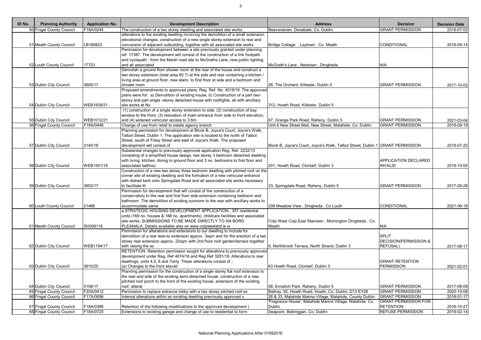| ID No. | <b>Planning Authority</b> | <b>Application No.</b> | <b>Development Description</b>                                                      | <b>Address</b>                                                                 | <b>Decision</b>                  | <b>Decision Date</b> |
|--------|---------------------------|------------------------|-------------------------------------------------------------------------------------|--------------------------------------------------------------------------------|----------------------------------|----------------------|
|        | 50 Fingal County Council  | F18A/0244              | The construction of a two storey dwelling and associated site works.                | Beaverstown, Donabate, Co. Dublin.                                             | <b>GRANT PERMISSION</b>          | 2018-07-03           |
|        |                           |                        | alterations to the existing dwelling involving the demolition of a small extension, |                                                                                |                                  |                      |
|        |                           |                        | elevational changes, construction of a new single storey extension to rear and      |                                                                                |                                  |                      |
|        | 51 Meath County Council   | LB180823               | conversion of adjacent outbuilding, together with all associated site works         | Bridge Cottage, Laytown, Co. Meath                                             | <b>CONDITIONAL</b>               | 2018-09-14           |
|        |                           |                        | Permission for development between a site previously granted under planning         |                                                                                |                                  |                      |
|        |                           |                        | ref: 17387. The development will consist of the construction of a link footpath     |                                                                                |                                  |                      |
|        |                           |                        | and cyclepath - from the Marsh road site to McGraths Lane, new public lighting      |                                                                                |                                  |                      |
|        | 52 Louth County Council   | 17723                  | and all associated                                                                  | McGrath's Lane, Newtown, Drogheda                                              | N/A                              |                      |
|        |                           |                        | Demolish a ground floor shower room at the rear of the house and construct a        |                                                                                |                                  |                      |
|        |                           |                        | two storey extension (total area 65.7) at the side and rear containing a kitchen /  |                                                                                |                                  |                      |
|        |                           |                        | living area at ground floor, new stairs to first floor at side and a bedroom and    |                                                                                |                                  |                      |
|        | 53 Dublin City Council    | 3605/17                | shower room                                                                         | 26, The Orchard, Killester, Dublin 5                                           | <b>GRANT PERMISSION</b>          | 2017-10-02           |
|        |                           |                        | Proposed amendments to approved plans, Reg. Ref. No. 4019/19. The approved          |                                                                                |                                  |                      |
|        |                           |                        | plans were for: a) Demolition of existing house, b) Construction of a part two-     |                                                                                |                                  |                      |
|        |                           |                        | storey and part single -storey detached house with rooflights, all with ancillary   |                                                                                |                                  |                      |
|        | 54 Dublin City Council    | WEB1839/21             | site works at No.                                                                   | 312, Howth Road, Killester, Dublin 5                                           |                                  |                      |
|        |                           |                        | (1) construction of a single storey extension to side, (2) construction of bay      |                                                                                |                                  |                      |
|        |                           |                        | window to the front, (3) relocation of main entrance from side to front elevation,  |                                                                                |                                  |                      |
|        | 55 Dublin City Council    | WEB1012/21             | and (4) widened vehicular access to 3.6m                                            | 67, Grange Park Road, Raheny, Dublin 5                                         | <b>GRANT PERMISSION</b>          | 2021-03-04           |
|        | 56 Fingal County Council  | F18A/0446              | Change of use from retail to estate agency branch                                   | Unit 6 New Street Mall, New Street, Malahide, Co. Dublin                       | <b>GRANT PERMISSION</b>          | 2018-09-19           |
|        |                           |                        | Planning permission for development at Block B, Joyce's Court, Joyce's Walk,        |                                                                                |                                  |                      |
|        |                           |                        | Talbot Street, Dublin 1. The application site is located to the north of Talbot     |                                                                                |                                  |                      |
|        |                           |                        | Street, south of Foley Street and east of Joyce's Walk. The proposed                |                                                                                |                                  |                      |
|        | 57 Dublin City Council    | 3145/18                | development will consist of                                                         | Block B, Joyce's Court, Joyce's Walk, Talbot Street, Dublin 1 GRANT PERMISSION |                                  | 2018-07-25           |
|        |                           |                        | Substantial changes to previously approved application Reg. Ref. 2232/13            |                                                                                |                                  |                      |
|        |                           |                        | consisting of a simplified house design, two storey 3 bedroom detached dwelling     |                                                                                |                                  |                      |
|        |                           |                        | with living, kitchen, dining to ground floor and 3 no. bedrooms to first floor and  |                                                                                | <b>APPLICATION DECLARED</b>      |                      |
|        | 58 Dublin City Council    | WEB1501/18             | associated bathroo                                                                  | 201, Howth Road, Clontarf, Dublin 3                                            | <b>INVALID</b>                   | 2018-10-05           |
|        |                           |                        | Construction of a new two storey three bedroom dwelling with pitched roof on the    |                                                                                |                                  |                      |
|        |                           |                        | corner site of existing dwelling and the formation of a new vehicular entrance      |                                                                                |                                  |                      |
|        |                           |                        | with dished kerb onto Springdale Road and all associated site works necessary       |                                                                                |                                  |                      |
|        | 59 Dublin City Council    | 3602/17                | to facilitate th                                                                    | 23, Springdale Road, Raheny, Dublin 5                                          | <b>GRANT PERMISSION</b>          | 2017-09-28           |
|        |                           |                        | Permission for development that will consist of the construction of a               |                                                                                |                                  |                      |
|        |                           |                        | conservatory to the rear and first floor side extension containing bedroom and      |                                                                                |                                  |                      |
|        |                           |                        | bathroom. The demolition of existing sunroom to the rear with ancillary works to    |                                                                                |                                  |                      |
|        | 60 Louth County Council   | 21466                  | accommodate same                                                                    | 208 Meadow View, Drogheda, Co Louth                                            | CONDITIONAL                      | 2021-06-18           |
|        |                           |                        | a STRATEGIC HOUSING DEVELOPMENT APPLICATION, 357 residential                        |                                                                                |                                  |                      |
|        |                           |                        | units (169 no. houses & 188 no. apartments), childcare facilities and associated    |                                                                                |                                  |                      |
|        |                           |                        | site works. SUBMISSIONS TO BE MADE DIRECTLY TO AN BORD                              | Colp West Colp East Stameen, Mornington Drogheda, Co.                          |                                  |                      |
|        | 61 Meath County Council   | SH308116               | PLEANALA. Details available also on www.colpwestshd.ie w                            | Meath.                                                                         | N/A                              |                      |
|        |                           |                        | Permission for alterations and extensions to our dwelling to include for            |                                                                                |                                  |                      |
|        |                           |                        | demolition of a rear lean-to extension approx. 3sqm and for the erection of a two   |                                                                                | <b>SPLIT</b>                     |                      |
|        |                           |                        | storey rear extension approx. 22sqm with 2nd floor roof garden/terrace together     |                                                                                | <b>DECISION(PERMISSION &amp;</b> |                      |
|        | 62 Dublin City Council    | WEB1194/17             | with raising the ex                                                                 | 6. Northbrook Terrace, North Strand, Dublin 3                                  | <b>REFUSAL)</b>                  | 2017-08-17           |
|        |                           |                        | RETENTION: Retention permission sought for alterations to previously approved       |                                                                                |                                  |                      |
|        |                           |                        | development under Reg. Ref 4074/16 and Reg. Ref 3281/18. Alterations to rear        |                                                                                |                                  |                      |
|        |                           |                        | dwellings, units 4,5, 6 and 7 only. These alterations consist of ;                  |                                                                                | <b>GRANT RETENTION</b>           |                      |
|        | 63 Dublin City Council    | 3610/20                | (a) Changes to the front elevati                                                    | 63 Howth Road, Clontarf, Dublin 3.                                             | <b>PERMISSION</b>                | 2021-02-01           |
|        |                           |                        | Planning permission for the construction of a single storey flat roof extension to  |                                                                                |                                  |                      |
|        |                           |                        | the rear and side of the existing semi-detached house, construction of a new        |                                                                                |                                  |                      |
|        |                           |                        | pitched roof porch to the front of the existing house, extension of the existing    |                                                                                |                                  |                      |
|        | 64 Dublin City Council    | 3158/17                | roof, alterat                                                                       | 58, Ennafort Park, Raheny, Dublin 5                                            | <b>GRANT PERMISSION</b>          | 2017-08-09           |
|        | 65 Fingal County Council  | F20A/0412              | Permission to replace entrance lobby with a two storey pitched roof ex              | Baltray, 92, Howth Road, Howth, Co. Dublin, D13 EY28                           | <b>GRANT PERMISSION</b>          | 2020-10-08           |
|        |                           | F17A/0696              |                                                                                     | 26 & 33, Malahide Marina Village, Malahide, County Dublin                      | <b>GRANT PERMISSION</b>          |                      |
|        | 66 Fingal County Council  |                        | Internal alterations within an existing dwelling previously approved u              | 'Fragrance House', Malahide Marina Village, Malahide, Co.                      | <b>GRANT PERMISSION FOR</b>      | 2018-01-17           |
|        |                           |                        |                                                                                     | Dublin                                                                         | <b>RETENTION</b>                 |                      |
|        | 67 Fingal County Council  | F16A/0386              | Retention of the following modifications to the approved development (              |                                                                                |                                  | 2016-10-27           |
|        | 68 Fingal County Council  | F18A/0725              | Extensions to existing garage and change of use to residential to form              | Seapoint, Balbriggan, Co. Dublin                                               | <b>REFUSE PERMISSION</b>         | 2019-02-14           |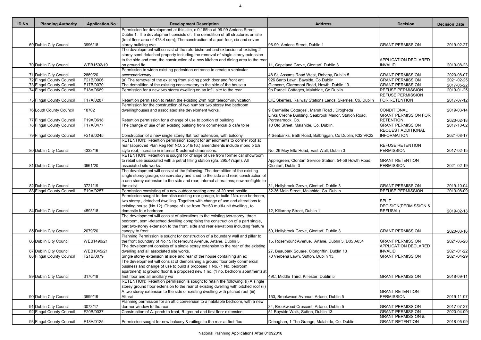| ID No. | <b>Planning Authority</b> | <b>Application No.</b> | <b>Development Description</b>                                                                                                                                        | <b>Address</b>                                             | <b>Decision</b>                  | <b>Decision Date</b> |
|--------|---------------------------|------------------------|-----------------------------------------------------------------------------------------------------------------------------------------------------------------------|------------------------------------------------------------|----------------------------------|----------------------|
|        |                           |                        | Permission for development at this site, c 0.165ha at 96-99 Amiens Street,                                                                                            |                                                            |                                  |                      |
|        |                           |                        | Dublin 1. The development consists of: The demolition of all structures on site                                                                                       |                                                            |                                  |                      |
|        |                           |                        | (total floor area of 478.4 sqm); The construction of a part four, six and seven                                                                                       |                                                            |                                  |                      |
|        | 69 Dublin City Council    | 3996/18                | storey building ove                                                                                                                                                   | 96-99, Amiens Street, Dublin 1                             | <b>GRANT PERMISSION</b>          | 2019-02-27           |
|        |                           |                        | The development will consist of the refurbishment and extension of existing 2                                                                                         |                                                            |                                  |                      |
|        |                           |                        | storey semi detached property including the removal of single storey extension<br>to the side and rear, the construction of a new kitchen and dining area to the rear |                                                            | APPLICATION DECLARED             |                      |
|        | 70 Dublin City Council    | WEB1502/19             | on ground flo                                                                                                                                                         | 11, Copeland Grove, Clontarf, Dublin 3                     | <b>INVALID</b>                   | 2019-08-23           |
|        |                           |                        | Permission to widen existing pedestrian entrance to create a vehicular                                                                                                |                                                            |                                  |                      |
|        | 71 Dublin City Council    | 2869/20                | access/driveway.                                                                                                                                                      | 48 St. Assams Road West, Raheny, Dublin 5                  | <b>GRANT PERMISSION</b>          | 2020-08-07           |
|        | 72 Fingal County Council  | F21B/0006              | (a) The removal of the existing front sliding porch door and front ent                                                                                                | 926 Sarto Lawn, Bayside, Co Dublin                         | <b>GRANT PERMISSION</b>          | 2021-02-25           |
|        | 73 Fingal County Council  | F17B/0070              | The demolition of the existing conservatory to the side of the house a                                                                                                | Glencorr, Claremont Road, Howth, Dublin 13.                | <b>GRANT PERMISSION</b>          | 2017-05-22           |
|        | 74 Fingal County Council  | F18A/0669              | Permission for a new two storey dwelling on an infill site to the rear                                                                                                | 9b Parnell Cottages, Malahide, Co Dublin                   | <b>REFUSE PERMISSION</b>         | 2019-01-25           |
|        |                           |                        |                                                                                                                                                                       |                                                            | <b>REFUSE PERMISSION</b>         |                      |
|        | 75 Fingal County Council  | F17A/0287              | Retention permission to retain the existing 24m high telecommunication                                                                                                | CIE Skerries, Railway Stations Lands, Skerries, Co. Dublin | FOR RETENTION                    | 2017-07-12           |
|        |                           |                        | Permission for the construction of two number two storey two bedroom                                                                                                  |                                                            |                                  |                      |
|        | 76 Louth County Council   | 18702                  | dwellinghouses and associated site develoment works.                                                                                                                  | 9 Carmelite Cottages, Marsh Road, Drogheda                 | CONDITIONAL                      | 2019-03-14           |
|        |                           |                        |                                                                                                                                                                       | Links Creche Building, Seabrook Manor, Station Road,       | <b>GRANT PERMISSION FOR</b>      |                      |
|        | 77 Fingal County Council  | F19A/0618              | Retention permission for a change of use to portion of building                                                                                                       | Portmarnock, Co.                                           | <b>RETENTION</b>                 | 2020-02-18           |
|        | 78 Fingal County Council  | F17A/0477              | The change of use of an existing building from commercial & cafe to re                                                                                                | 10 Old Street, Malahide, Co. Dublin.                       | <b>GRANT PERMISSION</b>          | 2017-10-02           |
|        |                           |                        |                                                                                                                                                                       |                                                            | <b>REQUEST ADDITIONAL</b>        |                      |
|        | 79 Fingal County Council  | F21B/0245              | Construction of a new single storey flat roof extension, with balcony                                                                                                 | 4 Seabanks, Bath Road, Balbriggan, Co Dublin, K32 VK22     | <b>INFORMATION</b>               | 2021-08-17           |
|        |                           |                        | RETENTION: Retention permission sought for amendments to dormer roof at                                                                                               |                                                            |                                  |                      |
|        |                           |                        | rear (approved Plan Reg Ref NO. 2516/16.) amendments include mono pitch                                                                                               |                                                            | <b>REFUSE RETENTION</b>          |                      |
|        | 80 Dublin City Council    | 4333/16                | style roof, increase in internal & external dimensions.                                                                                                               | No. 26 Moy Elta Road, East Wall, Dublin 3                  | <b>PERMISSION</b>                | 2017-02-15           |
|        |                           |                        | RETENTION: Retention is sought for change of use from former car showroom                                                                                             |                                                            |                                  |                      |
|        |                           |                        | to retail use associated with a petrol filling station (gfa. 295.47sqm). All                                                                                          | Applegreen, Clontarf Service Station, 54-56 Howth Road,    | <b>GRANT RETENTION</b>           |                      |
|        | 81 Dublin City Council    | 3961/20                | associated site works.                                                                                                                                                | Clontarf, Dublin 3                                         | <b>PERMISSION</b>                | 2021-02-19           |
|        |                           |                        | The development will consist of the following: The demolition of the existing                                                                                         |                                                            |                                  |                      |
|        |                           |                        | single storey garage, conservatory and shed to the side and rear; construction of                                                                                     |                                                            |                                  |                      |
|        |                           |                        | a one storey extension to the side and rear; internal alterations; new rooflights to                                                                                  |                                                            |                                  |                      |
|        | 82 Dublin City Council    | 3721/19                | the exist                                                                                                                                                             | 31, Hollybrook Grove, Clontarf, Dublin 3                   | <b>GRANT PERMISSION</b>          | 2019-10-04           |
|        | 83 Fingal County Council  | F19A/0257              | Permission consisting of a new outdoor seating area of 20 seat positio                                                                                                | 32-36 Main Street, Malahide, Co. Dublin                    | <b>REFUSE PERMISSION</b>         | 2019-08-09           |
|        |                           |                        | Permission sought to demolish existing rear garage, to build 1No. one bedroom,<br>two storey, detached dwelling. Together with change of use and alterations to       |                                                            | <b>SPLIT</b>                     |                      |
|        |                           |                        |                                                                                                                                                                       |                                                            | <b>DECISION(PERMISSION &amp;</b> |                      |
|        |                           | 4593/18                | existing house (No.12). Change of use from Pre'63 multi-unit dwelling, to<br>domestic four bedroom                                                                    | 12, Killarney Street, Dublin 1                             |                                  |                      |
|        | 84 Dublin City Council    |                        | The development will consist of alterations to the existing two-storey, three                                                                                         |                                                            | <b>REFUSAL)</b>                  | 2019-02-13           |
|        |                           |                        | bedroom, semi-detached dwelling comprising the construction of a part single,                                                                                         |                                                            |                                  |                      |
|        |                           |                        | part two-storey extension to the front, side and rear elevations including feature                                                                                    |                                                            |                                  |                      |
|        | 85 Dublin City Council    | 2079/20                | canopy to front                                                                                                                                                       | 50, Hollybrook Grove, Clontarf, Dublin 3                   | <b>GRANT PERMISSION</b>          | 2020-03-16           |
|        |                           |                        | Planning Permission is sought for construction of a boundary wall and pillar to                                                                                       |                                                            |                                  |                      |
|        | 86 Dublin City Council    | WEB1490/21             | the front boundary of No.15 Rosemount Avenue, Artane, Dublin 5                                                                                                        | 15, Rosemount Avenue, Artane, Dublin 5, D05 A034           | <b>GRANT PERMISSION</b>          | 2021-06-28           |
|        |                           |                        | The development consists of a single storey extension to the rear of the existing                                                                                     |                                                            | <b>APPLICATION DECLARED</b>      |                      |
|        | 87 Dublin City Council    | WEB1045/21             | dwelling and all associated site works.                                                                                                                               | 27, Beaupark Square, Clongriffin, Dublin 13                | <b>INVALID</b>                   | 2021-01-22           |
|        | 88 Fingal County Council  | F21B/0079              | Single storey extension at side and rear of the house containing an ex                                                                                                | 70 Verbena Lawn, Sutton, Dublin 13.                        | <b>GRANT PERMISSION</b>          | 2021-04-29           |
|        |                           |                        | The development will consist of demolishing a ground floor only commercial                                                                                            |                                                            |                                  |                      |
|        |                           |                        | business and change of use to build a proposed 1 No. (1 No. bedroom                                                                                                   |                                                            |                                  |                      |
|        |                           |                        | apartment) at ground floor & a proposed new 1 no. (1 no. bedroom apartment) at                                                                                        |                                                            |                                  |                      |
|        | 89 Dublin City Council    | 3170/18                | first floor and all ancillary wo                                                                                                                                      | 49C, Middle Third, Killester, Dublin 5                     | <b>GRANT PERMISSION</b>          | 2018-09-11           |
|        |                           |                        | RETENTION: Retention permission is sought to retain the following: (i) A single                                                                                       |                                                            |                                  |                      |
|        |                           |                        | storey ground floor extension to the rear of existing dwelling with pitched roof (ii)                                                                                 |                                                            |                                  |                      |
|        |                           |                        | A two storey extension to the side of existing dwelling with pitched roof (iii)                                                                                       |                                                            | <b>GRANT RETENTION</b>           |                      |
|        | 90 Dublin City Council    | 3999/19                | Alterat                                                                                                                                                               | 153, Brookwood Avenue, Artane, Dublin 5                    | <b>PERMISSION</b>                | 2019-11-07           |
|        |                           |                        | Planning permission for an attic conversion to a habitable bedroom, with a new                                                                                        |                                                            |                                  |                      |
|        | 91 Dublin City Council    | 3073/17                | dormer window to the rear.                                                                                                                                            | 34, Brookwood Crescent, Artane, Dublin 5                   | <b>GRANT PERMISSION</b>          | 2017-07-27           |
|        | 92 Fingal County Council  | F20B/0037              | Construction of A. porch to front, B. ground and first floor extension                                                                                                | 51 Bayside Walk, Sutton, Dublin 13.                        | <b>GRANT PERMISSION</b>          | 2020-04-09           |
|        |                           |                        |                                                                                                                                                                       |                                                            | <b>GRANT PERMISSION &amp;</b>    |                      |
|        | 93 Fingal County Council  | F18A/0125              | Permission sought for new balcony & railings to the rear at first floo                                                                                                | Drinaghan, 1 The Grange, Malahide, Co. Dublin              | <b>GRANT RETENTION</b>           | 2018-05-09           |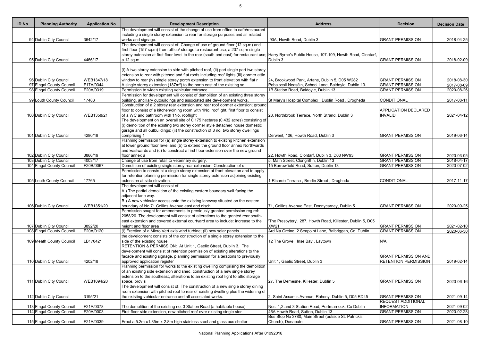5

| ID No. | <b>Planning Authority</b> | <b>Application No.</b> | <b>Development Description</b>                                                                                                                                | <b>Address</b>                                                            | <b>Decision</b>             | <b>Decision Date</b> |
|--------|---------------------------|------------------------|---------------------------------------------------------------------------------------------------------------------------------------------------------------|---------------------------------------------------------------------------|-----------------------------|----------------------|
|        |                           |                        | The development will consist of the change of use from office to café/restaurant                                                                              |                                                                           |                             |                      |
|        |                           |                        | including a single storey extension to rear for storage purposes and all related                                                                              |                                                                           |                             |                      |
|        | 94 Dublin City Council    | 3642/17                | works and signage.                                                                                                                                            | 93A, Howth Road, Dublin 3                                                 | <b>GRANT PERMISSION</b>     | 2018-04-25           |
|        |                           |                        | The development will consist of: Change of use of ground floor (12 sq.m) and                                                                                  |                                                                           |                             |                      |
|        |                           |                        | first floor (157 sq.m) from office/ storage to restaurant use; a 207 sq.m single                                                                              |                                                                           |                             |                      |
|        |                           |                        | storey extension at first floor level to the rear (south and east) for restaurant use; Harry Byrne's Public House, 107-109, Howth Road, Clontarf,             |                                                                           |                             |                      |
|        | 95 Dublin City Council    | 4466/17                | a 12 sq.m                                                                                                                                                     | Dublin 3                                                                  | <b>GRANT PERMISSION</b>     | 2018-02-09           |
|        |                           |                        | (i) A two storey extension to side with pitched roof, (ii) part single part two storey                                                                        |                                                                           |                             |                      |
|        |                           |                        | extension to rear with pitched and flat roofs including roof lights (iii) dormer attic                                                                        |                                                                           |                             |                      |
|        | 96 Dublin City Council    | WEB1347/18             | window to rear (iv) single storey porch extension to front elevation with flat r                                                                              | 24, Brookwood Park, Artane, Dublin 5, D05 W282                            | <b>GRANT PERMISSION</b>     | 2018-08-30           |
|        | 97 Fingal County Council  | F17A/0344              | A single storey extension (187m <sup>2</sup> ) to the north east of the existing sc                                                                           | Pobalscoil Neasáin, School Lane, Baldoyle, Dublin 13.                     | <b>GRANT PERMISSION</b>     | 2017-08-09           |
|        | 98 Fingal County Council  | F20A/0319              | Permission to widen existing vehicular entrance.                                                                                                              | 1B Station Road, Baldoyle, Dublin 13                                      | <b>GRANT PERMISSION</b>     | 2020-08-26           |
|        |                           |                        | Permission for development will consist of demolition of an existing three storey                                                                             |                                                                           |                             |                      |
|        | 99 Louth County Council   | 17483                  | building, ancillary outbuildings and associated site development works.                                                                                       | St Mary's Hospital Complex, Dublin Road, Drogheda                         | CONDITIONAL                 | 2017-08-11           |
|        |                           |                        | Construction of a 2 storey rear extension and rear roof dormer extension; ground                                                                              |                                                                           |                             |                      |
|        |                           |                        | floor to consist of a kitchen/dining room with 1No. rooflight, first floor to consist                                                                         |                                                                           | <b>APPLICATION DECLARED</b> |                      |
|        | 100 Dublin City Council   | WEB1358/21             | of a WC and bathroom with 1No. rooflight                                                                                                                      | 28, Northbrook Terrace, North Strand, Dublin 3                            | <b>INVALID</b>              | 2021-04-12           |
|        |                           |                        | The development on an overall site of 0.175 hectares (0.432 acres) consisting of                                                                              |                                                                           |                             |                      |
|        |                           |                        | (i) demolition of the existing two storey dormer style detached house, domestic                                                                               |                                                                           |                             |                      |
|        |                           |                        | garage and all outbuildings; (ii) the construction of 3 no. two storey dwellings                                                                              |                                                                           |                             |                      |
|        | 101 Dublin City Council   | 4280/18                | comprising 1                                                                                                                                                  | Derwent, 106, Howth Road, Dublin 3                                        | <b>GRANT PERMISSION</b>     | 2019-06-14           |
|        |                           |                        | Planning permission for (a) single storey extension to existing kitchen extension                                                                             |                                                                           |                             |                      |
|        |                           |                        | at lower ground floor level and (b) to extend the ground floor annex Northwards                                                                               |                                                                           |                             |                      |
|        |                           |                        | and Eastwards and (c) to construct a first floor extension over the new ground                                                                                |                                                                           |                             |                      |
|        | 102 Dublin City Council   | 3866/19                | floor annex a                                                                                                                                                 | 22, Howth Road, Clontarf, Dublin 3, D03 NW93                              | <b>GRANT PERMISSION</b>     | 2020-03-05           |
|        | 103 Dublin City Council   | 4003/17                | Change of use from retail to veterinary surgery.                                                                                                              | 5, Main Street, Clongriffin, Dublin 13                                    | <b>GRANT PERMISSION</b>     | 2018-04-17           |
|        | 104 Fingal County Council | F20B/0067              | Demolition of existing single storey rear extension. Construction of s                                                                                        | 15 Burrowfield Road, Sutton, Dublin 13                                    | <b>GRANT PERMISSION</b>     | 2020-07-02           |
|        |                           |                        | Permission to construct a single storey extension at front elevation and to apply                                                                             |                                                                           |                             |                      |
|        |                           |                        | for retention planning permission for single storey extension adjoining existing                                                                              |                                                                           |                             |                      |
|        | 105 Louth County Council  | 17765                  | extension at side elevation.                                                                                                                                  | 1 Ricardo Terrace, Bredin Street, Drogheda                                | CONDITIONAL                 | 2017-11-17           |
|        |                           |                        | The development will consist of:                                                                                                                              |                                                                           |                             |                      |
|        |                           |                        | A.) The partial demolition of the existing eastern boundary wall facing the                                                                                   |                                                                           |                             |                      |
|        |                           |                        | adjacent lane way.                                                                                                                                            |                                                                           |                             |                      |
|        |                           |                        | B.) A new vehicular access onto the existing laneway situated on the eastern                                                                                  |                                                                           |                             |                      |
|        | 106 Dublin City Council   | WEB1351/20             | boundary of No.71 Collins Avenue east and disch                                                                                                               | 71, Collins Avenue East, Donnycarney, Dublin 5                            | <b>GRANT PERMISSION</b>     | 2020-09-25           |
|        |                           |                        | Permission sought for amendments to previously granted permission reg ref:<br>2058/20. The development will consist of alterations to the granted rear south- |                                                                           |                             |                      |
|        |                           |                        | east extension and covered external courtyard area to include: increase to the                                                                                |                                                                           |                             |                      |
|        | 107 Dublin City Council   | 3892/20                | height and floor area                                                                                                                                         | The Presbytery', 287, Howth Road, Killester, Dublin 5, D05<br><b>XW21</b> | <b>GRANT PERMISSION</b>     | 2021-02-10           |
|        | 108 Fingal County Council | F20A/0120              | (i) Erection of a Micro Vert axis wind turbine; (ii) new solar panels                                                                                         | Ard Na Greine, 2 Seapoint Lane, Balbriggan, Co. Dublin.                   | <b>GRANT PERMISSION</b>     | 2020-06-30           |
|        |                           |                        | the development consists of the construction of a single storey extension to the                                                                              |                                                                           |                             |                      |
|        | 109 Meath County Council  | LB170421               | side of the existing house.                                                                                                                                   | 12 The Grove, Inse Bay, Laytown                                           | N/A                         |                      |
|        |                           |                        | RETENTION & PERMISSION: At Unit 1, Gaelic Street, Dublin 3. The                                                                                               |                                                                           |                             |                      |
|        |                           |                        | development will consist of retention permission of existing alterations to the                                                                               |                                                                           |                             |                      |
|        |                           |                        | facade and existing signage, planning permission for alterations to previously                                                                                |                                                                           | <b>GRANT PERMISSION AND</b> |                      |
|        | 110 Dublin City Council   | 4202/18                | approved application register                                                                                                                                 | Unit 1, Gaelic Street, Dublin 3                                           | <b>RETENTION PERMISSION</b> | 2019-02-14           |
|        |                           |                        | Planning permission for works to the existing dwelling comprising the demolition                                                                              |                                                                           |                             |                      |
|        |                           |                        | of an existing side extension and shed, construction of a new single storey                                                                                   |                                                                           |                             |                      |
|        |                           |                        | extension to the southeast, alterations to an existing roof light to attic storage                                                                            |                                                                           |                             |                      |
|        | 111 Dublin City Council   | WEB1094/20             | space, provisi                                                                                                                                                | 27, The Demesne, Killester, Dublin 5                                      | <b>GRANT PERMISSION</b>     | 2020-06-16           |
|        |                           |                        | The development will consist of: The construction of a new single storey dining                                                                               |                                                                           |                             |                      |
|        |                           |                        | room extension with pitched roof to rear of existing dwelling plus the widening of                                                                            |                                                                           |                             |                      |
|        | 112 Dublin City Council   | 3195/21                | the existing vehicular entrance and all associated works.                                                                                                     | 2, Saint Assam's Avenue, Raheny, Dublin 5, D05 RD45                       | <b>GRANT PERMISSION</b>     | 2021-09-14           |
|        |                           |                        |                                                                                                                                                               |                                                                           | <b>REQUEST ADDITIONAL</b>   |                      |
|        | 113 Fingal County Council | F21A/0378              | The demolition of the existing no. 3 Station Road (a habitable house)                                                                                         | Nos. 1,2 and 3 Station Road, Portmarnock, Co Dublin                       | <b>INFORMATION</b>          | 2021-09-02           |
|        | 114 Fingal County Council | F20A/0003              | First floor side extension, new pitched roof over existing single stor                                                                                        | 46A Howth Road, Sutton, Dublin 13                                         | <b>GRANT PERMISSION</b>     | 2020-02-28           |
|        |                           |                        |                                                                                                                                                               | Bus Stop No 3780, Main Street (outside St. Patrick's                      |                             |                      |
|        | 115 Fingal County Council | F21A/0339              | Erect a 5.2m x1.85m x 2.8m high stainless steel and glass bus shelter                                                                                         | Church), Donabate                                                         | <b>GRANT PERMISSION</b>     | 2021-08-10           |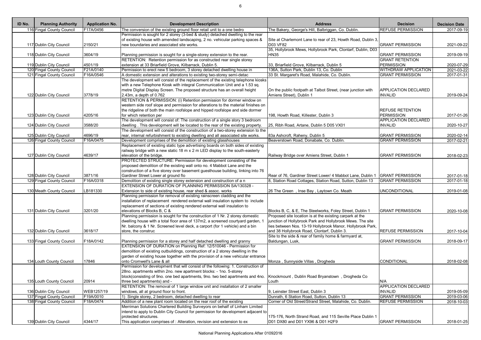| F17A/0456<br>The conversion of the existing ground floor retail unit to a one bedro<br>The Bakery, George's Hill, Balbriggan, Co. Dublin.<br><b>REFUSE PERMISSION</b><br>116 Fingal County Council<br>Permission is sought for 2 storey (3-bed & study) detached dwelling to the rear<br>of existing house with amended landscaping, 2 no. vehicular parking spaces &<br>Site at Charlemont Lane to rear of 23, Howth Road, Dublin 3,<br><b>D03 VF82</b><br>117 Dublin City Council<br>2150/21<br>new boundaries and associated site works.<br><b>GRANT PERMISSION</b><br>35, Hollybrook Mews, Hollybrook Park, Clontarf, Dublin, D03<br>118 Dublin City Council<br>Planning permission is sought for a single-storey extension to the rear.<br><b>GRANT PERMISSION</b><br>3604/19<br><b>HN35</b><br>RETENTION: Retention permission for as constructed rear single storey<br><b>GRANT RETENTION</b><br>4501/19<br>119 Dublin City Council<br>extension at 33 Briarfield Grove, Kilbarrack, Dublin 5.<br>33, Briarfield Grove, Kilbarrack, Dublin 5<br><b>PERMISSION</b><br>120 Fingal County Council<br>F21A/0140<br>Permission to erect new 5 bedroom, 3 storey detached dwelling house in<br>136A, Sutton Park, Dublin 13, Co. Dublin<br><b>WITHDRAW APPLICATION</b><br>33 St. Margaret's Road, Malahide, Co. Dublin.<br><b>GRANT PERMISSION</b><br>121 Fingal County Council<br>F16A/0546<br>A domestic extension and alterations to existing two-storey semi-detac<br>The development will consist of the replacement of the existing telephone kiosks<br>with a new Telephone Kiosk with integral Communication Unit and a 1.53 sq.<br>metre Digital Display Screen. The proposed structure has an overall height<br>On the public footpath at Talbot Street, (near junction with<br>APPLICATION DECLARED<br>122 Dublin City Council<br>3778/19<br>$2.43m$ , a depth of 0.762<br>Amiens Street), Dublin 1<br><b>INVALID</b><br>RETENTION & PERMISSION: (i) Retention permission for dormer window on<br>western side roof slope and permission for alterations to the material finishes on<br>the ridgeline of both the main roofslope and hipped roofslope and side dormer<br><b>REFUSE RETENTION</b><br><b>PERMISSION</b><br>4205/16<br>for which retention per<br>123 Dublin City Council<br>198, Howth Road, Killester, Dublin 3<br>The development will consist of: The construction of a single story 3 bedroom<br><b>APPLICATION DECLARED</b><br>3588/20<br>dwelling. This development will be located to the rear of the existing property.<br>124 Dublin City Council<br><b>INVALID</b><br>25, Ribh Road, Artane, Dublin 5 D05 VX01<br>The development will consist of the construction of a two-storey extension to the<br>4696/19<br>rear, internal refurbishment to existing dwelling and all associated site works.<br><b>GRANT PERMISSION</b><br>125 Dublin City Council<br>83a Ashcroft, Raheny, Dublin 5<br>126 Fingal County Council<br>F16A/0475<br>Development comprises of the demolition of existing glasshouses<br>Beaverstown Road, Donabate, Co. Dublin.<br><b>GRANT PERMISSION</b><br>Replacement of existing static type advertising boards on both sides of existing<br>railway bridge with a new static 18 m x 2 m LED display to the south-easterly<br>127 Dublin City Council<br>4639/17<br>elevation of the bridge.<br>Railway Bridge over Amiens Street, Dublin 1<br><b>GRANT PERMISSION</b><br>PROTECTED STRUCTURE: Permission for development consisting of the<br>proposed demolition of the existing wall onto no. 4 Mabbot Lane and the<br>construction of a five storey over basement guesthouse building, linking into 76<br>128 Dublin City Council<br>3871/16<br>Rear of 76, Gardiner Street Lower/ 4 Mabbot Lane, Dublin 1<br><b>GRANT PERMISSION</b><br>Gardiner Street Lower at ground flo<br>129 Fingal County Council<br>F16A/0318<br>Demolition of existing single storey extension and construction of a n<br>8, Station Road Cottages, Station Road, Sutton, Dublin 13<br><b>GRANT PERMISSION</b><br>EXTENSION OF DURATION OF PLANNING PERMISSION SA/130328 -<br>LB181330<br>Extension to side of existing house, rear shed & assoc. works<br><b>UNCONDITIONAL</b><br>130 Meath County Council<br>26 The Green, Inse Bay, Laytown Co. Meath<br>Planning permission for removal of existing rainscreen cladding and the<br>installation of replacement rendered external wall insulation system to include<br>replacement of sections of existing rendered external wall insulation to<br>3201/20<br>131 Dublin City Council<br>elevations of Blocks B, C &<br><b>GRANT PERMISSION</b><br>Blocks B, C, & E, The Steelworks, Foley Street, Dublin 1<br>Planning permission is sought for the construction of 1 Nr. 2 storey domestic<br>Proposed site location is at the existing carpark at the<br>dwelling house with a total floor area of 137m2, a screened courtyard garden,<br>junction of Hollybrook Park and Hollybrook Mews. The site<br>Nr. balcony & 1 Nr. Screened level deck, a carport (for 1 vehicle) and a bin<br>lies between Nos. 13-19 Hollybrook Manor, Hollybrook Park,<br>and 38 Hollybrook Road, Clontarf, Dublin 3.<br><b>REFUSE PERMISSION</b><br>132 Dublin City Council<br>3618/17<br>store, the construc<br>Site to the side & rear of family home & farmyard at,<br>F18A/0142<br><b>GRANT PERMISSION</b><br>133 Fingal County Council<br>Planning permission for a storey and half detached dwelling and granny<br>Baldungan, Lusk,<br>EXTENSION OF DURATION on Planning Ref: 12/510046 - Permission for<br>demolition of existing outbuildings, construction of a 2 storey dwelling in the<br>garden of existing house together with the provision of a new vehicular entrance<br>17846<br>onto Cromwell's Lane & all<br>134 Louth County Council<br><b>CONDITIONAL</b><br>Monza, Sunnyside Villas, Drogheda<br>Permission for development that will consist of the following: 1. Construction of<br>28no. apartments within 2no. new apartment blocks: - 1no. 5-storey<br>block(consisting of 9no. one bed apartments, 9no. two bed apartments and 4no. Knockmount, Dublin Road Bryanstown, Drogheda Co<br>three bed apartments) and -<br>N/A<br>135 Louth County Council<br>20914<br>Louth<br>RETENTION: The removal of 1 large window unit and installation of 2 smaller<br><b>APPLICATION DECLARED</b><br>windows, all at ground floor to front.<br><b>INVALID</b><br>136 Dublin City Council<br>WEB1257/19<br>9, Leinster Street East, Dublin 3<br>137 Fingal County Council<br>F19A/0010<br>1) Single storey, 2 bedroom, detached dwelling to rear<br>Dunrath, 6 Station Road, Sutton, Dublin 13<br><b>GRANT PERMISSION</b><br>F18A/0474<br>Addition of a new plant room located on the rear roof of the existing<br><b>REFUSE PERMISSION</b><br>138 Fingal County Council<br>Corner of Old Street/Strand Street, Malahide, Co. Dublin.<br>Merriman Solutions Chartered Building Surveyors on behalf of Linham Limited<br>intend to apply to Dublin City Council for permission for development adjacent to<br>protected structures.<br>175-176, North Strand Road, and 115 Seville Place Dublin 1<br>139 Dublin City Council<br>4344/17<br>This application comprises of: Alteration, revision and extension to ex<br>D01 DX80 and D01 YX96 & D01 H2F9<br><b>GRANT PERMISSION</b> | ID No. | <b>Planning Authority</b> | <b>Application No.</b> | <b>Development Description</b> | <b>Address</b> | <b>Decision</b> | <b>Decision Date</b> |
|-----------------------------------------------------------------------------------------------------------------------------------------------------------------------------------------------------------------------------------------------------------------------------------------------------------------------------------------------------------------------------------------------------------------------------------------------------------------------------------------------------------------------------------------------------------------------------------------------------------------------------------------------------------------------------------------------------------------------------------------------------------------------------------------------------------------------------------------------------------------------------------------------------------------------------------------------------------------------------------------------------------------------------------------------------------------------------------------------------------------------------------------------------------------------------------------------------------------------------------------------------------------------------------------------------------------------------------------------------------------------------------------------------------------------------------------------------------------------------------------------------------------------------------------------------------------------------------------------------------------------------------------------------------------------------------------------------------------------------------------------------------------------------------------------------------------------------------------------------------------------------------------------------------------------------------------------------------------------------------------------------------------------------------------------------------------------------------------------------------------------------------------------------------------------------------------------------------------------------------------------------------------------------------------------------------------------------------------------------------------------------------------------------------------------------------------------------------------------------------------------------------------------------------------------------------------------------------------------------------------------------------------------------------------------------------------------------------------------------------------------------------------------------------------------------------------------------------------------------------------------------------------------------------------------------------------------------------------------------------------------------------------------------------------------------------------------------------------------------------------------------------------------------------------------------------------------------------------------------------------------------------------------------------------------------------------------------------------------------------------------------------------------------------------------------------------------------------------------------------------------------------------------------------------------------------------------------------------------------------------------------------------------------------------------------------------------------------------------------------------------------------------------------------------------------------------------------------------------------------------------------------------------------------------------------------------------------------------------------------------------------------------------------------------------------------------------------------------------------------------------------------------------------------------------------------------------------------------------------------------------------------------------------------------------------------------------------------------------------------------------------------------------------------------------------------------------------------------------------------------------------------------------------------------------------------------------------------------------------------------------------------------------------------------------------------------------------------------------------------------------------------------------------------------------------------------------------------------------------------------------------------------------------------------------------------------------------------------------------------------------------------------------------------------------------------------------------------------------------------------------------------------------------------------------------------------------------------------------------------------------------------------------------------------------------------------------------------------------------------------------------------------------------------------------------------------------------------------------------------------------------------------------------------------------------------------------------------------------------------------------------------------------------------------------------------------------------------------------------------------------------------------------------------------------------------------------------------------------------------------------------------------------------------------------------------------------------------------------------------------------------------------------------------------------------------------------------------------------------------------------------------------------------------------------------------------------------------------------------------------------------------------------------------------------------------------------------------------------------------------------------------------------------------------------------------------------------------------------------------------------------------------------------------------------------------------------------------------------------------------------------------------------------------------------------------------------------------------------------------------------------------------------------------------------------------------------------------------------------------------------------------------------------------------------------------------------------------------------------------------------------------------------------------------------------------------------------------------------------------------------------------------------------------------------------------------------------------------------------------------------------------------------------------------------------------------------------------------------------------------------------|--------|---------------------------|------------------------|--------------------------------|----------------|-----------------|----------------------|
|                                                                                                                                                                                                                                                                                                                                                                                                                                                                                                                                                                                                                                                                                                                                                                                                                                                                                                                                                                                                                                                                                                                                                                                                                                                                                                                                                                                                                                                                                                                                                                                                                                                                                                                                                                                                                                                                                                                                                                                                                                                                                                                                                                                                                                                                                                                                                                                                                                                                                                                                                                                                                                                                                                                                                                                                                                                                                                                                                                                                                                                                                                                                                                                                                                                                                                                                                                                                                                                                                                                                                                                                                                                                                                                                                                                                                                                                                                                                                                                                                                                                                                                                                                                                                                                                                                                                                                                                                                                                                                                                                                                                                                                                                                                                                                                                                                                                                                                                                                                                                                                                                                                                                                                                                                                                                                                                                                                                                                                                                                                                                                                                                                                                                                                                                                                                                                                                                                                                                                                                                                                                                                                                                                                                                                                                                                                                                                                                                                                                                                                                                                                                                                                                                                                                                                                                                                                                                                                                                                                                                                                                                                                                                                                                                                                                                                                                                                             |        |                           |                        |                                |                |                 | 2017-09-19           |
|                                                                                                                                                                                                                                                                                                                                                                                                                                                                                                                                                                                                                                                                                                                                                                                                                                                                                                                                                                                                                                                                                                                                                                                                                                                                                                                                                                                                                                                                                                                                                                                                                                                                                                                                                                                                                                                                                                                                                                                                                                                                                                                                                                                                                                                                                                                                                                                                                                                                                                                                                                                                                                                                                                                                                                                                                                                                                                                                                                                                                                                                                                                                                                                                                                                                                                                                                                                                                                                                                                                                                                                                                                                                                                                                                                                                                                                                                                                                                                                                                                                                                                                                                                                                                                                                                                                                                                                                                                                                                                                                                                                                                                                                                                                                                                                                                                                                                                                                                                                                                                                                                                                                                                                                                                                                                                                                                                                                                                                                                                                                                                                                                                                                                                                                                                                                                                                                                                                                                                                                                                                                                                                                                                                                                                                                                                                                                                                                                                                                                                                                                                                                                                                                                                                                                                                                                                                                                                                                                                                                                                                                                                                                                                                                                                                                                                                                                                             |        |                           |                        |                                |                |                 |                      |
| 2021-09-22<br>2019-09-19<br>2020-07-29<br>2021-03-22<br>2017-01-31<br>2019-09-24<br>2017-01-26<br>2020-10-27<br>2020-02-14<br>2017-02-21<br>2018-02-23<br>2017-01-18<br>2017-01-18<br>2019-01-08<br>2020-10-08<br>2017-10-04<br>2018-09-17<br>2018-02-08<br>2019-05-09<br>2019-03-06<br>2018-10-03<br>2018-01-25                                                                                                                                                                                                                                                                                                                                                                                                                                                                                                                                                                                                                                                                                                                                                                                                                                                                                                                                                                                                                                                                                                                                                                                                                                                                                                                                                                                                                                                                                                                                                                                                                                                                                                                                                                                                                                                                                                                                                                                                                                                                                                                                                                                                                                                                                                                                                                                                                                                                                                                                                                                                                                                                                                                                                                                                                                                                                                                                                                                                                                                                                                                                                                                                                                                                                                                                                                                                                                                                                                                                                                                                                                                                                                                                                                                                                                                                                                                                                                                                                                                                                                                                                                                                                                                                                                                                                                                                                                                                                                                                                                                                                                                                                                                                                                                                                                                                                                                                                                                                                                                                                                                                                                                                                                                                                                                                                                                                                                                                                                                                                                                                                                                                                                                                                                                                                                                                                                                                                                                                                                                                                                                                                                                                                                                                                                                                                                                                                                                                                                                                                                                                                                                                                                                                                                                                                                                                                                                                                                                                                                                            |        |                           |                        |                                |                |                 |                      |
|                                                                                                                                                                                                                                                                                                                                                                                                                                                                                                                                                                                                                                                                                                                                                                                                                                                                                                                                                                                                                                                                                                                                                                                                                                                                                                                                                                                                                                                                                                                                                                                                                                                                                                                                                                                                                                                                                                                                                                                                                                                                                                                                                                                                                                                                                                                                                                                                                                                                                                                                                                                                                                                                                                                                                                                                                                                                                                                                                                                                                                                                                                                                                                                                                                                                                                                                                                                                                                                                                                                                                                                                                                                                                                                                                                                                                                                                                                                                                                                                                                                                                                                                                                                                                                                                                                                                                                                                                                                                                                                                                                                                                                                                                                                                                                                                                                                                                                                                                                                                                                                                                                                                                                                                                                                                                                                                                                                                                                                                                                                                                                                                                                                                                                                                                                                                                                                                                                                                                                                                                                                                                                                                                                                                                                                                                                                                                                                                                                                                                                                                                                                                                                                                                                                                                                                                                                                                                                                                                                                                                                                                                                                                                                                                                                                                                                                                                                             |        |                           |                        |                                |                |                 |                      |
|                                                                                                                                                                                                                                                                                                                                                                                                                                                                                                                                                                                                                                                                                                                                                                                                                                                                                                                                                                                                                                                                                                                                                                                                                                                                                                                                                                                                                                                                                                                                                                                                                                                                                                                                                                                                                                                                                                                                                                                                                                                                                                                                                                                                                                                                                                                                                                                                                                                                                                                                                                                                                                                                                                                                                                                                                                                                                                                                                                                                                                                                                                                                                                                                                                                                                                                                                                                                                                                                                                                                                                                                                                                                                                                                                                                                                                                                                                                                                                                                                                                                                                                                                                                                                                                                                                                                                                                                                                                                                                                                                                                                                                                                                                                                                                                                                                                                                                                                                                                                                                                                                                                                                                                                                                                                                                                                                                                                                                                                                                                                                                                                                                                                                                                                                                                                                                                                                                                                                                                                                                                                                                                                                                                                                                                                                                                                                                                                                                                                                                                                                                                                                                                                                                                                                                                                                                                                                                                                                                                                                                                                                                                                                                                                                                                                                                                                                                             |        |                           |                        |                                |                |                 |                      |
|                                                                                                                                                                                                                                                                                                                                                                                                                                                                                                                                                                                                                                                                                                                                                                                                                                                                                                                                                                                                                                                                                                                                                                                                                                                                                                                                                                                                                                                                                                                                                                                                                                                                                                                                                                                                                                                                                                                                                                                                                                                                                                                                                                                                                                                                                                                                                                                                                                                                                                                                                                                                                                                                                                                                                                                                                                                                                                                                                                                                                                                                                                                                                                                                                                                                                                                                                                                                                                                                                                                                                                                                                                                                                                                                                                                                                                                                                                                                                                                                                                                                                                                                                                                                                                                                                                                                                                                                                                                                                                                                                                                                                                                                                                                                                                                                                                                                                                                                                                                                                                                                                                                                                                                                                                                                                                                                                                                                                                                                                                                                                                                                                                                                                                                                                                                                                                                                                                                                                                                                                                                                                                                                                                                                                                                                                                                                                                                                                                                                                                                                                                                                                                                                                                                                                                                                                                                                                                                                                                                                                                                                                                                                                                                                                                                                                                                                                                             |        |                           |                        |                                |                |                 |                      |
|                                                                                                                                                                                                                                                                                                                                                                                                                                                                                                                                                                                                                                                                                                                                                                                                                                                                                                                                                                                                                                                                                                                                                                                                                                                                                                                                                                                                                                                                                                                                                                                                                                                                                                                                                                                                                                                                                                                                                                                                                                                                                                                                                                                                                                                                                                                                                                                                                                                                                                                                                                                                                                                                                                                                                                                                                                                                                                                                                                                                                                                                                                                                                                                                                                                                                                                                                                                                                                                                                                                                                                                                                                                                                                                                                                                                                                                                                                                                                                                                                                                                                                                                                                                                                                                                                                                                                                                                                                                                                                                                                                                                                                                                                                                                                                                                                                                                                                                                                                                                                                                                                                                                                                                                                                                                                                                                                                                                                                                                                                                                                                                                                                                                                                                                                                                                                                                                                                                                                                                                                                                                                                                                                                                                                                                                                                                                                                                                                                                                                                                                                                                                                                                                                                                                                                                                                                                                                                                                                                                                                                                                                                                                                                                                                                                                                                                                                                             |        |                           |                        |                                |                |                 |                      |
|                                                                                                                                                                                                                                                                                                                                                                                                                                                                                                                                                                                                                                                                                                                                                                                                                                                                                                                                                                                                                                                                                                                                                                                                                                                                                                                                                                                                                                                                                                                                                                                                                                                                                                                                                                                                                                                                                                                                                                                                                                                                                                                                                                                                                                                                                                                                                                                                                                                                                                                                                                                                                                                                                                                                                                                                                                                                                                                                                                                                                                                                                                                                                                                                                                                                                                                                                                                                                                                                                                                                                                                                                                                                                                                                                                                                                                                                                                                                                                                                                                                                                                                                                                                                                                                                                                                                                                                                                                                                                                                                                                                                                                                                                                                                                                                                                                                                                                                                                                                                                                                                                                                                                                                                                                                                                                                                                                                                                                                                                                                                                                                                                                                                                                                                                                                                                                                                                                                                                                                                                                                                                                                                                                                                                                                                                                                                                                                                                                                                                                                                                                                                                                                                                                                                                                                                                                                                                                                                                                                                                                                                                                                                                                                                                                                                                                                                                                             |        |                           |                        |                                |                |                 |                      |
|                                                                                                                                                                                                                                                                                                                                                                                                                                                                                                                                                                                                                                                                                                                                                                                                                                                                                                                                                                                                                                                                                                                                                                                                                                                                                                                                                                                                                                                                                                                                                                                                                                                                                                                                                                                                                                                                                                                                                                                                                                                                                                                                                                                                                                                                                                                                                                                                                                                                                                                                                                                                                                                                                                                                                                                                                                                                                                                                                                                                                                                                                                                                                                                                                                                                                                                                                                                                                                                                                                                                                                                                                                                                                                                                                                                                                                                                                                                                                                                                                                                                                                                                                                                                                                                                                                                                                                                                                                                                                                                                                                                                                                                                                                                                                                                                                                                                                                                                                                                                                                                                                                                                                                                                                                                                                                                                                                                                                                                                                                                                                                                                                                                                                                                                                                                                                                                                                                                                                                                                                                                                                                                                                                                                                                                                                                                                                                                                                                                                                                                                                                                                                                                                                                                                                                                                                                                                                                                                                                                                                                                                                                                                                                                                                                                                                                                                                                             |        |                           |                        |                                |                |                 |                      |
|                                                                                                                                                                                                                                                                                                                                                                                                                                                                                                                                                                                                                                                                                                                                                                                                                                                                                                                                                                                                                                                                                                                                                                                                                                                                                                                                                                                                                                                                                                                                                                                                                                                                                                                                                                                                                                                                                                                                                                                                                                                                                                                                                                                                                                                                                                                                                                                                                                                                                                                                                                                                                                                                                                                                                                                                                                                                                                                                                                                                                                                                                                                                                                                                                                                                                                                                                                                                                                                                                                                                                                                                                                                                                                                                                                                                                                                                                                                                                                                                                                                                                                                                                                                                                                                                                                                                                                                                                                                                                                                                                                                                                                                                                                                                                                                                                                                                                                                                                                                                                                                                                                                                                                                                                                                                                                                                                                                                                                                                                                                                                                                                                                                                                                                                                                                                                                                                                                                                                                                                                                                                                                                                                                                                                                                                                                                                                                                                                                                                                                                                                                                                                                                                                                                                                                                                                                                                                                                                                                                                                                                                                                                                                                                                                                                                                                                                                                             |        |                           |                        |                                |                |                 |                      |
|                                                                                                                                                                                                                                                                                                                                                                                                                                                                                                                                                                                                                                                                                                                                                                                                                                                                                                                                                                                                                                                                                                                                                                                                                                                                                                                                                                                                                                                                                                                                                                                                                                                                                                                                                                                                                                                                                                                                                                                                                                                                                                                                                                                                                                                                                                                                                                                                                                                                                                                                                                                                                                                                                                                                                                                                                                                                                                                                                                                                                                                                                                                                                                                                                                                                                                                                                                                                                                                                                                                                                                                                                                                                                                                                                                                                                                                                                                                                                                                                                                                                                                                                                                                                                                                                                                                                                                                                                                                                                                                                                                                                                                                                                                                                                                                                                                                                                                                                                                                                                                                                                                                                                                                                                                                                                                                                                                                                                                                                                                                                                                                                                                                                                                                                                                                                                                                                                                                                                                                                                                                                                                                                                                                                                                                                                                                                                                                                                                                                                                                                                                                                                                                                                                                                                                                                                                                                                                                                                                                                                                                                                                                                                                                                                                                                                                                                                                             |        |                           |                        |                                |                |                 |                      |
|                                                                                                                                                                                                                                                                                                                                                                                                                                                                                                                                                                                                                                                                                                                                                                                                                                                                                                                                                                                                                                                                                                                                                                                                                                                                                                                                                                                                                                                                                                                                                                                                                                                                                                                                                                                                                                                                                                                                                                                                                                                                                                                                                                                                                                                                                                                                                                                                                                                                                                                                                                                                                                                                                                                                                                                                                                                                                                                                                                                                                                                                                                                                                                                                                                                                                                                                                                                                                                                                                                                                                                                                                                                                                                                                                                                                                                                                                                                                                                                                                                                                                                                                                                                                                                                                                                                                                                                                                                                                                                                                                                                                                                                                                                                                                                                                                                                                                                                                                                                                                                                                                                                                                                                                                                                                                                                                                                                                                                                                                                                                                                                                                                                                                                                                                                                                                                                                                                                                                                                                                                                                                                                                                                                                                                                                                                                                                                                                                                                                                                                                                                                                                                                                                                                                                                                                                                                                                                                                                                                                                                                                                                                                                                                                                                                                                                                                                                             |        |                           |                        |                                |                |                 |                      |
|                                                                                                                                                                                                                                                                                                                                                                                                                                                                                                                                                                                                                                                                                                                                                                                                                                                                                                                                                                                                                                                                                                                                                                                                                                                                                                                                                                                                                                                                                                                                                                                                                                                                                                                                                                                                                                                                                                                                                                                                                                                                                                                                                                                                                                                                                                                                                                                                                                                                                                                                                                                                                                                                                                                                                                                                                                                                                                                                                                                                                                                                                                                                                                                                                                                                                                                                                                                                                                                                                                                                                                                                                                                                                                                                                                                                                                                                                                                                                                                                                                                                                                                                                                                                                                                                                                                                                                                                                                                                                                                                                                                                                                                                                                                                                                                                                                                                                                                                                                                                                                                                                                                                                                                                                                                                                                                                                                                                                                                                                                                                                                                                                                                                                                                                                                                                                                                                                                                                                                                                                                                                                                                                                                                                                                                                                                                                                                                                                                                                                                                                                                                                                                                                                                                                                                                                                                                                                                                                                                                                                                                                                                                                                                                                                                                                                                                                                                             |        |                           |                        |                                |                |                 |                      |
|                                                                                                                                                                                                                                                                                                                                                                                                                                                                                                                                                                                                                                                                                                                                                                                                                                                                                                                                                                                                                                                                                                                                                                                                                                                                                                                                                                                                                                                                                                                                                                                                                                                                                                                                                                                                                                                                                                                                                                                                                                                                                                                                                                                                                                                                                                                                                                                                                                                                                                                                                                                                                                                                                                                                                                                                                                                                                                                                                                                                                                                                                                                                                                                                                                                                                                                                                                                                                                                                                                                                                                                                                                                                                                                                                                                                                                                                                                                                                                                                                                                                                                                                                                                                                                                                                                                                                                                                                                                                                                                                                                                                                                                                                                                                                                                                                                                                                                                                                                                                                                                                                                                                                                                                                                                                                                                                                                                                                                                                                                                                                                                                                                                                                                                                                                                                                                                                                                                                                                                                                                                                                                                                                                                                                                                                                                                                                                                                                                                                                                                                                                                                                                                                                                                                                                                                                                                                                                                                                                                                                                                                                                                                                                                                                                                                                                                                                                             |        |                           |                        |                                |                |                 |                      |
|                                                                                                                                                                                                                                                                                                                                                                                                                                                                                                                                                                                                                                                                                                                                                                                                                                                                                                                                                                                                                                                                                                                                                                                                                                                                                                                                                                                                                                                                                                                                                                                                                                                                                                                                                                                                                                                                                                                                                                                                                                                                                                                                                                                                                                                                                                                                                                                                                                                                                                                                                                                                                                                                                                                                                                                                                                                                                                                                                                                                                                                                                                                                                                                                                                                                                                                                                                                                                                                                                                                                                                                                                                                                                                                                                                                                                                                                                                                                                                                                                                                                                                                                                                                                                                                                                                                                                                                                                                                                                                                                                                                                                                                                                                                                                                                                                                                                                                                                                                                                                                                                                                                                                                                                                                                                                                                                                                                                                                                                                                                                                                                                                                                                                                                                                                                                                                                                                                                                                                                                                                                                                                                                                                                                                                                                                                                                                                                                                                                                                                                                                                                                                                                                                                                                                                                                                                                                                                                                                                                                                                                                                                                                                                                                                                                                                                                                                                             |        |                           |                        |                                |                |                 |                      |
|                                                                                                                                                                                                                                                                                                                                                                                                                                                                                                                                                                                                                                                                                                                                                                                                                                                                                                                                                                                                                                                                                                                                                                                                                                                                                                                                                                                                                                                                                                                                                                                                                                                                                                                                                                                                                                                                                                                                                                                                                                                                                                                                                                                                                                                                                                                                                                                                                                                                                                                                                                                                                                                                                                                                                                                                                                                                                                                                                                                                                                                                                                                                                                                                                                                                                                                                                                                                                                                                                                                                                                                                                                                                                                                                                                                                                                                                                                                                                                                                                                                                                                                                                                                                                                                                                                                                                                                                                                                                                                                                                                                                                                                                                                                                                                                                                                                                                                                                                                                                                                                                                                                                                                                                                                                                                                                                                                                                                                                                                                                                                                                                                                                                                                                                                                                                                                                                                                                                                                                                                                                                                                                                                                                                                                                                                                                                                                                                                                                                                                                                                                                                                                                                                                                                                                                                                                                                                                                                                                                                                                                                                                                                                                                                                                                                                                                                                                             |        |                           |                        |                                |                |                 |                      |
|                                                                                                                                                                                                                                                                                                                                                                                                                                                                                                                                                                                                                                                                                                                                                                                                                                                                                                                                                                                                                                                                                                                                                                                                                                                                                                                                                                                                                                                                                                                                                                                                                                                                                                                                                                                                                                                                                                                                                                                                                                                                                                                                                                                                                                                                                                                                                                                                                                                                                                                                                                                                                                                                                                                                                                                                                                                                                                                                                                                                                                                                                                                                                                                                                                                                                                                                                                                                                                                                                                                                                                                                                                                                                                                                                                                                                                                                                                                                                                                                                                                                                                                                                                                                                                                                                                                                                                                                                                                                                                                                                                                                                                                                                                                                                                                                                                                                                                                                                                                                                                                                                                                                                                                                                                                                                                                                                                                                                                                                                                                                                                                                                                                                                                                                                                                                                                                                                                                                                                                                                                                                                                                                                                                                                                                                                                                                                                                                                                                                                                                                                                                                                                                                                                                                                                                                                                                                                                                                                                                                                                                                                                                                                                                                                                                                                                                                                                             |        |                           |                        |                                |                |                 |                      |
|                                                                                                                                                                                                                                                                                                                                                                                                                                                                                                                                                                                                                                                                                                                                                                                                                                                                                                                                                                                                                                                                                                                                                                                                                                                                                                                                                                                                                                                                                                                                                                                                                                                                                                                                                                                                                                                                                                                                                                                                                                                                                                                                                                                                                                                                                                                                                                                                                                                                                                                                                                                                                                                                                                                                                                                                                                                                                                                                                                                                                                                                                                                                                                                                                                                                                                                                                                                                                                                                                                                                                                                                                                                                                                                                                                                                                                                                                                                                                                                                                                                                                                                                                                                                                                                                                                                                                                                                                                                                                                                                                                                                                                                                                                                                                                                                                                                                                                                                                                                                                                                                                                                                                                                                                                                                                                                                                                                                                                                                                                                                                                                                                                                                                                                                                                                                                                                                                                                                                                                                                                                                                                                                                                                                                                                                                                                                                                                                                                                                                                                                                                                                                                                                                                                                                                                                                                                                                                                                                                                                                                                                                                                                                                                                                                                                                                                                                                             |        |                           |                        |                                |                |                 |                      |
|                                                                                                                                                                                                                                                                                                                                                                                                                                                                                                                                                                                                                                                                                                                                                                                                                                                                                                                                                                                                                                                                                                                                                                                                                                                                                                                                                                                                                                                                                                                                                                                                                                                                                                                                                                                                                                                                                                                                                                                                                                                                                                                                                                                                                                                                                                                                                                                                                                                                                                                                                                                                                                                                                                                                                                                                                                                                                                                                                                                                                                                                                                                                                                                                                                                                                                                                                                                                                                                                                                                                                                                                                                                                                                                                                                                                                                                                                                                                                                                                                                                                                                                                                                                                                                                                                                                                                                                                                                                                                                                                                                                                                                                                                                                                                                                                                                                                                                                                                                                                                                                                                                                                                                                                                                                                                                                                                                                                                                                                                                                                                                                                                                                                                                                                                                                                                                                                                                                                                                                                                                                                                                                                                                                                                                                                                                                                                                                                                                                                                                                                                                                                                                                                                                                                                                                                                                                                                                                                                                                                                                                                                                                                                                                                                                                                                                                                                                             |        |                           |                        |                                |                |                 |                      |
|                                                                                                                                                                                                                                                                                                                                                                                                                                                                                                                                                                                                                                                                                                                                                                                                                                                                                                                                                                                                                                                                                                                                                                                                                                                                                                                                                                                                                                                                                                                                                                                                                                                                                                                                                                                                                                                                                                                                                                                                                                                                                                                                                                                                                                                                                                                                                                                                                                                                                                                                                                                                                                                                                                                                                                                                                                                                                                                                                                                                                                                                                                                                                                                                                                                                                                                                                                                                                                                                                                                                                                                                                                                                                                                                                                                                                                                                                                                                                                                                                                                                                                                                                                                                                                                                                                                                                                                                                                                                                                                                                                                                                                                                                                                                                                                                                                                                                                                                                                                                                                                                                                                                                                                                                                                                                                                                                                                                                                                                                                                                                                                                                                                                                                                                                                                                                                                                                                                                                                                                                                                                                                                                                                                                                                                                                                                                                                                                                                                                                                                                                                                                                                                                                                                                                                                                                                                                                                                                                                                                                                                                                                                                                                                                                                                                                                                                                                             |        |                           |                        |                                |                |                 |                      |
|                                                                                                                                                                                                                                                                                                                                                                                                                                                                                                                                                                                                                                                                                                                                                                                                                                                                                                                                                                                                                                                                                                                                                                                                                                                                                                                                                                                                                                                                                                                                                                                                                                                                                                                                                                                                                                                                                                                                                                                                                                                                                                                                                                                                                                                                                                                                                                                                                                                                                                                                                                                                                                                                                                                                                                                                                                                                                                                                                                                                                                                                                                                                                                                                                                                                                                                                                                                                                                                                                                                                                                                                                                                                                                                                                                                                                                                                                                                                                                                                                                                                                                                                                                                                                                                                                                                                                                                                                                                                                                                                                                                                                                                                                                                                                                                                                                                                                                                                                                                                                                                                                                                                                                                                                                                                                                                                                                                                                                                                                                                                                                                                                                                                                                                                                                                                                                                                                                                                                                                                                                                                                                                                                                                                                                                                                                                                                                                                                                                                                                                                                                                                                                                                                                                                                                                                                                                                                                                                                                                                                                                                                                                                                                                                                                                                                                                                                                             |        |                           |                        |                                |                |                 |                      |
|                                                                                                                                                                                                                                                                                                                                                                                                                                                                                                                                                                                                                                                                                                                                                                                                                                                                                                                                                                                                                                                                                                                                                                                                                                                                                                                                                                                                                                                                                                                                                                                                                                                                                                                                                                                                                                                                                                                                                                                                                                                                                                                                                                                                                                                                                                                                                                                                                                                                                                                                                                                                                                                                                                                                                                                                                                                                                                                                                                                                                                                                                                                                                                                                                                                                                                                                                                                                                                                                                                                                                                                                                                                                                                                                                                                                                                                                                                                                                                                                                                                                                                                                                                                                                                                                                                                                                                                                                                                                                                                                                                                                                                                                                                                                                                                                                                                                                                                                                                                                                                                                                                                                                                                                                                                                                                                                                                                                                                                                                                                                                                                                                                                                                                                                                                                                                                                                                                                                                                                                                                                                                                                                                                                                                                                                                                                                                                                                                                                                                                                                                                                                                                                                                                                                                                                                                                                                                                                                                                                                                                                                                                                                                                                                                                                                                                                                                                             |        |                           |                        |                                |                |                 |                      |
|                                                                                                                                                                                                                                                                                                                                                                                                                                                                                                                                                                                                                                                                                                                                                                                                                                                                                                                                                                                                                                                                                                                                                                                                                                                                                                                                                                                                                                                                                                                                                                                                                                                                                                                                                                                                                                                                                                                                                                                                                                                                                                                                                                                                                                                                                                                                                                                                                                                                                                                                                                                                                                                                                                                                                                                                                                                                                                                                                                                                                                                                                                                                                                                                                                                                                                                                                                                                                                                                                                                                                                                                                                                                                                                                                                                                                                                                                                                                                                                                                                                                                                                                                                                                                                                                                                                                                                                                                                                                                                                                                                                                                                                                                                                                                                                                                                                                                                                                                                                                                                                                                                                                                                                                                                                                                                                                                                                                                                                                                                                                                                                                                                                                                                                                                                                                                                                                                                                                                                                                                                                                                                                                                                                                                                                                                                                                                                                                                                                                                                                                                                                                                                                                                                                                                                                                                                                                                                                                                                                                                                                                                                                                                                                                                                                                                                                                                                             |        |                           |                        |                                |                |                 |                      |
|                                                                                                                                                                                                                                                                                                                                                                                                                                                                                                                                                                                                                                                                                                                                                                                                                                                                                                                                                                                                                                                                                                                                                                                                                                                                                                                                                                                                                                                                                                                                                                                                                                                                                                                                                                                                                                                                                                                                                                                                                                                                                                                                                                                                                                                                                                                                                                                                                                                                                                                                                                                                                                                                                                                                                                                                                                                                                                                                                                                                                                                                                                                                                                                                                                                                                                                                                                                                                                                                                                                                                                                                                                                                                                                                                                                                                                                                                                                                                                                                                                                                                                                                                                                                                                                                                                                                                                                                                                                                                                                                                                                                                                                                                                                                                                                                                                                                                                                                                                                                                                                                                                                                                                                                                                                                                                                                                                                                                                                                                                                                                                                                                                                                                                                                                                                                                                                                                                                                                                                                                                                                                                                                                                                                                                                                                                                                                                                                                                                                                                                                                                                                                                                                                                                                                                                                                                                                                                                                                                                                                                                                                                                                                                                                                                                                                                                                                                             |        |                           |                        |                                |                |                 |                      |
|                                                                                                                                                                                                                                                                                                                                                                                                                                                                                                                                                                                                                                                                                                                                                                                                                                                                                                                                                                                                                                                                                                                                                                                                                                                                                                                                                                                                                                                                                                                                                                                                                                                                                                                                                                                                                                                                                                                                                                                                                                                                                                                                                                                                                                                                                                                                                                                                                                                                                                                                                                                                                                                                                                                                                                                                                                                                                                                                                                                                                                                                                                                                                                                                                                                                                                                                                                                                                                                                                                                                                                                                                                                                                                                                                                                                                                                                                                                                                                                                                                                                                                                                                                                                                                                                                                                                                                                                                                                                                                                                                                                                                                                                                                                                                                                                                                                                                                                                                                                                                                                                                                                                                                                                                                                                                                                                                                                                                                                                                                                                                                                                                                                                                                                                                                                                                                                                                                                                                                                                                                                                                                                                                                                                                                                                                                                                                                                                                                                                                                                                                                                                                                                                                                                                                                                                                                                                                                                                                                                                                                                                                                                                                                                                                                                                                                                                                                             |        |                           |                        |                                |                |                 |                      |
|                                                                                                                                                                                                                                                                                                                                                                                                                                                                                                                                                                                                                                                                                                                                                                                                                                                                                                                                                                                                                                                                                                                                                                                                                                                                                                                                                                                                                                                                                                                                                                                                                                                                                                                                                                                                                                                                                                                                                                                                                                                                                                                                                                                                                                                                                                                                                                                                                                                                                                                                                                                                                                                                                                                                                                                                                                                                                                                                                                                                                                                                                                                                                                                                                                                                                                                                                                                                                                                                                                                                                                                                                                                                                                                                                                                                                                                                                                                                                                                                                                                                                                                                                                                                                                                                                                                                                                                                                                                                                                                                                                                                                                                                                                                                                                                                                                                                                                                                                                                                                                                                                                                                                                                                                                                                                                                                                                                                                                                                                                                                                                                                                                                                                                                                                                                                                                                                                                                                                                                                                                                                                                                                                                                                                                                                                                                                                                                                                                                                                                                                                                                                                                                                                                                                                                                                                                                                                                                                                                                                                                                                                                                                                                                                                                                                                                                                                                             |        |                           |                        |                                |                |                 |                      |
|                                                                                                                                                                                                                                                                                                                                                                                                                                                                                                                                                                                                                                                                                                                                                                                                                                                                                                                                                                                                                                                                                                                                                                                                                                                                                                                                                                                                                                                                                                                                                                                                                                                                                                                                                                                                                                                                                                                                                                                                                                                                                                                                                                                                                                                                                                                                                                                                                                                                                                                                                                                                                                                                                                                                                                                                                                                                                                                                                                                                                                                                                                                                                                                                                                                                                                                                                                                                                                                                                                                                                                                                                                                                                                                                                                                                                                                                                                                                                                                                                                                                                                                                                                                                                                                                                                                                                                                                                                                                                                                                                                                                                                                                                                                                                                                                                                                                                                                                                                                                                                                                                                                                                                                                                                                                                                                                                                                                                                                                                                                                                                                                                                                                                                                                                                                                                                                                                                                                                                                                                                                                                                                                                                                                                                                                                                                                                                                                                                                                                                                                                                                                                                                                                                                                                                                                                                                                                                                                                                                                                                                                                                                                                                                                                                                                                                                                                                             |        |                           |                        |                                |                |                 |                      |
|                                                                                                                                                                                                                                                                                                                                                                                                                                                                                                                                                                                                                                                                                                                                                                                                                                                                                                                                                                                                                                                                                                                                                                                                                                                                                                                                                                                                                                                                                                                                                                                                                                                                                                                                                                                                                                                                                                                                                                                                                                                                                                                                                                                                                                                                                                                                                                                                                                                                                                                                                                                                                                                                                                                                                                                                                                                                                                                                                                                                                                                                                                                                                                                                                                                                                                                                                                                                                                                                                                                                                                                                                                                                                                                                                                                                                                                                                                                                                                                                                                                                                                                                                                                                                                                                                                                                                                                                                                                                                                                                                                                                                                                                                                                                                                                                                                                                                                                                                                                                                                                                                                                                                                                                                                                                                                                                                                                                                                                                                                                                                                                                                                                                                                                                                                                                                                                                                                                                                                                                                                                                                                                                                                                                                                                                                                                                                                                                                                                                                                                                                                                                                                                                                                                                                                                                                                                                                                                                                                                                                                                                                                                                                                                                                                                                                                                                                                             |        |                           |                        |                                |                |                 |                      |
|                                                                                                                                                                                                                                                                                                                                                                                                                                                                                                                                                                                                                                                                                                                                                                                                                                                                                                                                                                                                                                                                                                                                                                                                                                                                                                                                                                                                                                                                                                                                                                                                                                                                                                                                                                                                                                                                                                                                                                                                                                                                                                                                                                                                                                                                                                                                                                                                                                                                                                                                                                                                                                                                                                                                                                                                                                                                                                                                                                                                                                                                                                                                                                                                                                                                                                                                                                                                                                                                                                                                                                                                                                                                                                                                                                                                                                                                                                                                                                                                                                                                                                                                                                                                                                                                                                                                                                                                                                                                                                                                                                                                                                                                                                                                                                                                                                                                                                                                                                                                                                                                                                                                                                                                                                                                                                                                                                                                                                                                                                                                                                                                                                                                                                                                                                                                                                                                                                                                                                                                                                                                                                                                                                                                                                                                                                                                                                                                                                                                                                                                                                                                                                                                                                                                                                                                                                                                                                                                                                                                                                                                                                                                                                                                                                                                                                                                                                             |        |                           |                        |                                |                |                 |                      |
|                                                                                                                                                                                                                                                                                                                                                                                                                                                                                                                                                                                                                                                                                                                                                                                                                                                                                                                                                                                                                                                                                                                                                                                                                                                                                                                                                                                                                                                                                                                                                                                                                                                                                                                                                                                                                                                                                                                                                                                                                                                                                                                                                                                                                                                                                                                                                                                                                                                                                                                                                                                                                                                                                                                                                                                                                                                                                                                                                                                                                                                                                                                                                                                                                                                                                                                                                                                                                                                                                                                                                                                                                                                                                                                                                                                                                                                                                                                                                                                                                                                                                                                                                                                                                                                                                                                                                                                                                                                                                                                                                                                                                                                                                                                                                                                                                                                                                                                                                                                                                                                                                                                                                                                                                                                                                                                                                                                                                                                                                                                                                                                                                                                                                                                                                                                                                                                                                                                                                                                                                                                                                                                                                                                                                                                                                                                                                                                                                                                                                                                                                                                                                                                                                                                                                                                                                                                                                                                                                                                                                                                                                                                                                                                                                                                                                                                                                                             |        |                           |                        |                                |                |                 |                      |
|                                                                                                                                                                                                                                                                                                                                                                                                                                                                                                                                                                                                                                                                                                                                                                                                                                                                                                                                                                                                                                                                                                                                                                                                                                                                                                                                                                                                                                                                                                                                                                                                                                                                                                                                                                                                                                                                                                                                                                                                                                                                                                                                                                                                                                                                                                                                                                                                                                                                                                                                                                                                                                                                                                                                                                                                                                                                                                                                                                                                                                                                                                                                                                                                                                                                                                                                                                                                                                                                                                                                                                                                                                                                                                                                                                                                                                                                                                                                                                                                                                                                                                                                                                                                                                                                                                                                                                                                                                                                                                                                                                                                                                                                                                                                                                                                                                                                                                                                                                                                                                                                                                                                                                                                                                                                                                                                                                                                                                                                                                                                                                                                                                                                                                                                                                                                                                                                                                                                                                                                                                                                                                                                                                                                                                                                                                                                                                                                                                                                                                                                                                                                                                                                                                                                                                                                                                                                                                                                                                                                                                                                                                                                                                                                                                                                                                                                                                             |        |                           |                        |                                |                |                 |                      |
|                                                                                                                                                                                                                                                                                                                                                                                                                                                                                                                                                                                                                                                                                                                                                                                                                                                                                                                                                                                                                                                                                                                                                                                                                                                                                                                                                                                                                                                                                                                                                                                                                                                                                                                                                                                                                                                                                                                                                                                                                                                                                                                                                                                                                                                                                                                                                                                                                                                                                                                                                                                                                                                                                                                                                                                                                                                                                                                                                                                                                                                                                                                                                                                                                                                                                                                                                                                                                                                                                                                                                                                                                                                                                                                                                                                                                                                                                                                                                                                                                                                                                                                                                                                                                                                                                                                                                                                                                                                                                                                                                                                                                                                                                                                                                                                                                                                                                                                                                                                                                                                                                                                                                                                                                                                                                                                                                                                                                                                                                                                                                                                                                                                                                                                                                                                                                                                                                                                                                                                                                                                                                                                                                                                                                                                                                                                                                                                                                                                                                                                                                                                                                                                                                                                                                                                                                                                                                                                                                                                                                                                                                                                                                                                                                                                                                                                                                                             |        |                           |                        |                                |                |                 |                      |
|                                                                                                                                                                                                                                                                                                                                                                                                                                                                                                                                                                                                                                                                                                                                                                                                                                                                                                                                                                                                                                                                                                                                                                                                                                                                                                                                                                                                                                                                                                                                                                                                                                                                                                                                                                                                                                                                                                                                                                                                                                                                                                                                                                                                                                                                                                                                                                                                                                                                                                                                                                                                                                                                                                                                                                                                                                                                                                                                                                                                                                                                                                                                                                                                                                                                                                                                                                                                                                                                                                                                                                                                                                                                                                                                                                                                                                                                                                                                                                                                                                                                                                                                                                                                                                                                                                                                                                                                                                                                                                                                                                                                                                                                                                                                                                                                                                                                                                                                                                                                                                                                                                                                                                                                                                                                                                                                                                                                                                                                                                                                                                                                                                                                                                                                                                                                                                                                                                                                                                                                                                                                                                                                                                                                                                                                                                                                                                                                                                                                                                                                                                                                                                                                                                                                                                                                                                                                                                                                                                                                                                                                                                                                                                                                                                                                                                                                                                             |        |                           |                        |                                |                |                 |                      |
|                                                                                                                                                                                                                                                                                                                                                                                                                                                                                                                                                                                                                                                                                                                                                                                                                                                                                                                                                                                                                                                                                                                                                                                                                                                                                                                                                                                                                                                                                                                                                                                                                                                                                                                                                                                                                                                                                                                                                                                                                                                                                                                                                                                                                                                                                                                                                                                                                                                                                                                                                                                                                                                                                                                                                                                                                                                                                                                                                                                                                                                                                                                                                                                                                                                                                                                                                                                                                                                                                                                                                                                                                                                                                                                                                                                                                                                                                                                                                                                                                                                                                                                                                                                                                                                                                                                                                                                                                                                                                                                                                                                                                                                                                                                                                                                                                                                                                                                                                                                                                                                                                                                                                                                                                                                                                                                                                                                                                                                                                                                                                                                                                                                                                                                                                                                                                                                                                                                                                                                                                                                                                                                                                                                                                                                                                                                                                                                                                                                                                                                                                                                                                                                                                                                                                                                                                                                                                                                                                                                                                                                                                                                                                                                                                                                                                                                                                                             |        |                           |                        |                                |                |                 |                      |
|                                                                                                                                                                                                                                                                                                                                                                                                                                                                                                                                                                                                                                                                                                                                                                                                                                                                                                                                                                                                                                                                                                                                                                                                                                                                                                                                                                                                                                                                                                                                                                                                                                                                                                                                                                                                                                                                                                                                                                                                                                                                                                                                                                                                                                                                                                                                                                                                                                                                                                                                                                                                                                                                                                                                                                                                                                                                                                                                                                                                                                                                                                                                                                                                                                                                                                                                                                                                                                                                                                                                                                                                                                                                                                                                                                                                                                                                                                                                                                                                                                                                                                                                                                                                                                                                                                                                                                                                                                                                                                                                                                                                                                                                                                                                                                                                                                                                                                                                                                                                                                                                                                                                                                                                                                                                                                                                                                                                                                                                                                                                                                                                                                                                                                                                                                                                                                                                                                                                                                                                                                                                                                                                                                                                                                                                                                                                                                                                                                                                                                                                                                                                                                                                                                                                                                                                                                                                                                                                                                                                                                                                                                                                                                                                                                                                                                                                                                             |        |                           |                        |                                |                |                 |                      |
|                                                                                                                                                                                                                                                                                                                                                                                                                                                                                                                                                                                                                                                                                                                                                                                                                                                                                                                                                                                                                                                                                                                                                                                                                                                                                                                                                                                                                                                                                                                                                                                                                                                                                                                                                                                                                                                                                                                                                                                                                                                                                                                                                                                                                                                                                                                                                                                                                                                                                                                                                                                                                                                                                                                                                                                                                                                                                                                                                                                                                                                                                                                                                                                                                                                                                                                                                                                                                                                                                                                                                                                                                                                                                                                                                                                                                                                                                                                                                                                                                                                                                                                                                                                                                                                                                                                                                                                                                                                                                                                                                                                                                                                                                                                                                                                                                                                                                                                                                                                                                                                                                                                                                                                                                                                                                                                                                                                                                                                                                                                                                                                                                                                                                                                                                                                                                                                                                                                                                                                                                                                                                                                                                                                                                                                                                                                                                                                                                                                                                                                                                                                                                                                                                                                                                                                                                                                                                                                                                                                                                                                                                                                                                                                                                                                                                                                                                                             |        |                           |                        |                                |                |                 |                      |
|                                                                                                                                                                                                                                                                                                                                                                                                                                                                                                                                                                                                                                                                                                                                                                                                                                                                                                                                                                                                                                                                                                                                                                                                                                                                                                                                                                                                                                                                                                                                                                                                                                                                                                                                                                                                                                                                                                                                                                                                                                                                                                                                                                                                                                                                                                                                                                                                                                                                                                                                                                                                                                                                                                                                                                                                                                                                                                                                                                                                                                                                                                                                                                                                                                                                                                                                                                                                                                                                                                                                                                                                                                                                                                                                                                                                                                                                                                                                                                                                                                                                                                                                                                                                                                                                                                                                                                                                                                                                                                                                                                                                                                                                                                                                                                                                                                                                                                                                                                                                                                                                                                                                                                                                                                                                                                                                                                                                                                                                                                                                                                                                                                                                                                                                                                                                                                                                                                                                                                                                                                                                                                                                                                                                                                                                                                                                                                                                                                                                                                                                                                                                                                                                                                                                                                                                                                                                                                                                                                                                                                                                                                                                                                                                                                                                                                                                                                             |        |                           |                        |                                |                |                 |                      |
|                                                                                                                                                                                                                                                                                                                                                                                                                                                                                                                                                                                                                                                                                                                                                                                                                                                                                                                                                                                                                                                                                                                                                                                                                                                                                                                                                                                                                                                                                                                                                                                                                                                                                                                                                                                                                                                                                                                                                                                                                                                                                                                                                                                                                                                                                                                                                                                                                                                                                                                                                                                                                                                                                                                                                                                                                                                                                                                                                                                                                                                                                                                                                                                                                                                                                                                                                                                                                                                                                                                                                                                                                                                                                                                                                                                                                                                                                                                                                                                                                                                                                                                                                                                                                                                                                                                                                                                                                                                                                                                                                                                                                                                                                                                                                                                                                                                                                                                                                                                                                                                                                                                                                                                                                                                                                                                                                                                                                                                                                                                                                                                                                                                                                                                                                                                                                                                                                                                                                                                                                                                                                                                                                                                                                                                                                                                                                                                                                                                                                                                                                                                                                                                                                                                                                                                                                                                                                                                                                                                                                                                                                                                                                                                                                                                                                                                                                                             |        |                           |                        |                                |                |                 |                      |
|                                                                                                                                                                                                                                                                                                                                                                                                                                                                                                                                                                                                                                                                                                                                                                                                                                                                                                                                                                                                                                                                                                                                                                                                                                                                                                                                                                                                                                                                                                                                                                                                                                                                                                                                                                                                                                                                                                                                                                                                                                                                                                                                                                                                                                                                                                                                                                                                                                                                                                                                                                                                                                                                                                                                                                                                                                                                                                                                                                                                                                                                                                                                                                                                                                                                                                                                                                                                                                                                                                                                                                                                                                                                                                                                                                                                                                                                                                                                                                                                                                                                                                                                                                                                                                                                                                                                                                                                                                                                                                                                                                                                                                                                                                                                                                                                                                                                                                                                                                                                                                                                                                                                                                                                                                                                                                                                                                                                                                                                                                                                                                                                                                                                                                                                                                                                                                                                                                                                                                                                                                                                                                                                                                                                                                                                                                                                                                                                                                                                                                                                                                                                                                                                                                                                                                                                                                                                                                                                                                                                                                                                                                                                                                                                                                                                                                                                                                             |        |                           |                        |                                |                |                 |                      |
|                                                                                                                                                                                                                                                                                                                                                                                                                                                                                                                                                                                                                                                                                                                                                                                                                                                                                                                                                                                                                                                                                                                                                                                                                                                                                                                                                                                                                                                                                                                                                                                                                                                                                                                                                                                                                                                                                                                                                                                                                                                                                                                                                                                                                                                                                                                                                                                                                                                                                                                                                                                                                                                                                                                                                                                                                                                                                                                                                                                                                                                                                                                                                                                                                                                                                                                                                                                                                                                                                                                                                                                                                                                                                                                                                                                                                                                                                                                                                                                                                                                                                                                                                                                                                                                                                                                                                                                                                                                                                                                                                                                                                                                                                                                                                                                                                                                                                                                                                                                                                                                                                                                                                                                                                                                                                                                                                                                                                                                                                                                                                                                                                                                                                                                                                                                                                                                                                                                                                                                                                                                                                                                                                                                                                                                                                                                                                                                                                                                                                                                                                                                                                                                                                                                                                                                                                                                                                                                                                                                                                                                                                                                                                                                                                                                                                                                                                                             |        |                           |                        |                                |                |                 |                      |
|                                                                                                                                                                                                                                                                                                                                                                                                                                                                                                                                                                                                                                                                                                                                                                                                                                                                                                                                                                                                                                                                                                                                                                                                                                                                                                                                                                                                                                                                                                                                                                                                                                                                                                                                                                                                                                                                                                                                                                                                                                                                                                                                                                                                                                                                                                                                                                                                                                                                                                                                                                                                                                                                                                                                                                                                                                                                                                                                                                                                                                                                                                                                                                                                                                                                                                                                                                                                                                                                                                                                                                                                                                                                                                                                                                                                                                                                                                                                                                                                                                                                                                                                                                                                                                                                                                                                                                                                                                                                                                                                                                                                                                                                                                                                                                                                                                                                                                                                                                                                                                                                                                                                                                                                                                                                                                                                                                                                                                                                                                                                                                                                                                                                                                                                                                                                                                                                                                                                                                                                                                                                                                                                                                                                                                                                                                                                                                                                                                                                                                                                                                                                                                                                                                                                                                                                                                                                                                                                                                                                                                                                                                                                                                                                                                                                                                                                                                             |        |                           |                        |                                |                |                 |                      |
|                                                                                                                                                                                                                                                                                                                                                                                                                                                                                                                                                                                                                                                                                                                                                                                                                                                                                                                                                                                                                                                                                                                                                                                                                                                                                                                                                                                                                                                                                                                                                                                                                                                                                                                                                                                                                                                                                                                                                                                                                                                                                                                                                                                                                                                                                                                                                                                                                                                                                                                                                                                                                                                                                                                                                                                                                                                                                                                                                                                                                                                                                                                                                                                                                                                                                                                                                                                                                                                                                                                                                                                                                                                                                                                                                                                                                                                                                                                                                                                                                                                                                                                                                                                                                                                                                                                                                                                                                                                                                                                                                                                                                                                                                                                                                                                                                                                                                                                                                                                                                                                                                                                                                                                                                                                                                                                                                                                                                                                                                                                                                                                                                                                                                                                                                                                                                                                                                                                                                                                                                                                                                                                                                                                                                                                                                                                                                                                                                                                                                                                                                                                                                                                                                                                                                                                                                                                                                                                                                                                                                                                                                                                                                                                                                                                                                                                                                                             |        |                           |                        |                                |                |                 |                      |
|                                                                                                                                                                                                                                                                                                                                                                                                                                                                                                                                                                                                                                                                                                                                                                                                                                                                                                                                                                                                                                                                                                                                                                                                                                                                                                                                                                                                                                                                                                                                                                                                                                                                                                                                                                                                                                                                                                                                                                                                                                                                                                                                                                                                                                                                                                                                                                                                                                                                                                                                                                                                                                                                                                                                                                                                                                                                                                                                                                                                                                                                                                                                                                                                                                                                                                                                                                                                                                                                                                                                                                                                                                                                                                                                                                                                                                                                                                                                                                                                                                                                                                                                                                                                                                                                                                                                                                                                                                                                                                                                                                                                                                                                                                                                                                                                                                                                                                                                                                                                                                                                                                                                                                                                                                                                                                                                                                                                                                                                                                                                                                                                                                                                                                                                                                                                                                                                                                                                                                                                                                                                                                                                                                                                                                                                                                                                                                                                                                                                                                                                                                                                                                                                                                                                                                                                                                                                                                                                                                                                                                                                                                                                                                                                                                                                                                                                                                             |        |                           |                        |                                |                |                 |                      |
|                                                                                                                                                                                                                                                                                                                                                                                                                                                                                                                                                                                                                                                                                                                                                                                                                                                                                                                                                                                                                                                                                                                                                                                                                                                                                                                                                                                                                                                                                                                                                                                                                                                                                                                                                                                                                                                                                                                                                                                                                                                                                                                                                                                                                                                                                                                                                                                                                                                                                                                                                                                                                                                                                                                                                                                                                                                                                                                                                                                                                                                                                                                                                                                                                                                                                                                                                                                                                                                                                                                                                                                                                                                                                                                                                                                                                                                                                                                                                                                                                                                                                                                                                                                                                                                                                                                                                                                                                                                                                                                                                                                                                                                                                                                                                                                                                                                                                                                                                                                                                                                                                                                                                                                                                                                                                                                                                                                                                                                                                                                                                                                                                                                                                                                                                                                                                                                                                                                                                                                                                                                                                                                                                                                                                                                                                                                                                                                                                                                                                                                                                                                                                                                                                                                                                                                                                                                                                                                                                                                                                                                                                                                                                                                                                                                                                                                                                                             |        |                           |                        |                                |                |                 |                      |
|                                                                                                                                                                                                                                                                                                                                                                                                                                                                                                                                                                                                                                                                                                                                                                                                                                                                                                                                                                                                                                                                                                                                                                                                                                                                                                                                                                                                                                                                                                                                                                                                                                                                                                                                                                                                                                                                                                                                                                                                                                                                                                                                                                                                                                                                                                                                                                                                                                                                                                                                                                                                                                                                                                                                                                                                                                                                                                                                                                                                                                                                                                                                                                                                                                                                                                                                                                                                                                                                                                                                                                                                                                                                                                                                                                                                                                                                                                                                                                                                                                                                                                                                                                                                                                                                                                                                                                                                                                                                                                                                                                                                                                                                                                                                                                                                                                                                                                                                                                                                                                                                                                                                                                                                                                                                                                                                                                                                                                                                                                                                                                                                                                                                                                                                                                                                                                                                                                                                                                                                                                                                                                                                                                                                                                                                                                                                                                                                                                                                                                                                                                                                                                                                                                                                                                                                                                                                                                                                                                                                                                                                                                                                                                                                                                                                                                                                                                             |        |                           |                        |                                |                |                 |                      |
|                                                                                                                                                                                                                                                                                                                                                                                                                                                                                                                                                                                                                                                                                                                                                                                                                                                                                                                                                                                                                                                                                                                                                                                                                                                                                                                                                                                                                                                                                                                                                                                                                                                                                                                                                                                                                                                                                                                                                                                                                                                                                                                                                                                                                                                                                                                                                                                                                                                                                                                                                                                                                                                                                                                                                                                                                                                                                                                                                                                                                                                                                                                                                                                                                                                                                                                                                                                                                                                                                                                                                                                                                                                                                                                                                                                                                                                                                                                                                                                                                                                                                                                                                                                                                                                                                                                                                                                                                                                                                                                                                                                                                                                                                                                                                                                                                                                                                                                                                                                                                                                                                                                                                                                                                                                                                                                                                                                                                                                                                                                                                                                                                                                                                                                                                                                                                                                                                                                                                                                                                                                                                                                                                                                                                                                                                                                                                                                                                                                                                                                                                                                                                                                                                                                                                                                                                                                                                                                                                                                                                                                                                                                                                                                                                                                                                                                                                                             |        |                           |                        |                                |                |                 |                      |
|                                                                                                                                                                                                                                                                                                                                                                                                                                                                                                                                                                                                                                                                                                                                                                                                                                                                                                                                                                                                                                                                                                                                                                                                                                                                                                                                                                                                                                                                                                                                                                                                                                                                                                                                                                                                                                                                                                                                                                                                                                                                                                                                                                                                                                                                                                                                                                                                                                                                                                                                                                                                                                                                                                                                                                                                                                                                                                                                                                                                                                                                                                                                                                                                                                                                                                                                                                                                                                                                                                                                                                                                                                                                                                                                                                                                                                                                                                                                                                                                                                                                                                                                                                                                                                                                                                                                                                                                                                                                                                                                                                                                                                                                                                                                                                                                                                                                                                                                                                                                                                                                                                                                                                                                                                                                                                                                                                                                                                                                                                                                                                                                                                                                                                                                                                                                                                                                                                                                                                                                                                                                                                                                                                                                                                                                                                                                                                                                                                                                                                                                                                                                                                                                                                                                                                                                                                                                                                                                                                                                                                                                                                                                                                                                                                                                                                                                                                             |        |                           |                        |                                |                |                 |                      |
|                                                                                                                                                                                                                                                                                                                                                                                                                                                                                                                                                                                                                                                                                                                                                                                                                                                                                                                                                                                                                                                                                                                                                                                                                                                                                                                                                                                                                                                                                                                                                                                                                                                                                                                                                                                                                                                                                                                                                                                                                                                                                                                                                                                                                                                                                                                                                                                                                                                                                                                                                                                                                                                                                                                                                                                                                                                                                                                                                                                                                                                                                                                                                                                                                                                                                                                                                                                                                                                                                                                                                                                                                                                                                                                                                                                                                                                                                                                                                                                                                                                                                                                                                                                                                                                                                                                                                                                                                                                                                                                                                                                                                                                                                                                                                                                                                                                                                                                                                                                                                                                                                                                                                                                                                                                                                                                                                                                                                                                                                                                                                                                                                                                                                                                                                                                                                                                                                                                                                                                                                                                                                                                                                                                                                                                                                                                                                                                                                                                                                                                                                                                                                                                                                                                                                                                                                                                                                                                                                                                                                                                                                                                                                                                                                                                                                                                                                                             |        |                           |                        |                                |                |                 |                      |
|                                                                                                                                                                                                                                                                                                                                                                                                                                                                                                                                                                                                                                                                                                                                                                                                                                                                                                                                                                                                                                                                                                                                                                                                                                                                                                                                                                                                                                                                                                                                                                                                                                                                                                                                                                                                                                                                                                                                                                                                                                                                                                                                                                                                                                                                                                                                                                                                                                                                                                                                                                                                                                                                                                                                                                                                                                                                                                                                                                                                                                                                                                                                                                                                                                                                                                                                                                                                                                                                                                                                                                                                                                                                                                                                                                                                                                                                                                                                                                                                                                                                                                                                                                                                                                                                                                                                                                                                                                                                                                                                                                                                                                                                                                                                                                                                                                                                                                                                                                                                                                                                                                                                                                                                                                                                                                                                                                                                                                                                                                                                                                                                                                                                                                                                                                                                                                                                                                                                                                                                                                                                                                                                                                                                                                                                                                                                                                                                                                                                                                                                                                                                                                                                                                                                                                                                                                                                                                                                                                                                                                                                                                                                                                                                                                                                                                                                                                             |        |                           |                        |                                |                |                 |                      |
|                                                                                                                                                                                                                                                                                                                                                                                                                                                                                                                                                                                                                                                                                                                                                                                                                                                                                                                                                                                                                                                                                                                                                                                                                                                                                                                                                                                                                                                                                                                                                                                                                                                                                                                                                                                                                                                                                                                                                                                                                                                                                                                                                                                                                                                                                                                                                                                                                                                                                                                                                                                                                                                                                                                                                                                                                                                                                                                                                                                                                                                                                                                                                                                                                                                                                                                                                                                                                                                                                                                                                                                                                                                                                                                                                                                                                                                                                                                                                                                                                                                                                                                                                                                                                                                                                                                                                                                                                                                                                                                                                                                                                                                                                                                                                                                                                                                                                                                                                                                                                                                                                                                                                                                                                                                                                                                                                                                                                                                                                                                                                                                                                                                                                                                                                                                                                                                                                                                                                                                                                                                                                                                                                                                                                                                                                                                                                                                                                                                                                                                                                                                                                                                                                                                                                                                                                                                                                                                                                                                                                                                                                                                                                                                                                                                                                                                                                                             |        |                           |                        |                                |                |                 |                      |
|                                                                                                                                                                                                                                                                                                                                                                                                                                                                                                                                                                                                                                                                                                                                                                                                                                                                                                                                                                                                                                                                                                                                                                                                                                                                                                                                                                                                                                                                                                                                                                                                                                                                                                                                                                                                                                                                                                                                                                                                                                                                                                                                                                                                                                                                                                                                                                                                                                                                                                                                                                                                                                                                                                                                                                                                                                                                                                                                                                                                                                                                                                                                                                                                                                                                                                                                                                                                                                                                                                                                                                                                                                                                                                                                                                                                                                                                                                                                                                                                                                                                                                                                                                                                                                                                                                                                                                                                                                                                                                                                                                                                                                                                                                                                                                                                                                                                                                                                                                                                                                                                                                                                                                                                                                                                                                                                                                                                                                                                                                                                                                                                                                                                                                                                                                                                                                                                                                                                                                                                                                                                                                                                                                                                                                                                                                                                                                                                                                                                                                                                                                                                                                                                                                                                                                                                                                                                                                                                                                                                                                                                                                                                                                                                                                                                                                                                                                             |        |                           |                        |                                |                |                 |                      |
|                                                                                                                                                                                                                                                                                                                                                                                                                                                                                                                                                                                                                                                                                                                                                                                                                                                                                                                                                                                                                                                                                                                                                                                                                                                                                                                                                                                                                                                                                                                                                                                                                                                                                                                                                                                                                                                                                                                                                                                                                                                                                                                                                                                                                                                                                                                                                                                                                                                                                                                                                                                                                                                                                                                                                                                                                                                                                                                                                                                                                                                                                                                                                                                                                                                                                                                                                                                                                                                                                                                                                                                                                                                                                                                                                                                                                                                                                                                                                                                                                                                                                                                                                                                                                                                                                                                                                                                                                                                                                                                                                                                                                                                                                                                                                                                                                                                                                                                                                                                                                                                                                                                                                                                                                                                                                                                                                                                                                                                                                                                                                                                                                                                                                                                                                                                                                                                                                                                                                                                                                                                                                                                                                                                                                                                                                                                                                                                                                                                                                                                                                                                                                                                                                                                                                                                                                                                                                                                                                                                                                                                                                                                                                                                                                                                                                                                                                                             |        |                           |                        |                                |                |                 |                      |
|                                                                                                                                                                                                                                                                                                                                                                                                                                                                                                                                                                                                                                                                                                                                                                                                                                                                                                                                                                                                                                                                                                                                                                                                                                                                                                                                                                                                                                                                                                                                                                                                                                                                                                                                                                                                                                                                                                                                                                                                                                                                                                                                                                                                                                                                                                                                                                                                                                                                                                                                                                                                                                                                                                                                                                                                                                                                                                                                                                                                                                                                                                                                                                                                                                                                                                                                                                                                                                                                                                                                                                                                                                                                                                                                                                                                                                                                                                                                                                                                                                                                                                                                                                                                                                                                                                                                                                                                                                                                                                                                                                                                                                                                                                                                                                                                                                                                                                                                                                                                                                                                                                                                                                                                                                                                                                                                                                                                                                                                                                                                                                                                                                                                                                                                                                                                                                                                                                                                                                                                                                                                                                                                                                                                                                                                                                                                                                                                                                                                                                                                                                                                                                                                                                                                                                                                                                                                                                                                                                                                                                                                                                                                                                                                                                                                                                                                                                             |        |                           |                        |                                |                |                 |                      |
|                                                                                                                                                                                                                                                                                                                                                                                                                                                                                                                                                                                                                                                                                                                                                                                                                                                                                                                                                                                                                                                                                                                                                                                                                                                                                                                                                                                                                                                                                                                                                                                                                                                                                                                                                                                                                                                                                                                                                                                                                                                                                                                                                                                                                                                                                                                                                                                                                                                                                                                                                                                                                                                                                                                                                                                                                                                                                                                                                                                                                                                                                                                                                                                                                                                                                                                                                                                                                                                                                                                                                                                                                                                                                                                                                                                                                                                                                                                                                                                                                                                                                                                                                                                                                                                                                                                                                                                                                                                                                                                                                                                                                                                                                                                                                                                                                                                                                                                                                                                                                                                                                                                                                                                                                                                                                                                                                                                                                                                                                                                                                                                                                                                                                                                                                                                                                                                                                                                                                                                                                                                                                                                                                                                                                                                                                                                                                                                                                                                                                                                                                                                                                                                                                                                                                                                                                                                                                                                                                                                                                                                                                                                                                                                                                                                                                                                                                                             |        |                           |                        |                                |                |                 |                      |
|                                                                                                                                                                                                                                                                                                                                                                                                                                                                                                                                                                                                                                                                                                                                                                                                                                                                                                                                                                                                                                                                                                                                                                                                                                                                                                                                                                                                                                                                                                                                                                                                                                                                                                                                                                                                                                                                                                                                                                                                                                                                                                                                                                                                                                                                                                                                                                                                                                                                                                                                                                                                                                                                                                                                                                                                                                                                                                                                                                                                                                                                                                                                                                                                                                                                                                                                                                                                                                                                                                                                                                                                                                                                                                                                                                                                                                                                                                                                                                                                                                                                                                                                                                                                                                                                                                                                                                                                                                                                                                                                                                                                                                                                                                                                                                                                                                                                                                                                                                                                                                                                                                                                                                                                                                                                                                                                                                                                                                                                                                                                                                                                                                                                                                                                                                                                                                                                                                                                                                                                                                                                                                                                                                                                                                                                                                                                                                                                                                                                                                                                                                                                                                                                                                                                                                                                                                                                                                                                                                                                                                                                                                                                                                                                                                                                                                                                                                             |        |                           |                        |                                |                |                 |                      |
|                                                                                                                                                                                                                                                                                                                                                                                                                                                                                                                                                                                                                                                                                                                                                                                                                                                                                                                                                                                                                                                                                                                                                                                                                                                                                                                                                                                                                                                                                                                                                                                                                                                                                                                                                                                                                                                                                                                                                                                                                                                                                                                                                                                                                                                                                                                                                                                                                                                                                                                                                                                                                                                                                                                                                                                                                                                                                                                                                                                                                                                                                                                                                                                                                                                                                                                                                                                                                                                                                                                                                                                                                                                                                                                                                                                                                                                                                                                                                                                                                                                                                                                                                                                                                                                                                                                                                                                                                                                                                                                                                                                                                                                                                                                                                                                                                                                                                                                                                                                                                                                                                                                                                                                                                                                                                                                                                                                                                                                                                                                                                                                                                                                                                                                                                                                                                                                                                                                                                                                                                                                                                                                                                                                                                                                                                                                                                                                                                                                                                                                                                                                                                                                                                                                                                                                                                                                                                                                                                                                                                                                                                                                                                                                                                                                                                                                                                                             |        |                           |                        |                                |                |                 |                      |
|                                                                                                                                                                                                                                                                                                                                                                                                                                                                                                                                                                                                                                                                                                                                                                                                                                                                                                                                                                                                                                                                                                                                                                                                                                                                                                                                                                                                                                                                                                                                                                                                                                                                                                                                                                                                                                                                                                                                                                                                                                                                                                                                                                                                                                                                                                                                                                                                                                                                                                                                                                                                                                                                                                                                                                                                                                                                                                                                                                                                                                                                                                                                                                                                                                                                                                                                                                                                                                                                                                                                                                                                                                                                                                                                                                                                                                                                                                                                                                                                                                                                                                                                                                                                                                                                                                                                                                                                                                                                                                                                                                                                                                                                                                                                                                                                                                                                                                                                                                                                                                                                                                                                                                                                                                                                                                                                                                                                                                                                                                                                                                                                                                                                                                                                                                                                                                                                                                                                                                                                                                                                                                                                                                                                                                                                                                                                                                                                                                                                                                                                                                                                                                                                                                                                                                                                                                                                                                                                                                                                                                                                                                                                                                                                                                                                                                                                                                             |        |                           |                        |                                |                |                 |                      |
|                                                                                                                                                                                                                                                                                                                                                                                                                                                                                                                                                                                                                                                                                                                                                                                                                                                                                                                                                                                                                                                                                                                                                                                                                                                                                                                                                                                                                                                                                                                                                                                                                                                                                                                                                                                                                                                                                                                                                                                                                                                                                                                                                                                                                                                                                                                                                                                                                                                                                                                                                                                                                                                                                                                                                                                                                                                                                                                                                                                                                                                                                                                                                                                                                                                                                                                                                                                                                                                                                                                                                                                                                                                                                                                                                                                                                                                                                                                                                                                                                                                                                                                                                                                                                                                                                                                                                                                                                                                                                                                                                                                                                                                                                                                                                                                                                                                                                                                                                                                                                                                                                                                                                                                                                                                                                                                                                                                                                                                                                                                                                                                                                                                                                                                                                                                                                                                                                                                                                                                                                                                                                                                                                                                                                                                                                                                                                                                                                                                                                                                                                                                                                                                                                                                                                                                                                                                                                                                                                                                                                                                                                                                                                                                                                                                                                                                                                                             |        |                           |                        |                                |                |                 |                      |
|                                                                                                                                                                                                                                                                                                                                                                                                                                                                                                                                                                                                                                                                                                                                                                                                                                                                                                                                                                                                                                                                                                                                                                                                                                                                                                                                                                                                                                                                                                                                                                                                                                                                                                                                                                                                                                                                                                                                                                                                                                                                                                                                                                                                                                                                                                                                                                                                                                                                                                                                                                                                                                                                                                                                                                                                                                                                                                                                                                                                                                                                                                                                                                                                                                                                                                                                                                                                                                                                                                                                                                                                                                                                                                                                                                                                                                                                                                                                                                                                                                                                                                                                                                                                                                                                                                                                                                                                                                                                                                                                                                                                                                                                                                                                                                                                                                                                                                                                                                                                                                                                                                                                                                                                                                                                                                                                                                                                                                                                                                                                                                                                                                                                                                                                                                                                                                                                                                                                                                                                                                                                                                                                                                                                                                                                                                                                                                                                                                                                                                                                                                                                                                                                                                                                                                                                                                                                                                                                                                                                                                                                                                                                                                                                                                                                                                                                                                             |        |                           |                        |                                |                |                 |                      |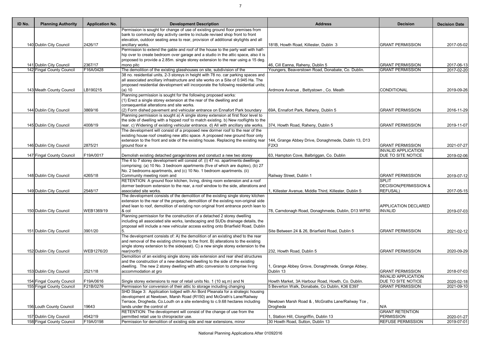| ID No. | <b>Planning Authority</b> | <b>Application No.</b> | <b>Development Description</b>                                                                                                                                             | <b>Address</b>                                        | <b>Decision</b>                  | <b>Decision Date</b>        |
|--------|---------------------------|------------------------|----------------------------------------------------------------------------------------------------------------------------------------------------------------------------|-------------------------------------------------------|----------------------------------|-----------------------------|
|        |                           |                        | Permission is sought for change of use of existing ground floor premises from                                                                                              |                                                       |                                  |                             |
|        |                           |                        | bank to community day activity centre to include revised shop front to front                                                                                               |                                                       |                                  |                             |
|        |                           |                        | elevation, outdoor seating area to rear, provision of additional skylights and all                                                                                         |                                                       |                                  |                             |
|        | 140 Dublin City Council   | 2426/17                | ancillary works.                                                                                                                                                           | 181B, Howth Road, Killester, Dublin 3                 | <b>GRANT PERMISSION</b>          | 2017-05-02                  |
|        |                           |                        | Permission to extend the gable and roof of the house to the party wall with half-                                                                                          |                                                       |                                  |                             |
|        |                           |                        | hip over to create bedroom over garage and a studio in the attic space, also it is                                                                                         |                                                       |                                  |                             |
|        | 141 Dublin City Council   | 2367/17                | proposed to provide a 2.85m. single storey extension to the rear using a 15 deg.<br>mono pitc                                                                              | 46, Cill Eanna, Raheny, Dublin 5                      | <b>GRANT PERMISSION</b>          | 2017-06-13                  |
|        | 142 Fingal County Council | F16A/0428              | The demolition of the existing glasshouses on site, subdivision of the                                                                                                     | Youngers, Beaverstown Road, Donabate, Co. Dublin.     | <b>GRANT PERMISSION</b>          | $\overline{2017} - 02 - 20$ |
|        |                           |                        | 38 no. residential units, 2-3 storeys in height with 78 no. car parking spaces and                                                                                         |                                                       |                                  |                             |
|        |                           |                        | all associated ancillary infrastructure and site works on a Site of 0.945 Ha. The                                                                                          |                                                       |                                  |                             |
|        |                           |                        | proposed residential development will incorporate the following residential units;                                                                                         |                                                       |                                  |                             |
|        | 143 Meath County Council  | LB190215               | $(a)$ 10                                                                                                                                                                   | Ardmore Avenue, Bettystown, Co. Meath                 | CONDITIONAL                      | 2019-09-26                  |
|        |                           |                        | Planning permission is sought for the following proposed works:                                                                                                            |                                                       |                                  |                             |
|        |                           |                        | $(1)$ Erect a single storey extension at the rear of the dwelling and all                                                                                                  |                                                       |                                  |                             |
|        |                           |                        | consequential alterations and site works.                                                                                                                                  |                                                       |                                  |                             |
|        | 144 Dublin City Council   | 3869/16                | (2) Form dished pavement and vehicular entrance on Ennafort Park boundary                                                                                                  | 69A, Ennafort Park, Raheny, Dublin 5                  | <b>GRANT PERMISSION</b>          | 2016-11-29                  |
|        |                           |                        | Planning permission is sought a) A single storey extension at first floor level to                                                                                         |                                                       |                                  |                             |
|        |                           | 4008/19                | the side of dwelling with a hipped roof to match existing. b) New rooflights to the<br>rear. c) Widening of existing vehicular entrance. d) All with ancillary site works. |                                                       | <b>GRANT PERMISSION</b>          |                             |
|        | 145 Dublin City Council   |                        | The development will consist of a proposed new dormer roof to the rear of the                                                                                              | 374, Howth Road, Raheny, Dublin 5                     |                                  | 2019-11-07                  |
|        |                           |                        | existing house roof creating new attic space. A proposed new ground floor only                                                                                             |                                                       |                                  |                             |
|        |                           |                        | extension to the front and side of the existing house. Replacing the existing rear 144, Grange Abbey Drive, Donaghmede, Dublin 13, D13                                     |                                                       |                                  |                             |
|        | 146 Dublin City Council   | 2875/21                | ground floor e                                                                                                                                                             | F2X3                                                  | <b>GRANT PERMISSION</b>          | 2021-07-27                  |
|        |                           |                        |                                                                                                                                                                            |                                                       | <b>INVALID APPLICATION</b>       |                             |
|        | 147 Fingal County Council | F19A/0017              | Demolish existing detached garage/stores and constuct a new two storey                                                                                                     | 63, Hampton Cove, Balbriggan, Co. Dublin              | <b>DUE TO SITE NOTICE</b>        | 2019-02-06                  |
|        |                           |                        | The 4 to 7 storey development will consist of: (i) 47 no. apartments dwellings                                                                                             |                                                       |                                  |                             |
|        |                           |                        | comprising; (a) 10 No. 3 bedroom apartments (five of which are duplex), (b) 27                                                                                             |                                                       |                                  |                             |
|        |                           |                        | No. 2 bedrooms apartments, and (c) 10 No. 1 bedroom apartments. (ii)                                                                                                       |                                                       |                                  |                             |
|        | 148 Dublin City Council   | 4265/18                | Community meeting room and                                                                                                                                                 | Railway Street, Dublin 1                              | <b>GRANT PERMISSION</b>          | 2019-07-12                  |
|        |                           |                        | RETENTION: A ground floor kitchen, living, dining room extension and a roof                                                                                                |                                                       | <b>SPLIT</b>                     |                             |
|        |                           |                        | dormer bedroom extension to the rear, a roof window to the side, alterations and                                                                                           |                                                       | <b>DECISION(PERMISSION &amp;</b> |                             |
|        | 149 Dublin City Council   | 2548/17                | associated site works.<br>The development consists of the demolition of the existing single storey kitchen                                                                 | , Killester Avenue, Middle Third, Killester, Dublin 5 | <b>REFUSAL)</b>                  | 2017-05-15                  |
|        |                           |                        | extension to the rear of the property, demolition of the existing non-original side                                                                                        |                                                       |                                  |                             |
|        |                           |                        | shed lean to roof, demolition of existing non original front entrance porch lean to                                                                                        |                                                       | <b>APPLICATION DECLARED</b>      |                             |
|        | 150 Dublin City Council   | WEB1369/19             | $8$ col                                                                                                                                                                    | 78, Carndonagh Road, Donaghmede, Dublin, D13 WF50     | <b>INVALID</b>                   | 2019-07-03                  |
|        |                           |                        | Planning permission for the construction of a detached 2 storey dwelling                                                                                                   |                                                       |                                  |                             |
|        |                           |                        | including all associated site works, landscaping and SUDs drainage details, the                                                                                            |                                                       |                                  |                             |
|        |                           |                        | proposal will include a new vehicular access exiting onto Briarfield Road, Dublin                                                                                          |                                                       |                                  |                             |
|        | 151 Dublin City Council   | 3901/20                |                                                                                                                                                                            | Site Between 24 & 26, Briarfield Road, Dublin 5       | <b>GRANT PERMISSION</b>          | 2021-02-12                  |
|        |                           |                        | The development consists of: A) the demolition of an existing shed to the rear                                                                                             |                                                       |                                  |                             |
|        |                           |                        | and removal of the existing chimney to the front. B) alterations to the existing                                                                                           |                                                       |                                  |                             |
|        |                           |                        | single storey extension to the side(east). C) a new single storey extension to the                                                                                         |                                                       |                                  |                             |
|        | 152 Dublin City Council   | WEB1276/20             | rear(north)                                                                                                                                                                | 232, Howth Road, Dublin 5                             | <b>GRANT PERMISSION</b>          | 2020-09-29                  |
|        |                           |                        | Demolition of an existing single storey side extension and rear shed structures                                                                                            |                                                       |                                  |                             |
|        |                           |                        | and the construction of a new detached dwelling to the side of the existing<br>dwelling. The new 2 storey dwelling with attic conversion to comprise living                | , Grange Abbey Grove, Donaghmede, Grange Abbey,       |                                  |                             |
|        | 153 Dublin City Council   | 2521/18                | accommodation at gro                                                                                                                                                       | Dublin 13                                             | <b>GRANT PERMISSION</b>          | 2018-07-03                  |
|        |                           |                        |                                                                                                                                                                            |                                                       | <b>INVALID APPLICATION</b>       |                             |
|        | 154 Fingal County Council | F19A/0616              | Single storey extensions to rear of retail units No. 1 (10 sq.m) and N                                                                                                     | Howth Market, 3A Harbour Road, Howth, Co. Dublin.     | <b>DUE TO SITE NOTICE</b>        | 2020-02-18                  |
|        | 155 Fingal County Council | F21B/0276              | Permission for conversion of their attic to storage including changing                                                                                                     | 5 Beverton Walk, Donabate, Co Dublin, K36 E397        | <b>GRANT PERMISSION</b>          | 2021-09-10                  |
|        |                           |                        | SHD Stage 3: Application lodged with An Bord Pleanala for a strategic housing                                                                                              |                                                       |                                  |                             |
|        |                           |                        | development at Newtown, Marsh Road (R150) and McGrath's Lane/Railway                                                                                                       |                                                       |                                  |                             |
|        |                           |                        | Terrace, Drogheda, Co.Louth on a site extending to c.9.68 hectares including                                                                                               | Newtown Marsh Road &, McGraths Lane/Railway Tce,      |                                  |                             |
|        | 156 Louth County Council  | 19643                  | lands under the control of                                                                                                                                                 | Drogheda                                              | N/A                              |                             |
|        |                           |                        | RETENTION: The development will consist of the change of use from the                                                                                                      |                                                       | <b>GRANT RETENTION</b>           |                             |
|        | 157 Dublin City Council   | 4542/19                | permitted retail use to chiropractor use.                                                                                                                                  | , Station Hill, Clongriffin, Dublin 13                | <b>PERMISSION</b>                | 2020-01-27                  |
|        | 158 Fingal County Council | F19A/0198              | Permission for demolition of existing side and rear extensions, minor                                                                                                      | 30 Howth Road, Sutton, Dublin 13                      | <b>REFUSE PERMISSION</b>         | $\overline{20}19-07-01$     |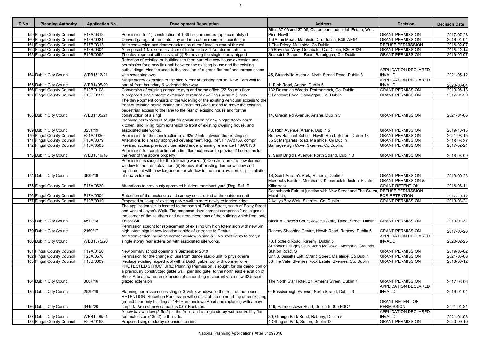| ID No. | <b>Planning Authority</b> | <b>Application No.</b> | <b>Development Description</b>                                                                        | <b>Address</b>                                                                 | <b>Decision</b>               | <b>Decision Date</b> |
|--------|---------------------------|------------------------|-------------------------------------------------------------------------------------------------------|--------------------------------------------------------------------------------|-------------------------------|----------------------|
|        |                           |                        |                                                                                                       | Sites 37-03 and 37-05, Claremount Industrial Estate, West                      |                               |                      |
|        | 159 Fingal County Council | F17A/0313              | Permission for 1) construction of 1,391 square metre (approximately) t                                | Pier, Howth                                                                    | <b>GRANT PERMISSION</b>       | 2017-07-26           |
|        | 160 Fingal County Council | F18B/0021              | Convert garage at front into play and recreation room, replace its gar                                | 1 d'Alton Mews, Malahide, Co. Dublin, K36 WF64.                                | <b>GRANT PERMISSION</b>       | 2018-04-04           |
|        | 161 Fingal County Council | F17B/0313              | Attic conversion and dormer extension at roof level to rear of the exi                                | 1 The Priory, Malahide, Co Dublin                                              | <b>REFUSE PERMISSION</b>      | 2018-02-07           |
|        | 162 Fingal County Council | F18B/0304              | A proposed 1 No. dormer attic roof to the side & 1 No. dormer attic ro                                | 25 Beverton Way, Donabate, Co. Dublin, K36 R624.                               | <b>GRANT PERMISSION</b>       | 2018-12-14           |
|        | 163 Fingal County Council | F19B/0059              | The development will consist of (i) Removing the single storey hipped                                 | Seapoint, Seapoint Road, Balbriggan, Co. Dublin                                | <b>GRANT PERMISSION</b>       | 2019-05-07           |
|        |                           |                        | Retention of existing outbuildings to form part of a new house extension and                          |                                                                                |                               |                      |
|        |                           |                        | permission for a new link hall between the existing house and the existing                            |                                                                                | <b>APPLICATION DECLARED</b>   |                      |
|        |                           |                        | outbuildings. Also included is the creation of a green flat roof and terrace space                    | 45, Strandville Avenue, North Strand Road, Dublin 3                            | <b>INVALID</b>                |                      |
|        | 164 Dublin City Council   | WEB1512/21             | with screening over<br>Single storey extension to the side & rear of existing house. New 1.8m wall to |                                                                                | <b>APPLICATION DECLARED</b>   | 2021-05-12           |
|        |                           | WEB1495/20             |                                                                                                       |                                                                                | <b>INVALID</b>                |                      |
|        | 165 Dublin City Council   | F19B/0108              | part of front boundary & widened driveway.                                                            | 1, Ribh Road, Artane, Dublin 5<br>132 Drumnigh Woods, Portmarnock, Co. Dublin  | <b>GRANT PERMISSION</b>       | 2020-08-04           |
|        | 166 Fingal County Council |                        | Conversion of existing garage to gym and home office (32.5sq.m.) floor                                |                                                                                |                               | 2019-06-13           |
|        | 167 Fingal County Council | F16B/0159              | A proposed single storey extension to rear of dwelling (34 sq.m.), new                                | 9 Fancourt Road, Balbriggan, Co. Dublin.                                       | <b>GRANT PERMISSION</b>       | 2017-01-20           |
|        |                           |                        | The development consists of the widening of the existing vehicular access to the                      |                                                                                |                               |                      |
|        |                           |                        | front of existing house exiting on Gracefield Avenue and to move the existing                         |                                                                                |                               |                      |
|        |                           |                        | pedestrian access to the lane to the rear of existing house and for the                               |                                                                                |                               |                      |
|        | 168 Dublin City Council   | WEB1105/21             | construction of a singl                                                                               | 14, Gracefield Avenue, Artane, Dublin 5                                        | <b>GRANT PERMISSION</b>       | 2021-04-06           |
|        |                           |                        | Planning permission is sought for construction of new single storey porch,                            |                                                                                |                               |                      |
|        |                           |                        | kitchen, and living room extension to front of existing dwelling house, and                           |                                                                                |                               |                      |
|        | 169 Dublin City Council   | 3251/19                | associated site works.                                                                                | 40, Ribh Avenue, Artane, Dublin 5                                              | <b>GRANT PERMISSION</b>       | 2019-10-15           |
|        | 170 Fingal County Council | F21A/0036              | Permission for the construction of a 62m2 link between the existing sc                                | Burrow National School, Howth Road, Sutton, Dublin 13                          | <b>GRANT PERMISSION</b>       | 2021-03-15           |
|        | 171 Fingal County Council | F18A/0379              | Alterations to already approved development Reg. Ref. F17A/0760, compr                                | 55 St Margarets Road, Malahide, Co Dublin                                      | <b>GRANT PERMISSION</b>       | 2018-08-27           |
|        | 172 Fingal County Council | F16A/0585              | Revised access previously permitted under planning reference F16A/0133                                | Barnageeragh Cove, Skerries, Co.Dublin.                                        | <b>GRANT PERMISSION</b>       | 2017-02-21           |
|        |                           |                        | Permission for construction of a first floor extension to provide 2 bedrooms to                       |                                                                                |                               |                      |
|        | 173 Dublin City Council   | WEB1016/18             | the rear of the above property.                                                                       | 9, Saint Brigid's Avenue, North Strand, Dublin 3                               | <b>GRANT PERMISSION</b>       | 2018-03-09           |
|        |                           |                        | Permission is sought for the following works: (i) Construction of a new dormer                        |                                                                                |                               |                      |
|        |                           |                        | window to the front elevation. (ii) Removal of existing dormer window and                             |                                                                                |                               |                      |
|        |                           |                        | replacement with new larger dormer window to the rear elevation. (iii) Installation                   |                                                                                |                               |                      |
|        | 174 Dublin City Council   | 3639/19                | of new velux roof                                                                                     | 18, Saint Assam's Park, Raheny, Dublin 5                                       | <b>GRANT PERMISSION</b>       | 2019-09-23           |
|        |                           |                        |                                                                                                       | Murdocks Builders Merchants, Kilbarrack Industrial Estate,                     | <b>GRANT PERMISSION &amp;</b> |                      |
|        | 175 Fingal County Council | F17A/0630              | Alterations to previously approved builders merchant yard (Reg. Ref. F                                | Kilbarrack                                                                     | <b>GRANT RETENTION</b>        | 2018-06-11           |
|        |                           |                        |                                                                                                       | Donnybrook Fair, at junction with New Street and The Green.                    | <b>REFUSE PERMISSION</b>      |                      |
|        | 176 Fingal County Council | F17A/0504              | Retention of the enclosure and canopy constructed at the outdoor seati                                | Malahide,                                                                      | <b>FOR RETENTION</b>          | 2017-10-12           |
|        | 177 Fingal County Council | F19B/0019              | Proposed build-up of existing gable wall to meet newly extended ridge                                 | 2 Kellys Bay Weir, Skerries, Co. Dublin.                                       | <b>GRANT PERMISSION</b>       | 2019-03-21           |
|        |                           |                        | The application site is located to the north of Talbot Street, south of Foley Street                  |                                                                                |                               |                      |
|        |                           |                        | and west of Joyce's Walk. The proposed development comprises 2 no. signs at                           |                                                                                |                               |                      |
|        |                           |                        | the corner of the southern and eastern elevations of the building which front onto                    |                                                                                |                               |                      |
|        | 178 Dublin City Council   | 4512/18                | <b>Talbot Str</b>                                                                                     | Block A, Joyce's Court, Joyce's Walk, Talbot Street, Dublin 1 GRANT PERMISSION |                               | 2019-01-31           |
|        |                           |                        | Permission sought for replacement of existing 6m high totem sign with new 6m                          |                                                                                |                               |                      |
|        | 179 Dublin City Council   | 2169/17                | high totem sign in new location at side of entrance to Centre.                                        | Raheny Shopping Centre, Howth Road, Raheny, Dublin 5                           | <b>GRANT PERMISSION</b>       | 2017-03-28           |
|        |                           |                        | Attic conversion including dormer window to side & 2 No. roof lights to rear, a                       |                                                                                | <b>APPLICATION DECLARED</b>   |                      |
|        | 180 Dublin City Council   | WEB1075/20             | single storey rear extension with associated site works.                                              | 70, Foxfield Road, Raheny, Dublin 5                                            | <b>INVALID</b>                | 2020-02-25           |
|        |                           |                        |                                                                                                       | Suttonians Rugby Club, John McDowell Memorial Grounds,                         |                               |                      |
|        | 181 Fingal County Council | F19A/0120              | New primary school opening in September 2019                                                          | Station Road, S                                                                | <b>GRANT PERMISSION</b>       | 2019-05-02           |
|        | 182 Fingal County Council | F20A/0578              | Permission for the change of use from dance studio unit to physiothera                                | Unit 3, Bissetts Loft, Strand Street, Malahide, Co Dublin                      | <b>GRANT PERMISSION</b>       | 2021-03-08           |
|        | 183 Fingal County Council | F18B/0009              | Replace existing hipped roof with a Dutch gable roof with dormer to re                                | 58 The Vale, Skerries Rock Estate, Skerries, Co. Dublin                        | <b>GRANT PERMISSION</b>       | 2018-03-12           |
|        |                           |                        | PROTECTED STRUCTURE: Planning Permission is sought for the demolition of                              |                                                                                |                               |                      |
|        |                           |                        | a previously constructed gable wall, pier and gate, to the north east elevation of                    |                                                                                |                               |                      |
|        |                           |                        | Block A to allow for an extension of an existing restaurant via a new 33.5 sq.m.                      |                                                                                |                               |                      |
|        | 184 Dublin City Council   | 3807/16                | glazed extension                                                                                      | The North Star Hotel, 27, Amiens Street, Dublin 1                              | <b>GRANT PERMISSION</b>       | 2017-06-06           |
|        |                           |                        |                                                                                                       |                                                                                | <b>APPLICATION DECLARED</b>   |                      |
|        | 185 Dublin City Council   | 2589/19                | Planning permission consisting of 3 Velux windows to the front of the house.                          | 6, Bessborough Avenue, North Strand, Dublin 3                                  | <b>INVALID</b>                | 2019-04-04           |
|        |                           |                        | RETENTION: Retention Permission will consist of the demolishing of an existing                        |                                                                                |                               |                      |
|        |                           |                        | ground floor only building at 146 Harmonstown Road and replacing with a new                           |                                                                                | <b>GRANT RETENTION</b>        |                      |
|        | 186 Dublin City Council   | 3445/20                | carpark. Area of new carpark is 0.07 Hectares.                                                        | 146, Harmonstown Road, Dublin 5 D05 H0C7                                       | <b>PERMISSION</b>             | 2021-01-21           |
|        |                           |                        | A new bay window (2.5m2) to the front, and a single storey wet room/utility flat                      |                                                                                | <b>APPLICATION DECLARED</b>   |                      |
|        | 187 Dublin City Council   | WEB1006/21             | roof extension (13m2) to the side.                                                                    | 80, Grange Park Road, Raheny, Dublin 5                                         | <b>INVALID</b>                | 2021-01-08           |
|        | 188 Fingal County Council | F20B/0168              | Proposed single -storey extension to side.                                                            | 4 Offington Park, Sutton, Dublin 13.                                           | <b>GRANT PERMISSION</b>       | 2020-09-10           |
|        |                           |                        |                                                                                                       |                                                                                |                               |                      |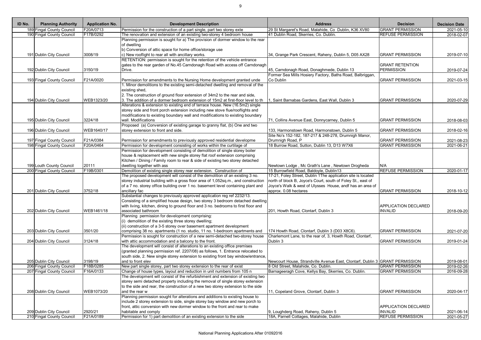| ID No. | <b>Planning Authority</b> | <b>Application No.</b> | <b>Development Description</b>                                                                                                                                                                                                                                                                                                                                                      | <b>Address</b>                                                                                                                                                                                                                       | <b>Decision</b>                               | <b>Decision Date</b> |
|--------|---------------------------|------------------------|-------------------------------------------------------------------------------------------------------------------------------------------------------------------------------------------------------------------------------------------------------------------------------------------------------------------------------------------------------------------------------------|--------------------------------------------------------------------------------------------------------------------------------------------------------------------------------------------------------------------------------------|-----------------------------------------------|----------------------|
|        | 189 Fingal County Council | F20A/0713              | Permission for the construction of a part single, part two storey exte                                                                                                                                                                                                                                                                                                              | 29 St Margaret's Road, Malahide, Co Dublin, K36 XV80                                                                                                                                                                                 | <b>GRANT PERMISSION</b>                       | 2021-05-10           |
|        | 190 Fingal County Council | F17B/0292              | The renovation and extension of an existing two-storey 4 bedroom house                                                                                                                                                                                                                                                                                                              | 41 Dublin Road, Skerries, Co. Dublin.                                                                                                                                                                                                | <b>REFUSE PERMISSION</b>                      | 2018-02-07           |
|        | 191 Dublin City Council   | 3008/19                | Planning permission is sought for a) The provision of dormer window to the rear<br>of dwelling<br>b) Conversion of attic space for home office/storage use<br>c) New rooflight to rear all with ancillary works.                                                                                                                                                                    | 34, Grange Park Crescent, Raheny, Dublin 5, D05 AX28                                                                                                                                                                                 | <b>GRANT PERMISSION</b>                       | 2019-07-10           |
|        |                           |                        | RETENTION: permission is sought for the retention of the vehicle entrance<br>gates to the rear garden of No.45 Carndonagh Road with access off Carndonagh                                                                                                                                                                                                                           |                                                                                                                                                                                                                                      | <b>GRANT RETENTION</b>                        |                      |
|        | 192 Dublin City Council   | 3150/19                | Drive.                                                                                                                                                                                                                                                                                                                                                                              | 45, Carndonagh Road, Donaghmede, Dublin 13                                                                                                                                                                                           | <b>PERMISSION</b>                             | 2019-07-24           |
|        |                           |                        |                                                                                                                                                                                                                                                                                                                                                                                     | Former Sea Mills Hosiery Factory, Baths Road, Balbriggan,                                                                                                                                                                            |                                               |                      |
|        | 193 Fingal County Council | F21A/0020              | Permission for amendments to the Nursing Home development granted unde                                                                                                                                                                                                                                                                                                              | Co Dublin                                                                                                                                                                                                                            | <b>GRANT PERMISSION</b>                       | 2021-03-15           |
|        |                           |                        | 1. Minor demolitions to the existing semi-detached dwelling and removal of the<br>existing shed,<br>2. The construction of ground floor extension of 34m2 to the rear and side,<br>3. The addition of a dormer bedroom extension of 15m2 at first-floor level to th                                                                                                                 | , Saint Barnabas Gardens, East Wall, Dublin 3                                                                                                                                                                                        | <b>GRANT PERMISSION</b>                       |                      |
|        | 194 Dublin City Council   | WEB1323/20             | Alterations & extension to existing end of terrace house. New (16.5m2) single<br>storey side and front porch extension including new stove flue/rooflights and<br>modifications to existing boundary wall and modifications to existing boundary<br>wall. Modifications                                                                                                             |                                                                                                                                                                                                                                      | <b>GRANT PERMISSION</b>                       | 2020-07-29           |
|        | 195 Dublin City Council   | 3224/18                |                                                                                                                                                                                                                                                                                                                                                                                     | 71, Collins Avenue East, Donnycarney, Dublin 5                                                                                                                                                                                       |                                               | 2018-08-03           |
|        | 196 Dublin City Council   | WEB1640/17             | Proposed (a) Conversion of existing garage to granny flat, (b) One and two<br>storey extension to front and side.                                                                                                                                                                                                                                                                   | 133, Harmonstown Road, Harmonstown, Dublin 5<br>Site No's 152-182, 187-217 & 248-278, Drumnigh Manor,                                                                                                                                | <b>GRANT PERMISSION</b>                       | 2018-02-16           |
|        | 197 Fingal County Council | F21A/0384              | Permission for amendments to previously approved residential developme                                                                                                                                                                                                                                                                                                              | Drumnigh Road, P                                                                                                                                                                                                                     | <b>GRANT PERMISSION</b>                       | 2021-08-23           |
|        | 198 Fingal County Council | F20A/0464              | Permission for development consisting of works within the curtilage of                                                                                                                                                                                                                                                                                                              | 18 Burrow Road, Sutton, Dublin 13, D13 W7X6                                                                                                                                                                                          | <b>GRANT PERMISSION</b>                       | 2021-06-21           |
|        |                           |                        | Permission for development consisting of demolition of single storey boiler<br>house & replacement with new single storey flat roof extension comprising<br>Kitchen / Dining / Family room to rear & side of existing two storey detached                                                                                                                                           |                                                                                                                                                                                                                                      |                                               |                      |
|        | 199 Louth County Council  | 20111                  | dwelling together with ass                                                                                                                                                                                                                                                                                                                                                          | Newtown Lodge, Mc Grath's Lane, Newtown Drogheda                                                                                                                                                                                     | N/A                                           |                      |
|        | 200 Fingal County Council | F19B/0301              | Demolition of existing single storey rear extension. Construction of<br>The proposed development will consist of the demolition of an existing 3 no.<br>storey industrial building with a gross floor area of 1,052sq.m., and construction<br>of a 7 no. storey office building over 1 no. basement level containing plant and                                                      | 15 Burrowfield Road, Baldoyle, Dublin13<br>17-21, Foley Street, Dublin 1The application site is located<br>north of block B, Joyce's Court, south of Foley St., east of<br>Joyce's Walk & west of Ulysses House, andf has an area of | <b>REFUSE PERMISSION</b>                      | 2020-01-17           |
|        | 201 Dublin City Council   | 3752/18                | ancillary fac                                                                                                                                                                                                                                                                                                                                                                       | approx. 0.08 hectares                                                                                                                                                                                                                | <b>GRANT PERMISSION</b>                       | 2018-10-12           |
|        | 202 Dublin City Council   | WEB1461/18             | Substantial changes to previously approved application reg ref 2232/13.<br>Consisting of a simplified house design, two storey 3 bedroom detached dwelling<br>with living, kitchen, dining to ground floor and 3 no. bedrooms to first floor and<br>associated bathroom<br>Planning permission for development comprising:<br>(i) demolition of the existing three storey dwelling; | 201, Howth Road, Clontarf, Dublin 3                                                                                                                                                                                                  | <b>APPLICATION DECLARED</b><br><b>INVALID</b> | 2018-09-20           |
|        | 203 Dublin City Council   | 3501/20                | (ii) construction of a 3-5 storey over basement apartment development<br>comprising 38 no. apartments (1 no. studio, 11 no. 1-bedroom apartments and                                                                                                                                                                                                                                | 174 Howth Road, Clontarf, Dublin 3 (D03 X8C6).                                                                                                                                                                                       | <b>GRANT PERMISSION</b>                       | 2021-07-20           |
|        |                           |                        | Permission is sought for construction of a new semi-detached two-storey house                                                                                                                                                                                                                                                                                                       | Charlemont Lane, to the rear of, 3, Howth Road, Clontarf,                                                                                                                                                                            |                                               |                      |
|        | 204 Dublin City Council   | 3124/18                | with attic accommodation and a balcony to the front.<br>The development will consist of alterations to an existing office premises<br>(granted planning permission ref. 2207/08) as follows, 1. Entrance relocated to<br>south side, 2. New single storey extension to existing front bay window/entrance,                                                                          | Dublin 3                                                                                                                                                                                                                             | <b>GRANT PERMISSION</b>                       | 2019-01-24           |
|        | 205 Dublin City Council   | 3198/19                | and to front elev                                                                                                                                                                                                                                                                                                                                                                   | Newcourt House, Strandville Avenue East, Clontarf, Dublin 3 GRANT PERMISSION                                                                                                                                                         |                                               | 2019-08-01           |
|        | 206 Fingal County Council | F18B/0285              | New part single storey, part two storey extension to the rear of exist                                                                                                                                                                                                                                                                                                              | 8 Old Street, Malahide, Co. Dublin.                                                                                                                                                                                                  | <b>GRANT PERMISSION</b>                       | 2019-02-26           |
|        | 207 Fingal County Council | F16A/0133              | Change of house types, layout and reduction in unit numbers from 105 n<br>The development will consist of the refurbishment and extension of existing two<br>storey semi detached property including the removal of single storey extension                                                                                                                                         | Barnageeragh Cove, Kellys Bay, Skerries, Co. Dublin.                                                                                                                                                                                 | <b>GRANT PERMISSION</b>                       | 2016-09-28           |
|        |                           |                        | to the side and rear, the construction of a new two storey extension to the side<br>and the rear w                                                                                                                                                                                                                                                                                  |                                                                                                                                                                                                                                      | <b>GRANT PERMISSION</b>                       | 2020-04-17           |
|        | 208 Dublin City Council   | WEB1073/20             | Planning permission sought for alterations and additions to existing house to<br>include 2 storey extension to side, single storey bay window and new porch to<br>front, attic conversion with new dormer window to the front and rear to make                                                                                                                                      | 11, Copeland Grove, Clontarf, Dublin 3                                                                                                                                                                                               | APPLICATION DECLARED                          |                      |
|        | 209 Dublin City Council   | 2920/21                | habitable and comply                                                                                                                                                                                                                                                                                                                                                                | 9, Loughderg Road, Raheny, Dublin 5                                                                                                                                                                                                  | <b>INVALID</b>                                | 2021-06-14           |
|        | 210 Fingal County Council | F21A/0189              | Permission for 1) part demolition of an existing extension to the side                                                                                                                                                                                                                                                                                                              | 18A, Parnell Cottages, Malahide, Dublin                                                                                                                                                                                              | <b>REFUSE PERMISSION</b>                      | 2021-05-27           |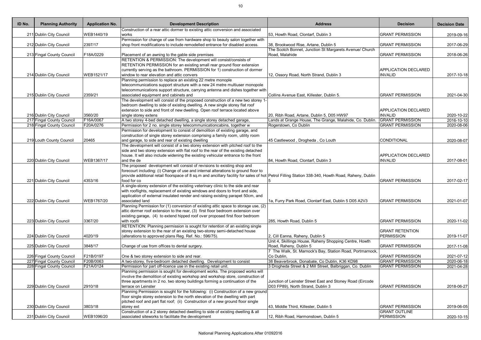| ID No. | <b>Planning Authority</b> | <b>Application No.</b> | <b>Development Description</b>                                                                                                                                         | <b>Address</b>                                            | <b>Decision</b>                                 | <b>Decision Date</b> |
|--------|---------------------------|------------------------|------------------------------------------------------------------------------------------------------------------------------------------------------------------------|-----------------------------------------------------------|-------------------------------------------------|----------------------|
|        |                           |                        | Construction of a rear attic dormer to existing attic conversion and associated                                                                                        |                                                           |                                                 |                      |
|        | 211 Dublin City Council   | WEB1440/19             | works<br>Permission for change of use from hardware shop to beauty salon together with                                                                                 | [53, Howth Road, Clontarf, Dublin 3                       | <b>GRANT PERMISSION</b>                         | 2019-09-16           |
|        | 212 Dublin City Council   | 2397/17                | shop front modifications to include remodelled entrance for disabled access.                                                                                           | 38, Brookwood Rise, Artane, Dublin 5                      | <b>GRANT PERMISSION</b>                         | 2017-06-29           |
|        |                           |                        |                                                                                                                                                                        | The Scotch Bonnet, Junction St Margarets Avenue/ Church   |                                                 |                      |
|        | 213 Fingal County Council | F18A/0229              | Placement of an awning to the gable side premises                                                                                                                      | Road, Malahide                                            | <b>GRANT PERMISSION</b>                         | 2018-06-26           |
|        |                           |                        | RETENTION & PERMISSION: The development will consist/consists of                                                                                                       |                                                           |                                                 |                      |
|        |                           |                        | RETENTION PERMISSION for an existing small rear ground floor extension                                                                                                 |                                                           |                                                 |                      |
|        |                           |                        | currently serving as the bathroom. PERMISSION for 1) construction of dormer                                                                                            |                                                           | <b>APPLICATION DECLARED</b>                     |                      |
|        | 214 Dublin City Council   | WEB1521/17             | window to rear elevation and attic convers<br>Planning permission to replace an existing 22 metre monople                                                              | 12, Ossory Road, North Strand, Dublin 3                   | <b>INVALID</b>                                  | 2017-10-18           |
|        |                           |                        | telecommunications support structure with a new 24 metre multiuser monopole                                                                                            |                                                           |                                                 |                      |
|        |                           |                        | telecommunications support structure, carrying antenna and dishes together with                                                                                        |                                                           |                                                 |                      |
|        | 215 Dublin City Council   | 2359/21                | associated equipment and cabinets and                                                                                                                                  | Collins Avenue East, Killester, Dublin 5.                 | <b>GRANT PERMISSION</b>                         | 2021-04-30           |
|        |                           |                        | The development will consist of the proposed construction of a new two storey 1-                                                                                       |                                                           |                                                 |                      |
|        |                           |                        | bedroom dwelling to side of existing dwelling. A new single storey flat roof                                                                                           |                                                           |                                                 |                      |
|        |                           |                        | extension to side and front of new dwelling. Open roof terrace located above                                                                                           |                                                           | <b>APPLICATION DECLARED</b>                     |                      |
|        | 216 Dublin City Council   | 3560/20                | single storey extens                                                                                                                                                   | 20, Ribh Road, Artane, Dublin 5, D05 HW97                 | <b>INVALID</b>                                  | 2020-10-22           |
|        | 217 Fingal County Council | F16A/0067              | A two storey 4-bed detached dwelling, a single storey detached garage,                                                                                                 | Lands at Grange House, The Grange, Malahide, Co. Dublin.  | <b>GRANT PERMISSION</b>                         | 2016-10-10           |
|        | 218 Fingal County Council | F20A/0276              | Permission for 2 no. single storey telecommunicationcabins, together w                                                                                                 | Rogerstown, Co Dublin                                     | <b>GRANT PERMISSION</b>                         | 2020-08-06           |
|        |                           |                        | Permission for development to consist of demolition of existing garage, and                                                                                            |                                                           |                                                 |                      |
|        |                           |                        | construction of single storey extension comprising a family room, utility room                                                                                         |                                                           |                                                 |                      |
|        | 219 Louth County Council  | 20465                  | and garage, to side and rear of existing dwelling                                                                                                                      | 45 Castlewood, Drogheda, Co Louth                         | CONDITIONAL                                     | 2020-08-07           |
|        |                           |                        | The development will consist of a two storey extension with pitched roof to the                                                                                        |                                                           |                                                 |                      |
|        |                           |                        | side and two storey extension with flat roof to the rear of the existing detached<br>house. It will also include widening the existing vehicular entrance to the front |                                                           | <b>APPLICATION DECLARED</b>                     |                      |
|        | 220 Dublin City Council   | WEB1367/17             | and the de                                                                                                                                                             | 84, Howth Road, Clontarf, Dublin 3                        | <b>INVALID</b>                                  | 2017-08-01           |
|        |                           |                        | The proposed development will consist of revisions to existing shop and                                                                                                |                                                           |                                                 |                      |
|        |                           |                        | forecourt including: (i) Change of use and internal alterations to ground floor to                                                                                     |                                                           |                                                 |                      |
|        |                           |                        | provide additional retail floorspace of 8 sq.m and ancillary facility for sales of hot Petrol Filling Station 338-340, Howth Road, Raheny, Dublin                      |                                                           |                                                 |                      |
|        | 221 Dublin City Council   | 4353/16                | food for co                                                                                                                                                            |                                                           | <b>GRANT PERMISSION</b>                         | 2017-02-17           |
|        |                           |                        | A single-storey extension of the existing veterinary clinic to the side and rear                                                                                       |                                                           |                                                 |                      |
|        |                           |                        | with rooflights, replacement of existing windows and doors to front and side,                                                                                          |                                                           |                                                 |                      |
|        |                           |                        | application of external insulated render and raising existing parapet 50cm, and                                                                                        |                                                           |                                                 |                      |
|        | 222 Dublin City Council   | WEB1767/20             | associated land                                                                                                                                                        | 1a, Furry Park Road, Clontarf East, Dublin 5 D05 A2V3     | <b>GRANT PERMISSION</b>                         | 2021-01-07           |
|        |                           |                        | Planning Permission for (1) conversion of existing attic space to storage use, (2)                                                                                     |                                                           |                                                 |                      |
|        |                           |                        | attic dormer roof extension to the rear, (3) first floor bedroom extension over                                                                                        |                                                           |                                                 |                      |
|        |                           |                        | existing garage, (4) to extend hipped roof over proposed first floor bedroom                                                                                           |                                                           |                                                 |                      |
|        | 223 Dublin City Council   | 3367/20                | with roofli                                                                                                                                                            | 285, Howth Road, Dublin 5                                 | <b>GRANT PERMISSION</b>                         | 2020-11-02           |
|        |                           |                        | RETENTION: Planning permission is sought for retention of an existing single                                                                                           |                                                           | <b>GRANT RETENTION</b>                          |                      |
|        | 224 Dublin City Council   | 4020/19                | storey extension to the rear of an existing two-storey semi-detached house<br>(alterations to approved plans Reg. Ref. No.: 596/75).                                   | 2, Cill Eanna, Raheny, Dublin 5                           | <b>PERMISSION</b>                               | 2019-11-07           |
|        |                           |                        |                                                                                                                                                                        | Unit 4, Skillings House, Raheny Shopping Centre, Howth    |                                                 |                      |
|        | 225 Dublin City Council   | 3848/17                | Change of use from offices to dental surgery.                                                                                                                          | Road, Raheny, Dublin 5                                    | <b>GRANT PERMISSION</b>                         | 2017-11-08           |
|        |                           |                        |                                                                                                                                                                        | 7 The Walk, St. Marnock's Bay, Station Road, Portmarnock, |                                                 |                      |
|        | 226 Fingal County Council | F21B/0197              | One & two storey extension to side and rear.                                                                                                                           | Co Dublin,                                                | <b>GRANT PERMISSION</b>                         | 2021-07-12           |
|        | 227 Fingal County Council | F20B/0063              | A two-storey, five-bedroom detached dwelling. Development to consist                                                                                                   | 38 Beaverbrook, Donabate, Co Dublin, K36 KD98             | <b>GRANT PERMISSION</b>                         | 2020-06-18           |
|        | 228 Fingal County Council | F21A/0124              | Permission for part off-licence use in the existing retail unit.                                                                                                       | 3 Drogheda Street & 2 Mill Street, Balbriggan, Co. Dublin | <b>GRANT PERMISSION</b>                         | 2021-04-28           |
|        |                           |                        | Planning permission is sought for development works. The proposed works will                                                                                           |                                                           |                                                 |                      |
|        |                           |                        | involve the demolition of existing workshop and workshop store, construction of                                                                                        |                                                           |                                                 |                      |
|        |                           |                        | three apartments in 2 no. two storey buildings forming a continuation of the                                                                                           | Junction of Leinster Street East and Stoney Road (Eircode |                                                 |                      |
|        | 229 Dublin City Council   | 2910/18                | terrace on Leinster                                                                                                                                                    | D03 FP89), North Strand, Dublin 3                         | <b>GRANT PERMISSION</b>                         | 2018-06-27           |
|        |                           |                        | Planning Permission is sought for the following: (i) Construction of a new ground                                                                                      |                                                           |                                                 |                      |
|        |                           |                        | floor single storey extension to the north elevation of the dwelling with part                                                                                         |                                                           |                                                 |                      |
|        |                           |                        | pitched roof and part flat roof; (ii) Construction of a new ground floor single                                                                                        |                                                           |                                                 |                      |
|        | 230 Dublin City Council   | 3803/18                | storey ext                                                                                                                                                             | 43, Middle Third, Killester, Dublin 5                     | <b>GRANT PERMISSION</b><br><b>GRANT OUTLINE</b> | 2019-06-05           |
|        | 231 Dublin City Council   | WEB1096/20             | Construction of a 2 storey detached dwelling to side of existing dwelling & all<br>associated siteworks to facilitate the development                                  | 12, Ribh Road, Harmonstown, Dublin 5                      | <b>PERMISSION</b>                               | 2020-10-15           |
|        |                           |                        |                                                                                                                                                                        |                                                           |                                                 |                      |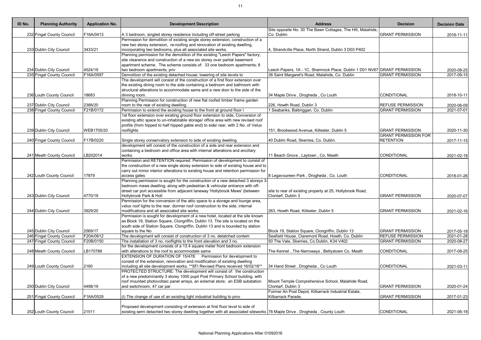| ID No. | <b>Planning Authority</b> | <b>Application No.</b> | <b>Development Description</b>                                                                                                                         | <b>Address</b>                                                            | <b>Decision</b>             | <b>Decision Date</b> |
|--------|---------------------------|------------------------|--------------------------------------------------------------------------------------------------------------------------------------------------------|---------------------------------------------------------------------------|-----------------------------|----------------------|
|        |                           |                        |                                                                                                                                                        | Site opposite No. 30 The Bawn Cottages, The Hill, Malahide,               |                             |                      |
|        | 232 Fingal County Council | F16A/0413              | A 3 bedroom, singled storey residence including off-street parking<br>Permission for demolition of existing single storey extension, construction of a | Co. Dublin                                                                | <b>GRANT PERMISSION</b>     | 2016-11-11           |
|        |                           |                        | new two storey extension, re-roofing and renovation of existing dwelling,                                                                              |                                                                           |                             |                      |
|        | 233 Dublin City Council   | 3433/21                | incorporating two bedrooms, plus all associated site works.                                                                                            | 4, Strandville Place, North Strand, Dublin 3 D03 P402                     |                             |                      |
|        |                           |                        | Planning permission for the demolition of the existing "Leech Papers" factory,                                                                         |                                                                           |                             |                      |
|        |                           |                        | site clearance and construction of a new six storey over partial basement                                                                              |                                                                           |                             |                      |
|        |                           |                        | apartment scheme. The scheme consists of: 33 one bedroom apartments; 8                                                                                 |                                                                           |                             |                      |
|        | 234 Dublin City Council   | 4524/19                | two bedroom apartments; priv                                                                                                                           | Leech Papers, 1A - 1C, Shamrock Place, Dublin 1 D01 NV67 GRANT PERMISSION |                             | 2020-08-25           |
|        | 235 Fingal County Council | F16A/0597              | Demolition of the existing detached house; lowering of site levels to                                                                                  | 38 Saint Margaret's Road, Malahide, Co. Dublin                            | <b>GRANT PERMISSION</b>     | 2017-09-15           |
|        |                           |                        | The development will consist of the construction of a first floor extension over                                                                       |                                                                           |                             |                      |
|        |                           |                        | the existing dining room to the side containing a bedroom and bathroom with                                                                            |                                                                           |                             |                      |
|        |                           |                        | structural alterations to accommodate same and a new door to the side of the                                                                           |                                                                           |                             |                      |
|        | 236 Louth County Council  | 18683                  | dinning room.                                                                                                                                          | 34 Maple Drive, Drogheda, Co Louth                                        | <b>CONDITIONAL</b>          | 2018-10-11           |
|        |                           |                        | Planning Permission for construction of new flat roofed timber frame garden                                                                            |                                                                           |                             |                      |
|        | 237 Dublin City Council   | 2388/20                | room to the rear of existing dwelling.                                                                                                                 | 226, Howth Road, Dublin 3                                                 | <b>REFUSE PERMISSION</b>    | 2020-06-09           |
|        | 238 Fingal County Council | F21B/0172              | Permission to extend the existing house to the front at ground floor I                                                                                 | Seabanks, Balbriggan, Co. Dublin                                          | <b>GRANT PERMISSION</b>     | 2021-07-01           |
|        |                           |                        | 1st floor extension over existing ground floor extension to side, Conversion of                                                                        |                                                                           |                             |                      |
|        |                           |                        | existing attic space to un-inhabitable storage/ office area with new revised roof                                                                      |                                                                           |                             |                      |
|        |                           |                        | profile (from hipped to half hipped gable end) to side/ rear, with 2 No. of Velux                                                                      |                                                                           |                             |                      |
|        | 239 Dublin City Council   | WEB1705/20             | rooflights                                                                                                                                             | 151, Brookwood Avenue, Killester, Dublin 5                                | <b>GRANT PERMISSION</b>     | 2020-11-30           |
|        |                           |                        |                                                                                                                                                        |                                                                           | <b>GRANT PERMISSION FOR</b> |                      |
|        | 240 Fingal County Council | F17B/0220              | Single storey conservatory extension to side of existing dwelling.                                                                                     | 40 Dublin Road, Skerries, Co. Dublin.                                     | <b>RETENTION</b>            | 2017-11-15           |
|        |                           |                        | development will consist of the construction of a side and rear extension and                                                                          |                                                                           |                             |                      |
|        |                           |                        | containing a bedroom and office area with internal alterations and ancillary                                                                           |                                                                           |                             |                      |
|        | 241 Meath County Council  | LB202014               | works                                                                                                                                                  | 11 Beach Grove, Laytown, Co. Meath                                        | <b>CONDITIONAL</b>          | 2021-02-18           |
|        |                           |                        | Permission and RETENTION required. Permission of development to consist of                                                                             |                                                                           |                             |                      |
|        |                           |                        | the construction of a new single storey extension to side of existing house and to                                                                     |                                                                           |                             |                      |
|        |                           |                        | carry out minor interior alterations to existing house and retention permission for                                                                    |                                                                           |                             |                      |
|        | 242 Louth County Council  | 17879                  | access gates                                                                                                                                           | 8 Legavoureen Park, Drogheda, Co. Louth                                   | CONDITIONAL                 | 2018-01-26           |
|        |                           |                        | Planning permission is sought for the construction of a new detached 3 storeys 3-                                                                      |                                                                           |                             |                      |
|        |                           |                        | bedroom mews dwelling; along with pedestrian & vehicular entrance with off-                                                                            |                                                                           |                             |                      |
|        |                           |                        | street car port accessible from adjacent laneway 'Hollybrook Mews' (between                                                                            | site to rear of existing property at 25, Hollybrook Road,                 |                             |                      |
|        | 243 Dublin City Council   | 4770/19                | Hollybrook Park & Holl                                                                                                                                 | Clontarf, Dublin 3                                                        | <b>GRANT PERMISSION</b>     | 2020-07-07           |
|        |                           |                        | Permission for the conversion of the attic space to a storage and lounge area,                                                                         |                                                                           |                             |                      |
|        |                           |                        | velux roof lights to the rear, dormer roof construction to the side, internal                                                                          |                                                                           |                             |                      |
|        | 244 Dublin City Council   | 3929/20                | modifications and all associated site works.                                                                                                           | 263, Howth Road, Killester, Dublin 5                                      | <b>GRANT PERMISSION</b>     | 2021-02-16           |
|        |                           |                        | Permission is sought for development of a new hotel, located at the site known                                                                         |                                                                           |                             |                      |
|        |                           |                        | as Block 19, Station Square, Clongriffin, Dublin 13. The site is located on the                                                                        |                                                                           |                             |                      |
|        |                           |                        | south side of Station Square, Clongriffin, Dublin 13 and is bounded by station                                                                         |                                                                           |                             |                      |
|        | 245 Dublin City Council   | 2569/17                | square to the No                                                                                                                                       | Block 19, Station Square, Clongriffin, Dublin 13                          | <b>GRANT PERMISSION</b>     | 2017-05-18           |
|        | 246 Fingal County Council | F20A/0612              | The development will consist of construction of 3 no. detatched contem                                                                                 | Seafield House, Claremont Road, Howth, Co. Dublin                         | <b>REFUSE PERMISSION</b>    | 2021-01-28           |
|        | 247 Fingal County Council | F20B/0150              | The installation of 3 no. rooflights to the front elevation and 3 no.                                                                                  | 50 The Vale, Skerries, Co Dublin, K34 V402                                | <b>GRANT PERMISSION</b>     | 2020-08-27           |
|        |                           |                        | for the development consists of a 13.4 square meter front bedroom extension                                                                            |                                                                           |                             |                      |
|        | 248 Meath County Council  | LB170788               | with alterations to the roof to accommodate same                                                                                                       | The Kennel, The Narroways, Bettystown Co. Meath                           | CONDITIONAL                 | 2017-08-25           |
|        |                           |                        | EXTENSION OF DURATION OF 15/478: Permission for development to                                                                                         |                                                                           |                             |                      |
|        |                           |                        | consist of the extension, renovation and modification of existing dwelling                                                                             |                                                                           |                             |                      |
|        | 249 Louth County Council  | 2160                   | including all site development works. ** SFI Revised Plans received 16/02/16**                                                                         | 34 Hand Street, Drogheda, Co Louth                                        | <b>CONDITIONAL</b>          | 2021-03-11           |
|        |                           |                        | PROTECTED STRUCTURE: The development will consist of: the construction                                                                                 |                                                                           |                             |                      |
|        |                           |                        | of a new predominantly 3 storey 1000 pupil Post Primary School building, with                                                                          |                                                                           |                             |                      |
|        |                           |                        | roof mounted photovoltaic panel arrays, an external store; an ESB substation                                                                           | Mount Temple Comprehensive School, Malahide Road,                         |                             |                      |
|        | 250 Dublin City Council   | 4498/19                | and switchroom, 47 car par                                                                                                                             | Clontarf. Dublin 3                                                        | <b>GRANT PERMISSION</b>     | 2020-01-24           |
|        |                           |                        |                                                                                                                                                        | Former An Post Depot, Kilbarrack Industrial Estate,                       |                             |                      |
|        | 251 Fingal County Council | F16A/0529              | (i) The change of use of an existing light industrial building to prov                                                                                 | Kilbarrack Parade,                                                        | <b>GRANT PERMISSION</b>     | 2017-01-23           |
|        |                           |                        |                                                                                                                                                        |                                                                           |                             |                      |
|        |                           |                        | Proposed development consisting of extension at first floor level to side of                                                                           |                                                                           |                             |                      |
|        | 252 Louth County Council  | 21511                  | existing semi detached two storey dwelling together with all associated siteworks 78 Maple Drive, Drogheda, County Louth                               |                                                                           | CONDITIONAL                 | 2021-06-18           |
|        |                           |                        |                                                                                                                                                        |                                                                           |                             |                      |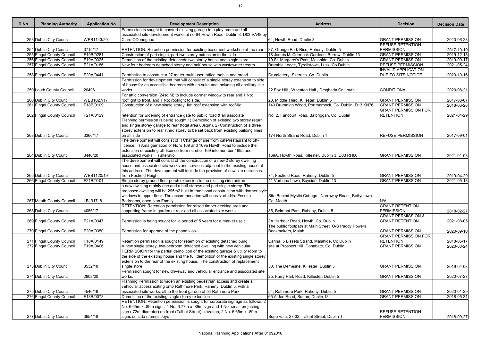| ID No. | <b>Planning Authority</b> | <b>Application No.</b> | <b>Development Description</b>                                                       | <b>Address</b>                                        | <b>Decision</b>               | <b>Decision Date</b>     |
|--------|---------------------------|------------------------|--------------------------------------------------------------------------------------|-------------------------------------------------------|-------------------------------|--------------------------|
|        |                           |                        | Permission is sought to convert existing garage to a play room and all               |                                                       |                               |                          |
|        |                           |                        | associated site development works at no.64 Howth Road, Dublin 3, D03 VA48 by         |                                                       |                               |                          |
|        | 253 Dublin City Council   | WEB1143/20             | Clare ODonoghue.                                                                     | 64, Howth Road, Dublin 3                              | <b>GRANT PERMISSION</b>       | 2020-06-23               |
|        |                           |                        |                                                                                      |                                                       | <b>REFUSE RETENTION</b>       |                          |
|        | 254 Dublin City Council   | 3715/17                | RETENTION: Retention permission for existing basement workshop at the rear.          | 37, Grange Park Rise, Raheny, Dublin 5                | <b>PERMISSION</b>             | 2017-10-19               |
|        | 255 Fingal County Council | F19B/0281              | Construction of part single, part two storey extension to the side                   | 18 James McCormack Gardens, Burrow, Dublin 13         | <b>GRANT PERMISSION</b>       | $2019 - 12 - 18$         |
|        | 256 Fingal County Council | F19A/0325              | Demolition of the existing detachedc two storey house and single store               | 10 St. Margaret's Park, Malahide, Co. Dublin          | <b>GRANT PERMISSION</b>       | 2019-09-17               |
|        | 257 Fingal County Council | F21A/0186              | New four bedroom detached storey and half house with wastewater treatm               | Bramble Lodge, Tyrellstown, Lusk, Co Dublin           | <b>REFUSE PERMISSION</b>      | 2021-05-24               |
|        |                           |                        |                                                                                      |                                                       | <b>INVALID APPLICATION</b>    |                          |
|        | 258 Fingal County Council | F20A/0441              | Permission to construct a 27 meter multi-user lattice mobile and broad               | Drumlattery, Skerries, Co. Dublin.                    | DUE TO SITE NOTICE            | 2020-10-16               |
|        |                           |                        | Permission for development that will consist of a single storey extension to side    |                                                       |                               |                          |
|        |                           |                        | of house for an accessible bedroom with en-suite and including all ancillary site    |                                                       |                               |                          |
|        | 259 Louth County Council  | 20496                  | works                                                                                | 22 Fox Hill, Wheaton Hall, Drogheda Co Louth          | CONDITIONAL                   | 2020-08-21               |
|        |                           |                        | For attic conversion (24sq.M) to include dormer window to rear and 1 No:             |                                                       |                               |                          |
|        | 260 Dublin City Council   | WEB1027/17             | rooflight to front, and 1 No: rooflight to side.                                     | 28, Middle Third, Killester, Dublin 5                 | <b>GRANT PERMISSION</b>       | 2017-03-07               |
|        | 261 Fingal County Council | F18B/0109              | Construction of a new single storey, flat roof extension with roof-lig               | 143 Drumnigh Wood, Portmarnock, Co. Dublin, D13 KN76  | <b>GRANT PERMISSION</b>       | 2018-06-26               |
|        |                           |                        |                                                                                      |                                                       | <b>GRANT PERMISSION FOR</b>   |                          |
|        | 262 Fingal County Council | F21A/0129              | retention for widening of entrance gate to public road & all associate               | No. 2, Fancourt Road, Balbriggan, Co. Dublin          | <b>RETENTION</b>              | 2021-04-29               |
|        |                           |                        | Planning permission is being sought 1) Demolition of existing two storey return      |                                                       |                               |                          |
|        |                           |                        | and single storey garage to rear (total area 80sqm). 2) Construction of a three      |                                                       |                               |                          |
|        |                           |                        | storey extension to rear (third storey to be set back from existing building lines   |                                                       |                               |                          |
|        | 263 Dublin City Council   | 3366/17                | on all side                                                                          | 174 North Strand Road, Dublin 1                       | <b>REFUSE PERMISSION</b>      | 2017-09-01               |
|        |                           |                        | The development will consist of i) Change of use from cafe/restaurant to off-        |                                                       |                               |                          |
|        |                           |                        | icence, ii) Amalgamation of No.'s 169 and 169a Howth Road to include the             |                                                       |                               |                          |
|        |                           |                        | extension of existing off-licence from number 169 into number 169a and               |                                                       |                               |                          |
|        | 264 Dublin City Council   | 3446/20                | associated works, iii) alteratio                                                     | 169A, Howth Road, Killester, Dublin 3, D03 RH60       | <b>GRANT PERMISSION</b>       | 2021-01-08               |
|        |                           |                        | The development will consist of the construction of a new 2 storey dwelling          |                                                       |                               |                          |
|        |                           |                        | house and associated site works and services adjacent to the existing house at       |                                                       |                               |                          |
|        |                           |                        | this address. The development will include the provision of new site entrances       |                                                       |                               |                          |
|        | 265 Dublin City Council   | WEB1120/19             | from Foxfield Height                                                                 | 74, Foxfield Road, Raheny, Dublin 5                   | <b>GRANT PERMISSION</b>       | 2019-04-29               |
|        | 266 Fingal County Council | F21B/0101              | Single storey ground floor porch extension to the existing side entran               | 41 Verbena Lawn, Bayside, Dublin 13                   | <b>GRANT PERMISSION</b>       | 2021-05-13               |
|        |                           |                        | a new dwelling mainly one and a half storeys and part single storey. The             |                                                       |                               |                          |
|        |                           |                        | proposed dwelling will be 295m2 built in traditional construction with dormer style  |                                                       |                               |                          |
|        |                           |                        | windows to upper floor. The accommodation will consist of 4No. Ensuite               | Site Behind Mystic Cottage, Narroway Road, Bettystown |                               |                          |
|        | 267 Meath County Council  | LB191718               | Bedrooms, open plan Family                                                           | Co. Meath                                             | N/A                           |                          |
|        |                           |                        | RETENTION: Retention permission for raised timber decking area and                   |                                                       | <b>GRANT RETENTION</b>        |                          |
|        | 268 Dublin City Council   | 4055/17                | supporting frame in garden at rear and all associated site works.                    | 85, Belmont Park, Raheny, Dublin 5                    | <b>PERMISSION</b>             |                          |
|        |                           |                        |                                                                                      |                                                       | <b>GRANT PERMISSION &amp;</b> | 2018-02-27               |
|        |                           |                        |                                                                                      |                                                       |                               |                          |
|        | 269 Fingal County Council | F21A/0347              | Permission is being sought for a period of 5 years for a market use t                | 3A Harbour Road, Howth, Co. Dublin.                   | <b>GRANT RETENTION</b>        | 2021-08-05               |
|        |                           |                        |                                                                                      | The public footpath at Main Street, O/S Paddy Powers  |                               |                          |
|        | 270 Fingal County Council | F20A/0350              | Permission for upgrade of the phone kiosk.                                           | Bookmakers, Malah                                     | <b>GRANT PERMISSION</b>       | 2020-09-10               |
|        |                           |                        |                                                                                      |                                                       | <b>GRANT PERMISSION FOR</b>   |                          |
|        | 271 Fingal County Council | F18A/0149              | Retention permission is sought for retention of existing detached bung               | Carina, 5 Bissets Strand, Malahide, Co Dublin         | <b>RETENTION</b>              | 2018-05-17               |
|        | 272 Fingal County Council | F19A/0406              | A new single storey, two-bedroom detached dwelling with new vehicular                | site at Prospect Hill, Donabate, Co. Dublin           | <b>GRANT PERMISSION</b>       | 2020-03-24               |
|        |                           |                        | PERMISSION for the partial demolition of the existing garage & utility room to       |                                                       |                               |                          |
|        |                           |                        | the side of the existing house and the full demolition of the existing single storey |                                                       |                               |                          |
|        |                           |                        | extension to the rear of the existing house. The construction of replacement         |                                                       |                               |                          |
|        | 273 Dublin City Council   | 3532/18                | single store                                                                         | 50, The Demesne, Killester, Dublin 5                  | <b>GRANT PERMISSION</b>       | 2019-04-03               |
|        |                           |                        | Permission sought for new driveway and vehicular entrance and associated site        |                                                       |                               |                          |
|        | 274 Dublin City Council   | 2808/20                | works.                                                                               | 25, Furry Park Road, Killester, Dublin 5              | <b>GRANT PERMISSION</b>       | 2020-07-27               |
|        |                           |                        | Planning Permission to widen an existing pedestrian access and create a              |                                                       |                               |                          |
|        |                           |                        | vehicular access exiting onto Rathmore Park, Raheny, Dublin 5, with all              |                                                       |                               |                          |
|        | 275 Dublin City Council   | 4546/19                | associated site works, all to the front garden of 54 Rathmore Park.                  | 54, Rathmore Park, Raheny, Dublin 5                   | <b>GRANT PERMISSION</b>       | 2020-01-29               |
|        | 276 Fingal County Council | F18B/0078              | Demolition of the existing single storey extension                                   | 65 Alden Road, Sutton, Dublin 13                      | <b>GRANT PERMISSION</b>       | $\overline{2018}$ -05-31 |
|        |                           |                        | RETENTION: Retention permission is sought for corporate signage as follows: 2        |                                                       |                               |                          |
|        |                           |                        | No. 6.65m x .89m signs, 1 No. 6.77m x .89m sign and 1 No. small projecting           |                                                       |                               |                          |
|        |                           |                        | sign (.72m diameter) on front (Talbot Street) elevation, 2 No. 6.65m x .89m          |                                                       | <b>REFUSE RETENTION</b>       |                          |
|        | 277 Dublin City Council   | 3654/18                | signs on side (James Joyc                                                            | Supervalu, 27-32, Talbot Street, Dublin 1             | <b>PERMISSION</b>             | 2018-09-27               |
|        |                           |                        |                                                                                      |                                                       |                               |                          |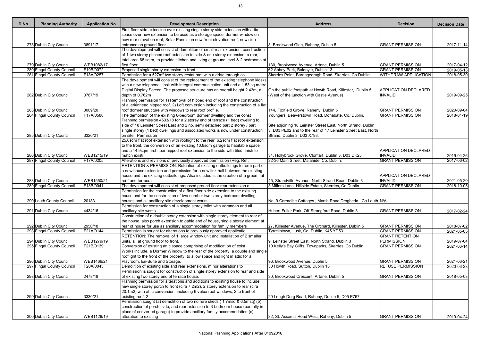| ID No. | <b>Planning Authority</b> | <b>Application No.</b> | <b>Development Description</b>                                                                                                                                      | <b>Address</b>                                                | <b>Decision</b>             | <b>Decision Date</b>    |
|--------|---------------------------|------------------------|---------------------------------------------------------------------------------------------------------------------------------------------------------------------|---------------------------------------------------------------|-----------------------------|-------------------------|
|        |                           |                        | First floor side extension over existing single storey side extension with attic                                                                                    |                                                               |                             |                         |
|        |                           |                        | space over new extension to be used as a storage space, dormer window on                                                                                            |                                                               |                             |                         |
|        |                           |                        | new rear elevation roof, Solar Panels on new front elevation roof, new side                                                                                         |                                                               |                             |                         |
|        | 278 Dublin City Council   | 3891/17                | entrance on ground floor                                                                                                                                            | 8, Brookwood Glen, Raheny, Dublin 5                           | <b>GRANT PERMISSION</b>     | 2017-11-14              |
|        |                           |                        | The development will consist of demolition of small rear extension, construction                                                                                    |                                                               |                             |                         |
|        |                           |                        | of 1 two storey pitched roof extension to side & one storey extension to rear,<br>total area 68 sq.m, to provide kitchen and living at ground level & 2 bedrooms at |                                                               |                             |                         |
|        | 279 Dublin City Council   | WEB1082/17             | first floor                                                                                                                                                         | 130, Brookwood Avenue, Artane, Dublin 5                       | <b>GRANT PERMISSION</b>     | 2017-04-12              |
|        | 280 Fingal County Council | F19B/0072              | Proposed single-storey extension to front                                                                                                                           | 62 Abbey Park, Baldoyle, Dublin 13.                           | <b>GRANT PERMISSION</b>     | 2019-05-13              |
|        | 281 Fingal County Council | F18A/0257              | Permission for a 527m <sup>2</sup> two storey restaurant with a drive through coll                                                                                  | Skerries Point, Barnageeragh Road, Skerries, Co Dublin        | <b>WITHDRAW APPLICATION</b> | 2018-05-30              |
|        |                           |                        | The development will consist of the replacement of the existing telephone kiosks                                                                                    |                                                               |                             |                         |
|        |                           |                        | with a new telephone kiosk with integral communication unit and a 1.53 sq.metre                                                                                     |                                                               |                             |                         |
|        |                           |                        | Digital Display Screen. The proposed structure has an overall height 2.43m, a                                                                                       | On the public footpath at Howth Road, Killester, Dublin 5     | <b>APPLICATION DECLARED</b> |                         |
|        | 282 Dublin City Council   | 3787/19                | depth of 0.762m                                                                                                                                                     | (West of the junction with Castle Avenue)                     | <b>INVALID</b>              | 2019-09-25              |
|        |                           |                        | Planning permission for 1) Removal of hipped end of roof and the construction                                                                                       |                                                               |                             |                         |
|        |                           |                        | of a jerkinhead hipped roof. 2) Loft conversion including the construction of a flat                                                                                |                                                               |                             |                         |
|        | 283 Dublin City Council   | 3009/20                | roof dormer structure with windows to rear roof profile.                                                                                                            | 144, Foxfield Grove, Raheny, Dublin 5                         | <b>GRANT PERMISSION</b>     | 2020-09-04              |
|        | 284 Fingal County Council | F17A/0588              | The demolition of the existing 6-bedroom dormer dwelling and the const                                                                                              | Youngers, Beaverstown Road, Donabate, Co. Dublin.             | <b>GRANT PERMISSION</b>     | 2018-01-19              |
|        |                           |                        | Planning permission 4533/18 for a 2 storey end of terrace (1 bed) dwelling to                                                                                       |                                                               |                             |                         |
|        |                           |                        | side of 18 Leinster Street East and 2 no. semi detached part 2 storey / part                                                                                        | Site adjoining 18 Leinster Street East, North Strand, Dublin  |                             |                         |
|        |                           |                        | single storey (1 bed) dwellings and associated works is now under construction                                                                                      | 3, D03 PE02 and to the rear of 17 Leinster Street East, North |                             |                         |
|        | 285 Dublin City Council   | 3320/21                | on site. Permission                                                                                                                                                 | Strand, Dublin 3, D03 X793.                                   |                             |                         |
|        |                           |                        | 25.6sqm flat roof extension with rooflight to the rear, 6.2sqm flat roof extension                                                                                  |                                                               |                             |                         |
|        |                           |                        | to the front, the conversion of an existing 10.8sqm garage to habitable space                                                                                       |                                                               |                             |                         |
|        |                           |                        | and a 14.9sqm first floor hipped roof extension to the side with tiled finish to                                                                                    |                                                               | <b>APPLICATION DECLARED</b> |                         |
|        | 286 Dublin City Council   | WEB1215/19             | match existi                                                                                                                                                        | 34, Hollybrook Grove, Clontarf, Dublin 3, D03 DK25            | <b>INVALID</b>              | 2019-04-26              |
|        | 287 Fingal County Council | F17A/0205              | Alterations and revisions of previously approved permission (Reg. Ref.                                                                                              | 32-36 Main Street, Malahide, Co. Dublin.                      | <b>GRANT PERMISSION</b>     | 2017-06-02              |
|        |                           |                        | RETENTION & PERMISSION: Retention of existing outbuildings to form part of                                                                                          |                                                               |                             |                         |
|        |                           |                        | a new house extension and permission for a new link hall between the existing                                                                                       |                                                               |                             |                         |
|        |                           |                        | house and the existing outbuildings. Also included is the creation of a green flat                                                                                  |                                                               | <b>APPLICATION DECLARED</b> |                         |
|        | 288 Dublin City Council   | WEB1550/21             | roof and terrace s                                                                                                                                                  | 45, Strandville Avenue, North Strand Road, Dublin 3           | <b>INVALID</b>              | 2021-05-20              |
|        | 289 Fingal County Council | F18B/0041              | The development will consist of proposed ground floor rear extension o                                                                                              | 3 Millers Lane, Hillside Estate, Skerries, Co Dublin          | <b>GRANT PERMISSION</b>     | 2018-10-05              |
|        |                           |                        | Permission for the construction of a first floor side extension to the existing                                                                                     |                                                               |                             |                         |
|        |                           |                        | house and for the construction of two number two storey bedroom dwelling                                                                                            |                                                               |                             |                         |
|        | 290 Louth County Council  | 20183                  | houses and all ancillary site development works                                                                                                                     | No. 9 Carmelite Cottages, Marsh Road Drogheda, Co Louth N/A   |                             |                         |
|        |                           |                        | Permission for construction of a single storey toilet with verandah and all                                                                                         |                                                               |                             |                         |
|        | 291 Dublin City Council   | 4434/16                | ancillary site works.                                                                                                                                               | Hubert Fuller Park, Off Strangford Road, Dublin 3             | <b>GRANT PERMISSION</b>     | 2017-02-24              |
|        |                           |                        | Construction of a double storey extension with single storey element to rear of                                                                                     |                                                               |                             |                         |
|        |                           |                        | the house, also porch extension to gable end of house, single storey element at                                                                                     |                                                               |                             |                         |
|        | 292 Dublin City Council   | 2950/18                | rear of house for use as ancillary accommodation for family members                                                                                                 | 27, Killester Avenue, The Orchard, Killester, Dublin 5        | <b>GRANT PERMISSION</b>     | 2018-07-02              |
|        | 293 Fingal County Council | F21A/0144              | Permission is sought for alterations to previously approved applicatio                                                                                              | Tyrrellstown, Lusk, Co. Dublin, K45 YD53                      | <b>GRANT PERMISSION</b>     | 2021-05-05              |
|        |                           |                        | RETENTION: The removal of 1 large window unit and installation of 2 smaller                                                                                         |                                                               | <b>GRANT RETENTION</b>      |                         |
|        | 294 Dublin City Council   | WEB1279/19             | units, all at ground floor to front.                                                                                                                                | 9, Leinster Street East, North Strand, Dublin 3               | <b>PERMISSION</b>           | 2019-07-04              |
|        | 295 Fingal County Council | F21B/0139              | Conversion of existing attic space comprising of modification of exist                                                                                              | 10 Kelly's Bay Cliffs, Townparks, Skerries, Co Dublin         | <b>GRANT PERMISSION</b>     | 2021-06-14              |
|        |                           |                        | Works include, a Dormer Window to the rear of the property, a double and single                                                                                     |                                                               |                             |                         |
|        |                           |                        | rooflight to the front of the property, to allow space and light in attic for a                                                                                     |                                                               |                             |                         |
|        | 296 Dublin City Council   | WEB1466/21             | Playroom, En-Suite and Storage.                                                                                                                                     | 96, Brookwood Avenue, Dublin 5                                | <b>GRANT PERMISSION</b>     | 2021-06-21              |
|        | 297 Fingal County Council | F20A/0043              | Demolition of existing side and rear extensions, minor alterations to                                                                                               | 30 Howth Road, Sutton, Dublin 13                              | <b>REFUSE PERMISSION</b>    | $\overline{2020-03-23}$ |
|        |                           |                        | Permission is sought for construction of single storey extension to rear and side                                                                                   |                                                               |                             |                         |
|        | 298 Dublin City Council   | 2478/18                | of existing two storey end of terrace house.                                                                                                                        | 30, Brookwood Crescent, Artane, Dublin 5                      | <b>GRANT PERMISSION</b>     | 2018-05-03              |
|        |                           |                        | Planning permission for alterations and additions to existing house to include                                                                                      |                                                               |                             |                         |
|        |                           |                        | new single storey porch to front (cira 7.2m2), 2 storey extension to rear (cira                                                                                     |                                                               |                             |                         |
|        |                           |                        | 20.1m2) with attic conversion including 6 velux roof windows, 2 to front of                                                                                         |                                                               |                             |                         |
|        | 299 Dublin City Council   | 3330/21                | existing roof, 2 t                                                                                                                                                  | 20 Lough Derg Road, Raheny, Dublin 5, D05 P767                |                             |                         |
|        |                           |                        | Permission sought (a) demolition of two no rere sheds (1.7msq & 6.5msq) (b)                                                                                         |                                                               |                             |                         |
|        |                           |                        | construction of porch, side, and rear extension to 3-bedroom house (partially in                                                                                    |                                                               |                             |                         |
|        |                           |                        | place of converted garage) to provide ancillary family accommodation (c)                                                                                            |                                                               |                             |                         |
|        | 300 Dublin City Council   | WEB1126/19             | alteration to existing                                                                                                                                              | 32, St. Assam's Road West, Raheny, Dublin 5                   | <b>GRANT PERMISSION</b>     | 2019-04-24              |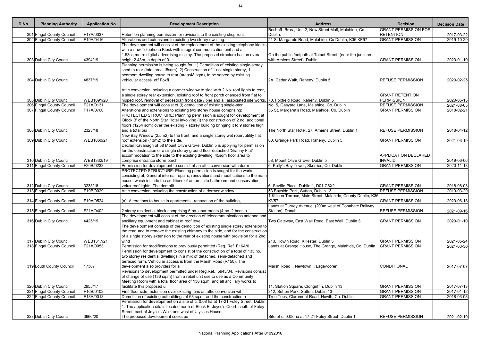| ID No. | <b>Planning Authority</b> | <b>Application No.</b> | <b>Development Description</b>                                                                                                                  | <b>Address</b>                                                                                     | <b>Decision</b>             | <b>Decision Date</b> |
|--------|---------------------------|------------------------|-------------------------------------------------------------------------------------------------------------------------------------------------|----------------------------------------------------------------------------------------------------|-----------------------------|----------------------|
|        |                           |                        |                                                                                                                                                 | Beshoff Bros., Unit 2, New Street Mall, Malahide, Co.                                              | <b>GRANT PERMISSION FOR</b> |                      |
|        | 301 Fingal County Council | F17A/0037              | Retention planning permission for revisions to the existing shopfront                                                                           | Dublin.                                                                                            | <b>RETENTION</b>            | 2017-03-22           |
|        | 302 Fingal County Council | F19A/0416              | Alterations and extensions to existing two storey dwelling.<br>The development will consist of the replacement of the existing telephone kiosks | 21 St Margarets Road, Malahide, Co Dublin, K36 KF97                                                | <b>GRANT PERMISSION</b>     | 2019-10-29           |
|        |                           |                        | with a new Telephone Kiosk with integral communication unit and a                                                                               |                                                                                                    |                             |                      |
|        |                           |                        | 1.53sq.metre digital advertising display. The proposed structure has an overall                                                                 | On the public footpath at Talbot Street, (near the junction                                        |                             |                      |
|        | 303 Dublin City Council   | 4394/19                | height 2.43m, a depth of 0.                                                                                                                     | with Amiens Street), Dublin 1                                                                      | <b>GRANT PERMISSION</b>     | 2020-01-10           |
|        |                           |                        | Planning permission is being sought for: 1) Demolition of existing single-storey                                                                |                                                                                                    |                             |                      |
|        |                           |                        | shed to rear (total area 15sqm). 2) Construction of 1 no. single-storey, 1                                                                      |                                                                                                    |                             |                      |
|        |                           |                        | bedroom dwelling house to rear (area: 48 sqm), to be served by existing                                                                         |                                                                                                    |                             |                      |
|        | 304 Dublin City Council   | 4837/19                | vehicular access, off Foxfi                                                                                                                     | 2A, Cedar Walk, Raheny, Dublin 5                                                                   | <b>REFUSE PERMISSION</b>    | 2020-02-25           |
|        |                           |                        |                                                                                                                                                 |                                                                                                    |                             |                      |
|        |                           |                        | Attic conversion including a dormer window to side with 2 No. roof lights to rear,                                                              |                                                                                                    |                             |                      |
|        |                           |                        | a single storey rear extension, existing roof to front porch changed from flat to                                                               |                                                                                                    | <b>GRANT RETENTION</b>      |                      |
|        | 305 Dublin City Council   | WEB1091/20             | hipped roof, removal of pedestrian front gate / pier and all associated site works. 70, Foxfield Road, Raheny, Dublin 5                         |                                                                                                    | <b>PERMISSION</b>           | 2020-06-15           |
|        | 306 Fingal County Council | F21A/0131              | The development will consist of (i) demolition of existing single-stor                                                                          | No. 5, Gasyard Lane, Malahide, Co. Dublin                                                          | <b>REFUSE PERMISSION</b>    | 2021-08-05           |
|        | 307 Fingal County Council | F17A/0760              | Alterations and extensions to existing two storey house comprising:<br>PROTECTED STRUCTURE: Planning permission is sought for development at    | 55 St. Margaret's Road, Malahide, Co. Dublin                                                       | <b>GRANT PERMISSION</b>     | 2018-02-21           |
|        |                           |                        | 'Block B' of the North Star Hotel involving (i) the construction of 2 no. additional                                                            |                                                                                                    |                             |                      |
|        |                           |                        | floors (1254 sqm) over the existing 7 storey building bringing it to 9 stories high                                                             |                                                                                                    |                             |                      |
|        | 308 Dublin City Council   | 2323/18                | and a total bui                                                                                                                                 | The North Star Hotel, 27, Amiens Street, Dublin 1                                                  | <b>REFUSE PERMISSION</b>    | 2018-04-12           |
|        |                           |                        | New Bay Window (2.5m2) to the front, and a single storey wet room/utility flat                                                                  |                                                                                                    |                             |                      |
|        | 309 Dublin City Council   | WEB1060/21             | roof extension (13m2) to the side.                                                                                                              | 80, Grange Park Road, Raheny, Dublin 5                                                             | <b>GRANT PERMISSION</b>     | 2021-03-19           |
|        |                           |                        | Declan Kavanagh of 58 Mount Olive Grove. Dublin 5 is applying for permission                                                                    |                                                                                                    |                             |                      |
|        |                           |                        | for the construction of a single storey ground floor detached 'Granny Flat'                                                                     |                                                                                                    |                             |                      |
|        |                           |                        | accommodation to the side to the existing dwelling, 45sqm floor area to                                                                         |                                                                                                    | <b>APPLICATION DECLARED</b> |                      |
|        | 310 Dublin City Council   | WEB1332/19             | comprise entrance storm porch                                                                                                                   | 58, Mount Olive Grove, Dublin 5                                                                    | <b>INVALID</b>              | 2019-06-06           |
|        | 311 Fingal County Council | F20B/0233              | Permission for development to consist of an attic conversion with dorm                                                                          | 6, Kelly's Bay Tower, Skerries, Co. Dublin                                                         | <b>GRANT PERMISSION</b>     | 2020-11-18           |
|        |                           |                        | PROTECTED STRUCTURE: Planning permission is sought for the works                                                                                |                                                                                                    |                             |                      |
|        |                           |                        | consisting of; General internal repairs, renovations and modifications to the main                                                              |                                                                                                    |                             |                      |
|        |                           |                        | house, which include the additions of an en-suite bathroom and conservation                                                                     |                                                                                                    |                             |                      |
|        | 312 Dublin City Council   | 3233/18                | velux roof lights. The demolit                                                                                                                  | 6, Seville Place, Dublin 1, D01 C6X2                                                               | <b>GRANT PERMISSION</b>     | 2018-08-03           |
|        | 313 Fingal County Council | F19B/0029              | Attic conversion including the construction of a dormer window                                                                                  | 53 Bayside Park, Sutton, Dublin 13<br>1 Killeen Terrace, Main Street, Malahide, County Dublin, K36 | <b>REFUSE PERMISSION</b>    | 2019-03-29           |
|        | 314 Fingal County Council | F19A/0524              | (a) Alterations to house in apartments; renovation of the building,                                                                             | KV57                                                                                               | <b>GRANT PERMISSION</b>     | 2020-06-18           |
|        |                           |                        |                                                                                                                                                 | Lands at Turvey Avenue, (200m west of Donabate Railway                                             |                             |                      |
|        | 315 Fingal County Council | F21A/0402              | 2 storey residential block comprising 6 no. apartments (4 no. 2 beds a                                                                          | Station), Donab                                                                                    | <b>REFUSE PERMISSION</b>    | 2021-09-16           |
|        |                           |                        | The development will consist of the erection of telecommunications antenna and                                                                  |                                                                                                    |                             |                      |
|        | 316 Dublin City Council   | 4425/19                | ancillary equipment and cabinet at roof level.                                                                                                  | Two Gateway, East Wall Road, East Wall, Dublin 3                                                   | <b>GRANT PERMISSION</b>     | 2020-01-10           |
|        |                           |                        | The development consists of the demolition of existing single storey extension to                                                               |                                                                                                    |                             |                      |
|        |                           |                        | the rear, and to remove the existing chimney to the side, and for the construction                                                              |                                                                                                    |                             |                      |
|        |                           |                        | of a single storey extension to the rear of existing house with provision for a 2no.                                                            |                                                                                                    |                             |                      |
|        | 317 Dublin City Council   | WEB1317/21             | wind                                                                                                                                            | 213, Howth Road, Killester, Dublin 5                                                               | <b>GRANT PERMISSION</b>     | 2021-05-24           |
|        | 318 Fingal County Council | F21A/0053              | Permission for modifications to previously permitted (Reg. Ref. F16A/0                                                                          | Lands at Grange House, The Grange, Malahide, Co. Dublin.                                           | <b>GRANT PERMISSION</b>     | 2021-03-30           |
|        |                           |                        | Permission for development to consist of the construction of a total of 133 no.                                                                 |                                                                                                    |                             |                      |
|        |                           |                        | two storey residential dwellings in a mix of detached, semi-detached and                                                                        |                                                                                                    |                             |                      |
|        |                           |                        | terraced form. Vehicular access is from the Marsh Road (R150). The                                                                              |                                                                                                    |                             |                      |
|        | 319 Louth County Council  | 17387                  | development also provides for all<br>Revisions to development permitted under Reg.Ref.: 5945/04. Revisions consist                              | Marsh Road, Newtown, Lagavooren                                                                    | CONDITIONAL                 | 2017-07-07           |
|        |                           |                        | of change of use (136 sq.m) from a retail unit use to use as a Community                                                                        |                                                                                                    |                             |                      |
|        |                           |                        | Meeting Room with a total floor area of 136 sq.m, and all ancillary works to                                                                    |                                                                                                    |                             |                      |
|        | 320 Dublin City Council   | 2955/17                | facilitate this proposed u                                                                                                                      | 11, Station Square, Clongriffin, Dublin 13                                                         | <b>GRANT PERMISSION</b>     | 2017-07-13           |
|        | 321 Fingal County Council | F16B/0102              | First floor side extension over existing ans an attic conversion wit                                                                            | 312, Sutton Park, Sutton, Dublin 13                                                                | <b>GRANT PERMISSION</b>     | 2017-01-12           |
|        | 322 Fingal County Council | F18A/0018              | Demolition of existing outbuildings of 68 sq.m. and the construction o                                                                          | Tree Tops, Claremont Road, Howth, Co. Dublin.                                                      | <b>GRANT PERMISSION</b>     | 2018-03-08           |
|        |                           |                        | Permission for development on a site of c. 0.08 ha at 17-21 Foley Street, Dublin                                                                |                                                                                                    |                             |                      |
|        |                           |                        | 1. The application site is located north of Block B, Joyce's Court, south of Foley                                                              |                                                                                                    |                             |                      |
|        |                           |                        | Street, east of Joyce's Walk and west of Ulysses House.                                                                                         |                                                                                                    |                             |                      |
|        | 323 Dublin City Council   | 3966/20                | The proposed development seeks pe                                                                                                               | Site of c. 0.08 ha at 17-21 Foley Street, Dublin 1                                                 | <b>REFUSE PERMISSION</b>    | 2021-02-19           |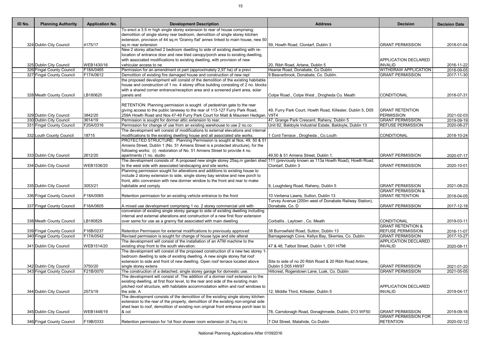| ID No. | <b>Planning Authority</b> | <b>Application No.</b> | <b>Development Description</b>                                                                                                                               | <b>Address</b>                                             | <b>Decision</b>               | <b>Decision Date</b> |
|--------|---------------------------|------------------------|--------------------------------------------------------------------------------------------------------------------------------------------------------------|------------------------------------------------------------|-------------------------------|----------------------|
|        |                           |                        | To erect a 3.5 m high single storey extension to rear of house comprising:                                                                                   |                                                            |                               |                      |
|        |                           |                        | demolition of single storey rear bedroom, demolition of single storey kitchen                                                                                |                                                            |                               |                      |
|        |                           |                        | extension, provision of 44 sq.m 'Granny flat' annex linked to main house, new 50                                                                             |                                                            |                               |                      |
|        | 324 Dublin City Council   | 4175/17                | sq.m rear extension                                                                                                                                          | 59, Howth Road, Clontarf, Dublin 3                         | <b>GRANT PERMISSION</b>       | 2018-01-04           |
|        |                           |                        | New 2 storey attached 2 bedroom dwelling to side of existing dwelling with re-                                                                               |                                                            |                               |                      |
|        |                           |                        | location of entrance door and new tiled canopy/porch area to existing dwelling,<br>with associated modifications to existing dwelling, with provision of new |                                                            | APPLICATION DECLARED          |                      |
|        | 325 Dublin City Council   | WEB1430/16             | vehicular access to ne                                                                                                                                       | 20, Ribh Road, Artane, Dublin 5                            | <b>INVALID</b>                | 2016-11-22           |
|        | 326 Fingal County Council | F18A/0465              | Permission for an amendment ot part (approximately 2,97 ha) of a previ                                                                                       | Hearse Road, Donabate, Co Dublin                           | <b>WITHDRAW APPLICATION</b>   | 2018-09-05           |
|        | 327 Fingal County Council | F17A/0612              | Demolition of existing fire damaged house and construction of new repl                                                                                       | 9 Beaverbrook, Donabate, Co. Dublin.                       | <b>GRANT PERMISSION</b>       | 2017-11-30           |
|        |                           |                        | the proposed development will consist of the demolition of the existing habitable                                                                            |                                                            |                               |                      |
|        |                           |                        | house and construction of 1 no. 4 storey office building consisting of 2 no. blocks                                                                          |                                                            |                               |                      |
|        |                           |                        | with a shared corner entrance/reception area and a screened plant area, solar                                                                                |                                                            |                               |                      |
|        | 328 Meath County Council  | LB180620               | panels and                                                                                                                                                   | Colpe Road, Colpe West, Drogheda Co. Meath                 | <b>CONDITIONAL</b>            | 2018-07-31           |
|        |                           |                        |                                                                                                                                                              |                                                            |                               |                      |
|        |                           |                        | RETENTION: Planning permission is sought of pedestrian gate to the rear                                                                                      |                                                            |                               |                      |
|        |                           |                        | giving access to the public laneway to the rear of 113-127 Furry Park Road,                                                                                  | 49, Furry Park Court, Howth Road, Killester, Dublin 5, D05 | <b>GRANT RETENTION</b>        |                      |
|        | 329 Dublin City Council   | 3842/20                | 259A Howth Road and Nos 47-49 Furry Park Court for Matt & Maureen Hedigan.│V9T4                                                                              |                                                            | <b>PERMISSION</b>             | 2021-02-03           |
|        | 330 Dublin City Council   | 3614/19                | Permission is sought for dormer attic extension to rear.                                                                                                     | 47, Grange Park Crescent, Raheny, Dublin 5                 | <b>GRANT PERMISSION</b>       | 2019-09-19           |
|        | 331 Fingal County Council | F20A/0316              | Permission for change of use from an existing warehouse to use 2 no.co                                                                                       | Unit 62, Baldoyle Industrial Estate, Baldoyle, Dublin 13   | <b>REFUSE PERMISSION</b>      | 2020-08-27           |
|        |                           |                        | The development will consist of modifications to external elevations and internal                                                                            |                                                            |                               |                      |
|        | 332 Louth County Council  | 18715                  | modifications to the existing dwelling house and all associated site works.                                                                                  | Cord Terrace, Drogheda, Co.Louth                           | CONDITIONAL                   | 2018-10-24           |
|        |                           |                        | PROTECTED STRUCTURE: Planning Permission is sought at Nos. 49, 50 & 51                                                                                       |                                                            |                               |                      |
|        |                           |                        | Amiens Street, Dublin 1 (No. 51 Amiens Street is a protected structure), for the                                                                             |                                                            |                               |                      |
|        |                           |                        | following works: (i) restoration of No. 51 Amiens Street to provide 4 no.                                                                                    |                                                            |                               |                      |
|        | 333 Dublin City Council   | 2612/20                | apartments (1 no. studio                                                                                                                                     | 49,50 & 51 Amiens Street, Dublin 1.                        | <b>GRANT PERMISSION</b>       | 2020-07-17           |
|        |                           |                        | The development consists of: A proposed new single storey 25sq.m garden shed 111 (previously known as 113a Howth Road), Howth Road,                          |                                                            |                               |                      |
|        | 334 Dublin City Council   | WEB1536/20             | to the west side with associated landscaping and site works.<br>Planning permission sought for alterations and additions to existing house to                | Clontarf, Dublin 3                                         | <b>GRANT PERMISSION</b>       | 2020-10-01           |
|        |                           |                        | include 2 storey extension to side, single storey bay window and new porch to                                                                                |                                                            |                               |                      |
|        |                           |                        | front, attic conversion with new dormer window to the front and rear to make                                                                                 |                                                            |                               |                      |
|        | 335 Dublin City Council   | 3053/21                | habitable and comply                                                                                                                                         | 9, Loughderg Road, Raheny, Dublin 5                        | <b>GRANT PERMISSION</b>       | 2021-08-23           |
|        |                           |                        |                                                                                                                                                              |                                                            | <b>GRANT PERMISSION &amp;</b> |                      |
|        | 336 Fingal County Council | F18A/0065              | Retention permission for an existing vehicle entrance to the front                                                                                           | 10 Verbena Lawns, Sutton, Dublin 13                        | <b>GRANT RETENTION</b>        | 2018-04-05           |
|        |                           |                        |                                                                                                                                                              | Turvey Avenue (200m west of Donabate Railway Station),     |                               |                      |
|        | 337 Fingal County Council | F16A/0605              | A mixed use development comprising 1 no. 2 storey commercial unit with                                                                                       | Donabate, Co. D                                            | <b>GRANT PERMISSION</b>       | 2017-12-18           |
|        |                           |                        | conversion of existing single storey garage to side of existing dwelling including                                                                           |                                                            |                               |                      |
|        |                           |                        | internal and external alterations and construction of a new first floor extension                                                                            |                                                            |                               |                      |
|        | 338 Meath County Council  | LB180829               | over same for use as a granny flat associated with main dwelling                                                                                             | Corballis, Laytown, Co. Meath                              | CONDITIONAL                   | 2019-03-11           |
|        |                           |                        |                                                                                                                                                              |                                                            | <b>GRANT RETENTION &amp;</b>  |                      |
|        | 339 Fingal County Council | F16B/0237              | Retention Permission for external modifications to previously approved                                                                                       | 38 Burrowfield Road, Sutton, Dublin 13                     | <b>REFUSE PERMISSION</b>      | 2016-11-07           |
|        | 340 Fingal County Council | F17A/0542              | Revised permission is sought for change of house type and site alterat                                                                                       | Barnageeragh Cove, Kellys Bay, Skerries, Co. Dublin.       | <b>GRANT PERMISSION</b>       | 2017-10-27           |
|        |                           |                        | The development will consist of the installation of an ATM machine to the                                                                                    |                                                            | <b>APPLICATION DECLARED</b>   |                      |
|        | 341 Dublin City Council   | WEB1514/20             | existing shop front to the south elevation.                                                                                                                  | 47 & 48, Talbot Street, Dublin 1, D01 H798                 | <b>INVALID</b>                | 2020-08-11           |
|        |                           |                        | The development will consist of the proposed construction of a new two storey 1-                                                                             |                                                            |                               |                      |
|        |                           |                        | bedroom dwelling to side of existing dwelling. A new single storey flat roof                                                                                 |                                                            |                               |                      |
|        |                           |                        | extension to side and front of new dwelling. Open roof terrace located above                                                                                 | Site to side of no 20 Ribh Road & 20 Ribh Road Artane,     |                               |                      |
|        | 342 Dublin City Council   | 3750/20                | single storey extens                                                                                                                                         | Dublin 5 D05 HW97                                          | <b>GRANT PERMISSION</b>       | 2021-01-20           |
|        | 343 Fingal County Council | F21B/0070              | The construction of a detached, single storey garage for domestic use.                                                                                       | Hillcrest, Rogerstown Lane, Lusk, Co. Dublin               | <b>GRANT PERMISSION</b>       | 2021-05-05           |
|        |                           |                        | The development will consist of: The addition of a dormer roof extension to the                                                                              |                                                            |                               |                      |
|        |                           |                        | existing dwelling, at first floor level, to the rear and side of the existing main                                                                           |                                                            |                               |                      |
|        |                           |                        | pitched roof structure, with habitable accommodation within and roof windows to                                                                              |                                                            | APPLICATION DECLARED          |                      |
|        | 344 Dublin City Council   | 2573/19                | the side. A                                                                                                                                                  | 12, Middle Third, Killester, Dublin 5                      | <b>INVALID</b>                | 2019-04-17           |
|        |                           |                        | The development consists of the demolition of the existing single storey kitchen                                                                             |                                                            |                               |                      |
|        |                           |                        | extension to the rear of the property, demolition of the existing non-original side                                                                          |                                                            |                               |                      |
|        |                           |                        | shed lean to roof, demolition of existing non original front entrance porch lean to                                                                          |                                                            |                               |                      |
|        | 345 Dublin City Council   | WEB1448/19             | $8$ col                                                                                                                                                      | 78, Carndonagh Road, Donaghmede, Dublin, D13 WF50          | <b>GRANT PERMISSION</b>       | 2019-09-18           |
|        |                           |                        |                                                                                                                                                              |                                                            | <b>GRANT PERMISSION FOR</b>   |                      |
|        | 346 Fingal County Council | F19B/0333              | Retention permission for 1st floor shower room extension (4.7sq.m) to                                                                                        | 7 Old Street, Malahide, Co Dublin                          | <b>RETENTION</b>              | 2020-02-12           |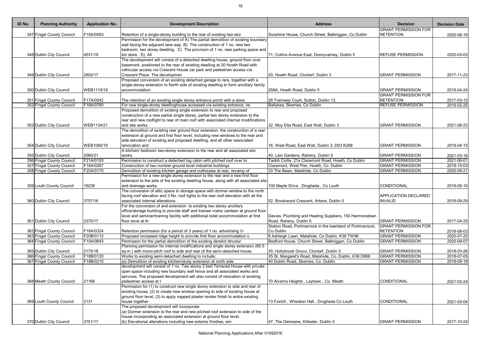| ID No. | <b>Planning Authority</b>                              | <b>Application No.</b> | <b>Development Description</b>                                                                                                                                                                                                                                          | <b>Address</b>                                                                                | <b>Decision</b>                                    | <b>Decision Date</b>     |
|--------|--------------------------------------------------------|------------------------|-------------------------------------------------------------------------------------------------------------------------------------------------------------------------------------------------------------------------------------------------------------------------|-----------------------------------------------------------------------------------------------|----------------------------------------------------|--------------------------|
|        | 347 Fingal County Council                              | F19A/0593              | Retention of a single-storey building to the rear of existing two-stor                                                                                                                                                                                                  | Sunshine House, Church Street, Balbriggan, Co Dublin                                          | <b>GRANT PERMISSION FOR</b><br><b>RETENTION</b>    | 2020-08-19               |
|        |                                                        |                        | Permission for the development of A) The partial demolition of existing boundary                                                                                                                                                                                        |                                                                                               |                                                    |                          |
|        | 348 Dublin City Council                                | 4531/19                | wall facing the adjacent lane way. B) The construction of 1 no. new two<br>bedroom, two storey dwelling. C) The provision of 1 no. new parking space and<br>bin store. D) All                                                                                           | 71, Collins Avenue East, Donnycarney, Dublin 5                                                | <b>REFUSE PERMISSION</b>                           | 2020-03-03               |
|        | 349 Dublin City Council                                | 2802/17                | The development will consist of a detached dwelling house, ground floor over<br>basement, positioned to the rear of existing dwelling at 20 Howth Road with<br>vehicular access via Crescent House car park and pedestrian access via<br>Crescent Place. The developmen | 20, Howth Road, Clontarf, Dublin 3                                                            | <b>GRANT PERMISSION</b>                            | 2017-11-23               |
|        |                                                        |                        | Proposed conversion of an existing detached garage to rere, together with a                                                                                                                                                                                             |                                                                                               |                                                    |                          |
|        |                                                        |                        | single-storey extension to North side of existing dwelling to form ancillary family                                                                                                                                                                                     |                                                                                               |                                                    |                          |
|        | 350 Dublin City Council                                | WEB1119/19             | accommodation.                                                                                                                                                                                                                                                          | 259A, Howth Road, Dublin 5                                                                    | <b>GRANT PERMISSION</b>                            | 2019-04-24               |
|        | 351 Fingal County Council                              | F17A/0042              |                                                                                                                                                                                                                                                                         |                                                                                               | <b>GRANT PERMISSION FOR</b><br><b>RETENTION</b>    | 2017-03-15               |
|        | 352 Fingal County Council                              | F18A/0760              | The retention of an existing single storey entrance porch with a store<br>For new single-storey dwellinghouse accessed via existing entrance, ne                                                                                                                        | 28 Tramway Court, Sutton, Dublin 13.<br>Ballykea, Skerries, Co Dublin                         | <b>REFUSE PERMISSION</b>                           | 2019-02-25               |
|        | 353 Dublin City Council                                | WEB1134/21             | Proposed demolition of existing single extension to rear and proposed<br>construction of a new partial single storey, partial two storey extension to the<br>rear and new rooflight to rear of main roof with associated internal modifications<br>and site works.      | 32, Moy Elta Road, East Wall, Dublin 3                                                        | <b>GRANT PERMISSION</b>                            | 2021-06-23               |
|        | 354 Dublin City Council                                | WEB1090/19             | The demolition of existing rear ground floor extension, the construction of a rear<br>extension at ground and first floor level, including new windows to the rear and<br>side elevation of existing and proposed dwelling, and all other associated<br>renovation and  | 16, West Road, East Wall, Dublin 3, D03 K288                                                  | <b>GRANT PERMISSION</b>                            | 2019-04-15               |
|        |                                                        |                        | A kitchen/ bedroom two-storey extension to the rear and all associated site                                                                                                                                                                                             |                                                                                               |                                                    |                          |
|        | 355 Dublin City Council                                | 2060/21                | works.                                                                                                                                                                                                                                                                  | 40, Lein Gardens, Raheny, Dublin 5                                                            | <b>GRANT PERMISSION</b>                            | 2021-03-16               |
|        | 356 Fingal County Council<br>357 Fingal County Council | F21A/0193<br>F18A/0267 | Permission to construct a detached log cabin with pitched roof over to<br>Construction of two number ground level industrial buildings                                                                                                                                  | Taobh Coille, 21a Claremont Road, Howth, Co Dublin<br>Claremont, West Pier, Howth, Co. Dublin | <b>GRANT PERMISSION</b><br><b>GRANT PERMISSION</b> | 2021-06-01<br>2018-10-03 |
|        | 358 Fingal County Council                              | F20A/0175              | Demolition of existing kitchen garage and outhouses at rear, revamp of                                                                                                                                                                                                  | 33 The Bawn, Malahide, Co Dublin                                                              | <b>GRANT PERMISSION</b>                            | 2020-09-21               |
|        | 359 Louth County Council                               | 19238                  | Permission for a new single storey extension to the rear and a new first floor<br>extension to the side of the existing dwelling house, along with all associated site<br>and drainage works.                                                                           | 100 Maple Drive, Drogheda, Co Louth                                                           | CONDITIONAL                                        | 2019-05-10               |
|        | 360 Dublin City Council                                | 3757/16                | The conversion of attic space to storage space with dormer window to the north<br>facing roof elevation and 3 No. roof lights to the rear roof elevation with all the<br>associated internal alterations.                                                               | 52, Brookwood Crescent, Artane, Dublin 5                                                      | <b>APPLICATION DECLARED</b><br><b>INVALID</b>      | 2016-09-29               |
|        | 361 Dublin City Council                                | 2370/17                | For the conversion of and extension to existing two storey ancillary<br>office/storage building to provide staff and trainee visitor canteen at ground floor<br>level and seminar/training facility with additional toilet accommodation at first<br>floor level at th  | Davies, Plumbing and Heating Suppliers, 150 Harmonstown<br>Road, Raheny, Dublin 5             | <b>GRANT PERMISSION</b>                            | 2017-04-25               |
|        |                                                        |                        |                                                                                                                                                                                                                                                                         | Station Road, Portmarnock in the townland of Portmarnock,                                     | <b>GRANT PERMISSION FOR</b>                        |                          |
|        | 362 Fingal County Council                              | F18A/0324              | Retention permission (for a period of 3 years) of 1 no. advertising V-                                                                                                                                                                                                  | Co Dublin                                                                                     | <b>RETENTION</b>                                   | 2018-08-03               |
|        | 363 Fingal County Council                              | F20B/0112              | Proposed increased ridge height to provide first floor accommodation o                                                                                                                                                                                                  | 8 Ashleigh Lawn, Malahide, Co Dublin, K36 TW96                                                | <b>GRANT PERMISSION</b>                            | 2020-07-20               |
|        | 364 Fingal County Council                              | F19A/0643              | Permisson for the partial demolition of the existing derelict structur<br>Planning permission for internal modifications and single storey extension (60.5                                                                                                              | Bedford House, Church Street, Balbriggan, Co Dublin                                           | <b>GRANT PERMISSION</b>                            | 2020-09-07               |
|        | 365 Dublin City Council                                | 2175/18                | sq.m.) with mono-pitch roof to side and rear of the semi-detached house.                                                                                                                                                                                                | 30, Hollybrook Grove, Clontarf, Dublin 3                                                      | <b>GRANT PERMISSION</b>                            | 2018-03-26               |
|        | 366 Fingal County Council                              | F18B/0120              | Works to existing semi-detached dwelling to include:                                                                                                                                                                                                                    | 35 St. Margaret's Road, Malahide, Co. Dublin, K36 D868                                        | <b>GRANT PERMISSION</b>                            | 2018-07-05               |
|        | 367 Fingal County Council                              | F18B/0210              | (a) Demolition of existing kitchen/study extension at north side                                                                                                                                                                                                        | 40 Dublin Road, Skerries, Co. Dublin.                                                         | <b>GRANT PERMISSION</b>                            | 2018-09-18               |
|        | 368 Meath County Council                               | 21166                  | development will consist of 1 no. Two storey 2 bed Terraced House with private<br>open space including new boundary wall fence and all associated works and<br>services. The proposed development will also consist of relocation of existing<br>pedestrian access at t | 70 Alverno Heights, Laytown, Co. Meath                                                        | CONDITIONAL                                        | 2021-03-24               |
|        | 369 Louth County Council                               | 2131                   | Permission for (1) to construct new single storey extension to side and rear of<br>existing house; (2) to create new window opening to side of existing house at<br>ground floor level; (3) to apply napped plaster render finish to entire existing<br>house together  | 13 Foxhill, Wheaton Hall, Drogheda Co Louth                                                   | CONDITIONAL                                        | 2021-03-04               |
|        | 370 Dublin City Council                                | 3751/17                | The proposed development will incorporate<br>(a) Dormer extension to the rear and new pitched roof extension to side of the<br>house incorporating an associated extension at ground floor level.<br>(b) Elevational alterations including new exterior finishes, win   | 47, The Demesne, Killester, Dublin 5                                                          | <b>GRANT PERMISSION</b>                            | 2017-10-24               |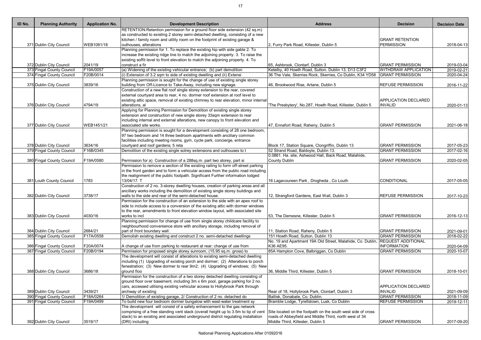| ID No. | <b>Planning Authority</b>                              | <b>Application No.</b> | <b>Development Description</b>                                                                                                                 | <b>Address</b>                                                                                                   | <b>Decision</b>                                        | <b>Decision Date</b>                   |
|--------|--------------------------------------------------------|------------------------|------------------------------------------------------------------------------------------------------------------------------------------------|------------------------------------------------------------------------------------------------------------------|--------------------------------------------------------|----------------------------------------|
|        |                                                        |                        | RETENTION: Retention permission for a ground floor side extension (42 sq.m)                                                                    |                                                                                                                  |                                                        |                                        |
|        |                                                        |                        | as constructed to existing 2 storey semi-detached dwelling, consisting of a new                                                                |                                                                                                                  |                                                        |                                        |
|        |                                                        |                        | kitchen / family room and utility room on the footprint of existing garage &                                                                   |                                                                                                                  | <b>GRANT RETENTION</b>                                 |                                        |
|        | 371 Dublin City Council                                | WEB1081/18             | outhouses, alterations                                                                                                                         | 2, Furry Park Road, Killester, Dublin 5                                                                          | <b>PERMISSION</b>                                      | 2018-04-13                             |
|        |                                                        |                        | Planning permission for 1. To replace the existing hip with side gable 2. To                                                                   |                                                                                                                  |                                                        |                                        |
|        |                                                        |                        | increase the existing ridge line to match the adjoining property. 3. To raise the                                                              |                                                                                                                  |                                                        |                                        |
|        |                                                        |                        | existing soffit level to front elevation to match the adjoining property. 4. To                                                                |                                                                                                                  |                                                        |                                        |
|        | 372 Dublin City Council                                | 2041/19<br>F19A/0057   | construct a fir                                                                                                                                | 65, Ashbrook, Clontarf, Dublin 3                                                                                 | <b>GRANT PERMISSION</b><br><b>WITHDRAW APPLICATION</b> | 2019-03-04<br>$\overline{20}$ 19-02-21 |
|        | 373 Fingal County Council<br>374 Fingal County Council | F20B/0014              | (a) Widening of the existing vehicular entrance; (b) part demolition<br>(i) Extension of 3.2 sqm to side of existing dwelling and (ii) Extensi | Ketelby, 40 Howth Road, Sutton, Dublin 13, D13 C3F2<br>36 The Vale, Skerries Rock, Skerries, Co Dublin, K34 YD58 | <b>GRANT PERMISSION</b>                                |                                        |
|        |                                                        |                        | Planning permission is sought for the change of use of existing single storey                                                                  |                                                                                                                  |                                                        | 2020-04-24                             |
|        | 375 Dublin City Council                                | 3839/16                | building from Off-Licence to Take-Away, including new signage.                                                                                 | 46, Brookwood Rise, Artane, Dublin 5                                                                             | <b>REFUSE PERMISSION</b>                               | 2016-11-22                             |
|        |                                                        |                        | Construction of a new flat roof single storey extension to the rear, covered                                                                   |                                                                                                                  |                                                        |                                        |
|        |                                                        |                        | external courtyard area to rear, 4 no. dormer roof extension at roof level to                                                                  |                                                                                                                  |                                                        |                                        |
|        |                                                        |                        | existing attic space, removal of existing chimney to rear elevation, minor internal                                                            |                                                                                                                  | APPLICATION DECLARED                                   |                                        |
|        | 376 Dublin City Council                                | 4794/19                | alterations, al                                                                                                                                | The Presbytery', No.287, Howth Road, Killester, Dublin 5                                                         | <b>INVALID</b>                                         | 2020-01-13                             |
|        |                                                        |                        | Applying for Planning Permission for Demolition of existing single storey                                                                      |                                                                                                                  |                                                        |                                        |
|        |                                                        |                        | extension and construction of new single storey 33sqm extension to rear                                                                        |                                                                                                                  |                                                        |                                        |
|        |                                                        |                        | including internal and external alterations, new canopy to front elevation and                                                                 |                                                                                                                  |                                                        |                                        |
|        | 377 Dublin City Council                                | WEB1451/21             | associated site works.                                                                                                                         | 47, Ennafort Road, Raheny, Dublin 5                                                                              | <b>GRANT PERMISSION</b>                                | 2021-06-18                             |
|        |                                                        |                        | Planning permission is sought for a development consisting of 28 one bedroom,                                                                  |                                                                                                                  |                                                        |                                        |
|        |                                                        |                        | 97 two bedroom and 14 three bedroom apartments with ancillary common                                                                           |                                                                                                                  |                                                        |                                        |
|        |                                                        |                        | facilities including meeting rooms, gym, cycle park, concierge, entrance                                                                       |                                                                                                                  |                                                        |                                        |
|        | 378 Dublin City Council                                | 3634/16                | courtyard and roof gardens; 5 reta                                                                                                             | Block 17, Station Square, Clongriffin, Dublin 13                                                                 | <b>GRANT PERMISSION</b>                                | 2017-05-23                             |
|        | 379 Fingal County Council                              | F16B/0345              | Demolition of the existing single sotrey extensions and outhouses to t                                                                         | 52 Strand Road, Baldoyle, Dublin 13.                                                                             | <b>GRANT PERMISSION</b>                                | 2017-02-16                             |
|        |                                                        |                        |                                                                                                                                                | 0.0861. Ha. site, Ashwood Hall, Back Road, Malahide,                                                             |                                                        |                                        |
|        | 380 Fingal County Council                              | F19A/0580              | Permission for a) Construction of a 288sq.m. part two storey, part si                                                                          | County Dublin                                                                                                    | <b>GRANT PERMISSION</b>                                | 2020-02-05                             |
|        |                                                        |                        | Permission to remove a section of the existing railing to form off-street parking                                                              |                                                                                                                  |                                                        |                                        |
|        |                                                        |                        | in the front garden and to form a vehicular access from the public road including                                                              |                                                                                                                  |                                                        |                                        |
|        |                                                        |                        | the realignment of the public footpath. Significant Further information lodged                                                                 |                                                                                                                  |                                                        |                                        |
|        | 381 Louth County Council                               | 1783                   | 13/04/17. T                                                                                                                                    | 16 Lagavoureen Park, Drogheda, Co Louth                                                                          | CONDITIONAL                                            | 2017-05-05                             |
|        |                                                        |                        | Construction of 2 no. 3-storey dwelling houses, creation of parking areas and all                                                              |                                                                                                                  |                                                        |                                        |
|        |                                                        |                        | ancillary works including the demolition of existing single storey buildings and                                                               |                                                                                                                  |                                                        |                                        |
|        | 382 Dublin City Council                                | 3738/17                | walls to the side and rear of the semi-detached house.                                                                                         | 12, Strangford Gardens, East Wall, Dublin 3                                                                      | <b>REFUSE PERMISSION</b>                               | 2017-10-23                             |
|        |                                                        |                        | Permission for the construction of an extension to the side with an apex roof to                                                               |                                                                                                                  |                                                        |                                        |
|        |                                                        |                        | side to include access to a conversion of the existing attic with dormer windows                                                               |                                                                                                                  |                                                        |                                        |
|        |                                                        |                        | to the rear, amendments to front elevation window layout, with associated site                                                                 |                                                                                                                  |                                                        |                                        |
|        | 383 Dublin City Council                                | 4030/16                | works to incl                                                                                                                                  | 53, The Demesne, Killester, Dublin 5                                                                             | <b>GRANT PERMISSION</b>                                | 2016-12-13                             |
|        |                                                        |                        | Planning permission for change of use from single storey childcare facility to                                                                 |                                                                                                                  |                                                        |                                        |
|        |                                                        |                        | neighbourhood convenience store with ancillary storage, including removal of                                                                   |                                                                                                                  |                                                        |                                        |
|        | 384 Dublin City Council                                | 2684/21                | part of front boundary wall.                                                                                                                   | 11, Station Road, Raheny, Dublin 5                                                                               | <b>GRANT PERMISSION</b>                                | 2021-09-01                             |
|        | 385 Fingal County Council                              | F17A/0558              | Demolish existing dwelling and construct 2 no. semi-detached dwellings                                                                         | 151 Howth Road, Sutton, Dublin 13                                                                                | <b>GRANT PERMISSION</b>                                | 2018-02-22                             |
|        |                                                        |                        |                                                                                                                                                | No. 19 and Apartment 19A Old Street, Malahide, Co. Dublin,                                                       | <b>REQUEST ADDITIONAL</b>                              |                                        |
|        | 386 Fingal County Council                              | F20A/0074              | A change of use from parking to restaurant at rear; change of use from                                                                         | K36 AE95.                                                                                                        | <b>INFORMATION</b>                                     | 2020-04-09                             |
|        | 387 Fingal County Council                              | F20B/0194              | Permission for proposed single storey sunroom, (15.95 sq.m. gross) to                                                                          | 85A Hampton Cove, Balbriggan, Co Dublin                                                                          | <b>GRANT PERMISSION</b>                                | 2020-10-07                             |
|        |                                                        |                        | The development will consist of alterations to existing semi-detached dwelling                                                                 |                                                                                                                  |                                                        |                                        |
|        |                                                        |                        | including (1) Upgrading of existing porch and dormer; (2) Alterations to porch                                                                 |                                                                                                                  |                                                        |                                        |
|        |                                                        |                        | fenestration; (3) New dormer to rear 9m2; (4) Upgrading of windows; (5) New                                                                    |                                                                                                                  |                                                        |                                        |
|        | 388 Dublin City Council                                | 3686/18                | ground floo                                                                                                                                    | 36, Middle Third, Killester, Dublin 5                                                                            | <b>GRANT PERMISSION</b>                                | 2018-10-01                             |
|        |                                                        |                        | Permission for the construction of a two storey detached dwelling consisting of                                                                |                                                                                                                  |                                                        |                                        |
|        |                                                        |                        | ground floor over basement, including 3m x 6m pool, garage parking for 2 no.                                                                   |                                                                                                                  |                                                        |                                        |
|        |                                                        |                        | cars, accessed utilising existing vehicular access to Hollybrook Park through                                                                  |                                                                                                                  | APPLICATION DECLARED                                   |                                        |
|        | 389 Dublin City Council                                | 3439/21                | archway of existing                                                                                                                            | Rear of 18, Hollybrook Park, Clontarf, Dublin 3                                                                  | <b>INVALID</b>                                         | 2021-09-09                             |
|        | 390 Fingal County Council                              | F18A/0264              | 1/ Demolition of existing garage, 2/ Construction of 2 no. detached do                                                                         | Ballisk, Donabate, Co. Dublin.                                                                                   | <b>GRANT PERMISSION</b>                                | 2018-11-09                             |
|        | 391 Fingal County Council                              | F19A/0499              | To build new four bedroom dormer bungalow with wast-water treatment sy                                                                         | Bramble Lodge, Tyrellstown, Lusk, Co Dublin                                                                      | <b>REFUSE PERMISSION</b>                               | 2019-12-11                             |
|        |                                                        |                        | The development will consist of a safety enhancement to the gas network                                                                        |                                                                                                                  |                                                        |                                        |
|        |                                                        |                        | comprising of a free standing vent stack (overall height up to 3.5m to tip of vent                                                             | Site located on the footpath on the south west side of cross                                                     |                                                        |                                        |
|        |                                                        |                        | stack) to an existing and associated underground district regulating installation                                                              | roads of Abbeyfield and Middle Third, north west of 34                                                           |                                                        |                                        |
|        | 392 Dublin City Council                                | 3519/17                | (DRI) including                                                                                                                                | Middle Third, Killester, Dublin 5                                                                                | <b>GRANT PERMISSION</b>                                | 2017-09-20                             |
|        |                                                        |                        |                                                                                                                                                |                                                                                                                  |                                                        |                                        |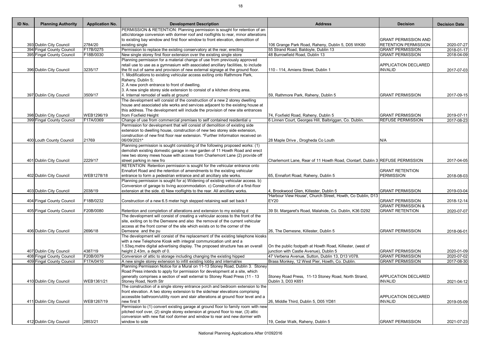| ID No. | <b>Planning Authority</b> | <b>Application No.</b> | <b>Development Description</b>                                                      | <b>Address</b>                                                               | <b>Decision</b>               | <b>Decision Date</b> |
|--------|---------------------------|------------------------|-------------------------------------------------------------------------------------|------------------------------------------------------------------------------|-------------------------------|----------------------|
|        |                           |                        | PERMISSION & RETENTION: Planning permission is sought for retention of an           |                                                                              |                               |                      |
|        |                           |                        | attic/storage conversion with dormer roof and rooflights to rear, minor alterations |                                                                              |                               |                      |
|        |                           |                        | to existing bay window and first floor window to front elevation, demolition of     |                                                                              | <b>GRANT PERMISSION AND</b>   |                      |
|        | 393 Dublin City Council   | 2784/20                | existing single                                                                     | 106 Grange Park Road, Raheny, Dublin 5, D05 WK80                             | <b>RETENTION PERMISSION</b>   | 2020-07-27           |
|        | 394 Fingal County Council | F17B/0275              | Permission to replace the existing conservatory at the rear, erecting               | 55 Strand Road, Baldoyle, Dublin 13                                          | <b>GRANT PERMISSION</b>       | 2018-01-17           |
|        | 395 Fingal County Council | F18B/0030              | New single storey first floor extension over the existing single store              | 48 Burrowfield Road, Dublin 13                                               | <b>GRANT PERMISSION</b>       | 2018-04-09           |
|        |                           |                        | Planning permission for a material change of use from previously approved           |                                                                              |                               |                      |
|        |                           |                        | retail use to use as a gymnasium with associated ancillary facilities, to include   |                                                                              | <b>APPLICATION DECLARED</b>   |                      |
|        | 396 Dublin City Council   | 3235/17                | the fit out of same and provision of new external signage at the ground floor.      | 110 - 114, Amiens Street, Dublin 1                                           | <b>INVALID</b>                | 2017-07-03           |
|        |                           |                        | 1. Modifications to existing vehicular access exiting onto Rathmore Park,           |                                                                              |                               |                      |
|        |                           |                        | Raheny, Dublin 5;                                                                   |                                                                              |                               |                      |
|        |                           |                        | 2. A new porch entrance to front of dwelling.                                       |                                                                              |                               |                      |
|        |                           |                        | 3. A new single storey side extension to consist of a kitchen dining area.          |                                                                              |                               |                      |
|        | 397 Dublin City Council   | 3509/17                | 4. Internal remodel of walls at ground                                              | 59, Rathmore Park, Raheny, Dublin 5                                          | <b>GRANT PERMISSION</b>       | 2017-09-15           |
|        |                           |                        | The development will consist of the construction of a new 2 storey dwelling         |                                                                              |                               |                      |
|        |                           |                        | house and associated site works and services adjacent to the existing house at      |                                                                              |                               |                      |
|        |                           |                        | this address. The development will include the provision of new site entrances      |                                                                              |                               |                      |
|        | 398 Dublin City Council   | WEB1296/19             | from Foxfield Height                                                                | 74, Foxfield Road, Raheny, Dublin 5                                          | <b>GRANT PERMISSION</b>       | 2019-07-11           |
|        | 399 Fingal County Council | F17A/0369              | Change of use from commercial premises to self contained residential u              | 6 Linnen Court, Georges Hill, Balbriggan, Co. Dublin.                        | <b>REFUSE PERMISSION</b>      | 2017-08-23           |
|        |                           |                        | Permission for development that will consist of demolition of existing side         |                                                                              |                               |                      |
|        |                           |                        | extension to dwelling house, construction of new two storey side extension,         |                                                                              |                               |                      |
|        |                           |                        | construction of new first floor rear extension. *Further Information received on    |                                                                              |                               |                      |
|        | 400 Louth County Council  | 21769                  | 06/09/2021*                                                                         | 28 Maple Drive, Drogheda Co Louth                                            | N/A                           |                      |
|        |                           |                        | Planning permission is sought consisting of the following proposed works: (1)       |                                                                              |                               |                      |
|        |                           |                        | demolish existing domestic garage in rear garden of 11 Howth Road and erect         |                                                                              |                               |                      |
|        |                           |                        | new two storey mews house with access from Charlemont Lane (2) provide off          |                                                                              |                               |                      |
|        | 401 Dublin City Council   | 2229/17                | street parking in new fro                                                           | Charlemont Lane, Rear of 11 Howth Road, Clontarf, Dublin 3 REFUSE PERMISSION |                               | 2017-04-05           |
|        |                           |                        | RETENTION: Retention permission is sought for the vehicular entrance onto           |                                                                              |                               |                      |
|        |                           |                        | Ennafort Road and the retention of amendments to the existing vehicular             |                                                                              | <b>GRANT RETENTION</b>        |                      |
|        | 402 Dublin City Council   | WEB1278/18             | entrance to form a pedestrian entrance and all ancillary site works.                | 65, Ennafort Road, Raheny, Dublin 5                                          | <b>PERMISSION</b>             | 2018-08-03           |
|        |                           |                        | Planning permission is sought for a) Widening of existing vehicular access. b)      |                                                                              |                               |                      |
|        |                           |                        | Conversion of garage to living accommodation. c) Construction of a first-floor      |                                                                              |                               |                      |
|        | 403 Dublin City Council   | 2038/19                | extension at the side. d) New rooflights to the rear. All ancillary works.          | 4, Brookwood Glen, Killester, Dublin 5                                       | <b>GRANT PERMISSION</b>       | 2019-03-04           |
|        |                           |                        |                                                                                     | 'Harbour View House', Church Street, Howth, Co Dublin, D13                   |                               |                      |
|        | 404 Fingal County Council | F18B/0232              | Construction of a new 6.5 meter high stepped retaining wall set back f              | IEY20                                                                        | <b>GRANT PERMISSION</b>       | 2018-12-14           |
|        |                           |                        |                                                                                     |                                                                              | <b>GRANT PERMISSION &amp;</b> |                      |
|        | 405 Fingal County Council | F20B/0080              | Retention and completion of alterations and extension to my existing d              | 39 St. Margaret's Road, Malahide, Co. Dublin, K36 D292                       | <b>GRANT RETENTION</b>        | 2020-07-07           |
|        |                           |                        | The development will consist of creating a vehicular access to the front of the     |                                                                              |                               |                      |
|        |                           |                        | site, exiting on to the Demesne and also the removal of the current vehicular       |                                                                              |                               |                      |
|        |                           |                        | access at the front corner of the site which exists on to the corner of the         |                                                                              |                               |                      |
|        | 406 Dublin City Council   | 2696/18                | Demesne and the pu                                                                  | 26, The Demesne, Killester, Dublin 5                                         | <b>GRANT PERMISSION</b>       | 2018-06-01           |
|        |                           |                        | The development will consist of the replacement of the existing telephone kiosks    |                                                                              |                               |                      |
|        |                           |                        | with a new Telephone Kiosk with integral communication unit and a                   |                                                                              |                               |                      |
|        |                           |                        | 1.53sq.metre digital advertising display. The proposed structure has an overall     | On the public footpath at Howth Road, Killester, (west of                    |                               |                      |
|        | 407 Dublin City Council   | 4387/19                | height 2.43m, a depth of 0.                                                         | junction with Castle Avenue), Dublin 5                                       | <b>GRANT PERMISSION</b>       | 2020-01-09           |
|        | 408 Fingal County Council | F20B/0079              | Conversion of attic to storage including changing the existing hipped               | 47 Verbena Avenue, Sutton, Dublin 13, D13 V078.                              | <b>GRANT PERMISSION</b>       | 2020-07-02           |
|        | 409 Fingal County Council | F17A/0410              | A new single storey extension to infill existing lobby and internal/ex              | Brass Monkey, 12 West Pier, Howth, Co. Dublin.                               | <b>GRANT PERMISSION</b>       | 2017-08-30           |
|        |                           |                        | Planning Permission Notice for a Mural on 11-13 Stoney Road, Dublin 3. Stoney       |                                                                              |                               |                      |
|        |                           |                        | Road Press intends to apply for permission for development at a site, which         |                                                                              |                               |                      |
|        |                           |                        | generally comprises a section of wall external to Stoney Road Press (11 - 13        | Stoney Road Press, 11-13 Stoney Road, North Strand,                          | <b>APPLICATION DECLARED</b>   |                      |
|        | 410 Dublin City Council   | WEB1361/21             | Stoney Road, North Str                                                              | Dublin 3, D03 K651                                                           | <b>INVALID</b>                | 2021-04-12           |
|        |                           |                        | The construction of a single storey entrance porch and bedroom extension to the     |                                                                              |                               |                      |
|        |                           |                        | front elevation. A two storey extension to the side/rear elevations comprising      |                                                                              |                               |                      |
|        |                           |                        | accessible bathroom/utility room and stair alterations at ground floor level and a  |                                                                              | <b>APPLICATION DECLARED</b>   |                      |
|        | 411 Dublin City Council   | WEB1267/19             | new first fl                                                                        | 26, Middle Third, Dublin 5, D05 YD81                                         | <b>INVALID</b>                | 2019-05-09           |
|        |                           |                        | Permission to (1) convert existing garage at ground floor to family room with new   |                                                                              |                               |                      |
|        |                           |                        | pitched roof over, (2) single storey extension at ground floor to rear, (3) attic   |                                                                              |                               |                      |
|        |                           |                        | conversion with new flat roof dormer and window to rear and new dormer with         |                                                                              |                               |                      |
|        | 412 Dublin City Council   | 2853/21                | window to side                                                                      | 19, Cedar Walk, Raheny, Dublin 5                                             | <b>GRANT PERMISSION</b>       | 2021-07-23           |

| <b>Address</b>                                                                               | <b>Decision</b>                                     | <b>Decision Date</b>     |
|----------------------------------------------------------------------------------------------|-----------------------------------------------------|--------------------------|
|                                                                                              |                                                     |                          |
|                                                                                              | <b>GRANT PERMISSION AND</b>                         |                          |
| 106 Grange Park Road, Raheny, Dublin 5, D05 WK80                                             | <b>RETENTION PERMISSION</b>                         | 2020-07-27               |
| 55 Strand Road, Baldoyle, Dublin 13                                                          | <b>GRANT PERMISSION</b>                             | 2018-01-17               |
| 48 Burrowfield Road, Dublin 13                                                               | <b>GRANT PERMISSION</b>                             | 2018-04-09               |
|                                                                                              | <b>APPLICATION DECLARED</b>                         |                          |
| 110 - 114, Amiens Street, Dublin 1                                                           | <b>INVALID</b>                                      | 2017-07-03               |
|                                                                                              |                                                     |                          |
|                                                                                              |                                                     |                          |
|                                                                                              |                                                     |                          |
| 59, Rathmore Park, Raheny, Dublin 5                                                          | <b>GRANT PERMISSION</b>                             | 2017-09-15               |
|                                                                                              |                                                     |                          |
|                                                                                              |                                                     |                          |
|                                                                                              |                                                     |                          |
| 74, Foxfield Road, Raheny, Dublin 5<br>6 Linnen Court, Georges Hill, Balbriggan, Co. Dublin. | <b>GRANT PERMISSION</b><br><b>REFUSE PERMISSION</b> | 2019-07-11<br>2017-08-23 |
|                                                                                              |                                                     |                          |
|                                                                                              |                                                     |                          |
|                                                                                              |                                                     |                          |
| 28 Maple Drive, Drogheda Co Louth                                                            | N/A                                                 |                          |
|                                                                                              |                                                     |                          |
|                                                                                              |                                                     |                          |
| Charlemont Lane, Rear of 11 Howth Road, Clontarf, Dublin 3 REFUSE PERMISSION                 |                                                     | 2017-04-05               |
|                                                                                              |                                                     |                          |
| 65, Ennafort Road, Raheny, Dublin 5                                                          | <b>GRANT RETENTION</b><br><b>PERMISSION</b>         | 2018-08-03               |
|                                                                                              |                                                     |                          |
|                                                                                              |                                                     |                          |
| 4, Brookwood Glen, Killester, Dublin 5                                                       | <b>GRANT PERMISSION</b>                             | 2019-03-04               |
| 'Harbour View House', Church Street, Howth, Co Dublin, D13<br><b>EY20</b>                    | <b>GRANT PERMISSION</b>                             | 2018-12-14               |
|                                                                                              | <b>GRANT PERMISSION &amp;</b>                       |                          |
| 39 St. Margaret's Road, Malahide, Co. Dublin, K36 D292                                       | <b>GRANT RETENTION</b>                              | 2020-07-07               |
|                                                                                              |                                                     |                          |
|                                                                                              |                                                     |                          |
| 26, The Demesne, Killester, Dublin 5                                                         | <b>GRANT PERMISSION</b>                             | 2018-06-01               |
|                                                                                              |                                                     |                          |
|                                                                                              |                                                     |                          |
| On the public footpath at Howth Road, Killester, (west of                                    |                                                     |                          |
| junction with Castle Avenue), Dublin 5<br>47 Verbena Avenue, Sutton, Dublin 13, D13 V078.    | <b>GRANT PERMISSION</b><br><b>GRANT PERMISSION</b>  | 2020-01-09<br>2020-07-02 |
| Brass Monkey, 12 West Pier, Howth, Co. Dublin.                                               | <b>GRANT PERMISSION</b>                             | 2017-08-30               |
|                                                                                              |                                                     |                          |
|                                                                                              |                                                     |                          |
| Stoney Road Press, 11-13 Stoney Road, North Strand,                                          | <b>APPLICATION DECLARED</b><br><b>INVALID</b>       |                          |
| Dublin 3, D03 K651                                                                           |                                                     | 2021-04-12               |
|                                                                                              |                                                     |                          |
|                                                                                              | <b>APPLICATION DECLARED</b>                         |                          |
| 26, Middle Third, Dublin 5, D05 YD81                                                         | <b>INVALID</b>                                      | 2019-05-09               |
|                                                                                              |                                                     |                          |
|                                                                                              |                                                     |                          |
| 19, Cedar Walk, Raheny, Dublin 5                                                             | <b>GRANT PERMISSION</b>                             | 2021-07-23               |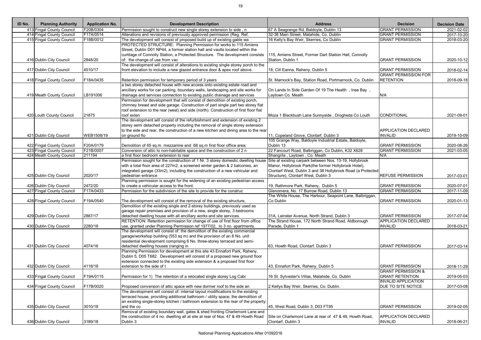| ID No. | <b>Planning Authority</b> | <b>Application No.</b> | <b>Development Description</b>                                                       | <b>Address</b>                                              | <b>Decision</b>               | <b>Decision Date</b> |
|--------|---------------------------|------------------------|--------------------------------------------------------------------------------------|-------------------------------------------------------------|-------------------------------|----------------------|
|        | 413 Fingal County Council | F20B/0304              | Permission sought to construct new single storey extension to side, n                | 67 A Seagrange Rd, Baldoyle, Dublin 13                      | <b>GRANT PERMISSION</b>       | 2021-02-02           |
|        | 414 Fingal County Council | F17A/0514              | Alterations and revisions of previously approved permission (Reg. Ref.               | 32-36 Main Street, Malahide, Co. Dublin                     | <b>GRANT PERMISSION</b>       | 2017-10-20           |
|        | 415 Fingal County Council | F18B/0012              | The development will consist of proposed build up of existing gable wa               | 16 Kelly's Bay Weir, Skerries, Co Dublin                    | <b>GRANT PERMISSION</b>       | 2018-03-20           |
|        |                           |                        | PROTECTED STRUCTURE: Planning Permission for works to 115 Amiens                     |                                                             |                               |                      |
|        |                           |                        | Street, Dublin D01 NP44, a former station hall and vaults located within the         |                                                             |                               |                      |
|        |                           |                        | curtilage of Connolly Station, a Protected Structure. The development consists       | 115, Amiens Street, Former Dart Station Hall, Connolly      |                               |                      |
|        | 416 Dublin City Council   | 2848/20                | of: the change of use from vac                                                       | Station, Dublin 1                                           | <b>GRANT PERMISSION</b>       | 2020-10-12           |
|        |                           |                        | The development will consist of alterations to existing single storey porch to the   |                                                             |                               |                      |
|        | 417 Dublin City Council   | 4510/17                | front elevation to include a new glazed entrance door & apex roof above.             | 18, Cill Eanna, Raheny, Dublin 5                            | <b>GRANT PERMISSION</b>       | 2018-02-14           |
|        |                           |                        |                                                                                      |                                                             | <b>GRANT PERMISSION FOR</b>   |                      |
|        | 418 Fingal County Council | F18A/0435              | Retention permission for temporary period of 3 years                                 | St. Marnock's Bay, Station Road, Portmarnock, Co. Dublin    | <b>RETENTION</b>              | 2018-09-18           |
|        |                           |                        | a two storey detached house with new access onto existing estate road and            |                                                             |                               |                      |
|        |                           |                        | ancillary works for car parking, boundary walls, landscaping and site works for      | On Lands In Side Garden Of 19 The Health, Inse Bay,         |                               |                      |
|        | 419 Meath County Council  | LB191006               | drainage and services connection to existing public drainage and services            | Laytown Co. Meath                                           | N/A                           |                      |
|        |                           |                        | Permission for development that will consist of demolition of existing porch,        |                                                             |                               |                      |
|        |                           |                        | chimney breast and side garage. Construction of part single part two storey flat     |                                                             |                               |                      |
|        |                           |                        | roof extension to the rear (west) and side (north). Construction of first floor flat |                                                             |                               |                      |
|        | 420 Louth County Council  | 21875                  | roof exten                                                                           | Moza 1 Blackbush Lane Sunnyside, Drogheda Co Louth          | CONDITIONAL                   | 2021-09-01           |
|        |                           |                        | The development will consist of the refurbishment and extension of existing 2        |                                                             |                               |                      |
|        |                           |                        | storey semi detached property including the removal of single storey extension       |                                                             |                               |                      |
|        |                           |                        | to the side and rear, the construction of a new kitchen and dining area to the rear  |                                                             | <b>APPLICATION DECLARED</b>   |                      |
|        | 421 Dublin City Council   | WEB1508/19             | on ground flo                                                                        | 11, Copeland Grove, Clontarf, Dublin 3                      | <b>INVALID</b>                | 2019-10-09           |
|        |                           |                        |                                                                                      | 105 Grange Way, Baldoyle Industrial Estate, Baldoyle,       |                               |                      |
|        | 422 Fingal County Council | F20A/0179              | Demolition of 65 sq.m. mezzanine and 68 sq.m first floor office area;                | Dublin 13                                                   | <b>GRANT PERMISSION</b>       | 2020-08-26           |
|        | 423 Fingal County Council | F21B/0007              | Conversion of attic to non-habitable space and the construction of 2 n               | 22 Fancourt Road, Balbriggan, Co Dublin, K32 X628           | <b>GRANT PERMISSION</b>       | $2021 - 03 - 05$     |
|        | 424 Meath County Council  | 211194                 | a first floor bedroom extension to rear                                              | Shangrila, Laytown, Co. Meath                               | N/A                           |                      |
|        |                           |                        | Permission sought for the construction of 1 Nr. 3 storey domestic dwelling house     | Site at existing carpark between Nos. 13-19, Hollybrook     |                               |                      |
|        |                           |                        | with a total floor area of 227m2, a screened winter garden & 2 balconies, an         | Manor, Hollybrook Park(the former Hollybrook Hotel),        |                               |                      |
|        |                           |                        | integrated garage (33m2), including the construction of a new vehicular and          | Clontarf West, Dublin 3 and 38 Hollybrook Road (a Protected |                               |                      |
|        | 425 Dublin City Council   | 2020/17                | pedestrian entrance                                                                  | Structure), Clontarf West, Dublin 3                         | <b>REFUSE PERMISSION</b>      | 2017-03-01           |
|        |                           |                        | Planning permission is sought for the widening of an existing pedestrian access      |                                                             |                               |                      |
|        | 426 Dublin City Council   | 2472/20                | to create a vehicular access to the front.                                           | 19, Rathmore Park, Raheny, Dublin 5                         | <b>GRANT PERMISSION</b>       | 2020-07-01           |
|        | 427 Fingal County Council | F17A/0433              | Permission for the subdivision of the site to provide for the construc               | Glenomera, No. 17 Burrow Road, Dublin 13                    | <b>GRANT PERMISSION</b>       | 2017-11-09           |
|        |                           |                        |                                                                                      | The White House, The Harbour, Seapoint Lane, Balbriggan,    |                               |                      |
|        | 428 Fingal County Council | F19A/0540              | The development will consist of the removal of the existing structure,               | Co Dublin                                                   | <b>GRANT PERMISSION</b>       | 2020-01-13           |
|        |                           |                        | Demolition of the existing single and 2-storey buildings, previously used as         |                                                             |                               |                      |
|        |                           |                        | garage repair premises and provision of a new, single storey, 3 bedrooms             |                                                             |                               |                      |
|        | 429 Dublin City Council   | 2887/17                | detached dwelling house with all ancillary works and site services.                  | 31A, Leinster Avenue, North Strand, Dublin 3                | <b>GRANT PERMISSION</b>       | 2017-07-04           |
|        |                           |                        | RETENTION: Retention permission for change of use of first floor from office         | The Strand House, 172 North Strand Road, Aldborough         | <b>APPLICATION DECLARED</b>   |                      |
|        | 430 Dublin City Council   | 2280/18                | use, granted under Planning Permission ref 1977/02, to 3 no. apartments.             | Parade, Dublin 1                                            | <b>INVALID</b>                | 2018-03-21           |
|        |                           |                        | The development will consist of: the demolition of the existing commercial           |                                                             |                               |                      |
|        |                           |                        | garage/workshop building (553 sq m) and the provision of an 8 No. unit               |                                                             |                               |                      |
|        |                           |                        | residential development comprising 6 No. three-storey terraced and semi-             |                                                             |                               |                      |
|        | 431 Dublin City Council   | 4074/16                | detached dwelling houses (ranging in                                                 | 63, Howth Road, Clontarf, Dublin 3                          | <b>GRANT PERMISSION</b>       | 2017-03-14           |
|        |                           |                        | Planning Permission for development at this site 43 Ennafort Park, Raheny,           |                                                             |                               |                      |
|        |                           |                        | Dublin 5, D05 T682. Development will consist of a proposed new ground floor          |                                                             |                               |                      |
|        |                           |                        | extension connected to the existing side extension & a proposed first floor          |                                                             |                               |                      |
|        | 432 Dublin City Council   | 4118/18                | extension to the side of t                                                           | 43, Ennafort Park, Raheny, Dublin 5                         | <b>GRANT PERMISSION</b>       | 2018-11-29           |
|        |                           |                        |                                                                                      |                                                             | <b>GRANT PERMISSION &amp;</b> |                      |
|        | 433 Fingal County Council | F19A/0115              | Permission for 1) The retention of a relocated single storey Log Cabi                | 16 St. Sylvester's Villas, Malahide, Co. Dublin             | <b>GRANT RETENTION</b>        | 2019-05-03           |
|        |                           |                        |                                                                                      |                                                             | <b>INVALID APPLICATION</b>    |                      |
|        | 434 Fingal County Council | F17B/0020              | Proposed conversion of attic space with new dormer roof to the side an               | 2 Kellys Bay Weir, Skerries, Co. Dublin.                    | DUE TO SITE NOTICE            |                      |
|        |                           |                        |                                                                                      |                                                             |                               | 2017-03-08           |
|        |                           |                        | The development will consist of: internal layout modifications to the existing       |                                                             |                               |                      |
|        |                           |                        | terraced house, providing additional bathroom / utility space; the demolition of     |                                                             |                               |                      |
|        |                           |                        | an existing single-storey kitchen / bathroom extension to the rear of the property;  |                                                             |                               |                      |
|        | 435 Dublin City Council   | 3010/18                | and the co                                                                           | 45, West Road, Dublin 3, D03 FT95                           | <b>GRANT PERMISSION</b>       | 2019-02-05           |
|        |                           |                        | Removal of existing boundary wall, gates & shed fronting Charlemont Lane and         |                                                             |                               |                      |
|        |                           |                        | the construction of 4 no. dwelling all at site at rear of Nos. 47 & 49 Howth Road    | Site on Charlemont Lane at rear of 47 & 49, Howth Road,     | <b>APPLICATION DECLARED</b>   |                      |
|        | 436 Dublin City Council   | 3189/18                | Dublin 3                                                                             | Clontarf, Dublin 3                                          | <b>INVALID</b>                | 2018-06-21           |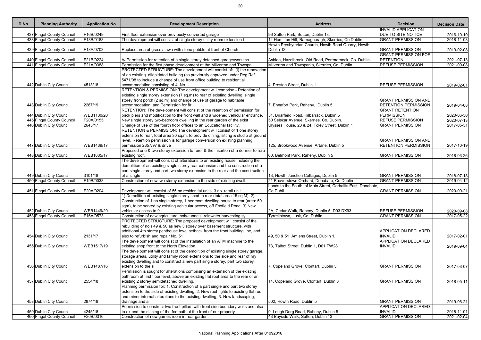| ID No. | <b>Planning Authority</b> | <b>Application No.</b> | <b>Development Description</b>                                                       | <b>Address</b>                                                    | <b>Decision</b>             | <b>Decision Date</b> |
|--------|---------------------------|------------------------|--------------------------------------------------------------------------------------|-------------------------------------------------------------------|-----------------------------|----------------------|
|        |                           |                        |                                                                                      |                                                                   | <b>INVALID APPLICATION</b>  |                      |
|        | 437 Fingal County Council | -16B/0249              | First floor extension over previously converted garage                               | 96 Sutton Park, Sutton, Dublin 13.                                | <b>DUE TO SITE NOTICE</b>   | 2016-10-10           |
|        | 438 Fingal County Council | F18B/0188              | The development will sonsist of single storey utility room extension t               | 14 Hamilton Hill, Barnageeragh, Skerries, Co Dublin               | <b>GRANT PERMISSION</b>     | 2018-11-08           |
|        | 439 Fingal County Council | F18A/0703              |                                                                                      | Howth Presbyterian Church, Howth Road Quarry, Howth,<br>Dublin 13 | <b>GRANT PERMISSION</b>     |                      |
|        |                           |                        | Replace area of grass / lawn with stone pebble at front of Church                    |                                                                   | <b>GRANT PERMISSION FOR</b> | 2019-02-08           |
|        | 440 Fingal County Council | F21B/0224              | A/ Permission for retention of a single storey detached garage/worksho               | Ashlea, Hazelbrook, Old Road, Portmarnock, Co. Dublin.            | <b>RETENTION</b>            | 2021-07-13           |
|        | 441 Fingal County Council | F21A/0388              | Permission for the first phase development at the Milverton and Townpa               | Milverton and Townparks, Skerries, Co. Dublin                     | <b>REFUSE PERMISSION</b>    | 2021-09-08           |
|        |                           |                        | PROTECTED STRUCTURE: The development will consist of: (i) the renovation             |                                                                   |                             |                      |
|        |                           |                        | of an existing dilapidated building (as previously approved under Reg.Ref.           |                                                                   |                             |                      |
|        |                           |                        | 5471/08 to include a change of use from office building to residential               |                                                                   |                             |                      |
|        | 442 Dublin City Council   | 4513/18                | accommodation consisting of 4. No                                                    | 4, Preston Street, Dublin 1                                       | <b>REFUSE PERMISSION</b>    | 2019-02-01           |
|        |                           |                        | RETENTION & PERMISSION: The development will comprise - Retention of                 |                                                                   |                             |                      |
|        |                           |                        | existing single storey extension (7 sq.m) to rear of existing dwelling, single       |                                                                   |                             |                      |
|        |                           |                        | storey front porch (2 sq.m) and change of use of garage to habitable                 |                                                                   | <b>GRANT PERMISSION AND</b> |                      |
|        | 443 Dublin City Council   | 2267/19                | accommodation; and Permission for fir                                                | 7, Ennafort Park, Raheny, Dublin 5                                | <b>RETENTION PERMISSION</b> | 2019-04-08           |
|        |                           |                        | RETENTION: The development will consist of the retention of permission for           |                                                                   | <b>GRANT RETENTION</b>      |                      |
|        | 444 Dublin City Council   | WEB1130/20             | brick piers and modification to the front wall and a widened vehicular entrance.     | 51, Briarfield Road, Kilbarrack, Dublin 5                         | <b>PERMISSION</b>           | 2020-06-30           |
|        | 445 Fingal County Council | F20A/0155              | New single storey two-bedroom dwelling in the rear garden of the exist               | 50 Selskar Avenue, Skerries, Co. Dublin.                          | <b>REFUSE PERMISSION</b>    | 2020-07-13           |
|        | 446 Dublin City Council   | 2645/17                | Change of use of the fourth floor offices to an Educational facility.                | Ulysses House, 23 & 24, Foley Street, Dublin 1                    | <b>GRANT PERMISSION</b>     | 2017-05-31           |
|        |                           |                        | RETENTION & PERMISSION: The development will consist of 1 one storey                 |                                                                   |                             |                      |
|        |                           |                        | extension to rear, total area 30 sq.m, to provide dining, sitting & studio at ground |                                                                   |                             |                      |
|        |                           |                        | level. Retention permission is for garage conversion on existing planning            |                                                                   | <b>GRANT PERMISSION AND</b> |                      |
|        | 447 Dublin City Council   | WEB1439/17             | permission 2357/97 & drive                                                           | 125, Brookwood Avenue, Artane, Dublin 5                           | <b>RETENTION PERMISSION</b> | 2017-10-19           |
|        |                           |                        | Proposed one & two-storey extension to rere, & the insertion of a dormer to rere     |                                                                   |                             |                      |
|        | 448 Dublin City Council   | WEB1635/17             | existing roof.                                                                       | 60, Belmont Park, Raheny, Dublin 5                                | <b>GRANT PERMISSION</b>     | 2018-03-26           |
|        |                           |                        | The development will consist of alterations to an existing house including the       |                                                                   |                             |                      |
|        |                           |                        | demolition of an existing single storey rear extension and the construction of a     |                                                                   |                             |                      |
|        |                           |                        | part single storey and part two storey extension to the rear and the construction    |                                                                   |                             |                      |
|        | 449 Dublin City Council   | 3101/18                | of a single                                                                          | 13, Howth Junction Cottages, Dublin 5                             | <b>GRANT PERMISSION</b>     | 2018-07-18           |
|        | 450 Fingal County Council | F19B/0038              | Construction of new two storey extension to the side of existing dwell               | 21 Beaverstown Orchard, Donabate, Co Dublin                       | <b>GRANT PERMISSION</b>     | 2019-04-12           |
|        |                           |                        |                                                                                      | Lands to the South of Main Street, Corballis East, Donabate,      |                             |                      |
|        | 451 Fingal County Council | F20A/0204              | Development will consist of 55 no residential units, 3 no. retail unit               | Co Dubli                                                          | <b>GRANT PERMISSION</b>     | 2020-09-21           |
|        |                           |                        | 1) Demolition of existing single-storey shed to rear (total area 15 sq.M). 2)        |                                                                   |                             |                      |
|        |                           |                        | Construction of 1.no single-storey, 1 bedroom dwelling house to rear (area: 50       |                                                                   |                             |                      |
|        |                           |                        | sqm), to be served by existing vehicular access, off Foxfield Road. 3) New           |                                                                   |                             |                      |
|        | 452 Dublin City Council   | WEB1449/20             | vehicular access to fr                                                               | 2A, Cedar Walk, Raheny, Dublin 5, D03 DX93                        | <b>REFUSE PERMISSION</b>    | 2020-09-08           |
|        | 453 Fingal County Council | F16A/0573              | Construction of new agricultural poly-tunnels, rainwater harvesting sy               | Tyrrellstown, Lusk, Co. Dublin.                                   | <b>GRANT PERMISSION</b>     | 2017-05-22           |
|        |                           |                        | PROTECTED STRUCTURE: The proposed development will consist of the                    |                                                                   |                             |                      |
|        |                           |                        | rebuilding of no's 49 & 50 as new 3 storey over basement structure, with             |                                                                   |                             |                      |
|        |                           |                        | additional 4th storey penthouse level setback from the front building line, and      |                                                                   | APPLICATION DECLARED        |                      |
|        | 454 Dublin City Council   | 2131/17                | also to refurbish and repair No. 51                                                  | 49, 50 & 51 Amiens Street, Dublin 1.                              | <b>INVALID</b>              | 2017-02-01           |
|        |                           |                        | The development will consist of the installation of an ATM machine to the            |                                                                   | <b>APPLICATION DECLARED</b> |                      |
|        | 455 Dublin City Council   | WEB1517/19             | existing shop front to the North Elevation.                                          | 73, Talbot Street, Dublin 1, D01 TW28                             | <b>INVALID</b>              | 2019-09-04           |
|        |                           |                        | The development will consist of the demolition of existing single storey garage,     |                                                                   |                             |                      |
|        |                           |                        | storage areas, utility and family room extensions to the side and rear of my         |                                                                   |                             |                      |
|        |                           |                        | existing dwelling and to construct a new part single storey, part two storey         |                                                                   |                             |                      |
|        | 456 Dublin City Council   | WEB1487/16             | extension to the si                                                                  | 7, Copeland Grove, Clontarf, Dublin 3                             | <b>GRANT PERMISSION</b>     | 2017-03-07           |
|        |                           |                        | Permission is sought for alterations comprising an extension of the existing         |                                                                   |                             |                      |
|        |                           |                        | bathroom at first floor level, above an existing flat roof area to the rear of an    |                                                                   |                             |                      |
|        | 457 Dublin City Council   | 2554/18                | existing 2 storey semidetached dwelling.                                             | 14, Copeland Grove, Clontarf, Dublin 3                            | <b>GRANT PERMISSION</b>     | 2018-05-11           |
|        |                           |                        | Planning permission for: 1. Construction of a part single and part two storey        |                                                                   |                             |                      |
|        |                           |                        | extension to the side of existing dwelling; 2. New roof lights to existing flat roof |                                                                   |                             |                      |
|        |                           |                        | and minor internal alterations to the existing dwelling; 3. New landscaping,         |                                                                   |                             |                      |
|        | 458 Dublin City Council   | 2874/19                | drainage and a                                                                       | 502, Howth Road, Dublin 5                                         | <b>GRANT PERMISSION</b>     | 2019-06-21           |
|        |                           |                        | Permission to construct two front pillars with front side boundary walls and also    |                                                                   | <b>APPLICATION DECLARED</b> |                      |
|        | 459 Dublin City Council   | 4245/18                | to extend the dishing of the footpath at the front of our property                   | 9, Lough Derg Road, Raheny, Dublin 5                              | <b>INVALID</b>              | 2018-11-01           |
|        | 460 Fingal County Council | F20B/0316              | Construction of new games room in rear garden.                                       | 43 Bayside Walk, Sutton, Dublin 13                                | <b>GRANT PERMISSION</b>     | 2021-02-04           |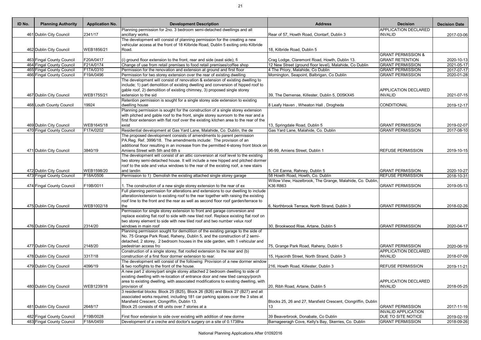| ID No. | <b>Planning Authority</b> | <b>Application No.</b> | <b>Development Description</b>                                                                                                                                             | <b>Address</b>                                                | <b>Decision</b>               | <b>Decision Date</b> |
|--------|---------------------------|------------------------|----------------------------------------------------------------------------------------------------------------------------------------------------------------------------|---------------------------------------------------------------|-------------------------------|----------------------|
|        |                           |                        | Planning permission for 2no. 3 bedroom semi-detached dwellings and all                                                                                                     |                                                               | <b>APPLICATION DECLARED</b>   |                      |
|        | 461 Dublin City Council   | 2341/17                | ancillary works.<br>The development will consist of planning permission for the creating a new                                                                             | Rear of 57, Howth Road, Clontarf, Dublin 3                    | <b>INVALID</b>                | 2017-03-06           |
|        |                           |                        | vehicular access at the front of 18 Kilbride Road, Dublin 5 exiting onto Kilbride                                                                                          |                                                               |                               |                      |
|        | 462 Dublin City Council   | WEB1856/21             | Road.                                                                                                                                                                      | 18, Kilbride Road, Dublin 5                                   |                               |                      |
|        |                           |                        |                                                                                                                                                                            |                                                               | <b>GRANT PERMISSION &amp;</b> |                      |
|        | 463 Fingal County Council | F20A/0417              | (i) ground floor extension to the front, rear and side (east side); fi                                                                                                     | Crag Lodge, Claremont Road, Howth, Dublin 13.                 | <b>GRANT RETENTION</b>        | 2020-10-13           |
|        | 464 Fingal County Council | F21A/0174              | Change of use from retail premises to food retail premises/coffee shop                                                                                                     | 12 New Street (ground floor level), Malahide, Co Dublin       | <b>GRANT PERMISSION</b>       | 2021-05-17           |
|        | 465 Fingal County Council | F17A/0310              | Permission for the renovation and extension at ground and first floor                                                                                                      | 4 The Priory, Malahide, Co Dublin                             | <b>GRANT PERMISSION</b>       | 2017-07-17           |
|        | 466 Fingal County Council | F19A/0496              | Permission for two storey extension over the rear of existing dwelling                                                                                                     | Mornington, Seapoint, Balbrigan, Co Dublin                    | <b>GRANT PERMISSION</b>       | 2020-01-28           |
|        |                           |                        | The development will consist of renovation & extension of existing dwelling to                                                                                             |                                                               |                               |                      |
|        |                           |                        | include; 1) part demolition of existing dwelling and conversion of hipped roof to                                                                                          |                                                               |                               |                      |
|        |                           |                        | gable roof, 2) demolition of existing chimney, 3) proposed single storey                                                                                                   |                                                               | <b>APPLICATION DECLARED</b>   |                      |
|        | 467 Dublin City Council   | WEB1755/21             | extension to the sid                                                                                                                                                       | 39, The Demense, Killester, Dublin 5, D05KX45                 | <b>INVALID</b>                | 2021-07-15           |
|        |                           |                        | Retention permission is sought for a single storey side extension to existing                                                                                              |                                                               |                               |                      |
|        | 468 Louth County Council  | 19924                  | dwelling house<br>Planning permission is sought for the construction of a single storey extension                                                                          | 8 Leafy Haven, Wheaton Hall, Drogheda                         | CONDITIONAL                   | 2019-12-17           |
|        |                           |                        | with pitched and gable roof to the front, single storey sunroom to the rear and a                                                                                          |                                                               |                               |                      |
|        |                           |                        | first floor extension with flat roof over the existing kitchen area to the rear of the                                                                                     |                                                               |                               |                      |
|        | 469 Dublin City Council   | WEB1645/18             | exist                                                                                                                                                                      | 13, Springdale Road, Dublin 5                                 | <b>GRANT PERMISSION</b>       | 2019-02-07           |
|        | 470 Fingal County Council | F17A/0202              | Residential development at Gas Yard Lane, Malahide, Co. Dublin, the de                                                                                                     | Gas Yard Lane, Malahide, Co. Dublin                           | <b>GRANT PERMISSION</b>       | 2017-08-10           |
|        |                           |                        | The proposed development consists of amendments to parent permission                                                                                                       |                                                               |                               |                      |
|        |                           |                        | PA.Reg. Ref. 3996/18. The amendments include: The provision of an                                                                                                          |                                                               |                               |                      |
|        |                           |                        | additional floor resulting in an increase from the permitted 4-storey front block on                                                                                       |                                                               |                               |                      |
|        | 471 Dublin City Council   | 3840/19                | Amiens Street with 5th and 6th s                                                                                                                                           | 96-99, Amiens Street, Dublin 1                                | <b>REFUSE PERMISSION</b>      | 2019-10-15           |
|        |                           |                        | The development will consist of an attic conversion at roof level to the existing                                                                                          |                                                               |                               |                      |
|        |                           |                        | two storey semi-detached house. It will include a new hipped and pitched dormer                                                                                            |                                                               |                               |                      |
|        |                           |                        | roof to the side and velux windows to the rear of the existing roof, a new stairs                                                                                          |                                                               |                               |                      |
|        | 472 Dublin City Council   | WEB1598/20             | and landin                                                                                                                                                                 | 5, Cill Eanna, Rahney, Dublin 5                               | <b>GRANT PERMISSION</b>       | 2020-10-27           |
|        | 473 Fingal County Council | F18A/0506              | Permission to 1) Demolish the existing attached single storey garage                                                                                                       | 58 Howth Road, Howth, Co. Dublin                              | <b>REFUSE PERMISSION</b>      | 2018-10-31           |
|        |                           |                        |                                                                                                                                                                            | Willow View, Hazelbrook, The Grange, Malahide, Co. Dublin,    |                               |                      |
|        | 474 Fingal County Council | F19B/0011              | 1. The construction of a new single storey extension to the rear of ex                                                                                                     | K36 R863                                                      | <b>GRANT PERMISSION</b>       | 2019-05-13           |
|        |                           |                        | Full planning permission for alterations and extensions to our dwelling to include                                                                                         |                                                               |                               |                      |
|        |                           |                        | alteration/extension to existing roof to the rear together with raising the existing<br>roof line to the front and the rear as well as second floor roof garden/terrace to |                                                               |                               |                      |
|        | 475 Dublin City Council   | WEB1002/18             | the                                                                                                                                                                        | 6, Northbrook Terrace, North Strand, Dublin 3                 | <b>GRANT PERMISSION</b>       | 2018-02-26           |
|        |                           |                        | Permission for single storey extension to front and garage conversion and                                                                                                  |                                                               |                               |                      |
|        |                           |                        | replace existing flat roof to side with new tiled roof. Replace existing flat roof on                                                                                      |                                                               |                               |                      |
|        |                           |                        | two storey element to side with new tiled roof and two number velux roof                                                                                                   |                                                               |                               |                      |
|        | 476 Dublin City Council   | 2314/20                | windows in main roof                                                                                                                                                       | 30, Brookwood Rise, Artane, Dublin 5                          | <b>GRANT PERMISSION</b>       | 2020-04-17           |
|        |                           |                        | Planning permission sought for demolition of the existing garage to the side of                                                                                            |                                                               |                               |                      |
|        |                           |                        | No. 75 Grange Park Road, Raheny, Dublin 5, and the construction of 2 semi-                                                                                                 |                                                               |                               |                      |
|        |                           |                        | detached, 2 storey, 2 bedroom houses in the side garden, with 1 vehicular and                                                                                              |                                                               |                               |                      |
|        | 477 Dublin City Council   | 2148/20                | pedestrian access fro                                                                                                                                                      | 75, Grange Park Road, Raheny, Dublin 5                        | <b>GRANT PERMISSION</b>       | 2020-06-19           |
|        |                           |                        | Construction of a single storey, flat roofed extension to the rear and (b)                                                                                                 |                                                               | <b>APPLICATION DECLARED</b>   |                      |
|        | 478 Dublin City Council   | 3317/18                | construction of a first floor dormer extension to rear.                                                                                                                    | 15, Hyacinth Street, North Strand, Dublin 3                   | <b>INVALID</b>                | 2018-07-09           |
|        |                           |                        | The development will consist of the following: Provision of a new dormer window                                                                                            |                                                               |                               |                      |
|        | 479 Dublin City Council   | 4096/19                | & two rooflights to the front of the house.                                                                                                                                | 216, Howth Road, Killester, Dublin 3                          | <b>REFUSE PERMISSION</b>      | 2019-11-21           |
|        |                           |                        | A new part 2 storey/part single storey attached 2 bedroom dwelling to side of                                                                                              |                                                               |                               |                      |
|        |                           |                        | existing dwelling with re-location of entrance door and new tiled canopy/porch<br>area to existing dwelling, with associated modifications to existing dwelling, with      |                                                               | <b>APPLICATION DECLARED</b>   |                      |
|        | 480 Dublin City Council   | WEB1239/18             | provision of                                                                                                                                                               | 20, Ribh Road, Artane, Dublin 5                               | <b>INVALID</b>                | 2018-05-25           |
|        |                           |                        | 3 residential blocks: Block 25 (B25), Block 26 (B26) and Block 27 (B27) and all                                                                                            |                                                               |                               |                      |
|        |                           |                        | associated works required, including 181 car parking spaces over the 3 sites at                                                                                            |                                                               |                               |                      |
|        |                           |                        | Marsfield Crescent, Clongriffin, Dublin 13.                                                                                                                                | Blocks 25, 26 and 27, Marsfield Crescent, Clongriffin, Dublin |                               |                      |
|        | 481 Dublin City Council   | 2648/17                | Block 25 consists of 48 units over 7 stories at a                                                                                                                          | 13                                                            | <b>GRANT PERMISSION</b>       | 2017-11-16           |
|        |                           |                        |                                                                                                                                                                            |                                                               |                               |                      |

| <b>Planning Authority</b> | <b>Application No.</b> | <b>Development Description</b>                                                                                                                                             | <b>Address</b>                                                | <b>Decision</b>                                        | <b>Decision Date</b>        |
|---------------------------|------------------------|----------------------------------------------------------------------------------------------------------------------------------------------------------------------------|---------------------------------------------------------------|--------------------------------------------------------|-----------------------------|
|                           |                        | Planning permission for 2no. 3 bedroom semi-detached dwellings and all                                                                                                     |                                                               | <b>APPLICATION DECLARED</b>                            |                             |
| 461 Dublin City Council   | 2341/17                | ancillary works.<br>The development will consist of planning permission for the creating a new                                                                             | Rear of 57, Howth Road, Clontarf, Dublin 3                    | <b>INVALID</b>                                         | 2017-03-06                  |
|                           |                        | vehicular access at the front of 18 Kilbride Road, Dublin 5 exiting onto Kilbride                                                                                          |                                                               |                                                        |                             |
| 462 Dublin City Council   | WEB1856/21             | Road.                                                                                                                                                                      | 18, Kilbride Road, Dublin 5                                   |                                                        |                             |
|                           |                        |                                                                                                                                                                            |                                                               | <b>GRANT PERMISSION &amp;</b>                          |                             |
| 463 Fingal County Council | F20A/0417              | (i) ground floor extension to the front, rear and side (east side); fi                                                                                                     | Crag Lodge, Claremont Road, Howth, Dublin 13.                 | <b>GRANT RETENTION</b>                                 | 2020-10-13                  |
| 464 Fingal County Council | F21A/0174              | Change of use from retail premises to food retail premises/coffee shop                                                                                                     | 12 New Street (ground floor level), Malahide, Co Dublin       | <b>GRANT PERMISSION</b>                                | 2021-05-17                  |
| 465 Fingal County Council | F17A/0310              | Permission for the renovation and extension at ground and first floor                                                                                                      | 4 The Priory, Malahide, Co Dublin                             | <b>GRANT PERMISSION</b>                                | 2017-07-17                  |
| 466 Fingal County Council | F19A/0496              | Permission for two storey extension over the rear of existing dwelling                                                                                                     | Mornington, Seapoint, Balbrigan, Co Dublin                    | <b>GRANT PERMISSION</b>                                | 2020-01-28                  |
|                           |                        | The development will consist of renovation & extension of existing dwelling to<br>include; 1) part demolition of existing dwelling and conversion of hipped roof to        |                                                               |                                                        |                             |
|                           |                        | gable roof, 2) demolition of existing chimney, 3) proposed single storey                                                                                                   |                                                               | <b>APPLICATION DECLARED</b>                            |                             |
| 467 Dublin City Council   | WEB1755/21             | extension to the sid                                                                                                                                                       | 39, The Demense, Killester, Dublin 5, D05KX45                 | <b>INVALID</b>                                         | 2021-07-15                  |
|                           |                        | Retention permission is sought for a single storey side extension to existing                                                                                              |                                                               |                                                        |                             |
| 468 Louth County Council  | 19924                  | dwelling house                                                                                                                                                             | 8 Leafy Haven, Wheaton Hall, Drogheda                         | <b>CONDITIONAL</b>                                     | 2019-12-17                  |
|                           |                        | Planning permission is sought for the construction of a single storey extension                                                                                            |                                                               |                                                        |                             |
|                           |                        | with pitched and gable roof to the front, single storey sunroom to the rear and a                                                                                          |                                                               |                                                        |                             |
|                           |                        | first floor extension with flat roof over the existing kitchen area to the rear of the                                                                                     |                                                               |                                                        |                             |
| 469 Dublin City Council   | WEB1645/18             | exist                                                                                                                                                                      | 13, Springdale Road, Dublin 5                                 | <b>GRANT PERMISSION</b>                                | 2019-02-07                  |
| 470 Fingal County Council | F17A/0202              | Residential development at Gas Yard Lane, Malahide, Co. Dublin, the de                                                                                                     | Gas Yard Lane, Malahide, Co. Dublin                           | <b>GRANT PERMISSION</b>                                | $\overline{2017} - 08 - 10$ |
|                           |                        | The proposed development consists of amendments to parent permission<br>PA.Reg. Ref. 3996/18. The amendments include: The provision of an                                  |                                                               |                                                        |                             |
|                           |                        | additional floor resulting in an increase from the permitted 4-storey front block on                                                                                       |                                                               |                                                        |                             |
| 471 Dublin City Council   | 3840/19                | Amiens Street with 5th and 6th s                                                                                                                                           | 96-99, Amiens Street, Dublin 1                                | <b>REFUSE PERMISSION</b>                               | 2019-10-15                  |
|                           |                        | The development will consist of an attic conversion at roof level to the existing                                                                                          |                                                               |                                                        |                             |
|                           |                        | two storey semi-detached house. It will include a new hipped and pitched dormer                                                                                            |                                                               |                                                        |                             |
|                           |                        | roof to the side and velux windows to the rear of the existing roof, a new stairs                                                                                          |                                                               |                                                        |                             |
| 472 Dublin City Council   | WEB1598/20             | and landin                                                                                                                                                                 | 5, Cill Eanna, Rahney, Dublin 5                               | <b>GRANT PERMISSION</b>                                | 2020-10-27                  |
| 473 Fingal County Council | F18A/0506              | Permission to 1) Demolish the existing attached single storey garage                                                                                                       | 58 Howth Road, Howth, Co. Dublin                              | <b>REFUSE PERMISSION</b>                               | 2018-10-31                  |
|                           |                        |                                                                                                                                                                            | Willow View, Hazelbrook, The Grange, Malahide, Co. Dublin,    |                                                        |                             |
| 474 Fingal County Council | F19B/0011              | . The construction of a new single storey extension to the rear of ex                                                                                                      | K36 R863                                                      | <b>GRANT PERMISSION</b>                                | 2019-05-13                  |
|                           |                        | Full planning permission for alterations and extensions to our dwelling to include                                                                                         |                                                               |                                                        |                             |
|                           |                        | alteration/extension to existing roof to the rear together with raising the existing<br>roof line to the front and the rear as well as second floor roof garden/terrace to |                                                               |                                                        |                             |
| 475 Dublin City Council   | WEB1002/18             |                                                                                                                                                                            | 6, Northbrook Terrace, North Strand, Dublin 3                 | <b>GRANT PERMISSION</b>                                | 2018-02-26                  |
|                           |                        | Permission for single storey extension to front and garage conversion and                                                                                                  |                                                               |                                                        |                             |
|                           |                        | replace existing flat roof to side with new tiled roof. Replace existing flat roof on                                                                                      |                                                               |                                                        |                             |
|                           |                        | two storey element to side with new tiled roof and two number velux roof                                                                                                   |                                                               |                                                        |                             |
| 476 Dublin City Council   | 2314/20                | windows in main roof                                                                                                                                                       | 30, Brookwood Rise, Artane, Dublin 5                          | <b>GRANT PERMISSION</b>                                | 2020-04-17                  |
|                           |                        | Planning permission sought for demolition of the existing garage to the side of                                                                                            |                                                               |                                                        |                             |
|                           |                        | No. 75 Grange Park Road, Raheny, Dublin 5, and the construction of 2 semi-                                                                                                 |                                                               |                                                        |                             |
|                           |                        | detached, 2 storey, 2 bedroom houses in the side garden, with 1 vehicular and                                                                                              |                                                               |                                                        |                             |
| 477 Dublin City Council   | 2148/20                | pedestrian access fro<br>Construction of a single storey, flat roofed extension to the rear and (b)                                                                        | 75, Grange Park Road, Raheny, Dublin 5                        | <b>GRANT PERMISSION</b><br><b>APPLICATION DECLARED</b> | 2020-06-19                  |
| 478 Dublin City Council   | 3317/18                | construction of a first floor dormer extension to rear.                                                                                                                    | 15, Hyacinth Street, North Strand, Dublin 3                   | <b>INVALID</b>                                         | 2018-07-09                  |
|                           |                        | The development will consist of the following: Provision of a new dormer window                                                                                            |                                                               |                                                        |                             |
| 479 Dublin City Council   | 4096/19                | & two rooflights to the front of the house.                                                                                                                                | 216, Howth Road, Killester, Dublin 3                          | <b>REFUSE PERMISSION</b>                               | 2019-11-21                  |
|                           |                        | A new part 2 storey/part single storey attached 2 bedroom dwelling to side of                                                                                              |                                                               |                                                        |                             |
|                           |                        | existing dwelling with re-location of entrance door and new tiled canopy/porch                                                                                             |                                                               |                                                        |                             |
|                           |                        | area to existing dwelling, with associated modifications to existing dwelling, with                                                                                        |                                                               | <b>APPLICATION DECLARED</b>                            |                             |
| 480 Dublin City Council   | WEB1239/18             | provision of                                                                                                                                                               | 20, Ribh Road, Artane, Dublin 5                               | <b>INVALID</b>                                         | 2018-05-25                  |
|                           |                        | 3 residential blocks: Block 25 (B25), Block 26 (B26) and Block 27 (B27) and all                                                                                            |                                                               |                                                        |                             |
|                           |                        | associated works required, including 181 car parking spaces over the 3 sites at                                                                                            |                                                               |                                                        |                             |
|                           |                        | Marsfield Crescent, Clongriffin, Dublin 13.                                                                                                                                | Blocks 25, 26 and 27, Marsfield Crescent, Clongriffin, Dublin | <b>GRANT PERMISSION</b>                                |                             |
| 481 Dublin City Council   | 2648/17                | Block 25 consists of 48 units over 7 stories at a                                                                                                                          | 13                                                            | <b>INVALID APPLICATION</b>                             | 2017-11-16                  |
| 482 Fingal County Council | F19B/0028              | First floor extension to side over existing with addition of new dorme                                                                                                     | 39 Beaverbrook, Donabate, Co Dublin                           | <b>DUE TO SITE NOTICE</b>                              | 2019-02-19                  |
| 483 Fingal County Council | F18A/0459              | Development of a creche and doctor's surgery on a site of 0.1738ha                                                                                                         | Barnageeragh Cove, Kelly's Bay, Skerries, Co. Dublin          | <b>GRANT PERMISSION</b>                                | 2018-09-26                  |
|                           |                        |                                                                                                                                                                            |                                                               |                                                        |                             |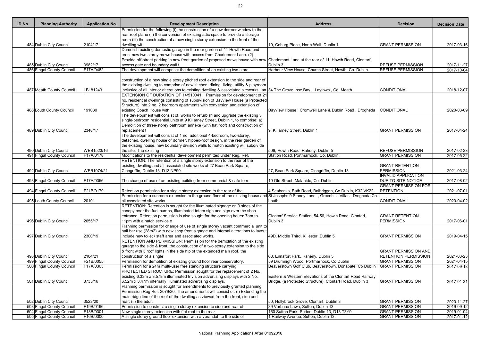| ID No. | <b>Planning Authority</b> | <b>Application No.</b> | <b>Development Description</b>                                                                                                                                                                                   | <b>Address</b>                                                     | <b>Decision</b>             | <b>Decision Date</b>        |
|--------|---------------------------|------------------------|------------------------------------------------------------------------------------------------------------------------------------------------------------------------------------------------------------------|--------------------------------------------------------------------|-----------------------------|-----------------------------|
|        |                           |                        | Permission for the following (i) the construction of a new dormer window to the                                                                                                                                  |                                                                    |                             |                             |
|        |                           |                        | rear roof plane (ii) the conversion of existing attic space to provide a storage                                                                                                                                 |                                                                    |                             |                             |
|        |                           |                        | room (iii) the construction of a new single storey extension to the front of the                                                                                                                                 |                                                                    |                             |                             |
|        | 484 Dublin City Council   | 2104/17                | dwelling wit                                                                                                                                                                                                     | 10, Coburg Place, North Wall, Dublin 1                             | <b>GRANT PERMISSION</b>     | 2017-03-16                  |
|        |                           |                        | Demolish existing domestic garage in the rear garden of 11 Howth Road and                                                                                                                                        |                                                                    |                             |                             |
|        |                           |                        | erect new two storey mews house with access from Charlemont Lane. (2)<br>Provide off-street parking in new front garden of proposed mews house with new Charlemont Lane at the rear of 11, Howth Road, Clontarf, |                                                                    |                             |                             |
|        | 485 Dublin City Council   | 3982/17                | access gate and boundary wall t                                                                                                                                                                                  | Dublin 3                                                           | <b>REFUSE PERMISSION</b>    | 2017-11-27                  |
|        | 486 Fingal County Council | F17A/0482              | The development will comprise: the demolition of an existing two-store                                                                                                                                           | Harbour View House, Church Street, Howth, Co. Dublin.              | <b>REFUSE PERMISSION</b>    | $\overline{2017} - 10 - 04$ |
|        |                           |                        |                                                                                                                                                                                                                  |                                                                    |                             |                             |
|        |                           |                        | construction of a new single storey pitched roof extension to the side and rear of                                                                                                                               |                                                                    |                             |                             |
|        |                           |                        | the existing dwelling to comprise of new kitchen, dining, living, utility & playroom                                                                                                                             |                                                                    |                             |                             |
|        | 487 Meath County Council  | LB181243               | inclusive of all interior alterations to existing dwelling & associated siteworks, Ian 34 The Grove Inse Bay, Laytown, Co. Meath                                                                                 |                                                                    | CONDITIONAL                 | 2018-12-07                  |
|        |                           |                        | EXTENSION OF DURATION OF 14/510041: Permission for development of 21                                                                                                                                             |                                                                    |                             |                             |
|        |                           |                        | no. residential dwellings consisting of subdivision of Bayview House (a Protected                                                                                                                                |                                                                    |                             |                             |
|        |                           |                        | Structure) into 2 no. 2 bedroom apartments with conversion and extension of                                                                                                                                      |                                                                    |                             |                             |
|        | 488 Louth County Council  | 191030                 | existing Coach House with                                                                                                                                                                                        | Bayview House, Cromwell Lane & Dublin Road, Drogheda CONDITIONAL   |                             | 2020-03-09                  |
|        |                           |                        | The development will consist of: works to refurbish and upgrade the existing 3                                                                                                                                   |                                                                    |                             |                             |
|        |                           |                        | single-bedroom residential units at 9 Killarney Street, Dublin 1, to comprise: a)                                                                                                                                |                                                                    |                             |                             |
|        |                           |                        | Demolition of three-storey bathroom annexe (with flat roof) and construction of                                                                                                                                  |                                                                    |                             |                             |
|        | 489 Dublin City Council   | 2348/17                | replacement t                                                                                                                                                                                                    | 9, Killarney Street, Dublin 1                                      | <b>GRANT PERMISSION</b>     | 2017-04-24                  |
|        |                           |                        | The development will consist of 1 no. additional 4-bedroom, two-storey,                                                                                                                                          |                                                                    |                             |                             |
|        |                           |                        | detached, dwelling house of dormer, hipped-roof design, in the rear garden of                                                                                                                                    |                                                                    |                             |                             |
|        |                           |                        | the existing house. new boundary division walls to match existing will subdivide                                                                                                                                 |                                                                    |                             |                             |
|        | 490 Dublin City Council   | WEB1523/16             | the site. The existing                                                                                                                                                                                           | 506, Howth Road, Raheny, Dublin 5                                  | <b>REFUSE PERMISSION</b>    | 2017-02-23                  |
|        | 491 Fingal County Council | F17A/0178              | Modifications to the residential development permitted under Reg. Ref.                                                                                                                                           | Station Road, Portmarnock, Co. Dublin.                             | <b>GRANT PERMISSION</b>     | 2017-05-22                  |
|        |                           |                        | RETENTION: The retention of a single storey extension to the rear of the                                                                                                                                         |                                                                    |                             |                             |
|        |                           |                        | existing dwelling and all associated site works at 27 Beau Park Square,                                                                                                                                          |                                                                    | <b>GRANT RETENTION</b>      |                             |
|        | 492 Dublin City Council   | WEB1074/21             | Clongriffin, Dublin 13, D13 NP90.                                                                                                                                                                                | 27, Beau Park Square, Clongriffin, Dublin 13                       | PERMISSION                  | 2021-03-24                  |
|        |                           |                        |                                                                                                                                                                                                                  |                                                                    | <b>INVALID APPLICATION</b>  |                             |
|        | 493 Fingal County Council | F17A/0356              | The change of use of an existing building from commercial & cafe to re                                                                                                                                           | 10 Old Street, Malahide, Co. Dublin.                               | <b>DUE TO SITE NOTICE</b>   | 2017-08-02                  |
|        |                           |                        |                                                                                                                                                                                                                  |                                                                    | <b>GRANT PERMISSION FOR</b> |                             |
|        | 494 Fingal County Council | F21B/0179              | Retention permission for a single storey extension to the rear of the                                                                                                                                            | 4 Seabanks, Bath Road, Balbriggan, Co Dublin, K32 VK22             | <b>RETENTION</b>            | 2021-07-01                  |
|        |                           |                        | Permission for a sunroom extension to the ground floor of the existing house and St Josephs 9 Stoney Lane, Greenhills Villas, Drogheda Co.                                                                       |                                                                    |                             |                             |
|        | 495 Louth County Council  | 20101                  | all associated site works                                                                                                                                                                                        | Louth                                                              | CONDITIONAL                 | 2020-04-02                  |
|        |                           |                        | RETENTION: Retention is sought for the illuminated signage on 3 sides of the                                                                                                                                     |                                                                    |                             |                             |
|        |                           |                        | canopy over the fuel pumps, illuminated totem sign and sign over the shop<br>entrance. Retention permission is also sought for the opening hours: 7am to                                                         |                                                                    | <b>GRANT RETENTION</b>      |                             |
|        |                           |                        | 11pm with a hatch service o                                                                                                                                                                                      | Clontarf Service Station, 54-56, Howth Road, Clontarf,<br>Dublin 3 | PERMISSION                  |                             |
|        | 496 Dublin City Council   | 2655/17                | Planning permission for change of use of single storey vacant commercial unit to                                                                                                                                 |                                                                    |                             | 2017-06-01                  |
|        |                           |                        | nail bar use (28m2) with new shop front signage and internal alterations to layout                                                                                                                               |                                                                    |                             |                             |
|        | 497 Dublin City Council   | 2300/19                | include new toilet / staff area and associated works.                                                                                                                                                            | 49D, Middle Third, Killester, Dublin 5                             | <b>GRANT PERMISSION</b>     | 2019-04-15                  |
|        |                           |                        | RETENTION AND PERMISSION: Permission for the demolition of the existing                                                                                                                                          |                                                                    |                             |                             |
|        |                           |                        | garage to the side & front, the construction of a two storey extension to the side                                                                                                                               |                                                                    |                             |                             |
|        |                           |                        | & front with 3 roof lights in the side hip of the extended main roof, the                                                                                                                                        |                                                                    | <b>GRANT PERMISSION AND</b> |                             |
|        | 498 Dublin City Council   | 2104/21                | construction of a single                                                                                                                                                                                         | 68, Ennafort Park, Raheny, Dublin 5                                | <b>RETENTION PERMISSION</b> | 2021-03-23                  |
|        | 499 Fingal County Council | F21B/0055              | Permission for demolition of existing ground floor rear conservatory.                                                                                                                                            | 59 Drumnigh Wood, Portmarnock, Co Dublin                           | <b>GRANT PERMISSION</b>     | 2021-04-15                  |
|        | 500 Fingal County Council | F17A/0303              | Permission for a 24m multi-user free standing structure carrying                                                                                                                                                 | Beaverstown Golf Club, Beaverstown, Donabate, Co Dublin            | <b>GRANT PERMISSION</b>     | 2017-09-18                  |
|        |                           |                        | PROTECTED STRUCTURE: Permission sought for the replacement of 2 No.                                                                                                                                              |                                                                    |                             |                             |
|        |                           |                        | existing 6.33m x 3.578m illuminated trivision advertising displays with 2 No.                                                                                                                                    | Eastern & Western Elevations of the Clontarf Road Railway          |                             |                             |
|        | 501 Dublin City Council   | 3735/16                | 6.52m x 3.47m internally illuminated advertising displays.                                                                                                                                                       | Bridge, (a Protected Structure), Clontarf Road, Dublin 3           | <b>GRANT PERMISSION</b>     | 2017-01-31                  |
|        |                           |                        | Planning permission is sought for amendments to previously granted planning                                                                                                                                      |                                                                    |                             |                             |
|        |                           |                        | Permission Reg Ref: 2079/20. The amendments will consist of: (i) Extending the                                                                                                                                   |                                                                    |                             |                             |
|        |                           |                        | main ridge line of the roof of the dwelling as viewed from the front, side and                                                                                                                                   |                                                                    |                             |                             |
|        | 502 Dublin City Council   | 3523/20                | rear: (ii) the addit                                                                                                                                                                                             | 50, Hollybrook Grove, Clontarf, Dublin 3                           | <b>GRANT PERMISSION</b>     | 2020-11-27                  |
|        | 503 Fingal County Council | F19B/0196              | Permission to construct a single storey extension to side and rear of                                                                                                                                            | 39 Verbana Lawn, Sutton, Dublin 13                                 | <b>GRANT PERMISSION</b>     | 2019-09-12                  |
|        | 504 Fingal County Council | F18B/0301              | New single storey extension with flat roof to the rear                                                                                                                                                           | 160 Sutton Park, Sutton, Dublin 13, D13 T3Y9                       | <b>GRANT PERMISSION</b>     | 2019-01-04                  |
|        | 505 Fingal County Council | F16B/0300              | A single storey ground floor extension with a verandah to the side of                                                                                                                                            | 1 Railway Avenue, Sutton, Dublin 13.                               | <b>GRANT PERMISSION</b>     | 2017-01-12                  |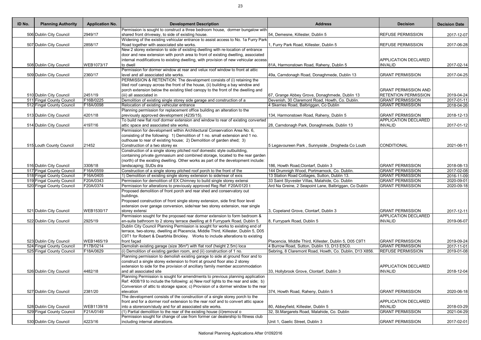| ID No. | <b>Planning Authority</b>                            | <b>Application No.</b> | <b>Development Description</b>                                                                                                         | <b>Address</b>                                                                      | <b>Decision</b>                               | <b>Decision Date</b>     |
|--------|------------------------------------------------------|------------------------|----------------------------------------------------------------------------------------------------------------------------------------|-------------------------------------------------------------------------------------|-----------------------------------------------|--------------------------|
|        |                                                      |                        | Permission is sought to construct a three bedroom house, dormer bungalow with                                                          |                                                                                     |                                               |                          |
|        | 506 Dublin City Council                              | 2949/17                | shared front driveway, to side of existing house.                                                                                      | 54, Demesne, Killester, Dublin 5                                                    | <b>REFUSE PERMISSION</b>                      | 2017-12-07               |
|        |                                                      |                        | Widening of the existing vehicular entrance to assist access to No. 1a Furry Park                                                      |                                                                                     |                                               |                          |
|        | 507 Dublin City Council                              | 2858/17                | Road together with associated site works.                                                                                              | 1, Furry Park Road, Killester, Dublin 5                                             | <b>REFUSE PERMISSION</b>                      | 2017-06-28               |
|        |                                                      |                        | New 2 storey extension to side of existing dwelling with re-location of entrance                                                       |                                                                                     |                                               |                          |
|        |                                                      |                        | door and new extension with porch area to front of existing dwelling, associated                                                       |                                                                                     |                                               |                          |
|        |                                                      |                        | internal modifications to existing dwelling, with provision of new vehicular access                                                    |                                                                                     | <b>APPLICATION DECLARED</b>                   |                          |
|        | 508 Dublin City Council                              | WEB1073/17             | to dwell                                                                                                                               | 81A, Harmonstown Road, Raheny, Dublin 5                                             | <b>INVALID</b>                                | 2017-02-14               |
|        |                                                      |                        | Permission for dormer window at rear and velux roof window to front at attic                                                           |                                                                                     |                                               |                          |
|        | 509 Dublin City Council                              | 2360/17                | level and all associated site works.<br>PERMISSION & RETENTION: The development consists of (i) retaining the                          | 49a, Carndonagh Road, Donaghmede, Dublin 13                                         | <b>GRANT PERMISSION</b>                       | 2017-04-25               |
|        |                                                      |                        | tiled roof canopy across the front of the house, (ii) building a bay window and                                                        |                                                                                     |                                               |                          |
|        |                                                      |                        | porch extension below the existing tiled canopy to the front of the dwelling and                                                       |                                                                                     | <b>GRANT PERMISSION AND</b>                   |                          |
|        | 510 Dublin City Council                              | 2451/19                | (iii) all associated in                                                                                                                | 67, Grange Abbey Grove, Donaghmede, Dublin 13                                       | <b>RETENTION PERMISSION</b>                   | 2019-04-24               |
|        | 511 Fingal County Council                            | F16B/0225              | Demolition of existing single storey side garage and construction of a                                                                 | Devenish, 30 Claremont Road, Howth, Co. Dublin.                                     | <b>GRANT PERMISSION</b>                       | 2017-01-11               |
|        | 512 Fingal County Council                            | F18A/0098              | Relocation of existing vehicular entrance                                                                                              | 4 Skerries Road, Balbriggan, Co Dublin                                              | <b>GRANT PERMISSION</b>                       | 2018-04-26               |
|        |                                                      |                        | Planning permission for replacement office building an alteration to the                                                               |                                                                                     |                                               |                          |
|        | 513 Dublin City Council                              | 4201/18                | previously approved development (4235/15).                                                                                             | 134, Harmonstown Road, Raheny, Dublin 5                                             | <b>GRANT PERMISSION</b>                       | 2018-12-13               |
|        |                                                      |                        | To build new flat roof dormer extension and window to rear of existing converted                                                       |                                                                                     | <b>APPLICATION DECLARED</b>                   |                          |
|        | 514 Dublin City Council                              | 4197/16                | attic space and associated site works.                                                                                                 | 28, Carndonagh Park, Donaghmede, Dublin 13                                          | <b>INVALID</b>                                | 2017-01-12               |
|        |                                                      |                        | Permission for development within Architectural Conservation Area No. 6,                                                               |                                                                                     |                                               |                          |
|        |                                                      |                        | consisting of the following: 1) Demolition of 1 no. small extension and 1 no.                                                          |                                                                                     |                                               |                          |
|        |                                                      |                        | outhouse to rear of existing house; 2) Demolition of garden shed; 3)                                                                   |                                                                                     |                                               |                          |
|        | 515 Louth County Council                             | 21452                  | Construction of a two storey ex                                                                                                        | 5 Legavoureen Park, Sunnyside, Drogheda Co Louth                                    | <b>CONDITIONAL</b>                            | 2021-06-11               |
|        |                                                      |                        | Construction of a single storey pitched roof domestic style outbuilding,                                                               |                                                                                     |                                               |                          |
|        |                                                      |                        | containing private gymnasium and combined storage, located to the rear garden                                                          |                                                                                     |                                               |                          |
|        |                                                      |                        | (north) of the existing dwelling. Other works as part of the development include:                                                      |                                                                                     |                                               |                          |
|        | 516 Dublin City Council                              | 3308/18                | landscaping; SUDs dra                                                                                                                  | 186, Howth Road, Clontarf, Dublin 3                                                 | <b>GRANT PERMISSION</b>                       | 2018-08-13               |
|        | 517 Fingal County Council                            | F16A/0559              | Construction of a single storey pitched roof porch to the front of the                                                                 | 144 Drumnigh Wood, Portmarnock, Co. Dublin.                                         | <b>GRANT PERMISSION</b>                       | 2017-02-08               |
|        | 518 Fingal County Council                            | F16A/0405              | 1) Demolition of existing single storey extension to side/rear of exis                                                                 | 13 Station Road Cottages, Sutton, Dublin 13.                                        | <b>GRANT PERMISSION</b>                       | 2016-11-09               |
|        | 519 Fingal County Council                            | F20A/0343              | Permission for demolition of EX Chimney to build single storey extensi                                                                 | 33 Saint Slyvester Villas, Malahide, Co. Dublin                                     | <b>GRANT PERMISSION</b>                       | 2020-09-01               |
|        | 520 Fingal County Council                            | F20A/0374              | Permission for alterations to previously approved Reg Ref: F20A/0120 t                                                                 | Ard Na Greine, 2 Seapoint Lane, Balbriggan, Co Dublin                               | <b>GRANT PERMISSION</b>                       | 2020-09-18               |
|        |                                                      |                        | Proposed demolition of front porch and rear shed and conservatory out                                                                  |                                                                                     |                                               |                          |
|        |                                                      |                        | buildings.                                                                                                                             |                                                                                     |                                               |                          |
|        |                                                      |                        | Proposed construction of front single storey extension, side first floor level                                                         |                                                                                     |                                               |                          |
|        |                                                      |                        | extension over garage conversion, side/rear two storey extension, rear single                                                          |                                                                                     |                                               |                          |
|        | 521 Dublin City Council                              | WEB1530/17             | storey extensi                                                                                                                         | 3, Copeland Grove, Clontarf, Dublin 3                                               | <b>GRANT PERMISSION</b>                       | 2017-12-11               |
|        |                                                      |                        | Permission sought for the proposed rear dormer extension to form bedroom &                                                             |                                                                                     | <b>APPLICATION DECLARED</b>                   |                          |
|        | 522 Dublin City Council                              | 2925/19                | en-suite bathroom to 2 storey terrace dwelling at 8 Furrypark Road, Dublin 5.                                                          | 8, Furrypark Road, Dublin 5                                                         | <b>INVALID</b>                                | 2019-06-07               |
|        |                                                      |                        | Dublin City Council Planning Permission is sought for works to existing end of                                                         |                                                                                     |                                               |                          |
|        |                                                      |                        | terrace, two-storey, dwelling at Placencia, Middle Third, Killester, Dublin 5, D05                                                     |                                                                                     |                                               |                          |
|        |                                                      |                        | C9T1 for Robert & Dearbhla Brickley. Works to include alterations to existing                                                          |                                                                                     |                                               |                          |
|        | 523 Dublin City Council                              | WEB1465/19             | front façad                                                                                                                            | Placencia, Middle Third, Killester, Dublin 5, D05 C9T1                              | <b>GRANT PERMISSION</b>                       | 2019-09-24               |
|        | 524 Fingal County Council                            | F17B/0214              | Demolish existing garage (size 36m <sup>2</sup> ) with flat roof (height 2.5m) loca                                                    | 4 Burrow Road, Sutton, Dublin 13, D13 E5C0.                                         | <b>GRANT PERMISSION</b>                       | 2017-11-01               |
|        | 525 Fingal County Council                            | F18A/0629              | $(i)$ Demolition of existing garden room, and (ii) construction of 1 no.                                                               | Sebring, 8 Claremont Road, Howth, Co. Dublin, D13 X856                              | <b>REFUSE PERMISSION</b>                      | 2019-01-08               |
|        |                                                      |                        | Planning permission to demolish existing garage to side at ground floor and to                                                         |                                                                                     |                                               |                          |
|        |                                                      |                        | construct a single storey extension to front at ground floor also 2 storey                                                             |                                                                                     |                                               |                          |
|        |                                                      |                        | extension to side for the provision of ancillary family member accommodation                                                           |                                                                                     | <b>APPLICATION DECLARED</b>                   |                          |
|        | 526 Dublin City Council                              | 4482/18                | and all associated site                                                                                                                | 33, Hollybrook Grove, Clontarf, Dublin 3                                            | <b>INVALID</b>                                | 2018-12-04               |
|        |                                                      |                        | Planning Permission is sought for amendments to previous planning application                                                          |                                                                                     |                                               |                          |
|        |                                                      |                        | Ref: 4008/19 to include the following: a) New roof lights to the rear and side; b)                                                     |                                                                                     |                                               |                          |
|        |                                                      |                        | Conversion of attic to storage space; c) Provision of a dormer window to the rear                                                      |                                                                                     |                                               |                          |
|        | 527 Dublin City Council                              | 2381/20                | elevation                                                                                                                              | 374, Howth Road, Raheny, Dublin 5                                                   | <b>GRANT PERMISSION</b>                       | 2020-06-18               |
|        |                                                      |                        | The development consists of the construction of a single storey porch to the                                                           |                                                                                     |                                               |                          |
|        |                                                      | WEB1139/18             | front and for a dormer roof extension to the rear roof and to convert attic space                                                      |                                                                                     | <b>APPLICATION DECLARED</b><br><b>INVALID</b> |                          |
|        | 528 Dublin City Council<br>529 Fingal County Council | F21A/0149              | into a storeroom/study and for all associated site works.<br>$(1)$ Partial demolition to the rear of the existing house (ii) removal o | 80, Abbeyfield, Killester, Dublin 5<br>32, St. Margarets Road, Malahide, Co. Dublin | <b>GRANT PERMISSION</b>                       | 2018-03-29<br>2021-04-29 |
|        |                                                      |                        | Permission sought for change of use from former car dealership to fitness club                                                         |                                                                                     |                                               |                          |
|        | 530 Dublin City Council                              | 4223/16                | including internal alterations.                                                                                                        | Unit 1, Gaelic Street, Dublin 3                                                     | <b>GRANT PERMISSION</b>                       | 2017-02-01               |
|        |                                                      |                        |                                                                                                                                        |                                                                                     |                                               |                          |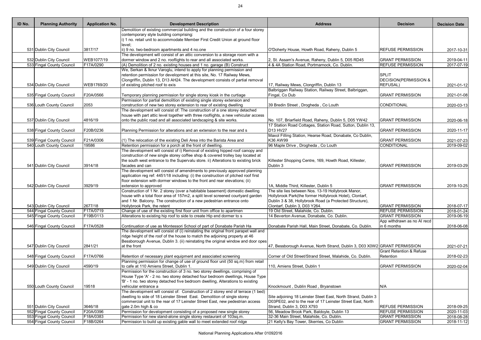| ID No. | <b>Planning Authority</b> | <b>Application No.</b> | <b>Development Description</b>                                                                                                                                | <b>Address</b>                                                                                                              | <b>Decision</b>                     | <b>Decision Date</b> |
|--------|---------------------------|------------------------|---------------------------------------------------------------------------------------------------------------------------------------------------------------|-----------------------------------------------------------------------------------------------------------------------------|-------------------------------------|----------------------|
|        |                           |                        | Demolition of existing commercial building and the construction of a four storey                                                                              |                                                                                                                             |                                     |                      |
|        |                           |                        | contemporary style building comprising:<br>i) 1 no. retail unit to accommodate Member First Credit Union at ground floor                                      |                                                                                                                             |                                     |                      |
|        |                           |                        | level:                                                                                                                                                        |                                                                                                                             |                                     |                      |
|        | 531 Dublin City Council   | 3817/17                | ii) 9 no. two-bedroom apartments and 4 no.one                                                                                                                 | O'Doherty House, Howth Road, Raheny, Dublin 5                                                                               | <b>REFUSE PERMISSION</b>            | 2017-10-31           |
|        |                           |                        | The development will consist of an attic conversion to a storage room with a                                                                                  |                                                                                                                             |                                     |                      |
|        | 532 Dublin City Council   | WEB1077/19             | dormer window and 2 no. rooflights to rear and all associated works.                                                                                          | 2, St. Assam's Avenue, Raheny, Dublin 5, D05 RD45                                                                           | <b>GRANT PERMISSION</b>             | 2019-04-11           |
|        | 533 Fingal County Council | F17A/0290              | (A) Demolition of 2 no. existing houses and 1 no. garage (B) Construct                                                                                        | 4 & 4A Station Road, Portmarnock, Co. Dublin.                                                                               | <b>REFUSE PERMISSION</b>            | 2017-07-19           |
|        |                           |                        | We, Serkan & Iknur Varoglu, intend to apply for planning permission and                                                                                       |                                                                                                                             |                                     |                      |
|        |                           |                        | retention permission for development at this site, No. 17 Railway Mews,                                                                                       |                                                                                                                             | <b>SPLIT</b>                        |                      |
|        |                           |                        | Clongriffin, Dublin 13, D13 AH24. The development consists of partial removal                                                                                 |                                                                                                                             | <b>DECISION(PERMISSION &amp;</b>    |                      |
|        | 534 Dublin City Council   | WEB1769/20             | of existing pitched roof to exis                                                                                                                              | 17, Railway Mews, Clongriffin, Dublin 13                                                                                    | <b>REFUSAL)</b>                     | 2021-01-12           |
|        |                           | F20A/0566              |                                                                                                                                                               | Balbriggan Railway Station, Railway Street, Balbriggan,<br>Fingal, Co Dub                                                   | <b>GRANT PERMISSION</b>             |                      |
|        | 535 Fingal County Council |                        | Temporary planning permission for single storey kiosk in the curtiage<br>Permission for partial demolition of existing single storey extension and            |                                                                                                                             |                                     | 2021-01-08           |
|        | 536 Louth County Council  | 2053                   | construction of new two storey extension to rear of existing dwelling                                                                                         | 39 Bredin Street, Drogheda, Co Louth                                                                                        | CONDITIONAL                         | 2020-03-13           |
|        |                           |                        | The development will consist of: The construction of a one storey detached                                                                                    |                                                                                                                             |                                     |                      |
|        |                           |                        | house with part attic level together with three rooflights, a new vehicular access                                                                            |                                                                                                                             |                                     |                      |
|        | 537 Dublin City Council   | 4816/19                | onto the public road and all associated landscaping & site works.                                                                                             | No. 107, Briarfield Road, Raheny, Dublin 5, D05 YW42                                                                        | <b>GRANT PERMISSION</b>             | 2020-06-18           |
|        |                           |                        |                                                                                                                                                               | 17 Station Road Cottages, Station Road, Sutton, Dublin 13,                                                                  |                                     |                      |
|        | 538 Fingal County Council | F20B/0236              | Planning Permission for alterations and an extension to the rear and s                                                                                        | D <sub>13</sub> H <sub>V27</sub>                                                                                            | <b>GRANT PERMISSION</b>             | 2020-11-17           |
|        |                           |                        |                                                                                                                                                               | Maxol Filling Station, Hearse Road, Donabate, Co Dublin,                                                                    |                                     |                      |
|        | 539 Fingal County Council | F21A/0306              | (1) The relocation of the existing Deli Area into the Barista Area and                                                                                        | K36 AW99                                                                                                                    | <b>GRANT PERMISSION</b>             | 2021-07-23           |
|        | 540 Louth County Council  | 19586                  | Retention permission for a porch at the front of dwelling.                                                                                                    | 96 Maple Drive, Drogheda, Co Louth                                                                                          | <b>CONDITIONAL</b>                  | 2019-09-02           |
|        |                           |                        | The development will consist of i) Removal of existing hipped roof canopy and                                                                                 |                                                                                                                             |                                     |                      |
|        |                           |                        | construction of new single storey coffee shop & covered trolley bay located at                                                                                |                                                                                                                             |                                     |                      |
|        | 541 Dublin City Council   | 3914/18                | the south west entrance to the Supervalu store. ii) Alterations to existing brick<br>facades and can                                                          | Killester Shopping Centre, 169, Howth Road, Killester,<br>Dublin 3                                                          | <b>GRANT PERMISSION</b>             | 2019-03-29           |
|        |                           |                        | The development will consist of amendments to previously approved planning                                                                                    |                                                                                                                             |                                     |                      |
|        |                           |                        | application reg ref: 4451/18 including: (i) the construction of pitched roof first                                                                            |                                                                                                                             |                                     |                      |
|        |                           |                        | floor extension with dormer windows to the front and rear elevations; (ii)                                                                                    |                                                                                                                             |                                     |                      |
|        | 542 Dublin City Council   | 3929/19                | extension to approved                                                                                                                                         | 1A, Middle Third, Killester, Dublin 5                                                                                       | <b>GRANT PERMISSION</b>             | 2019-10-25           |
|        |                           |                        | Construction of 1 Nr. 2 storey (over a habitable basement) domestic dwelling                                                                                  | The site lies between Nos. 13-19 Hollybrook Manor,                                                                          |                                     |                      |
|        |                           |                        | house with a total floor area of 157m2, a split level screened courtyard garden                                                                               | Hollybrook Park(the former Hollybrook Hotel), Clontarf,                                                                     |                                     |                      |
|        |                           |                        | and 1 Nr. Balcony. The construction of a new pedestrian entrance onto                                                                                         | Dublin 3 & 38, Hollybrook Road (a Protected Structure),                                                                     |                                     |                      |
|        | 543 Dublin City Council   | 2677/18                | Hollybrook Park, the retent                                                                                                                                   | Clontarf, Dublin 3, D03 Y264.                                                                                               | <b>GRANT PERMISSION</b>             | 2018-07-17           |
|        | 544 Fingal County Council | F17A/0719              | Change of use of the existing first floor unit from office to apartmen                                                                                        | 19 Old Street, Malahide, Co. Dublin.                                                                                        | <b>REFUSE PERMISSION</b>            | 2018-01-24           |
|        | 545 Fingal County Council | F19B/0113              | Alterations to existing hip roof to side to create Hip end dormer to s                                                                                        | 14 Beverton Avenue, Donabate, Co. Dublin.                                                                                   | <b>GRANT PERMISSION</b>             | 2019-06-19           |
|        |                           |                        |                                                                                                                                                               |                                                                                                                             | App withdrawn as no AI recd         |                      |
|        | 546 Fingal County Council | F17A/0528              | Continuation of use as Montessori School of part of Donabate Parish Ha<br>The development will consist of (i) reinstating the original front parapet wall and | Donabate Parish Hall, Main Street, Donabate, Co. Dublin.                                                                    | in 6 months                         | 2018-06-08           |
|        |                           |                        | ridge height of the roof of the house to match the adjoining property at 46                                                                                   |                                                                                                                             |                                     |                      |
|        |                           |                        | Bessborough Avenue, Dublin 3. (ii) reinstating the original window and door opes                                                                              |                                                                                                                             |                                     |                      |
|        | 547 Dublin City Council   | 2841/21                | at the front                                                                                                                                                  | 47, Bessborough Avenue, North Strand, Dublin 3, D03 X0W2 GRANT PERMISSION                                                   |                                     | 2021-07-21           |
|        |                           |                        |                                                                                                                                                               |                                                                                                                             | <b>Grant Retention &amp; Refuse</b> |                      |
|        | 548 Fingal County Council | F17A/0766              | Retention of necessary plant equipment and associated screening                                                                                               | Corner of Old Street/Strand Street, Malahide, Co. Dublin.                                                                   | Retention                           | 2018-02-23           |
|        |                           |                        | Planning permission for change of use of ground floor unit (50 sq.m) from retail                                                                              |                                                                                                                             |                                     |                      |
|        | 549 Dublin City Council   | 4590/19                | to cafe at 110 Amiens Street, Dublin 1.                                                                                                                       | 110, Amiens Street, Dublin 1                                                                                                | <b>GRANT PERMISSION</b>             | 2020-02-04           |
|        |                           |                        | Permission for the construction of 3 no. two storey dwellings, comprising of                                                                                  |                                                                                                                             |                                     |                      |
|        |                           |                        | House Type 'A' - 2 no. two storey detached four bedroom dwellings, House Type                                                                                 |                                                                                                                             |                                     |                      |
|        |                           |                        | 'B' - 1 no. two storey detached five bedroom dwelling, Alterations to existing                                                                                |                                                                                                                             |                                     |                      |
|        | 550 Louth County Council  | 19518                  | vehicular entrance a                                                                                                                                          | Knockmount, Dublin Road, Bryanstown                                                                                         | N/A                                 |                      |
|        |                           |                        | The development will consist of: Construction of 2 storey end of terrace (1 bed)                                                                              |                                                                                                                             |                                     |                      |
|        |                           |                        | dwelling to side of 18 Leinster Street East. Demolition of single storey<br>commercial unit to the rear of 17 Leinster Street East, new pedestrian access     | Site adjoining 18 Leinster Steet East, North Strand, Dublin 3<br>D03PE02, and to the rear of 17 Leinster Street East, North |                                     |                      |
|        | 551 Dublin City Council   | 3646/18                | gate 2.0m high & co                                                                                                                                           | Strand, Dublin 3, D03 X793                                                                                                  | <b>REFUSE PERMISSION</b>            | 2018-09-25           |
|        | 552 Fingal County Council | F20A/0396              | Permission for development consisting of a proposed new single storey                                                                                         | 56, Meadow Brook Park, Baldoyle, Dublin 13                                                                                  | <b>REFUSE PERMISSION</b>            | 2020-11-03           |
|        | 553 Fingal County Council | F18A/0383              | Permission for new stand-alone single storey restaurant of 103sq.m.                                                                                           | 32-36 Main Street, Malahide, Co. Dublin.                                                                                    | <b>GRANT PERMISSION</b>             | 2018-08-28           |
|        | 554 Fingal County Council | F18B/0264              | Permission to build up existing gable wall to meet extended roof ridge                                                                                        | 21 Kelly's Bay Tower, Skerries, Co Dublin                                                                                   | <b>GRANT PERMISSION</b>             | 2018-11-12           |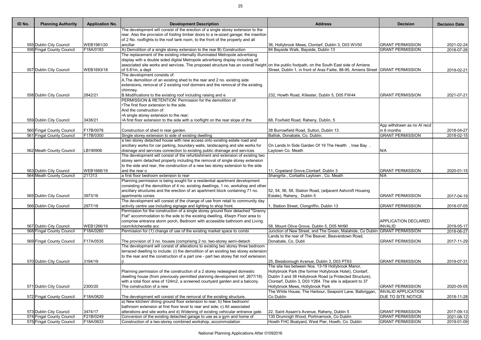| rear. Also the provision of folding timber doors to a re-sized garage; the insertion<br>of 2 No. rooflights to the roof tank room, to the front of the property and all<br>555 Dublin City Council<br>WEB1981/20<br>lancillar<br><b>GRANT PERMISSION</b><br>36, Hollybrook Mews, Clontarf, Dublin 3, D03 WV50<br>2021-02-24<br>556 Fingal County Council<br>F18A/0183<br>A) Demolition of a single storey extension to the rear B) Construction<br>84 Bayside Walk, Bayside, Dublin 13<br><b>GRANT PERMISSION</b><br>2018-07-26<br>The replacement of the existing internally illuminated Metropole advertising<br>display with a double sided digital Metropole advertising display including all<br>associated site works and services. The proposed structure has an overall height on the public footpath, on the South East side of Amiens<br>Street, Dublin 1, in front of Aras Failte, 88-95, Amiens Street GRANT PERMISSION<br>557 Dublin City Council<br>WEB1693/18<br>of 5.81m, a dept<br>2019-02-21<br>The development consists of:<br>A. The demolition of an existing shed to the rear and 2 no. existing side<br>extensions, removal of 2 existing roof dormers and the removal of the existing<br>chimney.<br>B. Modifications to the existing roof including raising and e<br>558 Dublin City Council<br>2842/21<br>232, Howth Road, Killester, Dublin 5, D05 FW44<br><b>GRANT PERMISSION</b><br>2021-07-21<br>PERMISSION & RETENTION: Permission for the demolition of:<br>.The first floor extension to the side.<br>And the construction of:<br>•A single storey extension to the rear;<br>559 Dublin City Council<br>3438/21<br>•A first floor extension to the side with a rooflight on the rear slope of the<br>68, Foxfield Road, Raheny, Dublin, 5<br>App withdrawn as no AI recd<br>in 6 months<br>560 Fingal County Council<br>F17B/0076<br>Construction of shed in rear garden.<br>38 Burrowfield Road, Sutton, Dublin 13<br>2018-04-27<br>561 Fingal County Council<br>F17B/0300<br>Single storey extension to side of existing dwelling<br>Ballisk, Donabate, Co. Dublin.<br><b>GRANT PERMISSION</b><br>2018-02-15<br>a two storey detached house with new access onto existing estate road and<br>ancillary works for car parking, boundary walls, landscaping and site works for<br>On Lands In Side Garden Of 19 The Health, Inse Bay,<br>562 Meath County Council<br>LB190906<br>drainage and services connection to existing public drainage and services<br>N/A<br>Laytown Co. Meath<br>The development will consist of the refurbishment and extension of existing two<br>storey semi detached property including the removal of single storey extension<br>to the side and rear, the construction of a new two storey extension to the side<br>WEB1666/19<br>and the rear o<br><b>GRANT PERMISSION</b><br>563 Dublin City Council<br>11, Copeland Grove, Clontarf, Dublin 3<br>2020-01-15<br>564 Meath County Council<br>211313<br>la first floor bedroom extension to rear<br>Shangrila, Corballis Laytown, Co. Meath<br>N/A<br>Planning permission is being sought for a residential apartment development<br>consisting of the demolition of 4 no. existing dwellings, 1 no. workshop and other<br>ancillary structures and the erection of an apartment block containing 71 no.<br>52, 54, 56, 58, Station Road, (adjacent Ashcroft Housing<br>565 Dublin City Council<br>3973/16<br>Estate), Raheny, Dublin 5<br><b>GRANT PERMISSION</b><br>apartments consis<br>2017-04-19<br>The development will consist of the change of use from retail to community day<br>2977/18<br>activity centre use including signage and lighting to shop front.<br>, Station Street, Clongriffin, Dublin 13<br><b>GRANT PERMISSION</b><br>566 Dublin City Council<br>2018-07-05<br>Permission for the construction of a single storey ground floor detached "Granny<br>Flat" accommodation to the side to the existing dwelling, 45sqm Floor area to<br>comprise entrance storm porch, Bedroom with accessible bathroom and Living<br><b>APPLICATION DECLARED</b><br>567 Dublin City Council<br>WEB1266/19<br>room/kitchenette acc<br>58, Mount Olive Grove, Dublin 5, D05 NH90<br><b>INVALID</b><br>2019-05-17<br>Junction of New Street, and The Green, Malahide, Co Dublin GRANT PERMISSION<br>568 Fingal County Council<br>F18A/0260<br>Permission for (1) change of use of the existing market space to combi<br>2018-06-27<br>Lands to the rear of The Beaver, Beaverstown Road,<br>569 Fingal County Council<br>F17A/0535<br>Donabate, Co. Dubli<br><b>GRANT PERMISSION</b><br>The provision of 3 no. houses (comprising 2 no. two-storey semi-detach<br>2017-11-29<br>The development will consist of alterations to existing two storey three bedroom<br>terraced dwelling to include: (i) the demolition of an existing two storey extension<br>to the rear and the construction of a part one - part two storey flat roof extension;<br>570 Dublin City Council<br><b>GRANT PERMISSION</b><br>3194/19<br>25, Bessborough Avenue, Dublin 3, D03 PT63<br>2019-07-31<br>The site lies between Nos. 13-19 Hollybrook Manor,<br>Planning permission of the construction of a 2 storey redesigned domestic<br>Hollybrook Park (the former Hollybrook Hotel), Clontarf,<br>dwelling house (from previously permitted planning development ref; 2677/18)<br>Dublin 3 and 38 Hollybrook Road (a Protected Structure),<br>with a total floor area of 124m2, a screened courtyard garden and a balcony.<br>Clontarf, Dublin 3, D03 Y264. The site is adjacent to 37<br>2300/20<br>Hollybrook Mews, Hollybrook Park<br><b>GRANT PERMISSION</b><br>571 Dublin City Council<br>The construction of a new<br>2020-05-05<br>The White House, The Harbour, Seapoint Lane, Balbriggan,<br><b>INVALID APPLICATION</b><br>The development will consist of the removal of the existing structure,<br>572 Fingal County Council<br>F18A/0620<br>Co Dublin<br>DUE TO SITE NOTICE<br>a) New kitchen/ dining ground floor extension to rear; b) New bedroom/<br>bathroom extension at first floor level to rear and side; c) All associated<br>3474/17<br>573 Dublin City Council<br>alterations and site works and d) Widening of existing vehicular entrance gate.<br>22, Saint Assam's Avenue, Raheny, Dublin 5<br><b>GRANT PERMISSION</b><br>574 Fingal County Council<br>F21B/0249<br>130 Drumnigh Wood, Portmarnock, Co Dublin<br>Conversion of the existing detached garage to use as a gym and home of<br><b>GRANT PERMISSION</b><br>2021-08-12<br>575 Fingal County Council<br>F18A/0633<br>Howth FHC Boatyard, West Pier, Howth, Co. Dublin<br><b>GRANT PERMISSION</b><br>Construction of a two-storey combined workshop, accommodation | ID No. | <b>Planning Authority</b> | <b>Application No.</b> | <b>Development Description</b>                                                   | <b>Address</b> | <b>Decision</b> | <b>Decision Date</b> |
|-------------------------------------------------------------------------------------------------------------------------------------------------------------------------------------------------------------------------------------------------------------------------------------------------------------------------------------------------------------------------------------------------------------------------------------------------------------------------------------------------------------------------------------------------------------------------------------------------------------------------------------------------------------------------------------------------------------------------------------------------------------------------------------------------------------------------------------------------------------------------------------------------------------------------------------------------------------------------------------------------------------------------------------------------------------------------------------------------------------------------------------------------------------------------------------------------------------------------------------------------------------------------------------------------------------------------------------------------------------------------------------------------------------------------------------------------------------------------------------------------------------------------------------------------------------------------------------------------------------------------------------------------------------------------------------------------------------------------------------------------------------------------------------------------------------------------------------------------------------------------------------------------------------------------------------------------------------------------------------------------------------------------------------------------------------------------------------------------------------------------------------------------------------------------------------------------------------------------------------------------------------------------------------------------------------------------------------------------------------------------------------------------------------------------------------------------------------------------------------------------------------------------------------------------------------------------------------------------------------------------------------------------------------------------------------------------------------------------------------------------------------------------------------------------------------------------------------------------------------------------------------------------------------------------------------------------------------------------------------------------------------------------------------------------------------------------------------------------------------------------------------------------------------------------------------------------------------------------------------------------------------------------------------------------------------------------------------------------------------------------------------------------------------------------------------------------------------------------------------------------------------------------------------------------------------------------------------------------------------------------------------------------------------------------------------------------------------------------------------------------------------------------------------------------------------------------------------------------------------------------------------------------------------------------------------------------------------------------------------------------------------------------------------------------------------------------------------------------------------------------------------------------------------------------------------------------------------------------------------------------------------------------------------------------------------------------------------------------------------------------------------------------------------------------------------------------------------------------------------------------------------------------------------------------------------------------------------------------------------------------------------------------------------------------------------------------------------------------------------------------------------------------------------------------------------------------------------------------------------------------------------------------------------------------------------------------------------------------------------------------------------------------------------------------------------------------------------------------------------------------------------------------------------------------------------------------------------------------------------------------------------------------------------------------------------------------------------------------------------------------------------------------------------------------------------------------------------------------------------------------------------------------------------------------------------------------------------------------------------------------------------------------------------------------------------------------------------------------------------------------------------------------------------------------------------------------------------------------------------------------------------------------------------------------------------------------------------------------------------------------------------------------------------------------------------------------------------------------------------------------------------------------------------------------------------------------------------------------------------------------------------------------------------------------------------------------------------------------------------------------------------------------------------------------------------------------------------------------------------------------------------------------------------------------------------------------------------------------------------------------------------------------------------------------------------------------------------------------------------------------------------|--------|---------------------------|------------------------|----------------------------------------------------------------------------------|----------------|-----------------|----------------------|
|                                                                                                                                                                                                                                                                                                                                                                                                                                                                                                                                                                                                                                                                                                                                                                                                                                                                                                                                                                                                                                                                                                                                                                                                                                                                                                                                                                                                                                                                                                                                                                                                                                                                                                                                                                                                                                                                                                                                                                                                                                                                                                                                                                                                                                                                                                                                                                                                                                                                                                                                                                                                                                                                                                                                                                                                                                                                                                                                                                                                                                                                                                                                                                                                                                                                                                                                                                                                                                                                                                                                                                                                                                                                                                                                                                                                                                                                                                                                                                                                                                                                                                                                                                                                                                                                                                                                                                                                                                                                                                                                                                                                                                                                                                                                                                                                                                                                                                                                                                                                                                                                                                                                                                                                                                                                                                                                                                                                                                                                                                                                                                                                                                                                                                                                                                                                                                                                                                                                                                                                                                                                                                                                                                                                                                                                                                                                                                                                                                                                                                                                                                                                                                                                                                                                                             |        |                           |                        | The development will consist of the erection of a single storey extension to the |                |                 |                      |
|                                                                                                                                                                                                                                                                                                                                                                                                                                                                                                                                                                                                                                                                                                                                                                                                                                                                                                                                                                                                                                                                                                                                                                                                                                                                                                                                                                                                                                                                                                                                                                                                                                                                                                                                                                                                                                                                                                                                                                                                                                                                                                                                                                                                                                                                                                                                                                                                                                                                                                                                                                                                                                                                                                                                                                                                                                                                                                                                                                                                                                                                                                                                                                                                                                                                                                                                                                                                                                                                                                                                                                                                                                                                                                                                                                                                                                                                                                                                                                                                                                                                                                                                                                                                                                                                                                                                                                                                                                                                                                                                                                                                                                                                                                                                                                                                                                                                                                                                                                                                                                                                                                                                                                                                                                                                                                                                                                                                                                                                                                                                                                                                                                                                                                                                                                                                                                                                                                                                                                                                                                                                                                                                                                                                                                                                                                                                                                                                                                                                                                                                                                                                                                                                                                                                                             |        |                           |                        |                                                                                  |                |                 |                      |
|                                                                                                                                                                                                                                                                                                                                                                                                                                                                                                                                                                                                                                                                                                                                                                                                                                                                                                                                                                                                                                                                                                                                                                                                                                                                                                                                                                                                                                                                                                                                                                                                                                                                                                                                                                                                                                                                                                                                                                                                                                                                                                                                                                                                                                                                                                                                                                                                                                                                                                                                                                                                                                                                                                                                                                                                                                                                                                                                                                                                                                                                                                                                                                                                                                                                                                                                                                                                                                                                                                                                                                                                                                                                                                                                                                                                                                                                                                                                                                                                                                                                                                                                                                                                                                                                                                                                                                                                                                                                                                                                                                                                                                                                                                                                                                                                                                                                                                                                                                                                                                                                                                                                                                                                                                                                                                                                                                                                                                                                                                                                                                                                                                                                                                                                                                                                                                                                                                                                                                                                                                                                                                                                                                                                                                                                                                                                                                                                                                                                                                                                                                                                                                                                                                                                                             |        |                           |                        |                                                                                  |                |                 |                      |
|                                                                                                                                                                                                                                                                                                                                                                                                                                                                                                                                                                                                                                                                                                                                                                                                                                                                                                                                                                                                                                                                                                                                                                                                                                                                                                                                                                                                                                                                                                                                                                                                                                                                                                                                                                                                                                                                                                                                                                                                                                                                                                                                                                                                                                                                                                                                                                                                                                                                                                                                                                                                                                                                                                                                                                                                                                                                                                                                                                                                                                                                                                                                                                                                                                                                                                                                                                                                                                                                                                                                                                                                                                                                                                                                                                                                                                                                                                                                                                                                                                                                                                                                                                                                                                                                                                                                                                                                                                                                                                                                                                                                                                                                                                                                                                                                                                                                                                                                                                                                                                                                                                                                                                                                                                                                                                                                                                                                                                                                                                                                                                                                                                                                                                                                                                                                                                                                                                                                                                                                                                                                                                                                                                                                                                                                                                                                                                                                                                                                                                                                                                                                                                                                                                                                                             |        |                           |                        |                                                                                  |                |                 |                      |
|                                                                                                                                                                                                                                                                                                                                                                                                                                                                                                                                                                                                                                                                                                                                                                                                                                                                                                                                                                                                                                                                                                                                                                                                                                                                                                                                                                                                                                                                                                                                                                                                                                                                                                                                                                                                                                                                                                                                                                                                                                                                                                                                                                                                                                                                                                                                                                                                                                                                                                                                                                                                                                                                                                                                                                                                                                                                                                                                                                                                                                                                                                                                                                                                                                                                                                                                                                                                                                                                                                                                                                                                                                                                                                                                                                                                                                                                                                                                                                                                                                                                                                                                                                                                                                                                                                                                                                                                                                                                                                                                                                                                                                                                                                                                                                                                                                                                                                                                                                                                                                                                                                                                                                                                                                                                                                                                                                                                                                                                                                                                                                                                                                                                                                                                                                                                                                                                                                                                                                                                                                                                                                                                                                                                                                                                                                                                                                                                                                                                                                                                                                                                                                                                                                                                                             |        |                           |                        |                                                                                  |                |                 |                      |
|                                                                                                                                                                                                                                                                                                                                                                                                                                                                                                                                                                                                                                                                                                                                                                                                                                                                                                                                                                                                                                                                                                                                                                                                                                                                                                                                                                                                                                                                                                                                                                                                                                                                                                                                                                                                                                                                                                                                                                                                                                                                                                                                                                                                                                                                                                                                                                                                                                                                                                                                                                                                                                                                                                                                                                                                                                                                                                                                                                                                                                                                                                                                                                                                                                                                                                                                                                                                                                                                                                                                                                                                                                                                                                                                                                                                                                                                                                                                                                                                                                                                                                                                                                                                                                                                                                                                                                                                                                                                                                                                                                                                                                                                                                                                                                                                                                                                                                                                                                                                                                                                                                                                                                                                                                                                                                                                                                                                                                                                                                                                                                                                                                                                                                                                                                                                                                                                                                                                                                                                                                                                                                                                                                                                                                                                                                                                                                                                                                                                                                                                                                                                                                                                                                                                                             |        |                           |                        |                                                                                  |                |                 |                      |
|                                                                                                                                                                                                                                                                                                                                                                                                                                                                                                                                                                                                                                                                                                                                                                                                                                                                                                                                                                                                                                                                                                                                                                                                                                                                                                                                                                                                                                                                                                                                                                                                                                                                                                                                                                                                                                                                                                                                                                                                                                                                                                                                                                                                                                                                                                                                                                                                                                                                                                                                                                                                                                                                                                                                                                                                                                                                                                                                                                                                                                                                                                                                                                                                                                                                                                                                                                                                                                                                                                                                                                                                                                                                                                                                                                                                                                                                                                                                                                                                                                                                                                                                                                                                                                                                                                                                                                                                                                                                                                                                                                                                                                                                                                                                                                                                                                                                                                                                                                                                                                                                                                                                                                                                                                                                                                                                                                                                                                                                                                                                                                                                                                                                                                                                                                                                                                                                                                                                                                                                                                                                                                                                                                                                                                                                                                                                                                                                                                                                                                                                                                                                                                                                                                                                                             |        |                           |                        |                                                                                  |                |                 |                      |
|                                                                                                                                                                                                                                                                                                                                                                                                                                                                                                                                                                                                                                                                                                                                                                                                                                                                                                                                                                                                                                                                                                                                                                                                                                                                                                                                                                                                                                                                                                                                                                                                                                                                                                                                                                                                                                                                                                                                                                                                                                                                                                                                                                                                                                                                                                                                                                                                                                                                                                                                                                                                                                                                                                                                                                                                                                                                                                                                                                                                                                                                                                                                                                                                                                                                                                                                                                                                                                                                                                                                                                                                                                                                                                                                                                                                                                                                                                                                                                                                                                                                                                                                                                                                                                                                                                                                                                                                                                                                                                                                                                                                                                                                                                                                                                                                                                                                                                                                                                                                                                                                                                                                                                                                                                                                                                                                                                                                                                                                                                                                                                                                                                                                                                                                                                                                                                                                                                                                                                                                                                                                                                                                                                                                                                                                                                                                                                                                                                                                                                                                                                                                                                                                                                                                                             |        |                           |                        |                                                                                  |                |                 |                      |
|                                                                                                                                                                                                                                                                                                                                                                                                                                                                                                                                                                                                                                                                                                                                                                                                                                                                                                                                                                                                                                                                                                                                                                                                                                                                                                                                                                                                                                                                                                                                                                                                                                                                                                                                                                                                                                                                                                                                                                                                                                                                                                                                                                                                                                                                                                                                                                                                                                                                                                                                                                                                                                                                                                                                                                                                                                                                                                                                                                                                                                                                                                                                                                                                                                                                                                                                                                                                                                                                                                                                                                                                                                                                                                                                                                                                                                                                                                                                                                                                                                                                                                                                                                                                                                                                                                                                                                                                                                                                                                                                                                                                                                                                                                                                                                                                                                                                                                                                                                                                                                                                                                                                                                                                                                                                                                                                                                                                                                                                                                                                                                                                                                                                                                                                                                                                                                                                                                                                                                                                                                                                                                                                                                                                                                                                                                                                                                                                                                                                                                                                                                                                                                                                                                                                                             |        |                           |                        |                                                                                  |                |                 |                      |
|                                                                                                                                                                                                                                                                                                                                                                                                                                                                                                                                                                                                                                                                                                                                                                                                                                                                                                                                                                                                                                                                                                                                                                                                                                                                                                                                                                                                                                                                                                                                                                                                                                                                                                                                                                                                                                                                                                                                                                                                                                                                                                                                                                                                                                                                                                                                                                                                                                                                                                                                                                                                                                                                                                                                                                                                                                                                                                                                                                                                                                                                                                                                                                                                                                                                                                                                                                                                                                                                                                                                                                                                                                                                                                                                                                                                                                                                                                                                                                                                                                                                                                                                                                                                                                                                                                                                                                                                                                                                                                                                                                                                                                                                                                                                                                                                                                                                                                                                                                                                                                                                                                                                                                                                                                                                                                                                                                                                                                                                                                                                                                                                                                                                                                                                                                                                                                                                                                                                                                                                                                                                                                                                                                                                                                                                                                                                                                                                                                                                                                                                                                                                                                                                                                                                                             |        |                           |                        |                                                                                  |                |                 |                      |
|                                                                                                                                                                                                                                                                                                                                                                                                                                                                                                                                                                                                                                                                                                                                                                                                                                                                                                                                                                                                                                                                                                                                                                                                                                                                                                                                                                                                                                                                                                                                                                                                                                                                                                                                                                                                                                                                                                                                                                                                                                                                                                                                                                                                                                                                                                                                                                                                                                                                                                                                                                                                                                                                                                                                                                                                                                                                                                                                                                                                                                                                                                                                                                                                                                                                                                                                                                                                                                                                                                                                                                                                                                                                                                                                                                                                                                                                                                                                                                                                                                                                                                                                                                                                                                                                                                                                                                                                                                                                                                                                                                                                                                                                                                                                                                                                                                                                                                                                                                                                                                                                                                                                                                                                                                                                                                                                                                                                                                                                                                                                                                                                                                                                                                                                                                                                                                                                                                                                                                                                                                                                                                                                                                                                                                                                                                                                                                                                                                                                                                                                                                                                                                                                                                                                                             |        |                           |                        |                                                                                  |                |                 |                      |
|                                                                                                                                                                                                                                                                                                                                                                                                                                                                                                                                                                                                                                                                                                                                                                                                                                                                                                                                                                                                                                                                                                                                                                                                                                                                                                                                                                                                                                                                                                                                                                                                                                                                                                                                                                                                                                                                                                                                                                                                                                                                                                                                                                                                                                                                                                                                                                                                                                                                                                                                                                                                                                                                                                                                                                                                                                                                                                                                                                                                                                                                                                                                                                                                                                                                                                                                                                                                                                                                                                                                                                                                                                                                                                                                                                                                                                                                                                                                                                                                                                                                                                                                                                                                                                                                                                                                                                                                                                                                                                                                                                                                                                                                                                                                                                                                                                                                                                                                                                                                                                                                                                                                                                                                                                                                                                                                                                                                                                                                                                                                                                                                                                                                                                                                                                                                                                                                                                                                                                                                                                                                                                                                                                                                                                                                                                                                                                                                                                                                                                                                                                                                                                                                                                                                                             |        |                           |                        |                                                                                  |                |                 |                      |
|                                                                                                                                                                                                                                                                                                                                                                                                                                                                                                                                                                                                                                                                                                                                                                                                                                                                                                                                                                                                                                                                                                                                                                                                                                                                                                                                                                                                                                                                                                                                                                                                                                                                                                                                                                                                                                                                                                                                                                                                                                                                                                                                                                                                                                                                                                                                                                                                                                                                                                                                                                                                                                                                                                                                                                                                                                                                                                                                                                                                                                                                                                                                                                                                                                                                                                                                                                                                                                                                                                                                                                                                                                                                                                                                                                                                                                                                                                                                                                                                                                                                                                                                                                                                                                                                                                                                                                                                                                                                                                                                                                                                                                                                                                                                                                                                                                                                                                                                                                                                                                                                                                                                                                                                                                                                                                                                                                                                                                                                                                                                                                                                                                                                                                                                                                                                                                                                                                                                                                                                                                                                                                                                                                                                                                                                                                                                                                                                                                                                                                                                                                                                                                                                                                                                                             |        |                           |                        |                                                                                  |                |                 |                      |
|                                                                                                                                                                                                                                                                                                                                                                                                                                                                                                                                                                                                                                                                                                                                                                                                                                                                                                                                                                                                                                                                                                                                                                                                                                                                                                                                                                                                                                                                                                                                                                                                                                                                                                                                                                                                                                                                                                                                                                                                                                                                                                                                                                                                                                                                                                                                                                                                                                                                                                                                                                                                                                                                                                                                                                                                                                                                                                                                                                                                                                                                                                                                                                                                                                                                                                                                                                                                                                                                                                                                                                                                                                                                                                                                                                                                                                                                                                                                                                                                                                                                                                                                                                                                                                                                                                                                                                                                                                                                                                                                                                                                                                                                                                                                                                                                                                                                                                                                                                                                                                                                                                                                                                                                                                                                                                                                                                                                                                                                                                                                                                                                                                                                                                                                                                                                                                                                                                                                                                                                                                                                                                                                                                                                                                                                                                                                                                                                                                                                                                                                                                                                                                                                                                                                                             |        |                           |                        |                                                                                  |                |                 |                      |
|                                                                                                                                                                                                                                                                                                                                                                                                                                                                                                                                                                                                                                                                                                                                                                                                                                                                                                                                                                                                                                                                                                                                                                                                                                                                                                                                                                                                                                                                                                                                                                                                                                                                                                                                                                                                                                                                                                                                                                                                                                                                                                                                                                                                                                                                                                                                                                                                                                                                                                                                                                                                                                                                                                                                                                                                                                                                                                                                                                                                                                                                                                                                                                                                                                                                                                                                                                                                                                                                                                                                                                                                                                                                                                                                                                                                                                                                                                                                                                                                                                                                                                                                                                                                                                                                                                                                                                                                                                                                                                                                                                                                                                                                                                                                                                                                                                                                                                                                                                                                                                                                                                                                                                                                                                                                                                                                                                                                                                                                                                                                                                                                                                                                                                                                                                                                                                                                                                                                                                                                                                                                                                                                                                                                                                                                                                                                                                                                                                                                                                                                                                                                                                                                                                                                                             |        |                           |                        |                                                                                  |                |                 |                      |
|                                                                                                                                                                                                                                                                                                                                                                                                                                                                                                                                                                                                                                                                                                                                                                                                                                                                                                                                                                                                                                                                                                                                                                                                                                                                                                                                                                                                                                                                                                                                                                                                                                                                                                                                                                                                                                                                                                                                                                                                                                                                                                                                                                                                                                                                                                                                                                                                                                                                                                                                                                                                                                                                                                                                                                                                                                                                                                                                                                                                                                                                                                                                                                                                                                                                                                                                                                                                                                                                                                                                                                                                                                                                                                                                                                                                                                                                                                                                                                                                                                                                                                                                                                                                                                                                                                                                                                                                                                                                                                                                                                                                                                                                                                                                                                                                                                                                                                                                                                                                                                                                                                                                                                                                                                                                                                                                                                                                                                                                                                                                                                                                                                                                                                                                                                                                                                                                                                                                                                                                                                                                                                                                                                                                                                                                                                                                                                                                                                                                                                                                                                                                                                                                                                                                                             |        |                           |                        |                                                                                  |                |                 |                      |
|                                                                                                                                                                                                                                                                                                                                                                                                                                                                                                                                                                                                                                                                                                                                                                                                                                                                                                                                                                                                                                                                                                                                                                                                                                                                                                                                                                                                                                                                                                                                                                                                                                                                                                                                                                                                                                                                                                                                                                                                                                                                                                                                                                                                                                                                                                                                                                                                                                                                                                                                                                                                                                                                                                                                                                                                                                                                                                                                                                                                                                                                                                                                                                                                                                                                                                                                                                                                                                                                                                                                                                                                                                                                                                                                                                                                                                                                                                                                                                                                                                                                                                                                                                                                                                                                                                                                                                                                                                                                                                                                                                                                                                                                                                                                                                                                                                                                                                                                                                                                                                                                                                                                                                                                                                                                                                                                                                                                                                                                                                                                                                                                                                                                                                                                                                                                                                                                                                                                                                                                                                                                                                                                                                                                                                                                                                                                                                                                                                                                                                                                                                                                                                                                                                                                                             |        |                           |                        |                                                                                  |                |                 |                      |
|                                                                                                                                                                                                                                                                                                                                                                                                                                                                                                                                                                                                                                                                                                                                                                                                                                                                                                                                                                                                                                                                                                                                                                                                                                                                                                                                                                                                                                                                                                                                                                                                                                                                                                                                                                                                                                                                                                                                                                                                                                                                                                                                                                                                                                                                                                                                                                                                                                                                                                                                                                                                                                                                                                                                                                                                                                                                                                                                                                                                                                                                                                                                                                                                                                                                                                                                                                                                                                                                                                                                                                                                                                                                                                                                                                                                                                                                                                                                                                                                                                                                                                                                                                                                                                                                                                                                                                                                                                                                                                                                                                                                                                                                                                                                                                                                                                                                                                                                                                                                                                                                                                                                                                                                                                                                                                                                                                                                                                                                                                                                                                                                                                                                                                                                                                                                                                                                                                                                                                                                                                                                                                                                                                                                                                                                                                                                                                                                                                                                                                                                                                                                                                                                                                                                                             |        |                           |                        |                                                                                  |                |                 |                      |
|                                                                                                                                                                                                                                                                                                                                                                                                                                                                                                                                                                                                                                                                                                                                                                                                                                                                                                                                                                                                                                                                                                                                                                                                                                                                                                                                                                                                                                                                                                                                                                                                                                                                                                                                                                                                                                                                                                                                                                                                                                                                                                                                                                                                                                                                                                                                                                                                                                                                                                                                                                                                                                                                                                                                                                                                                                                                                                                                                                                                                                                                                                                                                                                                                                                                                                                                                                                                                                                                                                                                                                                                                                                                                                                                                                                                                                                                                                                                                                                                                                                                                                                                                                                                                                                                                                                                                                                                                                                                                                                                                                                                                                                                                                                                                                                                                                                                                                                                                                                                                                                                                                                                                                                                                                                                                                                                                                                                                                                                                                                                                                                                                                                                                                                                                                                                                                                                                                                                                                                                                                                                                                                                                                                                                                                                                                                                                                                                                                                                                                                                                                                                                                                                                                                                                             |        |                           |                        |                                                                                  |                |                 |                      |
|                                                                                                                                                                                                                                                                                                                                                                                                                                                                                                                                                                                                                                                                                                                                                                                                                                                                                                                                                                                                                                                                                                                                                                                                                                                                                                                                                                                                                                                                                                                                                                                                                                                                                                                                                                                                                                                                                                                                                                                                                                                                                                                                                                                                                                                                                                                                                                                                                                                                                                                                                                                                                                                                                                                                                                                                                                                                                                                                                                                                                                                                                                                                                                                                                                                                                                                                                                                                                                                                                                                                                                                                                                                                                                                                                                                                                                                                                                                                                                                                                                                                                                                                                                                                                                                                                                                                                                                                                                                                                                                                                                                                                                                                                                                                                                                                                                                                                                                                                                                                                                                                                                                                                                                                                                                                                                                                                                                                                                                                                                                                                                                                                                                                                                                                                                                                                                                                                                                                                                                                                                                                                                                                                                                                                                                                                                                                                                                                                                                                                                                                                                                                                                                                                                                                                             |        |                           |                        |                                                                                  |                |                 |                      |
|                                                                                                                                                                                                                                                                                                                                                                                                                                                                                                                                                                                                                                                                                                                                                                                                                                                                                                                                                                                                                                                                                                                                                                                                                                                                                                                                                                                                                                                                                                                                                                                                                                                                                                                                                                                                                                                                                                                                                                                                                                                                                                                                                                                                                                                                                                                                                                                                                                                                                                                                                                                                                                                                                                                                                                                                                                                                                                                                                                                                                                                                                                                                                                                                                                                                                                                                                                                                                                                                                                                                                                                                                                                                                                                                                                                                                                                                                                                                                                                                                                                                                                                                                                                                                                                                                                                                                                                                                                                                                                                                                                                                                                                                                                                                                                                                                                                                                                                                                                                                                                                                                                                                                                                                                                                                                                                                                                                                                                                                                                                                                                                                                                                                                                                                                                                                                                                                                                                                                                                                                                                                                                                                                                                                                                                                                                                                                                                                                                                                                                                                                                                                                                                                                                                                                             |        |                           |                        |                                                                                  |                |                 |                      |
|                                                                                                                                                                                                                                                                                                                                                                                                                                                                                                                                                                                                                                                                                                                                                                                                                                                                                                                                                                                                                                                                                                                                                                                                                                                                                                                                                                                                                                                                                                                                                                                                                                                                                                                                                                                                                                                                                                                                                                                                                                                                                                                                                                                                                                                                                                                                                                                                                                                                                                                                                                                                                                                                                                                                                                                                                                                                                                                                                                                                                                                                                                                                                                                                                                                                                                                                                                                                                                                                                                                                                                                                                                                                                                                                                                                                                                                                                                                                                                                                                                                                                                                                                                                                                                                                                                                                                                                                                                                                                                                                                                                                                                                                                                                                                                                                                                                                                                                                                                                                                                                                                                                                                                                                                                                                                                                                                                                                                                                                                                                                                                                                                                                                                                                                                                                                                                                                                                                                                                                                                                                                                                                                                                                                                                                                                                                                                                                                                                                                                                                                                                                                                                                                                                                                                             |        |                           |                        |                                                                                  |                |                 |                      |
|                                                                                                                                                                                                                                                                                                                                                                                                                                                                                                                                                                                                                                                                                                                                                                                                                                                                                                                                                                                                                                                                                                                                                                                                                                                                                                                                                                                                                                                                                                                                                                                                                                                                                                                                                                                                                                                                                                                                                                                                                                                                                                                                                                                                                                                                                                                                                                                                                                                                                                                                                                                                                                                                                                                                                                                                                                                                                                                                                                                                                                                                                                                                                                                                                                                                                                                                                                                                                                                                                                                                                                                                                                                                                                                                                                                                                                                                                                                                                                                                                                                                                                                                                                                                                                                                                                                                                                                                                                                                                                                                                                                                                                                                                                                                                                                                                                                                                                                                                                                                                                                                                                                                                                                                                                                                                                                                                                                                                                                                                                                                                                                                                                                                                                                                                                                                                                                                                                                                                                                                                                                                                                                                                                                                                                                                                                                                                                                                                                                                                                                                                                                                                                                                                                                                                             |        |                           |                        |                                                                                  |                |                 |                      |
|                                                                                                                                                                                                                                                                                                                                                                                                                                                                                                                                                                                                                                                                                                                                                                                                                                                                                                                                                                                                                                                                                                                                                                                                                                                                                                                                                                                                                                                                                                                                                                                                                                                                                                                                                                                                                                                                                                                                                                                                                                                                                                                                                                                                                                                                                                                                                                                                                                                                                                                                                                                                                                                                                                                                                                                                                                                                                                                                                                                                                                                                                                                                                                                                                                                                                                                                                                                                                                                                                                                                                                                                                                                                                                                                                                                                                                                                                                                                                                                                                                                                                                                                                                                                                                                                                                                                                                                                                                                                                                                                                                                                                                                                                                                                                                                                                                                                                                                                                                                                                                                                                                                                                                                                                                                                                                                                                                                                                                                                                                                                                                                                                                                                                                                                                                                                                                                                                                                                                                                                                                                                                                                                                                                                                                                                                                                                                                                                                                                                                                                                                                                                                                                                                                                                                             |        |                           |                        |                                                                                  |                |                 |                      |
|                                                                                                                                                                                                                                                                                                                                                                                                                                                                                                                                                                                                                                                                                                                                                                                                                                                                                                                                                                                                                                                                                                                                                                                                                                                                                                                                                                                                                                                                                                                                                                                                                                                                                                                                                                                                                                                                                                                                                                                                                                                                                                                                                                                                                                                                                                                                                                                                                                                                                                                                                                                                                                                                                                                                                                                                                                                                                                                                                                                                                                                                                                                                                                                                                                                                                                                                                                                                                                                                                                                                                                                                                                                                                                                                                                                                                                                                                                                                                                                                                                                                                                                                                                                                                                                                                                                                                                                                                                                                                                                                                                                                                                                                                                                                                                                                                                                                                                                                                                                                                                                                                                                                                                                                                                                                                                                                                                                                                                                                                                                                                                                                                                                                                                                                                                                                                                                                                                                                                                                                                                                                                                                                                                                                                                                                                                                                                                                                                                                                                                                                                                                                                                                                                                                                                             |        |                           |                        |                                                                                  |                |                 |                      |
|                                                                                                                                                                                                                                                                                                                                                                                                                                                                                                                                                                                                                                                                                                                                                                                                                                                                                                                                                                                                                                                                                                                                                                                                                                                                                                                                                                                                                                                                                                                                                                                                                                                                                                                                                                                                                                                                                                                                                                                                                                                                                                                                                                                                                                                                                                                                                                                                                                                                                                                                                                                                                                                                                                                                                                                                                                                                                                                                                                                                                                                                                                                                                                                                                                                                                                                                                                                                                                                                                                                                                                                                                                                                                                                                                                                                                                                                                                                                                                                                                                                                                                                                                                                                                                                                                                                                                                                                                                                                                                                                                                                                                                                                                                                                                                                                                                                                                                                                                                                                                                                                                                                                                                                                                                                                                                                                                                                                                                                                                                                                                                                                                                                                                                                                                                                                                                                                                                                                                                                                                                                                                                                                                                                                                                                                                                                                                                                                                                                                                                                                                                                                                                                                                                                                                             |        |                           |                        |                                                                                  |                |                 |                      |
|                                                                                                                                                                                                                                                                                                                                                                                                                                                                                                                                                                                                                                                                                                                                                                                                                                                                                                                                                                                                                                                                                                                                                                                                                                                                                                                                                                                                                                                                                                                                                                                                                                                                                                                                                                                                                                                                                                                                                                                                                                                                                                                                                                                                                                                                                                                                                                                                                                                                                                                                                                                                                                                                                                                                                                                                                                                                                                                                                                                                                                                                                                                                                                                                                                                                                                                                                                                                                                                                                                                                                                                                                                                                                                                                                                                                                                                                                                                                                                                                                                                                                                                                                                                                                                                                                                                                                                                                                                                                                                                                                                                                                                                                                                                                                                                                                                                                                                                                                                                                                                                                                                                                                                                                                                                                                                                                                                                                                                                                                                                                                                                                                                                                                                                                                                                                                                                                                                                                                                                                                                                                                                                                                                                                                                                                                                                                                                                                                                                                                                                                                                                                                                                                                                                                                             |        |                           |                        |                                                                                  |                |                 |                      |
|                                                                                                                                                                                                                                                                                                                                                                                                                                                                                                                                                                                                                                                                                                                                                                                                                                                                                                                                                                                                                                                                                                                                                                                                                                                                                                                                                                                                                                                                                                                                                                                                                                                                                                                                                                                                                                                                                                                                                                                                                                                                                                                                                                                                                                                                                                                                                                                                                                                                                                                                                                                                                                                                                                                                                                                                                                                                                                                                                                                                                                                                                                                                                                                                                                                                                                                                                                                                                                                                                                                                                                                                                                                                                                                                                                                                                                                                                                                                                                                                                                                                                                                                                                                                                                                                                                                                                                                                                                                                                                                                                                                                                                                                                                                                                                                                                                                                                                                                                                                                                                                                                                                                                                                                                                                                                                                                                                                                                                                                                                                                                                                                                                                                                                                                                                                                                                                                                                                                                                                                                                                                                                                                                                                                                                                                                                                                                                                                                                                                                                                                                                                                                                                                                                                                                             |        |                           |                        |                                                                                  |                |                 |                      |
|                                                                                                                                                                                                                                                                                                                                                                                                                                                                                                                                                                                                                                                                                                                                                                                                                                                                                                                                                                                                                                                                                                                                                                                                                                                                                                                                                                                                                                                                                                                                                                                                                                                                                                                                                                                                                                                                                                                                                                                                                                                                                                                                                                                                                                                                                                                                                                                                                                                                                                                                                                                                                                                                                                                                                                                                                                                                                                                                                                                                                                                                                                                                                                                                                                                                                                                                                                                                                                                                                                                                                                                                                                                                                                                                                                                                                                                                                                                                                                                                                                                                                                                                                                                                                                                                                                                                                                                                                                                                                                                                                                                                                                                                                                                                                                                                                                                                                                                                                                                                                                                                                                                                                                                                                                                                                                                                                                                                                                                                                                                                                                                                                                                                                                                                                                                                                                                                                                                                                                                                                                                                                                                                                                                                                                                                                                                                                                                                                                                                                                                                                                                                                                                                                                                                                             |        |                           |                        |                                                                                  |                |                 |                      |
|                                                                                                                                                                                                                                                                                                                                                                                                                                                                                                                                                                                                                                                                                                                                                                                                                                                                                                                                                                                                                                                                                                                                                                                                                                                                                                                                                                                                                                                                                                                                                                                                                                                                                                                                                                                                                                                                                                                                                                                                                                                                                                                                                                                                                                                                                                                                                                                                                                                                                                                                                                                                                                                                                                                                                                                                                                                                                                                                                                                                                                                                                                                                                                                                                                                                                                                                                                                                                                                                                                                                                                                                                                                                                                                                                                                                                                                                                                                                                                                                                                                                                                                                                                                                                                                                                                                                                                                                                                                                                                                                                                                                                                                                                                                                                                                                                                                                                                                                                                                                                                                                                                                                                                                                                                                                                                                                                                                                                                                                                                                                                                                                                                                                                                                                                                                                                                                                                                                                                                                                                                                                                                                                                                                                                                                                                                                                                                                                                                                                                                                                                                                                                                                                                                                                                             |        |                           |                        |                                                                                  |                |                 |                      |
|                                                                                                                                                                                                                                                                                                                                                                                                                                                                                                                                                                                                                                                                                                                                                                                                                                                                                                                                                                                                                                                                                                                                                                                                                                                                                                                                                                                                                                                                                                                                                                                                                                                                                                                                                                                                                                                                                                                                                                                                                                                                                                                                                                                                                                                                                                                                                                                                                                                                                                                                                                                                                                                                                                                                                                                                                                                                                                                                                                                                                                                                                                                                                                                                                                                                                                                                                                                                                                                                                                                                                                                                                                                                                                                                                                                                                                                                                                                                                                                                                                                                                                                                                                                                                                                                                                                                                                                                                                                                                                                                                                                                                                                                                                                                                                                                                                                                                                                                                                                                                                                                                                                                                                                                                                                                                                                                                                                                                                                                                                                                                                                                                                                                                                                                                                                                                                                                                                                                                                                                                                                                                                                                                                                                                                                                                                                                                                                                                                                                                                                                                                                                                                                                                                                                                             |        |                           |                        |                                                                                  |                |                 |                      |
|                                                                                                                                                                                                                                                                                                                                                                                                                                                                                                                                                                                                                                                                                                                                                                                                                                                                                                                                                                                                                                                                                                                                                                                                                                                                                                                                                                                                                                                                                                                                                                                                                                                                                                                                                                                                                                                                                                                                                                                                                                                                                                                                                                                                                                                                                                                                                                                                                                                                                                                                                                                                                                                                                                                                                                                                                                                                                                                                                                                                                                                                                                                                                                                                                                                                                                                                                                                                                                                                                                                                                                                                                                                                                                                                                                                                                                                                                                                                                                                                                                                                                                                                                                                                                                                                                                                                                                                                                                                                                                                                                                                                                                                                                                                                                                                                                                                                                                                                                                                                                                                                                                                                                                                                                                                                                                                                                                                                                                                                                                                                                                                                                                                                                                                                                                                                                                                                                                                                                                                                                                                                                                                                                                                                                                                                                                                                                                                                                                                                                                                                                                                                                                                                                                                                                             |        |                           |                        |                                                                                  |                |                 |                      |
|                                                                                                                                                                                                                                                                                                                                                                                                                                                                                                                                                                                                                                                                                                                                                                                                                                                                                                                                                                                                                                                                                                                                                                                                                                                                                                                                                                                                                                                                                                                                                                                                                                                                                                                                                                                                                                                                                                                                                                                                                                                                                                                                                                                                                                                                                                                                                                                                                                                                                                                                                                                                                                                                                                                                                                                                                                                                                                                                                                                                                                                                                                                                                                                                                                                                                                                                                                                                                                                                                                                                                                                                                                                                                                                                                                                                                                                                                                                                                                                                                                                                                                                                                                                                                                                                                                                                                                                                                                                                                                                                                                                                                                                                                                                                                                                                                                                                                                                                                                                                                                                                                                                                                                                                                                                                                                                                                                                                                                                                                                                                                                                                                                                                                                                                                                                                                                                                                                                                                                                                                                                                                                                                                                                                                                                                                                                                                                                                                                                                                                                                                                                                                                                                                                                                                             |        |                           |                        |                                                                                  |                |                 |                      |
|                                                                                                                                                                                                                                                                                                                                                                                                                                                                                                                                                                                                                                                                                                                                                                                                                                                                                                                                                                                                                                                                                                                                                                                                                                                                                                                                                                                                                                                                                                                                                                                                                                                                                                                                                                                                                                                                                                                                                                                                                                                                                                                                                                                                                                                                                                                                                                                                                                                                                                                                                                                                                                                                                                                                                                                                                                                                                                                                                                                                                                                                                                                                                                                                                                                                                                                                                                                                                                                                                                                                                                                                                                                                                                                                                                                                                                                                                                                                                                                                                                                                                                                                                                                                                                                                                                                                                                                                                                                                                                                                                                                                                                                                                                                                                                                                                                                                                                                                                                                                                                                                                                                                                                                                                                                                                                                                                                                                                                                                                                                                                                                                                                                                                                                                                                                                                                                                                                                                                                                                                                                                                                                                                                                                                                                                                                                                                                                                                                                                                                                                                                                                                                                                                                                                                             |        |                           |                        |                                                                                  |                |                 |                      |
|                                                                                                                                                                                                                                                                                                                                                                                                                                                                                                                                                                                                                                                                                                                                                                                                                                                                                                                                                                                                                                                                                                                                                                                                                                                                                                                                                                                                                                                                                                                                                                                                                                                                                                                                                                                                                                                                                                                                                                                                                                                                                                                                                                                                                                                                                                                                                                                                                                                                                                                                                                                                                                                                                                                                                                                                                                                                                                                                                                                                                                                                                                                                                                                                                                                                                                                                                                                                                                                                                                                                                                                                                                                                                                                                                                                                                                                                                                                                                                                                                                                                                                                                                                                                                                                                                                                                                                                                                                                                                                                                                                                                                                                                                                                                                                                                                                                                                                                                                                                                                                                                                                                                                                                                                                                                                                                                                                                                                                                                                                                                                                                                                                                                                                                                                                                                                                                                                                                                                                                                                                                                                                                                                                                                                                                                                                                                                                                                                                                                                                                                                                                                                                                                                                                                                             |        |                           |                        |                                                                                  |                |                 |                      |
|                                                                                                                                                                                                                                                                                                                                                                                                                                                                                                                                                                                                                                                                                                                                                                                                                                                                                                                                                                                                                                                                                                                                                                                                                                                                                                                                                                                                                                                                                                                                                                                                                                                                                                                                                                                                                                                                                                                                                                                                                                                                                                                                                                                                                                                                                                                                                                                                                                                                                                                                                                                                                                                                                                                                                                                                                                                                                                                                                                                                                                                                                                                                                                                                                                                                                                                                                                                                                                                                                                                                                                                                                                                                                                                                                                                                                                                                                                                                                                                                                                                                                                                                                                                                                                                                                                                                                                                                                                                                                                                                                                                                                                                                                                                                                                                                                                                                                                                                                                                                                                                                                                                                                                                                                                                                                                                                                                                                                                                                                                                                                                                                                                                                                                                                                                                                                                                                                                                                                                                                                                                                                                                                                                                                                                                                                                                                                                                                                                                                                                                                                                                                                                                                                                                                                             |        |                           |                        |                                                                                  |                |                 |                      |
|                                                                                                                                                                                                                                                                                                                                                                                                                                                                                                                                                                                                                                                                                                                                                                                                                                                                                                                                                                                                                                                                                                                                                                                                                                                                                                                                                                                                                                                                                                                                                                                                                                                                                                                                                                                                                                                                                                                                                                                                                                                                                                                                                                                                                                                                                                                                                                                                                                                                                                                                                                                                                                                                                                                                                                                                                                                                                                                                                                                                                                                                                                                                                                                                                                                                                                                                                                                                                                                                                                                                                                                                                                                                                                                                                                                                                                                                                                                                                                                                                                                                                                                                                                                                                                                                                                                                                                                                                                                                                                                                                                                                                                                                                                                                                                                                                                                                                                                                                                                                                                                                                                                                                                                                                                                                                                                                                                                                                                                                                                                                                                                                                                                                                                                                                                                                                                                                                                                                                                                                                                                                                                                                                                                                                                                                                                                                                                                                                                                                                                                                                                                                                                                                                                                                                             |        |                           |                        |                                                                                  |                |                 |                      |
|                                                                                                                                                                                                                                                                                                                                                                                                                                                                                                                                                                                                                                                                                                                                                                                                                                                                                                                                                                                                                                                                                                                                                                                                                                                                                                                                                                                                                                                                                                                                                                                                                                                                                                                                                                                                                                                                                                                                                                                                                                                                                                                                                                                                                                                                                                                                                                                                                                                                                                                                                                                                                                                                                                                                                                                                                                                                                                                                                                                                                                                                                                                                                                                                                                                                                                                                                                                                                                                                                                                                                                                                                                                                                                                                                                                                                                                                                                                                                                                                                                                                                                                                                                                                                                                                                                                                                                                                                                                                                                                                                                                                                                                                                                                                                                                                                                                                                                                                                                                                                                                                                                                                                                                                                                                                                                                                                                                                                                                                                                                                                                                                                                                                                                                                                                                                                                                                                                                                                                                                                                                                                                                                                                                                                                                                                                                                                                                                                                                                                                                                                                                                                                                                                                                                                             |        |                           |                        |                                                                                  |                |                 |                      |
|                                                                                                                                                                                                                                                                                                                                                                                                                                                                                                                                                                                                                                                                                                                                                                                                                                                                                                                                                                                                                                                                                                                                                                                                                                                                                                                                                                                                                                                                                                                                                                                                                                                                                                                                                                                                                                                                                                                                                                                                                                                                                                                                                                                                                                                                                                                                                                                                                                                                                                                                                                                                                                                                                                                                                                                                                                                                                                                                                                                                                                                                                                                                                                                                                                                                                                                                                                                                                                                                                                                                                                                                                                                                                                                                                                                                                                                                                                                                                                                                                                                                                                                                                                                                                                                                                                                                                                                                                                                                                                                                                                                                                                                                                                                                                                                                                                                                                                                                                                                                                                                                                                                                                                                                                                                                                                                                                                                                                                                                                                                                                                                                                                                                                                                                                                                                                                                                                                                                                                                                                                                                                                                                                                                                                                                                                                                                                                                                                                                                                                                                                                                                                                                                                                                                                             |        |                           |                        |                                                                                  |                |                 |                      |
|                                                                                                                                                                                                                                                                                                                                                                                                                                                                                                                                                                                                                                                                                                                                                                                                                                                                                                                                                                                                                                                                                                                                                                                                                                                                                                                                                                                                                                                                                                                                                                                                                                                                                                                                                                                                                                                                                                                                                                                                                                                                                                                                                                                                                                                                                                                                                                                                                                                                                                                                                                                                                                                                                                                                                                                                                                                                                                                                                                                                                                                                                                                                                                                                                                                                                                                                                                                                                                                                                                                                                                                                                                                                                                                                                                                                                                                                                                                                                                                                                                                                                                                                                                                                                                                                                                                                                                                                                                                                                                                                                                                                                                                                                                                                                                                                                                                                                                                                                                                                                                                                                                                                                                                                                                                                                                                                                                                                                                                                                                                                                                                                                                                                                                                                                                                                                                                                                                                                                                                                                                                                                                                                                                                                                                                                                                                                                                                                                                                                                                                                                                                                                                                                                                                                                             |        |                           |                        |                                                                                  |                |                 |                      |
|                                                                                                                                                                                                                                                                                                                                                                                                                                                                                                                                                                                                                                                                                                                                                                                                                                                                                                                                                                                                                                                                                                                                                                                                                                                                                                                                                                                                                                                                                                                                                                                                                                                                                                                                                                                                                                                                                                                                                                                                                                                                                                                                                                                                                                                                                                                                                                                                                                                                                                                                                                                                                                                                                                                                                                                                                                                                                                                                                                                                                                                                                                                                                                                                                                                                                                                                                                                                                                                                                                                                                                                                                                                                                                                                                                                                                                                                                                                                                                                                                                                                                                                                                                                                                                                                                                                                                                                                                                                                                                                                                                                                                                                                                                                                                                                                                                                                                                                                                                                                                                                                                                                                                                                                                                                                                                                                                                                                                                                                                                                                                                                                                                                                                                                                                                                                                                                                                                                                                                                                                                                                                                                                                                                                                                                                                                                                                                                                                                                                                                                                                                                                                                                                                                                                                             |        |                           |                        |                                                                                  |                |                 |                      |
|                                                                                                                                                                                                                                                                                                                                                                                                                                                                                                                                                                                                                                                                                                                                                                                                                                                                                                                                                                                                                                                                                                                                                                                                                                                                                                                                                                                                                                                                                                                                                                                                                                                                                                                                                                                                                                                                                                                                                                                                                                                                                                                                                                                                                                                                                                                                                                                                                                                                                                                                                                                                                                                                                                                                                                                                                                                                                                                                                                                                                                                                                                                                                                                                                                                                                                                                                                                                                                                                                                                                                                                                                                                                                                                                                                                                                                                                                                                                                                                                                                                                                                                                                                                                                                                                                                                                                                                                                                                                                                                                                                                                                                                                                                                                                                                                                                                                                                                                                                                                                                                                                                                                                                                                                                                                                                                                                                                                                                                                                                                                                                                                                                                                                                                                                                                                                                                                                                                                                                                                                                                                                                                                                                                                                                                                                                                                                                                                                                                                                                                                                                                                                                                                                                                                                             |        |                           |                        |                                                                                  |                |                 |                      |
|                                                                                                                                                                                                                                                                                                                                                                                                                                                                                                                                                                                                                                                                                                                                                                                                                                                                                                                                                                                                                                                                                                                                                                                                                                                                                                                                                                                                                                                                                                                                                                                                                                                                                                                                                                                                                                                                                                                                                                                                                                                                                                                                                                                                                                                                                                                                                                                                                                                                                                                                                                                                                                                                                                                                                                                                                                                                                                                                                                                                                                                                                                                                                                                                                                                                                                                                                                                                                                                                                                                                                                                                                                                                                                                                                                                                                                                                                                                                                                                                                                                                                                                                                                                                                                                                                                                                                                                                                                                                                                                                                                                                                                                                                                                                                                                                                                                                                                                                                                                                                                                                                                                                                                                                                                                                                                                                                                                                                                                                                                                                                                                                                                                                                                                                                                                                                                                                                                                                                                                                                                                                                                                                                                                                                                                                                                                                                                                                                                                                                                                                                                                                                                                                                                                                                             |        |                           |                        |                                                                                  |                |                 |                      |
|                                                                                                                                                                                                                                                                                                                                                                                                                                                                                                                                                                                                                                                                                                                                                                                                                                                                                                                                                                                                                                                                                                                                                                                                                                                                                                                                                                                                                                                                                                                                                                                                                                                                                                                                                                                                                                                                                                                                                                                                                                                                                                                                                                                                                                                                                                                                                                                                                                                                                                                                                                                                                                                                                                                                                                                                                                                                                                                                                                                                                                                                                                                                                                                                                                                                                                                                                                                                                                                                                                                                                                                                                                                                                                                                                                                                                                                                                                                                                                                                                                                                                                                                                                                                                                                                                                                                                                                                                                                                                                                                                                                                                                                                                                                                                                                                                                                                                                                                                                                                                                                                                                                                                                                                                                                                                                                                                                                                                                                                                                                                                                                                                                                                                                                                                                                                                                                                                                                                                                                                                                                                                                                                                                                                                                                                                                                                                                                                                                                                                                                                                                                                                                                                                                                                                             |        |                           |                        |                                                                                  |                |                 |                      |
|                                                                                                                                                                                                                                                                                                                                                                                                                                                                                                                                                                                                                                                                                                                                                                                                                                                                                                                                                                                                                                                                                                                                                                                                                                                                                                                                                                                                                                                                                                                                                                                                                                                                                                                                                                                                                                                                                                                                                                                                                                                                                                                                                                                                                                                                                                                                                                                                                                                                                                                                                                                                                                                                                                                                                                                                                                                                                                                                                                                                                                                                                                                                                                                                                                                                                                                                                                                                                                                                                                                                                                                                                                                                                                                                                                                                                                                                                                                                                                                                                                                                                                                                                                                                                                                                                                                                                                                                                                                                                                                                                                                                                                                                                                                                                                                                                                                                                                                                                                                                                                                                                                                                                                                                                                                                                                                                                                                                                                                                                                                                                                                                                                                                                                                                                                                                                                                                                                                                                                                                                                                                                                                                                                                                                                                                                                                                                                                                                                                                                                                                                                                                                                                                                                                                                             |        |                           |                        |                                                                                  |                |                 |                      |
|                                                                                                                                                                                                                                                                                                                                                                                                                                                                                                                                                                                                                                                                                                                                                                                                                                                                                                                                                                                                                                                                                                                                                                                                                                                                                                                                                                                                                                                                                                                                                                                                                                                                                                                                                                                                                                                                                                                                                                                                                                                                                                                                                                                                                                                                                                                                                                                                                                                                                                                                                                                                                                                                                                                                                                                                                                                                                                                                                                                                                                                                                                                                                                                                                                                                                                                                                                                                                                                                                                                                                                                                                                                                                                                                                                                                                                                                                                                                                                                                                                                                                                                                                                                                                                                                                                                                                                                                                                                                                                                                                                                                                                                                                                                                                                                                                                                                                                                                                                                                                                                                                                                                                                                                                                                                                                                                                                                                                                                                                                                                                                                                                                                                                                                                                                                                                                                                                                                                                                                                                                                                                                                                                                                                                                                                                                                                                                                                                                                                                                                                                                                                                                                                                                                                                             |        |                           |                        |                                                                                  |                |                 |                      |
|                                                                                                                                                                                                                                                                                                                                                                                                                                                                                                                                                                                                                                                                                                                                                                                                                                                                                                                                                                                                                                                                                                                                                                                                                                                                                                                                                                                                                                                                                                                                                                                                                                                                                                                                                                                                                                                                                                                                                                                                                                                                                                                                                                                                                                                                                                                                                                                                                                                                                                                                                                                                                                                                                                                                                                                                                                                                                                                                                                                                                                                                                                                                                                                                                                                                                                                                                                                                                                                                                                                                                                                                                                                                                                                                                                                                                                                                                                                                                                                                                                                                                                                                                                                                                                                                                                                                                                                                                                                                                                                                                                                                                                                                                                                                                                                                                                                                                                                                                                                                                                                                                                                                                                                                                                                                                                                                                                                                                                                                                                                                                                                                                                                                                                                                                                                                                                                                                                                                                                                                                                                                                                                                                                                                                                                                                                                                                                                                                                                                                                                                                                                                                                                                                                                                                             |        |                           |                        |                                                                                  |                |                 |                      |
|                                                                                                                                                                                                                                                                                                                                                                                                                                                                                                                                                                                                                                                                                                                                                                                                                                                                                                                                                                                                                                                                                                                                                                                                                                                                                                                                                                                                                                                                                                                                                                                                                                                                                                                                                                                                                                                                                                                                                                                                                                                                                                                                                                                                                                                                                                                                                                                                                                                                                                                                                                                                                                                                                                                                                                                                                                                                                                                                                                                                                                                                                                                                                                                                                                                                                                                                                                                                                                                                                                                                                                                                                                                                                                                                                                                                                                                                                                                                                                                                                                                                                                                                                                                                                                                                                                                                                                                                                                                                                                                                                                                                                                                                                                                                                                                                                                                                                                                                                                                                                                                                                                                                                                                                                                                                                                                                                                                                                                                                                                                                                                                                                                                                                                                                                                                                                                                                                                                                                                                                                                                                                                                                                                                                                                                                                                                                                                                                                                                                                                                                                                                                                                                                                                                                                             |        |                           |                        |                                                                                  |                |                 |                      |
|                                                                                                                                                                                                                                                                                                                                                                                                                                                                                                                                                                                                                                                                                                                                                                                                                                                                                                                                                                                                                                                                                                                                                                                                                                                                                                                                                                                                                                                                                                                                                                                                                                                                                                                                                                                                                                                                                                                                                                                                                                                                                                                                                                                                                                                                                                                                                                                                                                                                                                                                                                                                                                                                                                                                                                                                                                                                                                                                                                                                                                                                                                                                                                                                                                                                                                                                                                                                                                                                                                                                                                                                                                                                                                                                                                                                                                                                                                                                                                                                                                                                                                                                                                                                                                                                                                                                                                                                                                                                                                                                                                                                                                                                                                                                                                                                                                                                                                                                                                                                                                                                                                                                                                                                                                                                                                                                                                                                                                                                                                                                                                                                                                                                                                                                                                                                                                                                                                                                                                                                                                                                                                                                                                                                                                                                                                                                                                                                                                                                                                                                                                                                                                                                                                                                                             |        |                           |                        |                                                                                  |                |                 |                      |
|                                                                                                                                                                                                                                                                                                                                                                                                                                                                                                                                                                                                                                                                                                                                                                                                                                                                                                                                                                                                                                                                                                                                                                                                                                                                                                                                                                                                                                                                                                                                                                                                                                                                                                                                                                                                                                                                                                                                                                                                                                                                                                                                                                                                                                                                                                                                                                                                                                                                                                                                                                                                                                                                                                                                                                                                                                                                                                                                                                                                                                                                                                                                                                                                                                                                                                                                                                                                                                                                                                                                                                                                                                                                                                                                                                                                                                                                                                                                                                                                                                                                                                                                                                                                                                                                                                                                                                                                                                                                                                                                                                                                                                                                                                                                                                                                                                                                                                                                                                                                                                                                                                                                                                                                                                                                                                                                                                                                                                                                                                                                                                                                                                                                                                                                                                                                                                                                                                                                                                                                                                                                                                                                                                                                                                                                                                                                                                                                                                                                                                                                                                                                                                                                                                                                                             |        |                           |                        |                                                                                  |                |                 |                      |
|                                                                                                                                                                                                                                                                                                                                                                                                                                                                                                                                                                                                                                                                                                                                                                                                                                                                                                                                                                                                                                                                                                                                                                                                                                                                                                                                                                                                                                                                                                                                                                                                                                                                                                                                                                                                                                                                                                                                                                                                                                                                                                                                                                                                                                                                                                                                                                                                                                                                                                                                                                                                                                                                                                                                                                                                                                                                                                                                                                                                                                                                                                                                                                                                                                                                                                                                                                                                                                                                                                                                                                                                                                                                                                                                                                                                                                                                                                                                                                                                                                                                                                                                                                                                                                                                                                                                                                                                                                                                                                                                                                                                                                                                                                                                                                                                                                                                                                                                                                                                                                                                                                                                                                                                                                                                                                                                                                                                                                                                                                                                                                                                                                                                                                                                                                                                                                                                                                                                                                                                                                                                                                                                                                                                                                                                                                                                                                                                                                                                                                                                                                                                                                                                                                                                                             |        |                           |                        |                                                                                  |                |                 |                      |
|                                                                                                                                                                                                                                                                                                                                                                                                                                                                                                                                                                                                                                                                                                                                                                                                                                                                                                                                                                                                                                                                                                                                                                                                                                                                                                                                                                                                                                                                                                                                                                                                                                                                                                                                                                                                                                                                                                                                                                                                                                                                                                                                                                                                                                                                                                                                                                                                                                                                                                                                                                                                                                                                                                                                                                                                                                                                                                                                                                                                                                                                                                                                                                                                                                                                                                                                                                                                                                                                                                                                                                                                                                                                                                                                                                                                                                                                                                                                                                                                                                                                                                                                                                                                                                                                                                                                                                                                                                                                                                                                                                                                                                                                                                                                                                                                                                                                                                                                                                                                                                                                                                                                                                                                                                                                                                                                                                                                                                                                                                                                                                                                                                                                                                                                                                                                                                                                                                                                                                                                                                                                                                                                                                                                                                                                                                                                                                                                                                                                                                                                                                                                                                                                                                                                                             |        |                           |                        |                                                                                  |                |                 |                      |
|                                                                                                                                                                                                                                                                                                                                                                                                                                                                                                                                                                                                                                                                                                                                                                                                                                                                                                                                                                                                                                                                                                                                                                                                                                                                                                                                                                                                                                                                                                                                                                                                                                                                                                                                                                                                                                                                                                                                                                                                                                                                                                                                                                                                                                                                                                                                                                                                                                                                                                                                                                                                                                                                                                                                                                                                                                                                                                                                                                                                                                                                                                                                                                                                                                                                                                                                                                                                                                                                                                                                                                                                                                                                                                                                                                                                                                                                                                                                                                                                                                                                                                                                                                                                                                                                                                                                                                                                                                                                                                                                                                                                                                                                                                                                                                                                                                                                                                                                                                                                                                                                                                                                                                                                                                                                                                                                                                                                                                                                                                                                                                                                                                                                                                                                                                                                                                                                                                                                                                                                                                                                                                                                                                                                                                                                                                                                                                                                                                                                                                                                                                                                                                                                                                                                                             |        |                           |                        |                                                                                  |                |                 |                      |
|                                                                                                                                                                                                                                                                                                                                                                                                                                                                                                                                                                                                                                                                                                                                                                                                                                                                                                                                                                                                                                                                                                                                                                                                                                                                                                                                                                                                                                                                                                                                                                                                                                                                                                                                                                                                                                                                                                                                                                                                                                                                                                                                                                                                                                                                                                                                                                                                                                                                                                                                                                                                                                                                                                                                                                                                                                                                                                                                                                                                                                                                                                                                                                                                                                                                                                                                                                                                                                                                                                                                                                                                                                                                                                                                                                                                                                                                                                                                                                                                                                                                                                                                                                                                                                                                                                                                                                                                                                                                                                                                                                                                                                                                                                                                                                                                                                                                                                                                                                                                                                                                                                                                                                                                                                                                                                                                                                                                                                                                                                                                                                                                                                                                                                                                                                                                                                                                                                                                                                                                                                                                                                                                                                                                                                                                                                                                                                                                                                                                                                                                                                                                                                                                                                                                                             |        |                           |                        |                                                                                  |                |                 | 2018-11-28           |
|                                                                                                                                                                                                                                                                                                                                                                                                                                                                                                                                                                                                                                                                                                                                                                                                                                                                                                                                                                                                                                                                                                                                                                                                                                                                                                                                                                                                                                                                                                                                                                                                                                                                                                                                                                                                                                                                                                                                                                                                                                                                                                                                                                                                                                                                                                                                                                                                                                                                                                                                                                                                                                                                                                                                                                                                                                                                                                                                                                                                                                                                                                                                                                                                                                                                                                                                                                                                                                                                                                                                                                                                                                                                                                                                                                                                                                                                                                                                                                                                                                                                                                                                                                                                                                                                                                                                                                                                                                                                                                                                                                                                                                                                                                                                                                                                                                                                                                                                                                                                                                                                                                                                                                                                                                                                                                                                                                                                                                                                                                                                                                                                                                                                                                                                                                                                                                                                                                                                                                                                                                                                                                                                                                                                                                                                                                                                                                                                                                                                                                                                                                                                                                                                                                                                                             |        |                           |                        |                                                                                  |                |                 |                      |
|                                                                                                                                                                                                                                                                                                                                                                                                                                                                                                                                                                                                                                                                                                                                                                                                                                                                                                                                                                                                                                                                                                                                                                                                                                                                                                                                                                                                                                                                                                                                                                                                                                                                                                                                                                                                                                                                                                                                                                                                                                                                                                                                                                                                                                                                                                                                                                                                                                                                                                                                                                                                                                                                                                                                                                                                                                                                                                                                                                                                                                                                                                                                                                                                                                                                                                                                                                                                                                                                                                                                                                                                                                                                                                                                                                                                                                                                                                                                                                                                                                                                                                                                                                                                                                                                                                                                                                                                                                                                                                                                                                                                                                                                                                                                                                                                                                                                                                                                                                                                                                                                                                                                                                                                                                                                                                                                                                                                                                                                                                                                                                                                                                                                                                                                                                                                                                                                                                                                                                                                                                                                                                                                                                                                                                                                                                                                                                                                                                                                                                                                                                                                                                                                                                                                                             |        |                           |                        |                                                                                  |                |                 |                      |
|                                                                                                                                                                                                                                                                                                                                                                                                                                                                                                                                                                                                                                                                                                                                                                                                                                                                                                                                                                                                                                                                                                                                                                                                                                                                                                                                                                                                                                                                                                                                                                                                                                                                                                                                                                                                                                                                                                                                                                                                                                                                                                                                                                                                                                                                                                                                                                                                                                                                                                                                                                                                                                                                                                                                                                                                                                                                                                                                                                                                                                                                                                                                                                                                                                                                                                                                                                                                                                                                                                                                                                                                                                                                                                                                                                                                                                                                                                                                                                                                                                                                                                                                                                                                                                                                                                                                                                                                                                                                                                                                                                                                                                                                                                                                                                                                                                                                                                                                                                                                                                                                                                                                                                                                                                                                                                                                                                                                                                                                                                                                                                                                                                                                                                                                                                                                                                                                                                                                                                                                                                                                                                                                                                                                                                                                                                                                                                                                                                                                                                                                                                                                                                                                                                                                                             |        |                           |                        |                                                                                  |                |                 | 2017-09-13           |
|                                                                                                                                                                                                                                                                                                                                                                                                                                                                                                                                                                                                                                                                                                                                                                                                                                                                                                                                                                                                                                                                                                                                                                                                                                                                                                                                                                                                                                                                                                                                                                                                                                                                                                                                                                                                                                                                                                                                                                                                                                                                                                                                                                                                                                                                                                                                                                                                                                                                                                                                                                                                                                                                                                                                                                                                                                                                                                                                                                                                                                                                                                                                                                                                                                                                                                                                                                                                                                                                                                                                                                                                                                                                                                                                                                                                                                                                                                                                                                                                                                                                                                                                                                                                                                                                                                                                                                                                                                                                                                                                                                                                                                                                                                                                                                                                                                                                                                                                                                                                                                                                                                                                                                                                                                                                                                                                                                                                                                                                                                                                                                                                                                                                                                                                                                                                                                                                                                                                                                                                                                                                                                                                                                                                                                                                                                                                                                                                                                                                                                                                                                                                                                                                                                                                                             |        |                           |                        |                                                                                  |                |                 |                      |
|                                                                                                                                                                                                                                                                                                                                                                                                                                                                                                                                                                                                                                                                                                                                                                                                                                                                                                                                                                                                                                                                                                                                                                                                                                                                                                                                                                                                                                                                                                                                                                                                                                                                                                                                                                                                                                                                                                                                                                                                                                                                                                                                                                                                                                                                                                                                                                                                                                                                                                                                                                                                                                                                                                                                                                                                                                                                                                                                                                                                                                                                                                                                                                                                                                                                                                                                                                                                                                                                                                                                                                                                                                                                                                                                                                                                                                                                                                                                                                                                                                                                                                                                                                                                                                                                                                                                                                                                                                                                                                                                                                                                                                                                                                                                                                                                                                                                                                                                                                                                                                                                                                                                                                                                                                                                                                                                                                                                                                                                                                                                                                                                                                                                                                                                                                                                                                                                                                                                                                                                                                                                                                                                                                                                                                                                                                                                                                                                                                                                                                                                                                                                                                                                                                                                                             |        |                           |                        |                                                                                  |                |                 | 2019-01-09           |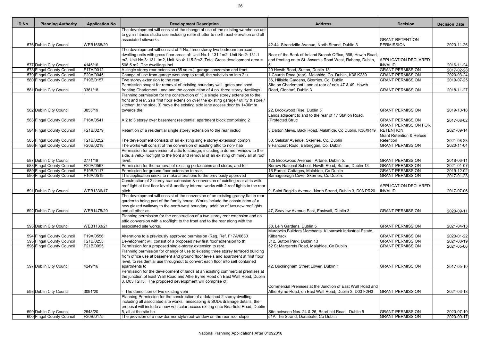| ID No. | <b>Planning Authority</b>                            | <b>Application No.</b> | <b>Development Description</b>                                                                                                                               | <b>Address</b>                                              | <b>Decision</b>                     | <b>Decision Date</b>        |
|--------|------------------------------------------------------|------------------------|--------------------------------------------------------------------------------------------------------------------------------------------------------------|-------------------------------------------------------------|-------------------------------------|-----------------------------|
|        |                                                      |                        | The development will consist of the change of use of the existing warehouse unit                                                                             |                                                             |                                     |                             |
|        |                                                      |                        | to gym / fitness studio use including roller shutter to north east elevation and all                                                                         |                                                             |                                     |                             |
|        |                                                      |                        | associated siteworks.                                                                                                                                        |                                                             | <b>GRANT RETENTION</b>              |                             |
|        | 576 Dublin City Council                              | WEB1668/20             |                                                                                                                                                              | 42-44, Strandville Avenue, North Strand, Dublin 3           | <b>PERMISSION</b>                   | 2020-11-26                  |
|        |                                                      |                        | The development will consist of 4 No. three storey two bedroom terraced                                                                                      |                                                             |                                     |                             |
|        |                                                      |                        | dwelling units with gross floor areas of: Unit No.1: 131.1m2, Unit No.2: 131.1<br>m2, Unit No.3: 131.1m2, Unit No.4: 115.2m2. Total Gross development area = | Rear of the Bank of Ireland Branch Office, 566, Howth Road, | <b>APPLICATION DECLARED</b>         |                             |
|        |                                                      | 4145/16                |                                                                                                                                                              | and fronting on to St. Assam's Road West, Raheny, Dublin,   | <b>INVALID</b>                      |                             |
|        | 577 Dublin City Council<br>578 Fingal County Council | F17A/0012              | 508.5 m2. The dwellings incl<br>A single storey rear extension (55 sq.m.), garage conversion and front                                                       | 20 Howth Road, Sutton, Dublin 13                            | <b>GRANT PERMISSION</b>             | 2016-11-24<br>2017-02-28    |
|        | 579 Fingal County Council                            | F20A/0045              | Change of use from garage workshop to retail, the subdivision into 2 u                                                                                       | 1 Church Road (rear), Malahide, Co. Dublin, K36 K230        | <b>GRANT PERMISSION</b>             | 2020-03-24                  |
|        | 580 Fingal County Council                            | F19B/0157              | Two storey extension to the rear.                                                                                                                            | 36, Hillside Gardens, Skerries, Co. Dublin                  | <b>GRANT PERMISSION</b>             | $\overline{2019} - 07 - 25$ |
|        |                                                      |                        | Permission sought for removal of existing boundary wall, gates and shed                                                                                      | Site on Charlemont Lane at rear of no's 47 & 49, Howth      |                                     |                             |
|        | 581 Dublin City Council                              | 3361/18                | fronting Charlemont Lane and the construction of 4 no. three storey dwellings.                                                                               | Road, Clontarf, Dublin 3                                    | <b>GRANT PERMISSION</b>             | 2018-11-27                  |
|        |                                                      |                        | Planning permission for the construction of 1) a single storey extension to the                                                                              |                                                             |                                     |                             |
|        |                                                      |                        | front and rear, 2) a first floor extension over the existing garage / utility & store /                                                                      |                                                             |                                     |                             |
|        |                                                      |                        | kitchen, to the side, 3) move the existing side lane access door by 1400mm                                                                                   |                                                             |                                     |                             |
|        | 582 Dublin City Council                              | 3855/19                | towards the                                                                                                                                                  | 22, Brookwood Rise, Dublin 5                                | <b>GRANT PERMISSION</b>             | 2019-10-18                  |
|        |                                                      |                        |                                                                                                                                                              | Lands adjacent to and to the rear of 17 Station Road,       |                                     |                             |
|        | 583 Fingal County Council                            | F16A/0541              | A 2 to 3 storey over basement residential apartment block comprising 2                                                                                       | (Protected Struc                                            | <b>GRANT PERMISSION</b>             | 2017-08-02                  |
|        |                                                      |                        |                                                                                                                                                              |                                                             | <b>GRANT PERMISSION FOR</b>         |                             |
|        | 584 Fingal County Council                            | F21B/0279              | Retention of a residential single storey extension to the rear includi                                                                                       | 3 Dalton Mews, Back Road, Malahide, Co Dublin, K36XR79      | <b>RETENTION</b>                    | 2021-09-14                  |
|        |                                                      |                        |                                                                                                                                                              |                                                             | <b>Grant Retention &amp; Refuse</b> |                             |
|        | 585 Fingal County Council                            | F21B/0252              | The development consists of an existing single storey extension compri                                                                                       | 50, Selskar Avenue, Skerries, Co. Dublin                    | Retention                           | 2021-08-23                  |
|        | 586 Fingal County Council                            | F20B/0218              | The works will consist of the conversion of existing attic to non- hab                                                                                       | 9 Fancourt Road, Balbriggan, Co. Dublin                     | <b>GRANT PERMISSION</b>             | 2020-11-04                  |
|        |                                                      |                        | Permission for conversion of attic to storage, including a dormer window to the                                                                              |                                                             |                                     |                             |
|        |                                                      |                        | side, a velux rooflight to the front and removal of an existing chimney all at roof                                                                          |                                                             |                                     |                             |
|        | 587 Dublin City Council                              | 2771/18                | level.                                                                                                                                                       | 125 Brookwood Avenue, Artane, Dublin 5.                     | <b>GRANT PERMISSION</b>             | 2018-06-11                  |
|        | 588 Fingal County Council                            | F20A/0567              | Permission for the removal of existing portacabins and stores, and for                                                                                       | Burrow National School, Howth Road, Sutton, Dublin 13.      | <b>GRANT PERMISSION</b>             | 2021-01-07                  |
|        | 589 Fingal County Council                            | F19B/0117              | Permission for ground floor extension to rear.                                                                                                               | 16 Parnell Cottages, Malahide, Co Dublin                    | <b>GRANT PERMISSION</b>             | 2019-12-02                  |
|        | 590 Fingal County Council                            | F16A/0519              | This application seeks to make alterations to the previously approved                                                                                        | Barnageeragh Cove, Skerries, Co.Dublin.                     | <b>GRANT PERMISSION</b>             | 2017-01-23                  |
|        |                                                      |                        | Construction of 2 storey rear extension & conversion of existing rear attic with                                                                             |                                                             |                                     |                             |
|        |                                                      |                        | roof light at first floor level & ancillary internal works with 2 roof lights to the rear                                                                    |                                                             | <b>APPLICATION DECLARED</b>         |                             |
|        | 591 Dublin City Council                              | WEB1336/17             | pitch.                                                                                                                                                       | 9, Saint Brigid's Avenue, North Strand, Dublin 3, D03 PR20  | <b>INVALID</b>                      | 2017-07-06                  |
|        |                                                      |                        | The development will consist of the conversion of an existing granny flat in rear                                                                            |                                                             |                                     |                             |
|        |                                                      |                        | garden to being part of the family house. Works include the construction of a                                                                                |                                                             |                                     |                             |
|        |                                                      |                        | new glazed walkway to the north-west boundary, addition of two new rooflights                                                                                |                                                             |                                     |                             |
|        | 592 Dublin City Council                              | WEB1475/20             | and all other as                                                                                                                                             | 47, Seaview Avenue East, Eastwall, Dublin 3                 | <b>GRANT PERMISSION</b>             | 2020-09-11                  |
|        |                                                      |                        | Planning permission for the construction of a two storey rear extension and an                                                                               |                                                             |                                     |                             |
|        |                                                      |                        | attic conversion with a rooflight to the front and to the rear along with the                                                                                |                                                             |                                     |                             |
|        | 593 Dublin City Council                              | WEB1133/21             | associated site works.                                                                                                                                       | 58, Lein Gardens, Dublin 5                                  | <b>GRANT PERMISSION</b>             | 2021-04-13                  |
|        |                                                      |                        |                                                                                                                                                              | Murdocks Builders Merchants, Kilbarrack Industrial Estate,  |                                     |                             |
|        | 594 Fingal County Council                            | F19A/0556              | Alterations to a previously approved permission (Reg. Ref. F17A/0630                                                                                         | Kilbarrack                                                  | <b>GRANT PERMISSION</b>             | 2020-01-22                  |
|        | 595 Fingal County Council                            | F21B/0253              | Development will consist of a proposed new first floor extension to th                                                                                       | 312, Sutton Park, Dublin 13                                 | <b>GRANT PERMISSION</b>             | 2021-08-19                  |
|        | 596 Fingal County Council                            | F21B/0095              | Permission for a proposed single-storey extension to rere.                                                                                                   | 52 St Margarets Road, Malahide, Co Dublin                   | <b>GRANT PERMISSION</b>             | 2021-05-06                  |
|        |                                                      |                        | Planning permission for change of use to existing three storey terraced building                                                                             |                                                             |                                     |                             |
|        |                                                      |                        | from office use at basement and ground floor levels and apartment at first floor                                                                             |                                                             |                                     |                             |
|        |                                                      |                        | level, to residential use throughout to convert each floor into self contained                                                                               |                                                             |                                     |                             |
|        | 597 Dublin City Council                              | 4249/16                | apartments to                                                                                                                                                | 42, Buckingham Street Lower, Dublin 1                       | <b>GRANT PERMISSION</b>             | 2017-05-10                  |
|        |                                                      |                        | Permission for the development of lands at an existing commercial premises at                                                                                |                                                             |                                     |                             |
|        |                                                      |                        | the junction of East Wall Road and Alfie Byrne Road on East Wall Road, Dublin                                                                                |                                                             |                                     |                             |
|        |                                                      |                        | 3, D03 F2H3. The proposed development will comprise of:                                                                                                      |                                                             |                                     |                             |
|        |                                                      |                        |                                                                                                                                                              | Commercial Premises at the Junction of East Wall Road and   |                                     |                             |
|        | 598 Dublin City Council                              | 3091/20                | The demolition of two existing vehi                                                                                                                          | Alfie Byrne Road, on East Wall Road, Dublin 3, D03 F2H3     | <b>GRANT PERMISSION</b>             | 2021-03-18                  |
|        |                                                      |                        | Planning Permission for the construction of a detached 2 storey dwelling                                                                                     |                                                             |                                     |                             |
|        |                                                      |                        | including all associated site works, landscaping & SUDs drainage details, the                                                                                |                                                             |                                     |                             |
|        |                                                      |                        | proposal will include a new vehicular access exiting onto Briarfield Road, Dublin                                                                            |                                                             |                                     |                             |
|        | 599 Dublin City Council                              | 2548/20                | 5, all at the site be                                                                                                                                        | Site between Nos. 24 & 26, Briarfield Road, Dublin 5        | <b>GRANT PERMISSION</b>             | 2020-07-10                  |
|        | 600 Fingal County Council                            | F20B/0175              | The provision of a new dormer style roof window on the rear roof slope                                                                                       | 51A The Strand, Donabate, Co Dublin                         | <b>GRANT PERMISSION</b>             | 2020-09-17                  |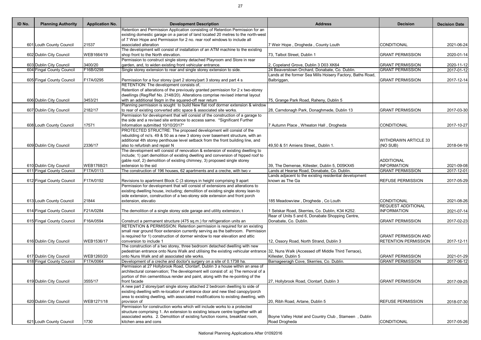| <b>Address</b>                                                                                                             | <b>Decision</b>                                            | <b>Decision Date</b>     |
|----------------------------------------------------------------------------------------------------------------------------|------------------------------------------------------------|--------------------------|
|                                                                                                                            |                                                            |                          |
| 7 Weir Hope, Drogheda, County Louth                                                                                        | <b>CONDITIONAL</b>                                         | 2021-06-24               |
| 73, Talbot Street, Dublin 1                                                                                                | <b>GRANT PERMISSION</b>                                    | 2020-01-14               |
| 2, Copeland Grove, Dublin 3 D03 XK64                                                                                       | <b>GRANT PERMISSION</b>                                    | 2020-11-12               |
| 24 Beaverstown Orchard, Donabate, Co. Dublin.<br>Lands at the former Sea Mills Hoisery Factory, Baths Road,<br>Balbriggan, | <b>GRANT PERMISSION</b><br><b>GRANT PERMISSION</b>         | 2017-01-12<br>2017-12-14 |
|                                                                                                                            |                                                            |                          |
| 75, Grange Park Road, Raheny, Dublin 5                                                                                     |                                                            |                          |
| 28, Carndonagh Park, Donaghmede, Dublin 13                                                                                 | <b>GRANT PERMISSION</b>                                    | 2017-03-30               |
| 7 Autumn Place, Wheaton Hall, Drogheda                                                                                     | <b>CONDITIONAL</b>                                         | 2017-10-27               |
| 49,50 & 51 Amiens Street,, Dublin 1.                                                                                       | <b>WITHDRAWN ARTICLE 33</b><br>(NO SUB)                    | 2018-04-19               |
| 39, The Demense, Killester, Dublin 5, D05KX45                                                                              | <b>ADDITIONAL</b><br><b>INFORMATION</b>                    | 2021-09-08               |
| Lands at Hearse Road, Donabate, Co. Dublin.<br>Lands adjacent to the existing residential development                      | <b>GRANT PERMISSION</b>                                    | 2017-12-01               |
| known as The Ga                                                                                                            | <b>REFUSE PERMISSION</b>                                   | 2017-05-29               |
|                                                                                                                            |                                                            |                          |
| 185 Meadowview, Drogheda, Co Louth                                                                                         | <b>CONDITIONAL</b><br><b>REQUEST ADDITIONAL</b>            | 2021-08-26               |
| 1 Selskar Road, Skerries, Co. Dublin, K34 K252.                                                                            | <b>INFORMATION</b>                                         | 2021-07-14               |
| Rear of Units 5 and 6, Donabate Shopping Centre,<br>Donabate, Co. Dublin.                                                  | <b>GRANT PERMISSION</b>                                    | 2017-02-23               |
| 12, Ossory Road, North Strand, Dublin 3                                                                                    | <b>GRANT PERMISSION AND</b><br><b>RETENTION PERMISSION</b> | 2017-12-11               |
| 32, Nuns Walk (Accessed off Middle Third Terrace),<br>Killester, Dublin 5                                                  | <b>GRANT PERMISSION</b>                                    | 2021-01-29               |
| Barnageeragh Cove, Skerries, Co. Dublin.                                                                                   | <b>GRANT PERMISSION</b>                                    | 2017-06-12               |
|                                                                                                                            |                                                            |                          |
| 27, Hollybrook Road, Clontarf, Dublin 3                                                                                    | <b>GRANT PERMISSION</b>                                    | 2017-09-25               |
| 20, Ribh Road, Artane, Dublin 5                                                                                            | <b>REFUSE PERMISSION</b>                                   | 2018-07-30               |
| Boyne Valley Hotel and Country Club, Stameen, Dublin<br>Road Drogheda                                                      | CONDITIONAL                                                | 2017-05-26               |

| ID No. | <b>Planning Authority</b> | <b>Application No.</b> | <b>Development Description</b>                                                                                                                                        | <b>Address</b>                                             | <b>Decision</b>             | <b>Decision Date</b> |
|--------|---------------------------|------------------------|-----------------------------------------------------------------------------------------------------------------------------------------------------------------------|------------------------------------------------------------|-----------------------------|----------------------|
|        |                           |                        | Retention and Permission Application consisting of Retention Permission for an                                                                                        |                                                            |                             |                      |
|        |                           |                        | existing domestic garage on a parcel of land located 20 metres to the north-west                                                                                      |                                                            |                             |                      |
|        |                           |                        | of 7 Weir Hope and Permission for 2 no. rear roof windows to include all                                                                                              |                                                            |                             |                      |
|        | 601 Louth County Council  | 21537                  | associated alteration                                                                                                                                                 | 7 Weir Hope, Drogheda, County Louth                        | CONDITIONAL                 | 2021-06-24           |
|        |                           |                        | The development will consist of installation of an ATM machine to the existing                                                                                        |                                                            |                             |                      |
|        | 602 Dublin City Council   | WEB1664/19             | shop front to the North elevation.                                                                                                                                    | 73, Talbot Street, Dublin 1                                | <b>GRANT PERMISSION</b>     | 2020-01-14           |
|        |                           |                        | Permission to construct single storey detached Playroom and Store in rear                                                                                             |                                                            |                             |                      |
|        | 603 Dublin City Council   | 3400/20                | garden, and, to widen existing front vehicular entrance.                                                                                                              | 2, Copeland Grove, Dublin 3 D03 XK64                       | <b>GRANT PERMISSION</b>     | 2020-11-12           |
|        | 604 Fingal County Council | F16B/0298              | Single storey extension to rear and single storey extension to side.                                                                                                  | 24 Beaverstown Orchard, Donabate, Co. Dublin.              | <b>GRANT PERMISSION</b>     | 2017-01-12           |
|        |                           |                        |                                                                                                                                                                       | Lands at the former Sea Mills Hoisery Factory, Baths Road, |                             |                      |
|        | 605 Fingal County Council | F17A/0295              | Permission for a four storey (part 2 storey/part 3 storey and part 4 s                                                                                                | Balbriggan,                                                | <b>GRANT PERMISSION</b>     | 2017-12-14           |
|        |                           |                        | RETENTION: The development consists of,                                                                                                                               |                                                            |                             |                      |
|        |                           |                        | Retention of alterations of the previously granted permission for 2 x two-storey                                                                                      |                                                            |                             |                      |
|        |                           |                        | dwellings (Reg/Ref No. 2148/20). Alterations comprise revised internal layout                                                                                         |                                                            |                             |                      |
|        | 606 Dublin City Council   | 3453/21                | with an additional 9sqm in the squared-off rear return<br>Planning permission is sought to build New flat roof dormer extension & window                              | 75, Grange Park Road, Raheny, Dublin 5                     |                             |                      |
|        | 607 Dublin City Council   | 2182/17                | to rear of existing converted attic space & associated site works.                                                                                                    | 28, Carndonagh Park, Donaghmede, Dublin 13                 | <b>GRANT PERMISSION</b>     |                      |
|        |                           |                        | Permission for development that will consist of the construction of a garage to                                                                                       |                                                            |                             | 2017-03-30           |
|        |                           |                        | the side and a revised site entrance to access same. *Significant Further                                                                                             |                                                            |                             |                      |
|        | 608 Louth County Council  | 17571                  | Information submitted 10/10/2017*                                                                                                                                     | 7 Autumn Place, Wheaton Hall, Drogheda                     | CONDITIONAL                 | 2017-10-27           |
|        |                           |                        | PROTECTED STRUCTRE: The proposed development will consist of the                                                                                                      |                                                            |                             |                      |
|        |                           |                        | rebuilding of no's. 49 & 50 as a new 3 storey over basement structure, with an                                                                                        |                                                            |                             |                      |
|        |                           |                        | additional 4th storey penthouse level setback from the front building line, and                                                                                       |                                                            | <b>WITHDRAWN ARTICLE 33</b> |                      |
|        | 609 Dublin City Council   | 2336/17                | also to refurbish and repair N                                                                                                                                        | 49,50 & 51 Amiens Street,, Dublin 1.                       | (NO SUB)                    | 2018-04-19           |
|        |                           |                        | The development will consist of renovation & extension of existing dwelling to                                                                                        |                                                            |                             |                      |
|        |                           |                        | include; 1) part demolition of existing dwelling and conversion of hipped roof to                                                                                     |                                                            |                             |                      |
|        |                           |                        | gable roof, 2) demolition of existing chimney, 3) proposed single storey                                                                                              |                                                            | <b>ADDITIONAL</b>           |                      |
|        | 610 Dublin City Council   | WEB1768/21             | extension to the sid                                                                                                                                                  | 39, The Demense, Killester, Dublin 5, D05KX45              | <b>INFORMATION</b>          | 2021-09-08           |
|        | 611 Fingal County Council | F17A/0113              | The construction of 196 houses, 62 apartments and a creche, with two v                                                                                                | Lands at Hearse Road, Donabate, Co. Dublin.                | <b>GRANT PERMISSION</b>     | 2017-12-01           |
|        |                           |                        |                                                                                                                                                                       | Lands adjacent to the existing residential development     |                             |                      |
|        | 612 Fingal County Council | F17A/0192              | Revisions to apartment Block C (3 storeys in height comprising 9 apart                                                                                                | known as The Ga                                            | <b>REFUSE PERMISSION</b>    | 2017-05-29           |
|        |                           |                        | Permission for development that will consist of extensions and alterations to                                                                                         |                                                            |                             |                      |
|        |                           |                        | existing dwelling house, including; demolition of existing single storey lean-to                                                                                      |                                                            |                             |                      |
|        |                           |                        | side extension, construction of a two-storey side extension and front porch                                                                                           |                                                            |                             |                      |
|        | 613 Louth County Council  | 21844                  | extension, elevatio                                                                                                                                                   | 185 Meadowview, Drogheda, Co Louth                         | CONDITIONAL                 | 2021-08-26           |
|        |                           |                        |                                                                                                                                                                       |                                                            | <b>REQUEST ADDITIONAL</b>   |                      |
|        | 614 Fingal County Council | F21A/0284              | The demolition of a single storey side garage and utility extension, t                                                                                                | 1 Selskar Road, Skerries, Co. Dublin, K34 K252.            | <b>INFORMATION</b>          | 2021-07-14           |
|        |                           |                        |                                                                                                                                                                       | Rear of Units 5 and 6, Donabate Shopping Centre,           |                             |                      |
|        | 615 Fingal County Council | F16A/0594              | Construct a permanent structure (475 sq.m.) for refrigeration units an                                                                                                | Donabate, Co. Dublin.                                      | <b>GRANT PERMISSION</b>     | 2017-02-23           |
|        |                           |                        | RETENTION & PERMISSION: Retention permission is required for an existing                                                                                              |                                                            |                             |                      |
|        |                           |                        | small rear ground floor extension currently serving as the bathroom. Permission                                                                                       |                                                            |                             |                      |
|        |                           |                        | is required for 1) construction of dormer window to rear elevation and attic                                                                                          |                                                            | <b>GRANT PERMISSION AND</b> |                      |
|        | 616 Dublin City Council   | WEB1536/17             | conversion to include 1                                                                                                                                               | 12, Ossory Road, North Strand, Dublin 3                    | <b>RETENTION PERMISSION</b> | 2017-12-11           |
|        |                           |                        | The construction of a two storey, three bedroom detached dwelling with new                                                                                            |                                                            |                             |                      |
|        |                           |                        | pedestrian entrance onto Nuns Walk and utilising the existing vehicular entrance 32, Nuns Walk (Accessed off Middle Third Terrace),                                   |                                                            |                             |                      |
|        | 617 Dublin City Council   | WEB1260/20             | onto Nuns Walk and all associated site works.                                                                                                                         | Killester, Dublin 5                                        | <b>GRANT PERMISSION</b>     | 2021-01-29           |
|        | 618 Fingal County Council | F17A/0064              | Development of a creche and doctor's surgery on a site of 0.1738 ha.                                                                                                  | Barnageeragh Cove, Skerries, Co. Dublin.                   | <b>GRANT PERMISSION</b>     | 2017-06-12           |
|        |                           |                        | Permission at 27 Hollybrook Road, Clontarf, Dublin 3 a house within an area of                                                                                        |                                                            |                             |                      |
|        |                           |                        | architectural conservation; The development will consist of: a) The removal of a                                                                                      |                                                            |                             |                      |
|        |                           |                        | portion of thin cementitious render and paint, along with the re-pointing of the                                                                                      |                                                            |                             |                      |
|        | 619 Dublin City Council   | 3555/17                | front facade                                                                                                                                                          | 27, Hollybrook Road, Clontarf, Dublin 3                    | <b>GRANT PERMISSION</b>     | 2017-09-25           |
|        |                           |                        | A new part 2 storey/part single storey attached 2 bedroom dwelling to side of                                                                                         |                                                            |                             |                      |
|        |                           |                        | existing dwelling with re-location of entrance door and new tiled canopy/porch<br>area to existing dwelling, with associated modifications to existing dwelling, with |                                                            |                             |                      |
|        | 620 Dublin City Council   | WEB1271/18             | provision of                                                                                                                                                          | 20, Ribh Road, Artane, Dublin 5                            | <b>REFUSE PERMISSION</b>    |                      |
|        |                           |                        | Permission for construction works which will include works to a protected                                                                                             |                                                            |                             | 2018-07-30           |
|        |                           |                        | structure comprising 1. An extension to existing leisure centre together with all                                                                                     |                                                            |                             |                      |
|        |                           |                        | associated works. 2. Demolition of existing function rooms, breakfast room,                                                                                           | Boyne Valley Hotel and Country Club, Stameen, Dublin       |                             |                      |
|        | 621 Louth County Council  | 1730                   | kitchen area and cons                                                                                                                                                 | Road Drogheda                                              | CONDITIONAL                 | 2017-05-26           |
|        |                           |                        |                                                                                                                                                                       |                                                            |                             |                      |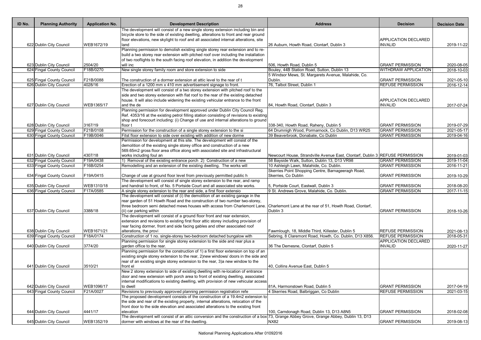| ID No. | <b>Planning Authority</b> | <b>Application No.</b> | <b>Development Description</b>                                                                                                                                           | <b>Address</b>                                                                | <b>Decision</b>             | <b>Decision Date</b>    |
|--------|---------------------------|------------------------|--------------------------------------------------------------------------------------------------------------------------------------------------------------------------|-------------------------------------------------------------------------------|-----------------------------|-------------------------|
|        |                           |                        | The development will consist of a new single storey extension including bin and                                                                                          |                                                                               |                             |                         |
|        |                           |                        | bicycle store to the side of existing dwelling, alterations to front and rear ground                                                                                     |                                                                               |                             |                         |
|        |                           |                        | floor elevations, new skylight to roof and all associated internal alterations, site                                                                                     |                                                                               | <b>APPLICATION DECLARED</b> |                         |
|        | 622 Dublin City Council   | WEB1672/19             | land                                                                                                                                                                     | 26 Auburn, Howth Road, Clontarf, Dublin 3                                     | <b>INVALID</b>              | 2019-11-22              |
|        |                           |                        | Planning permission to demolish existing single storey rear extension and to re-                                                                                         |                                                                               |                             |                         |
|        |                           |                        | build a two storey rear extension with pitched roof over including the installation<br>of two rooflights to the south facing roof elevation, in addition the development |                                                                               |                             |                         |
|        | 623 Dublin City Council   | 2504/20                | will inc                                                                                                                                                                 | 506, Howth Road, Dublin 5                                                     | <b>GRANT PERMISSION</b>     | 2020-08-05              |
|        | 624 Fingal County Council | F18B/0270              | New single storey family room and store extension to side                                                                                                                | Bouley, 44B Station Road, Sutton, Dublin 13                                   | <b>WITHDRAW APPLICATION</b> | 2018-10-03              |
|        |                           |                        |                                                                                                                                                                          | 5 Windsor Mews, St. Margarets Avenue, Malahide, Co.                           |                             |                         |
|        | 625 Fingal County Council | F21B/0088              | The construction of a dormer extension at attic level to the rear of t                                                                                                   | Dublin.                                                                       | <b>GRANT PERMISSION</b>     | 2021-05-10              |
|        | 626 Dublin City Council   | 4028/16                | Erection of a 1200 mm $x$ 410 mm advertisement signage to front.                                                                                                         | 76, Talbot Street, Dublin 1                                                   | <b>REFUSE PERMISSION</b>    | 2016-12-14              |
|        |                           |                        | The development will consist of a two storey extension with pitched roof to the                                                                                          |                                                                               |                             |                         |
|        |                           |                        | side and two storey extension with flat roof to the rear of the existing detached                                                                                        |                                                                               |                             |                         |
|        |                           |                        | house. It will also include widening the existing vehicular entrance to the front                                                                                        |                                                                               | <b>APPLICATION DECLARED</b> |                         |
|        | 627 Dublin City Council   | WEB1365/17             | and the de                                                                                                                                                               | 84, Howth Road, Clontarf, Dublin 3                                            | <b>INVALID</b>              | 2017-07-24              |
|        |                           |                        | Planning permission for development approved under Dublin City Council Reg.                                                                                              |                                                                               |                             |                         |
|        |                           |                        | Ref. 4353/16 at the existing petrol filling station consisting of revisions to existing                                                                                  |                                                                               |                             |                         |
|        |                           |                        | shop and forecourt including: (i) Change of use and internal alterations to ground                                                                                       |                                                                               |                             |                         |
|        | 628 Dublin City Council   | 3167/19                | floor t                                                                                                                                                                  | 338-340, Howth Road, Raheny, Dublin 5                                         | <b>GRANT PERMISSION</b>     | 2019-07-29              |
|        | 629 Fingal County Council | F21B/0108              | Permission for the construction of a single storey extension to the si                                                                                                   | 64 Drumnigh Wood, Pormarnock, Co Dublin, D13 WR25                             | <b>GRANT PERMISSION</b>     | 2021-05-17              |
|        | 630 Fingal County Council | F19B/0046              | Fitst floor extension to side over existing with addition of new dorme                                                                                                   | 39 Beaverbrook, Donabate, Co Dublin                                           | <b>GRANT PERMISSION</b>     | 2019-04-16              |
|        |                           |                        | Permission for development at this site. The development will consist of the                                                                                             |                                                                               |                             |                         |
|        |                           |                        | demolition of the existing single storey office and construction of a new                                                                                                |                                                                               |                             |                         |
|        |                           |                        | 569.65m2 gross floor area office along with associated site and infrastructural                                                                                          |                                                                               |                             |                         |
|        |                           | 4307/18                |                                                                                                                                                                          |                                                                               |                             |                         |
|        | 631 Dublin City Council   |                        | works including foul an                                                                                                                                                  | Newcourt House, Strandville Avenue East, Clontarf, Dublin 3 REFUSE PERMISSION |                             | 2019-01-03              |
|        | 632 Fingal County Council | F19A/0438              | 1) Removal of the existing entrance porch 2) Construction of a new                                                                                                       | 58 Bayside Walk, Sutton, Dublin 13, D13 VR98                                  | <b>GRANT PERMISSION</b>     | 2019-11-04              |
|        | 633 Fingal County Council | F16B/0254              | Remodelling and an extension of the existing dwelling. The works will                                                                                                    | 10 Ashleigh Lawn, Malahide, Co. Dublin.                                       | <b>GRANT PERMISSION</b>     | 2016-11-21              |
|        |                           |                        |                                                                                                                                                                          | Skerries Point Shopping Centre, Barnageeragh Road,                            |                             |                         |
|        | 634 Fingal County Council | F19A/0415              | Change of use at ground floor level from previously permitted public h                                                                                                   | Skerries, Co Dublin                                                           | <b>GRANT PERMISSION</b>     | 2019-10-29              |
|        |                           |                        | The development will consist of single storey extension to the rear, and ramp                                                                                            |                                                                               |                             |                         |
|        | 635 Dublin City Council   | WEB1310/18             | and handrail to front, of No. 5 Portside Court and all associated site works.                                                                                            | 5, Portside Court, Eastwall, Dublin 3                                         | <b>GRANT PERMISSION</b>     | 2018-08-20              |
|        | 636 Fingal County Council | F17A/0585              | A single storey extension to the rear and side, a first floor extensio                                                                                                   | 9 St. Andrews Grove, Malahide, Co. Dublin.                                    | <b>GRANT PERMISSION</b>     | $\overline{2017-11-15}$ |
|        |                           |                        | The development will consist of (i) the demolition of an existing garage in the                                                                                          |                                                                               |                             |                         |
|        |                           |                        | rear garden of 51 Howth Road and the construction of two number two-storey,                                                                                              |                                                                               |                             |                         |
|        |                           |                        | three bedroom semi detached mews houses with access from Charlemont Lane. Charlemont Lane at the rear of 51, Howth Road, Clontarf,                                       |                                                                               |                             |                         |
|        | 637 Dublin City Council   | 3388/18                | (ii) car parking within                                                                                                                                                  | Dublin 3                                                                      | <b>GRANT PERMISSION</b>     | 2018-10-26              |
|        |                           |                        | The development will consist of a ground floor front and rear extension,                                                                                                 |                                                                               |                             |                         |
|        |                           |                        | extension and revisions to existing first floor attic storey including provision of                                                                                      |                                                                               |                             |                         |
|        |                           |                        | rear facing dormer, front and side facing gables and other associated roof                                                                                               |                                                                               |                             |                         |
|        | 638 Dublin City Council   | WEB1671/21             | alterations, the provi                                                                                                                                                   | Fawmlough, 18, Middle Third, Killester, Dublin 5                              | <b>REFUSE PERMISSION</b>    | 2021-08-13              |
|        | 639 Fingal County Council | F18A/0174              | Construction of 1 no. single-storey two-bedroom detached bungalow with                                                                                                   | Sebring, 8 Claremont Road, Howth, Co. Dublin, D13 X856                        | <b>REFUSE PERMISSION</b>    | 2018-05-31              |
|        |                           |                        | Planning permission for single storey extension to the side and rear plus a                                                                                              |                                                                               | <b>APPLICATION DECLARED</b> |                         |
|        | 640 Dublin City Council   | 3774/20                | garden office to the rear.                                                                                                                                               | 36 The Demesne, Clontarf, Dublin 5                                            | <b>INVALID</b>              | 2020-11-27              |
|        |                           |                        | Planning permission for the construction of 1) a first floor extension on top of an                                                                                      |                                                                               |                             |                         |
|        |                           |                        | existing single storey extension to the rear, 2)new windows/ doors in the side and                                                                                       |                                                                               |                             |                         |
|        |                           |                        | rear of an existing single storey extension to the rear, 3)a new window to the                                                                                           |                                                                               |                             |                         |
|        | 641 Dublin City Council   | 3510/21                | front el                                                                                                                                                                 | 40, Collins Avenue East, Dublin 5                                             |                             |                         |
|        |                           |                        | New 2 storey extension to side of existing dwelling with re-location of entrance                                                                                         |                                                                               |                             |                         |
|        |                           |                        | door and new extension with porch area to front of existing dwelling, associated                                                                                         |                                                                               |                             |                         |
|        |                           |                        | internal modifications to existing dwelling, with provision of new vehicular access                                                                                      |                                                                               |                             |                         |
|        | 642 Dublin City Council   | WEB1096/17             | to dwell                                                                                                                                                                 | 81A, Harmonstown Road, Dublin 5                                               | <b>GRANT PERMISSION</b>     | 2017-04-19              |
|        | 643 Fingal County Council | F21A/0027              | Revisions to previously approved planning permission registration refe                                                                                                   | 4 Skerries Road, Balbriggan, Co Dublin                                        | <b>REFUSE PERMISSION</b>    | 2021-03-15              |
|        |                           |                        | The proposed development consists of the construction of a 19.4m2 extension to                                                                                           |                                                                               |                             |                         |
|        |                           |                        | the side and rear of the existing property, internal alterations, relocation of the                                                                                      |                                                                               |                             |                         |
|        |                           |                        | front door to the side elevation and associated alterations to the existing front                                                                                        |                                                                               |                             |                         |
|        | 644 Dublin City Council   | 4441/17                | elevation                                                                                                                                                                | 100, Carndonagh Road, Dublin 13, D13 A8N5                                     | <b>GRANT PERMISSION</b>     | 2018-02-08              |
|        |                           |                        | The development will consist of an attic conversion and the construction of a box 73, Grange Abbey Grove, Grange Abbey, Dublin 13, D13                                   |                                                                               |                             |                         |
|        | 645 Dublin City Council   | WEB1352/19             | dormer with windows at the rear of the dwelling.                                                                                                                         | <b>NX82</b>                                                                   | <b>GRANT PERMISSION</b>     | 2019-08-13              |
|        |                           |                        |                                                                                                                                                                          |                                                                               |                             |                         |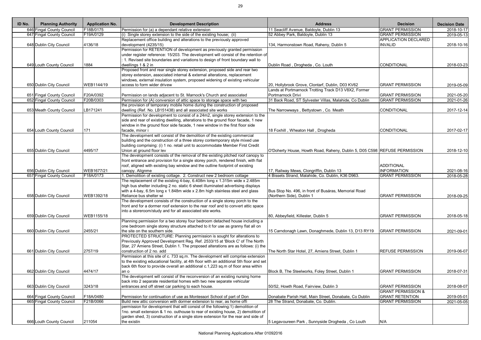| ID No. | <b>Planning Authority</b> | <b>Application No.</b> | <b>Development Description</b>                                                                  | <b>Address</b>                                                            | <b>Decision</b>               | <b>Decision Date</b> |
|--------|---------------------------|------------------------|-------------------------------------------------------------------------------------------------|---------------------------------------------------------------------------|-------------------------------|----------------------|
|        | 646 Fingal County Council | F18B/0175              | Permission for (a) a dependant relative extension                                               | 11 Seacliff Avenue, Baldoyle, Dublin 13                                   | <b>GRANT PERMISSION</b>       | 2018-10-17           |
|        | 647 Fingal County Council | F19A/0129              | $(i)$ Single storey extension to the side of the existing house; (ii)                           | 52 Abbey Park, Baldoyle, Dublin 13                                        | <b>GRANT PERMISSION</b>       | 2019-05-13           |
|        |                           |                        | Replacement office building and alterations to the previously approved                          |                                                                           | <b>APPLICATION DECLARED</b>   |                      |
|        | 648 Dublin City Council   | 4136/18                | development (4235/15)                                                                           | 134, Harmonstown Road, Raheny, Dublin 5                                   | <b>INVALID</b>                | 2018-10-16           |
|        |                           |                        | Permission for RETENTION of development as previously granted permission                        |                                                                           |                               |                      |
|        |                           |                        | under register reference: 15/203. The development will consist of the retention of              |                                                                           |                               |                      |
|        |                           |                        | 1. Revised site boundaries and variations to design of front boundary wall to                   |                                                                           |                               |                      |
|        | 649 Louth County Council  | 1884                   | dwellings 1 & 2 in                                                                              | Dublin Road, Drogheda, Co. Louth                                          | CONDITIONAL                   | 2018-03-23           |
|        |                           |                        | Proposed front and rear single storey extension, proposed side and rear two                     |                                                                           |                               |                      |
|        |                           |                        | storey extension, associated internal & external alterations, replacement                       |                                                                           |                               |                      |
|        |                           |                        | windows, external insulation system, proposed widening of existing vehicular                    |                                                                           |                               |                      |
|        | 650 Dublin City Council   | WEB1144/19             | access to form wider drivew                                                                     | 20, Hollybrook Grove, Clontarf, Dublin, D03 KV62                          | <b>GRANT PERMISSION</b>       | 2019-05-09           |
|        |                           |                        |                                                                                                 | Lands at Portmarnock Trotting Track D13 V8X2, Former                      |                               |                      |
|        | 651 Fingal County Council | F20A/0392              | Permission on lands adjacent to St. Marnock's Church and associated                             | Portmarnock Drivi                                                         | <b>GRANT PERMISSION</b>       | 2021-05-20           |
|        | 652 Fingal County Council | F20B/0303              | Permission for (A) conversion of attic space to storage space with two                          | 31 Back Road, ST Sylvester Villas, Malahide, Co Dublin                    | <b>GRANT PERMISSION</b>       | 2021-01-26           |
|        |                           |                        | the provision of temporary mobile home during the construction of proposed                      |                                                                           |                               |                      |
|        | 653 Meath County Council  | LB171241               | dwelling (Ref. No. LB151438) and all associated site works                                      | The Narrowways, Bettystown, Co. Meath                                     | CONDITIONAL                   | 2017-12-14           |
|        |                           |                        | Permission for development to consist of a 24m2, single storey extension to the                 |                                                                           |                               |                      |
|        |                           |                        | side and rear of existing dwelling, alterations to the ground floor facade, 1 new               |                                                                           |                               |                      |
|        | 654 Louth County Council  | 171                    | window in the ground floor side facade, 1 new window in the first floor side<br>facade, minor i | 18 Foxhill, Wheaton Hall, Drogheda                                        | CONDITIONAL                   | 2017-02-17           |
|        |                           |                        | The development will consist of the demolition of the existing commercial                       |                                                                           |                               |                      |
|        |                           |                        | building and the construction of a three storey contemporary style mixed use                    |                                                                           |                               |                      |
|        |                           |                        | building comprising: (i) 1 no. retail unit to accommodate Member First Credit                   |                                                                           |                               |                      |
|        | 655 Dublin City Council   | 4495/17                | Union at ground floor lev                                                                       | O'Doherty House, Howth Road, Raheny, Dublin 5, D05 C598 REFUSE PERMISSION |                               | 2018-12-10           |
|        |                           |                        | The development consists of the removal of the existing pitched roof canopy to                  |                                                                           |                               |                      |
|        |                           |                        | front entrance and provision for a single storey porch, rendered finish, with flat              |                                                                           |                               |                      |
|        |                           |                        | roof, aligned with existing bay window and the outline footprint of existing                    |                                                                           | <b>ADDITIONAL</b>             |                      |
|        | 656 Dublin City Council   | WEB1677/21             | canopy. Alignme                                                                                 | 17, Railway Mews, Clongriffin, Dublin 13                                  | <b>INFORMATION</b>            | 2021-08-16           |
|        | 657 Fingal County Council | F18A/0173              | 1. Demolition of existing cottage. 2. Construct new 2 bedroom cottage                           | 4 Bissets Strand, Malahide, Co. Dublin, K36 D963.                         | <b>GRANT PERMISSION</b>       | 2018-05-28           |
|        |                           |                        | The replacement of the existing 4-bay, 6.408m long x 1.315m wide x 2.485m                       |                                                                           |                               |                      |
|        |                           |                        | high bus shelter including 2 no. static 6 sheet illuminated advertising displays                |                                                                           |                               |                      |
|        |                           |                        | with a 4-bay, 6.5m long x 1.848m wide x 2.8m high stainless steel and glass                     | Bus Stop No. 496, in front of Busáras, Memorial Road                      |                               |                      |
|        | 658 Dublin City Council   | WEB1392/18             | Reliance bus shelter wi                                                                         | (Northern Side), Dublin 1                                                 | <b>GRANT PERMISSION</b>       | 2018-09-25           |
|        |                           |                        | The development consists of the construction of a single storey porch to the                    |                                                                           |                               |                      |
|        |                           |                        | front and for a dormer roof extension to the rear roof and to convert attic space               |                                                                           |                               |                      |
|        |                           |                        | into a storeroom/study and for all associated site works.                                       |                                                                           |                               |                      |
|        | 659 Dublin City Council   | WEB1155/18             |                                                                                                 | 80, Abbeyfield, Killester, Dublin 5                                       | <b>GRANT PERMISSION</b>       | 2018-05-18           |
|        |                           |                        | Planning permission for a two storey four bedroom detached house including a                    |                                                                           |                               |                      |
|        |                           |                        | one bedroom single storey structure attached to it for use as granny flat all on                |                                                                           |                               |                      |
|        | 660 Dublin City Council   | 2455/21                | the site on the southern side.                                                                  | 15 Carndonagh Lawn, Donaghmede, Dublin 13, D13 RY19                       | <b>GRANT PERMISSION</b>       | 2021-09-01           |
|        |                           |                        | PROTECTED STRUCTURE: Planning permission is sought for alterations to                           |                                                                           |                               |                      |
|        |                           |                        | Previously Approved Development Reg. Ref. 2533/15 at 'Block C' of The North                     |                                                                           |                               |                      |
|        |                           |                        | Star, 27 Amiens Street, Dublin 1. The proposed alterations are as follows: (i) the              |                                                                           |                               |                      |
|        | 661 Dublin City Council   | 2757/19                | construction of 2 no. add                                                                       | The North Star Hotel, 27, Amiens Street, Dublin 1                         | <b>REFUSE PERMISSION</b>      | 2019-06-07           |
|        |                           |                        | Permission at this site of c. 733 sq.m. The development will comprise extension                 |                                                                           |                               |                      |
|        |                           |                        | to the existing educational facility, at 4th floor with an additional 5th floor and set         |                                                                           |                               |                      |
|        |                           |                        | back 6th floor to provide overall an additional c.1,223 sq.m of floor area within               |                                                                           |                               |                      |
|        | 662 Dublin City Council   | 4474/17                | an o                                                                                            | Block B, The Steelworks, Foley Street, Dublin 1                           | <b>GRANT PERMISSION</b>       | 2018-07-31           |
|        |                           |                        | The development will consist of the reconversion of an existing nursing home                    |                                                                           |                               |                      |
|        |                           |                        | back into 2 separate residential homes with two new separate vehicular                          |                                                                           | <b>GRANT PERMISSION</b>       |                      |
|        | 663 Dublin City Council   | 3243/18                | entrances and off street car parking to each house.                                             | 50/52, Howth Road, Fairview, Dublin 3                                     | <b>GRANT PERMISSION &amp;</b> | 2018-08-07           |
|        | 664 Fingal County Council | F18A/0480              | Permission for continuation of use as Montessori School of part of Don                          | Donabate Parish Hall, Main Street, Donabate, Co Dublin                    | <b>GRANT RETENTION</b>        | 2019-05-01           |
|        | 665 Fingal County Council | F21B/0066              | Build new attic conversion with dormer extension to rear, as home offi                          | 28 The Strand, Donabate, Co. Dublin.                                      | <b>GRANT PERMISSION</b>       | 2021-05-05           |
|        |                           |                        | permission for development that will consist of the following:1) demolition of                  |                                                                           |                               |                      |
|        |                           |                        | 1no. small extension & 1 no. outhouse to rear of existing house, 2) demolition of               |                                                                           |                               |                      |
|        |                           |                        | garden shed, 3) construction of a single store extension for the rear and side of               |                                                                           |                               |                      |
|        | 666 Louth County Council  | 211054                 | the existin                                                                                     | 5 Legavoureen Park, Sunnyside Drogheda, Co Louth                          | N/A                           |                      |
|        |                           |                        |                                                                                                 |                                                                           |                               |                      |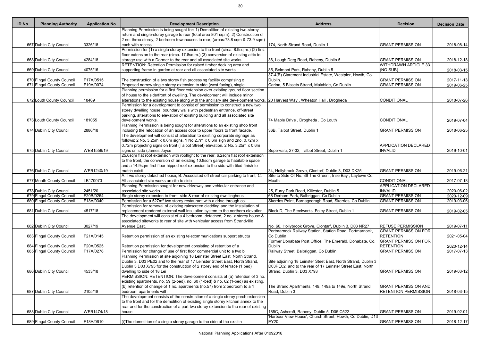| ID No. | <b>Planning Authority</b> | <b>Application No.</b> | <b>Development Description</b>                                                                                                             | <b>Address</b>                                                | <b>Decision</b>             | <b>Decision Date</b>     |
|--------|---------------------------|------------------------|--------------------------------------------------------------------------------------------------------------------------------------------|---------------------------------------------------------------|-----------------------------|--------------------------|
|        |                           |                        | Planning Permission is being sought for: 1) Demolition of existing two-storey                                                              |                                                               |                             |                          |
|        |                           |                        | return and single-storey garage to rear (total area 801 sq.m). 2) Construction of                                                          |                                                               |                             |                          |
|        |                           |                        | 2 no. three-storey, 2 bedroom townhouses to rear, (areas: 73.8 sqm & 73.9 sqm)                                                             |                                                               |                             |                          |
|        | 667 Dublin City Council   | 3326/18                | each with recess                                                                                                                           | 174, North Strand Road, Dublin 1                              | <b>GRANT PERMISSION</b>     | 2018-08-14               |
|        |                           |                        | Permission for (1) a single storey extension to the front (circa. 8.9sq.m.) (2) first                                                      |                                                               |                             |                          |
|        |                           |                        | floor extension to the rear (circa. 17.8sq.m.) (3) conversion of existing attic to                                                         |                                                               | <b>GRANT PERMISSION</b>     |                          |
|        | 668 Dublin City Council   | 4284/18                | storage use with a Dormer to the rear and all associated site works.<br>RETENTION: Retention Permission for raised timber decking area and | 36, Lough Derg Road, Raheny, Dublin 5                         | <b>WITHDRAWN ARTICLE 33</b> | 2018-12-18               |
|        | 669 Dublin City Council   | 4075/16                | supporting frame in garden at rear and all associated site works.                                                                          | 85, Belmont Park, Raheny, Dublin 5                            | (NO SUB)                    | 2018-03-15               |
|        |                           |                        |                                                                                                                                            | 37-4(B) Claremont Industrial Estate, Westpier, Howth, Co.     |                             |                          |
|        | 670 Fingal County Council | F17A/0515              | The construction of a two storey fish processing facility comprising o                                                                     | Dublin.                                                       | <b>GRANT PERMISSION</b>     | 2017-11-13               |
|        | 671 Fingal County Council | F19A/0074              | Proposed narrow single storey extension to side (west facing), single                                                                      | Carina, 5 Bissets Strand, Malahide, Co Dublin                 | <b>GRANT PERMISSION</b>     | $\overline{20}$ 19-06-25 |
|        |                           |                        | Planning permission for a first floor extension over existing ground floor section                                                         |                                                               |                             |                          |
|        |                           |                        | of house to the side/front of dwelling. The development will include minor                                                                 |                                                               |                             |                          |
|        | 672 Louth County Council  | 18469                  | alterations to the existing house along with the ancillary site development works. 20 Harvest Way, Wheaton Hall, Drogheda                  |                                                               | CONDITIONAL                 | 2018-07-26               |
|        |                           |                        | Permission for a development to consist of permission to construct a new two                                                               |                                                               |                             |                          |
|        |                           |                        | storey dwelling house, boundary walls with pedestrian entrance, off-street                                                                 |                                                               |                             |                          |
|        |                           |                        | parking, alterations to elevation of existing building and all associated site                                                             |                                                               |                             |                          |
|        | 673 Louth County Council  | 181055                 | development works.                                                                                                                         | 74 Maple Drive, Drogheda, Co Louth                            | CONDITIONAL                 | 2019-07-04               |
|        |                           |                        | Planning Permission is being sought for alterations to an existing shop front                                                              |                                                               |                             |                          |
|        | 674 Dublin City Council   | 2886/18                | including the relocation of an access door to upper floors to front facade.                                                                | 36B, Talbot Street, Dublin 1                                  | <b>GRANT PERMISSION</b>     | 2018-06-25               |
|        |                           |                        | The development will consist of alteration to existing corporate signage as                                                                |                                                               |                             |                          |
|        |                           |                        | follows: 2 No. 3.25m x 0.6m signs, 1 No.2.7m x 0.6m sign and 2no. 0.72m x                                                                  |                                                               |                             |                          |
|        |                           |                        | 0.72m projecting signs on front (Talbot Street) elevation. 2 No. 3.25m x 0.6m                                                              |                                                               | <b>APPLICATION DECLARED</b> |                          |
|        | 675 Dublin City Council   | WEB1556/19             | signs on side (James Joyce                                                                                                                 | Supervalu, 27-32, Talbot Street, Dublin 1                     | <b>INVALID</b>              | 2019-10-01               |
|        |                           |                        | 25.6sqm flat roof extension with rooflight to the rear, 6.2sqm flat roof extension                                                         |                                                               |                             |                          |
|        |                           |                        |                                                                                                                                            |                                                               |                             |                          |
|        |                           |                        | to the front, the conversion of an existing 10.8sqm garage to habitable space                                                              |                                                               |                             |                          |
|        |                           |                        | and a 14.9sqm first floor hipped roof extension to the side with tiled finish to                                                           |                                                               |                             |                          |
|        | 676 Dublin City Council   | WEB1240/19             | match existi                                                                                                                               | 34, Hollybrook Grove, Clontarf, Dublin 3, D03 DK25            | <b>GRANT PERMISSION</b>     | 2019-06-21               |
|        |                           |                        | A. Two storey detached house, B. Associated off street car parking to front, C.<br>All associated site works on site to side               | Site to Side Of No. 36 The Green, Inse Bay, Laytown Co.       |                             |                          |
|        | 677 Meath County Council  | LB170073               |                                                                                                                                            | Meath                                                         | CONDITIONAL                 | 2017-07-18               |
|        |                           |                        | Planning Permission sought for new driveway and vehicular entrance and                                                                     |                                                               | <b>APPLICATION DECLARED</b> |                          |
|        | 678 Dublin City Council   | 2451/20                | associated site works.                                                                                                                     | 25, Furry Park Road, Killester, Dublin 5                      | <b>INVALID</b>              | 2020-06-02               |
|        | 679 Fingal County Council | F20B/0264              | Single storey extension to front, side & rear of existing dwellinghous                                                                     | 68 Derham Park, Balbriggan, Co Dublin                         | <b>GRANT PERMISSION</b>     | 2020-12-09               |
|        | 680 Fingal County Council | F18A/0340              | Permission for a 527m <sup>2</sup> two storey restaurant with a drive through coll                                                         | Skerries Point, Barnageeragh Road, Skerries, Co Dublin        | <b>GRANT PERMISSION</b>     | 2019-03-06               |
|        |                           |                        | Permission for removal of existing rainscreen cladding and the installation of                                                             |                                                               |                             |                          |
|        | 681 Dublin City Council   | 4517/18                | replacement rendered external wall insulation system to the northern elevation.                                                            | Block D, The Steelworks, Foley Street, Dublin 1               | <b>GRANT PERMISSION</b>     | 2019-02-05               |
|        |                           |                        | The development will consist of a 4 bedroom, detached, 2 no. x storey house &                                                              |                                                               |                             |                          |
|        |                           |                        | associated siteworks to rear of site with vehicular access from Strandville                                                                |                                                               |                             |                          |
|        | 682 Dublin City Council   | 3027/19                | Avenue East.                                                                                                                               | No. 60, Hollybrook Grove, Clontarf, Dublin 3, D03 NR27        | <b>REFUSE PERMISSION</b>    | 2019-07-11               |
|        |                           |                        |                                                                                                                                            | Portmarnock Railway Station, Station Road, Portmarnock,       | <b>GRANT PERMISSION FOR</b> |                          |
|        | 683 Fingal County Council | F21A/0145              | Retention permission of an existing telecommunications support structu                                                                     | Co Dublin                                                     | <b>RETENTION</b>            | 2021-05-04               |
|        |                           |                        |                                                                                                                                            | Former Donabate Post Office, The Emerald, Donabate, Co.       | <b>GRANT PERMISSION FOR</b> |                          |
|        | 684 Fingal County Council | F20A/0525              | Retention permission for development consisting of retention of a                                                                          | <b>Dublin</b>                                                 | <b>RETENTION</b>            | 2020-12-14               |
|        | 685 Fingal County Council | F17A/0278              | Permission for change of use of first floor commercial unit to a two b                                                                     | Railway Street, Balbriggan, Co Dublin                         | <b>GRANT PERMISSION</b>     | 2017-07-13               |
|        |                           |                        | Planning Permission at site adjoining 18 Leinster Street East, North Strand,                                                               |                                                               |                             |                          |
|        |                           |                        | Dublin 3, D03 PE02 and to the rear of 17 Leinster Street East, North Strand,                                                               | Site adjoining 18 Leinster Steet East, North Strand, Dublin 3 |                             |                          |
|        |                           |                        | Dublin 3 D03 X793 for the construction of 2 storey end of terrace (1 bed)                                                                  | D03PE02, and to the rear of 17 Leinster Street East, North    |                             |                          |
|        | 686 Dublin City Council   | 4533/18                | dwelling to side of 18 Lei                                                                                                                 | Strand, Dublin 3, D03 X793                                    | <b>GRANT PERMISSION</b>     | 2019-03-12               |
|        |                           |                        | PERMISSION: RETENTION: The development consists of (a) retention of 3 no.                                                                  |                                                               |                             |                          |
|        |                           |                        | existing apartments, no. 59 (2-bed), no. 60 (1-bed) & no. 62 (1-bed) as existing,                                                          |                                                               |                             |                          |
|        |                           |                        | (b) retention of change of 1 no. apartments (no.57) from 2 bedroom to a 1                                                                  | The Strand Apartments, 149, 149a to 149e, North Strand        | <b>GRANT PERMISSION AND</b> |                          |
|        | 687 Dublin City Council   | 2105/18                | bedroom apartments with                                                                                                                    | Road, Dublin 3                                                | <b>RETENTION PERMISSION</b> | 2018-03-15               |
|        |                           |                        | The development consists of the construction of a single storey porch extension                                                            |                                                               |                             |                          |
|        |                           |                        | to the front and for the demolition of existing single storey kitchen annex to the                                                         |                                                               |                             |                          |
|        |                           |                        | rear and for the construction of a part two storey extension to the rear of existing                                                       |                                                               |                             |                          |
|        | 688 Dublin City Council   | WEB1474/18             | house                                                                                                                                      | 185C, Ashcroft, Raheny, Dublin 5, D05 C522                    | <b>GRANT PERMISSION</b>     | 2019-02-01               |
|        |                           |                        |                                                                                                                                            | 'Harbour View House', Church Street, Howth, Co Dublin, D13    |                             |                          |
|        | 689 Fingal County Council | F18A/0610              | (i) The demolition of a single storey garage to the side of the exsitin                                                                    | EY20                                                          | <b>GRANT PERMISSION</b>     | 2018-12-17               |
|        |                           |                        |                                                                                                                                            |                                                               |                             |                          |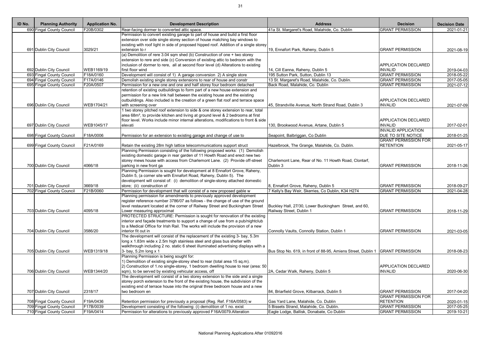| ID No. | <b>Planning Authority</b>                              | <b>Application No.</b>  | <b>Development Description</b>                                                                                                                 | <b>Address</b>                                                                  | <b>Decision</b>                           | <b>Decision Date</b>     |
|--------|--------------------------------------------------------|-------------------------|------------------------------------------------------------------------------------------------------------------------------------------------|---------------------------------------------------------------------------------|-------------------------------------------|--------------------------|
|        | 690 Fingal County Council                              | F20B/0302               | Rear-facing dormer to converted attic space.                                                                                                   | 41a St. Margaret's Road, Malahide, Co. Dublin                                   | <b>GRANT PERMISSION</b>                   | 2021-01-21               |
|        |                                                        |                         | Permission to convert existing garage to part of house and build a first floor                                                                 |                                                                                 |                                           |                          |
|        |                                                        |                         | extension over side single storey section of house matching bay windows to                                                                     |                                                                                 |                                           |                          |
|        |                                                        |                         | existing with roof light in side of proposed hipped roof. Addition of a single storey                                                          |                                                                                 |                                           |                          |
|        | 691 Dublin City Council                                | 3029/21                 | extension to r                                                                                                                                 | 19, Ennafort Park, Raheny, Dublin 5                                             | <b>GRANT PERMISSION</b>                   | 2021-08-19               |
|        |                                                        |                         | (a) Demolition of rere 3.04 sqm shed (b) Construction of one + two storey                                                                      |                                                                                 |                                           |                          |
|        |                                                        |                         | extension to rere and side (c) Conversion of existing attic to bedroom with the                                                                |                                                                                 |                                           |                          |
|        |                                                        |                         | inclusion of dormer to rere, all at second floor level (d) Alterations to existing                                                             |                                                                                 | <b>APPLICATION DECLARED</b>               |                          |
|        | 692 Dublin City Council                                | WEB1169/19<br>F18A/0160 | first floor wind                                                                                                                               | 14, Cill Eanna, Raheny, Dublin 5<br>195 Sutton Park, Sutton, Dublin 13          | <b>INVALID</b><br><b>GRANT PERMISSION</b> | 2019-04-03               |
|        | 693 Fingal County Council<br>694 Fingal County Council | F17A/0146               | Development will consist of 1) A garage conversion 2) A single store<br>Demolish existing single storey extensions to rear of house and constr | 13 St. Margaret's Road, Malahide, Co. Dublin.                                   | <b>GRANT PERMISSION</b>                   | 2018-05-22<br>2017-05-05 |
|        | 695 Fingal County Council                              | F20A/0507               | Permission for a new one and one and half storey four bedroom detached                                                                         | Back Road, Malahide, Co. Dublin                                                 | <b>GRANT PERMISSION</b>                   | 2021-07-12               |
|        |                                                        |                         | retention of existing outbuildings to form part of a new house extension and                                                                   |                                                                                 |                                           |                          |
|        |                                                        |                         | permission for a new link hall between the existing house and the existing                                                                     |                                                                                 |                                           |                          |
|        |                                                        |                         | outbuildings. Also included is the creation of a green flat roof and terrace space                                                             |                                                                                 | <b>APPLICATION DECLARED</b>               |                          |
|        | 696 Dublin City Council                                | WEB1704/21              | with screening over                                                                                                                            | 45, Strandville Avenue, North Strand Road, Dublin 3                             | <b>INVALID</b>                            | 2021-07-09               |
|        |                                                        |                         | 1 two storey pitched roof extension to side & one storey extension to rear, total                                                              |                                                                                 |                                           |                          |
|        |                                                        |                         | area 68m <sup>2</sup> , to provide kitchen and living at ground level & 2 bedrooms at first                                                    |                                                                                 |                                           |                          |
|        |                                                        |                         | floor level. Works include minor internal alterations, modifications to front & side                                                           |                                                                                 | <b>APPLICATION DECLARED</b>               |                          |
|        | 697 Dublin City Council                                | WEB1045/17              | elevati                                                                                                                                        | 130, Brookwood Avenue, Artane, Dublin 5                                         | <b>INVALID</b>                            | 2017-02-01               |
|        |                                                        |                         |                                                                                                                                                |                                                                                 | <b>INVALID APPLICATION</b>                |                          |
|        | 698 Fingal County Council                              | F18A/0006               | Permission for an extension to existing garage and change of use to                                                                            | Seapoint, Balbriggan, Co Dublin                                                 | <b>DUE TO SITE NOTICE</b>                 | 2018-01-25               |
|        |                                                        |                         |                                                                                                                                                |                                                                                 | <b>GRANT PERMISSION FOR</b>               |                          |
|        | 699 Fingal County Council                              | F21A/0169               | Retain the existing 28m high lattice telecommunications support struct                                                                         | Hazelbrook, The Grange, Malahide, Co. Dublin.                                   | <b>RETENTION</b>                          | 2021-05-17               |
|        |                                                        |                         | Planning Permission consisting of the following proposed works: (1) Demolish                                                                   |                                                                                 |                                           |                          |
|        |                                                        |                         | existing domestic garage in rear garden of 11 Howth Road and erect new two                                                                     |                                                                                 |                                           |                          |
|        |                                                        |                         | storey mews house with access from Charlemont Lane. (2) Provide off-street                                                                     | Charlemont Lane, Rear of No. 11 Howth Road, Clontarf,                           |                                           |                          |
|        | 700 Dublin City Council                                | 4066/18                 | parking in new front ga                                                                                                                        | Dublin 3                                                                        | <b>GRANT PERMISSION</b>                   | 2018-11-26               |
|        |                                                        |                         | Planning Permission is sought for development at 8 Ennafort Grove, Raheny,                                                                     |                                                                                 |                                           |                          |
|        |                                                        |                         | Dublin 5, (a corner site with Ennafort Road, Raheny, Dublin 5). The                                                                            |                                                                                 |                                           |                          |
|        |                                                        |                         | development will consist of: (i) demolition of single-storey attached domestic                                                                 |                                                                                 |                                           |                          |
|        | 701 Dublin City Council                                | 3669/18                 | store; (ii) construction of                                                                                                                    | 8, Ennafort Grove, Raheny, Dublin 5                                             | <b>GRANT PERMISSION</b>                   | 2018-09-27               |
|        | 702 Fingal County Council                              | F21B/0060               | Permission for development that will consist of a new proposed gable w                                                                         | 7 Kelly's Bay Weir, Skerries, Co Dublin, K34 H274                               | <b>GRANT PERMISSION</b>                   | 2021-04-28               |
|        |                                                        |                         | Planning permission for amendments to previously approved development                                                                          |                                                                                 |                                           |                          |
|        |                                                        |                         | register reference number 3786/07 as follows - the change of use of the ground                                                                 |                                                                                 |                                           |                          |
|        |                                                        |                         | level restaurant located at the corner of Railway Street and Buckingham Street                                                                 | Buckley Hall, 27/30, Lower Buckingham Street, and 60,                           |                                           |                          |
|        | 703 Dublin City Council                                | 4095/18                 | Lower measuring approximat                                                                                                                     | Railway Street, Dublin 1                                                        | <b>GRANT PERMISSION</b>                   | 2018-11-29               |
|        |                                                        |                         | PROTECTED STRUCTURE: Permission is sought for renovation of the existing                                                                       |                                                                                 |                                           |                          |
|        |                                                        |                         | interior and façade treatments to support a change of use from a pub/nightclub                                                                 |                                                                                 |                                           |                          |
|        |                                                        |                         | to a Medical Office for Irish Rail. The works will include the provision of a new                                                              |                                                                                 |                                           |                          |
|        | 704 Dublin City Council                                | 3586/20                 | interior fit out in                                                                                                                            | Connolly Vaults, Connolly Station, Dublin 1                                     | <b>GRANT PERMISSION</b>                   | 2021-03-05               |
|        |                                                        |                         | The development will consist of the replacement of the existing 3- bay, 5.3m                                                                   |                                                                                 |                                           |                          |
|        |                                                        |                         | long x 1.83m wide x 2.5m high stainless steel and glass bus shelter with                                                                       |                                                                                 |                                           |                          |
|        |                                                        |                         | walkthrough including 2 no. static 6 sheet illuminated advertising displays with a                                                             |                                                                                 |                                           |                          |
|        | 705 Dublin City Council                                | WEB1319/18              | 3- bay, 5.2m long x 1                                                                                                                          | Bus Stop No. 619, in front of 88-95, Amiens Street, Dublin 1   GRANT PERMISSION |                                           | 2018-08-23               |
|        |                                                        |                         | Planning Permission is being sought for:                                                                                                       |                                                                                 |                                           |                          |
|        |                                                        |                         | 1) Demolition of existing single-storey shed to rear (total area 15 sq.m).                                                                     |                                                                                 |                                           |                          |
|        |                                                        |                         | [2] Construction of 1.no single-storey, 1 bedroom dwelling house to rear (area: 50                                                             |                                                                                 | <b>APPLICATION DECLARED</b>               |                          |
|        | 706 Dublin City Council                                | WEB1344/20              | sqm), to be served by existing vehicular access, off                                                                                           | 2A, Cedar Walk, Raheny, Dublin 5                                                | <b>INVALID</b>                            | 2020-06-30               |
|        |                                                        |                         | The development will consist of a two storey extension to the side and a single                                                                |                                                                                 |                                           |                          |
|        |                                                        |                         | storey porch extension to the front of the existing house, the subdivision of the                                                              |                                                                                 |                                           |                          |
|        |                                                        |                         | existing end of terrace house into the original three bedroom house and a new                                                                  |                                                                                 |                                           |                          |
|        | 707 Dublin City Council                                | 2318/17                 | two bedroom en                                                                                                                                 | 84, Briarfield Grove, Kilbarrack, Dublin 5                                      | <b>GRANT PERMISSION</b>                   | 2017-04-20               |
|        |                                                        |                         |                                                                                                                                                |                                                                                 | <b>GRANT PERMISSION FOR</b>               |                          |
|        | 708 Fingal County Council                              | F19A/0436               | Retention permission for previously a proposal (Reg. Ref. F16A/0583) w                                                                         | Gas Yard Lane, Malahide, Co. Dublin                                             | <b>RETENTION</b>                          | 2020-01-15               |
|        | 709 Fingal County Council                              | F17B/0039               | Development consisting of the following: (i) demolition of 1 no. exist                                                                         | 5 Bissets Strand, Malahide, Co. Dublin.                                         | <b>GRANT PERMISSION</b>                   | 2017-05-25               |
|        | 710 Fingal County Council                              | F19A/0414               | Permission for alterations to previously approved F16A/0079. Alteration                                                                        | Eagle Lodge, Ballisk, Donabate, Co Dublin                                       | <b>GRANT PERMISSION</b>                   | 2019-10-21               |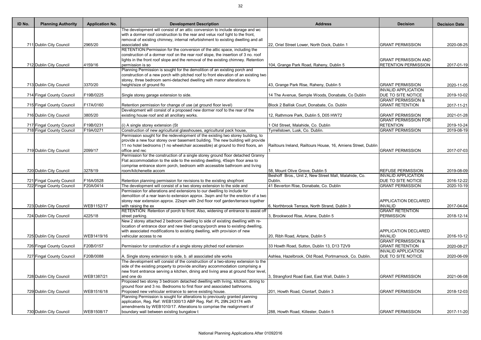| ID No. | <b>Planning Authority</b>                              | <b>Application No.</b> | <b>Development Description</b>                                                                                                                                  | <b>Address</b>                                                | <b>Decision</b>               | <b>Decision Date</b> |
|--------|--------------------------------------------------------|------------------------|-----------------------------------------------------------------------------------------------------------------------------------------------------------------|---------------------------------------------------------------|-------------------------------|----------------------|
|        |                                                        |                        | The development will consist of an attic conversion to include storage and wc                                                                                   |                                                               |                               |                      |
|        |                                                        |                        | with a dormer roof construction to the rear and velux roof light to the front,                                                                                  |                                                               |                               |                      |
|        |                                                        |                        | removal of existing chimney, internal refurbishment to existing dwelling and all                                                                                |                                                               |                               |                      |
|        | 711 Dublin City Council                                | 2965/20                | associated site                                                                                                                                                 | 22, Oriel Street Lower, North Dock, Dublin 1                  | <b>GRANT PERMISSION</b>       | 2020-08-25           |
|        |                                                        |                        | RETENTION: Permission for the conversion of the attic space, including the                                                                                      |                                                               |                               |                      |
|        |                                                        |                        | construction of a dormer roof on the rear roof slope, the insertion of 3 no. roof                                                                               |                                                               |                               |                      |
|        |                                                        |                        | lights in the front roof slope and the removal of the existing chimney. Retention                                                                               |                                                               | <b>GRANT PERMISSION AND</b>   |                      |
|        | 712 Dublin City Council                                | 4159/16                | permission is so                                                                                                                                                | 104, Grange Park Road, Raheny, Dublin 5                       | <b>RETENTION PERMISSION</b>   | 2017-01-19           |
|        |                                                        |                        | Planning Permission is sought for the demolition of an existing porch and                                                                                       |                                                               |                               |                      |
|        |                                                        |                        | construction of a new porch with pitched roof to front elevation of an existing two                                                                             |                                                               |                               |                      |
|        |                                                        |                        | storey, three bedroom semi-detached dwelling with manor alterations to                                                                                          |                                                               |                               |                      |
|        | 713 Dublin City Council                                | 3370/20                | height/size of ground flo                                                                                                                                       | 43, Grange Park Rise, Raheny, Dublin 5                        | <b>GRANT PERMISSION</b>       | 2020-11-05           |
|        |                                                        |                        |                                                                                                                                                                 |                                                               | <b>INVALID APPLICATION</b>    |                      |
|        | 714 Fingal County Council                              | F19B/0225              | Single storey garage extension to side.                                                                                                                         | 14 The Avenue, Semple Woods, Donabate, Co Dublin              | <b>DUE TO SITE NOTICE</b>     | 2019-10-02           |
|        |                                                        |                        |                                                                                                                                                                 |                                                               | <b>GRANT PERMISSION &amp;</b> |                      |
|        | 715 Fingal County Council                              | F17A/0160              | Retention permission for change of use (at ground floor level)<br>Development will consist of a proposed new dormer roof to the rear of the                     | Block 2 Ballisk Court, Donabate, Co. Dublin                   | <b>GRANT RETENTION</b>        | 2017-11-21           |
|        |                                                        | 3805/20                | existing house roof and all ancillary works.                                                                                                                    |                                                               | <b>GRANT PERMISSION</b>       |                      |
|        | 716 Dublin City Council                                |                        |                                                                                                                                                                 | 12, Rathmore Park, Dublin 5, D05 HW72                         | <b>GRANT PERMISSION FOR</b>   | 2021-01-28           |
|        |                                                        | F19B/0231              |                                                                                                                                                                 | 1 Old Street, Malahide, Co. Dublin                            | <b>RETENTION</b>              |                      |
|        | 717 Fingal County Council<br>718 Fingal County Council | F19A/0271              | (i) A single storey extension (St<br>Construction of new agricultural glasshouses, agricultural pack house,                                                     | Tyrrellstown, Lusk, Co. Dublin.                               | <b>GRANT PERMISSION</b>       | 2019-10-24           |
|        |                                                        |                        |                                                                                                                                                                 |                                                               |                               | 2019-08-19           |
|        |                                                        |                        | Permission sought for the redevelopment of the existing two storey building, to                                                                                 |                                                               |                               |                      |
|        |                                                        |                        | provide a new four storey over basement building. The new building will provide                                                                                 |                                                               |                               |                      |
|        |                                                        | 2099/17                | 11 no hotel bedrooms (1 no wheelchair accessible) at ground to third floors, an<br>office and rec                                                               | Railtours Ireland, Railtours House, 16, Amiens Street, Dublin | <b>GRANT PERMISSION</b>       | 2017-07-03           |
|        | 719 Dublin City Council                                |                        |                                                                                                                                                                 |                                                               |                               |                      |
|        |                                                        |                        | Permission for the construction of a single storey ground floor detached Granny<br>Flat accommodation to the side to the existing dwelling, 45sqm floor area to |                                                               |                               |                      |
|        |                                                        |                        | comprise entrance storm porch, bedroom with accessible bathroom and living                                                                                      |                                                               |                               |                      |
|        | 720 Dublin City Council                                | 3278/19                | room/kitchenette accom                                                                                                                                          | 58, Mount Olive Grove, Dublin 5                               | <b>REFUSE PERMISSION</b>      | 2019-08-09           |
|        |                                                        |                        |                                                                                                                                                                 | Beshoff Bros., Unit 2, New Street Mall, Malahide, Co.         | <b>INVALID APPLICATION</b>    |                      |
|        | 721 Fingal County Council                              | F16A/0528              | Retention planning permission for revisions to the existing shopfront                                                                                           | Dublin.                                                       | <b>DUE TO SITE NOTICE</b>     | 2016-12-22           |
|        | 722 Fingal County Council                              | F20A/0414              | The development will consist of a two storey extension to the side and                                                                                          | 41 Beverton Rise, Donabate, Co. Dublin                        | <b>GRANT PERMISSION</b>       | 2020-10-19           |
|        |                                                        |                        | Permission for alterations and extensions to our dwelling to include for                                                                                        |                                                               |                               |                      |
|        |                                                        |                        | demolition of a rear lean-to extension approx. 3sqm and for the erection of a two                                                                               |                                                               |                               |                      |
|        |                                                        |                        | storey rear extension approx. 22sqm with 2nd floor roof garden/terrace together                                                                                 |                                                               | <b>APPLICATION DECLARED</b>   |                      |
|        | 723 Dublin City Council                                | WEB1152/17             | with raising the ex                                                                                                                                             | 6, Northbrook Terrace, North Strand, Dublin 3                 | <b>INVALID</b>                | 2017-04-04           |
|        |                                                        |                        | RETENTION: Retention of porch to front. Also, widening of entrance to assist off                                                                                |                                                               | <b>GRANT RETENTION</b>        |                      |
|        | 724 Dublin City Council                                | 4225/18                | street parking.                                                                                                                                                 | 3, Brookwood Rise, Artane, Dublin 5                           | <b>PERMISSION</b>             | 2018-12-14           |
|        |                                                        |                        | New 2 storey attached 2 bedroom dwelling to side of existing dwelling with re-                                                                                  |                                                               |                               |                      |
|        |                                                        |                        | location of entrance door and new tiled canopy/porch area to existing dwelling,                                                                                 |                                                               |                               |                      |
|        |                                                        |                        | with associated modifications to existing dwelling, with provision of new                                                                                       |                                                               | APPLICATION DECLARED          |                      |
|        | 725 Dublin City Council                                | WEB1419/16             | vehicular access to ne                                                                                                                                          | 20, Ribh Road, Artane, Dublin 5                               | <b>INVALID</b>                | 2016-10-12           |
|        |                                                        |                        |                                                                                                                                                                 |                                                               | <b>GRANT PERMISSION &amp;</b> |                      |
|        | 726 Fingal County Council                              | F20B/0157              | Permission for construction of a single storey pitched roof extension                                                                                           | 33 Howth Road, Sutton, Dublin 13, D13 T2V9                    | <b>GRANT RETENTION</b>        | 2020-08-27           |
|        |                                                        |                        |                                                                                                                                                                 |                                                               | <b>INVALID APPLICATION</b>    |                      |
|        | 727 Fingal County Council                              | F20B/0088              | A. Single storey extension to side, b. all associated site works                                                                                                | Ashlea, Hazelbrook, Old Road, Portmarnock, Co. Dublin.        | <b>DUE TO SITE NOTICE</b>     | 2020-06-09           |
|        |                                                        |                        | The development will consist of the construction of a two-storey extension to the                                                                               |                                                               |                               |                      |
|        |                                                        |                        | side of the existing property to provide ancillary accommodation comprising a                                                                                   |                                                               |                               |                      |
|        |                                                        |                        | new front entrance serving a kitchen, dining and living area at ground floor level,                                                                             |                                                               |                               |                      |
|        | 728 Dublin City Council                                | WEB1387/21             | and one do                                                                                                                                                      | 3, Strangford Road East, East Wall, Dublin 3                  | <b>GRANT PERMISSION</b>       | 2021-06-08           |
|        |                                                        |                        | Proposed two storey 3 bedroom detached dwelling with living, kitchen, dining to                                                                                 |                                                               |                               |                      |
|        |                                                        |                        | ground floor and 3 no. Bedrooms to first floor and associated bathrooms.                                                                                        |                                                               |                               |                      |
|        | 729 Dublin City Council                                | WEB1516/18             | Proposed new vehicular entrance to serve existing house.                                                                                                        | 201, Howth Road, Clontarf, Dublin 3                           | <b>GRANT PERMISSION</b>       | 2018-12-03           |
|        |                                                        |                        | Planning Permission is sought for alterations to previously granted planning                                                                                    |                                                               |                               |                      |
|        |                                                        |                        | application, Reg. Ref: WEB1300/13 ABP Reg. Ref: PL 29N.243174 with                                                                                              |                                                               |                               |                      |
|        |                                                        |                        | amendments by WEB1010/17. Alterations to comprise the realignment of                                                                                            |                                                               |                               |                      |
|        | 730 Dublin City Council                                | WEB1508/17             | boundary wall between existing bungalow t                                                                                                                       | 288, Howth Road, Killester, Dublin 5                          | <b>GRANT PERMISSION</b>       | 2017-11-20           |
|        |                                                        |                        |                                                                                                                                                                 |                                                               |                               |                      |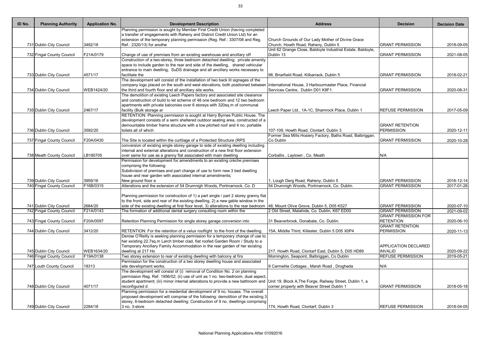| ID No. | <b>Planning Authority</b> | <b>Application No.</b> | <b>Development Description</b>                                                                                                             | <b>Address</b>                                                                                       | <b>Decision</b>                                 | <b>Decision Date</b> |
|--------|---------------------------|------------------------|--------------------------------------------------------------------------------------------------------------------------------------------|------------------------------------------------------------------------------------------------------|-------------------------------------------------|----------------------|
|        |                           |                        | Planning permission is sought by Member First Credit Union (having completed                                                               |                                                                                                      |                                                 |                      |
|        |                           |                        | a transfer of engagements with Raheny and District Credit Union Ltd) for an                                                                |                                                                                                      |                                                 |                      |
|        |                           |                        | extension of the temporary planning permission (Reg. Ref.: 3307/08 and Reg.                                                                | Church Grounds of Our Lady Mother of Divine Grace                                                    |                                                 |                      |
|        | 731 Dublin City Council   | 3492/18                | Ref.: 2320/13) for anothe                                                                                                                  | Church, Howth Road, Raheny, Dublin 5<br>Unit 62 Grange Close, Baldoyle Industrial Estate, Baldoyle,  | <b>GRANT PERMISSION</b>                         | 2018-09-05           |
|        | 732 Fingal County Council | F21A/0179              | Change of use of premises from an existing warehouse and ancillary off                                                                     | Dublin 13                                                                                            | <b>GRANT PERMISSION</b>                         | 2021-08-05           |
|        |                           |                        | Construction of a two-storey, three bedroom detached dwelling; private amenity                                                             |                                                                                                      |                                                 |                      |
|        |                           |                        | space to include garden to the rear and side of the dwelling, shared vehicular                                                             |                                                                                                      |                                                 |                      |
|        |                           |                        | entrance to main dwelling, SuDS drainage and all ancillary works necessary to                                                              |                                                                                                      |                                                 |                      |
|        | 733 Dublin City Council   | 4571/17                | facilitate the                                                                                                                             | 98, Briarfield Road, Kilbarrack, Dublin 5                                                            | <b>GRANT PERMISSION</b>                         | 2018-02-21           |
|        |                           |                        | The development will consist of the installation of two back lit signages of the                                                           |                                                                                                      |                                                 |                      |
|        |                           |                        | company logo placed on the south and west elevations, both positioned between International House, 3 Harbourmaster Place, Financial        |                                                                                                      |                                                 |                      |
|        | 734 Dublin City Council   | WEB1424/20             | the third and fourth floor and all ancillary site works.                                                                                   | Services Centre, Dublin D01 K8F1.                                                                    | <b>GRANT PERMISSION</b>                         | 2020-08-31           |
|        |                           |                        | The demolition of existing Leech Papers factory and associated site clearance                                                              |                                                                                                      |                                                 |                      |
|        |                           |                        | and construction of build to let scheme of 48 one bedroom and 12 two bedroom                                                               |                                                                                                      |                                                 |                      |
|        |                           |                        | apartments with private balconies over 6 storeys with 320sq.m of communal                                                                  |                                                                                                      |                                                 |                      |
|        | 735 Dublin City Council   | 2467/17                | facility (Bulk storage ar                                                                                                                  | Leech Paper Ltd., 1A-1C, Shamrock Place, Dublin 1                                                    | <b>REFUSE PERMISSION</b>                        | 2017-05-09           |
|        |                           |                        | RETENTION: Planning permission is sought at Harry Byrnes Public House. The                                                                 |                                                                                                      |                                                 |                      |
|        |                           |                        | development consists of a semi sheltered outdoor seating area, constructed of a                                                            |                                                                                                      |                                                 |                      |
|        |                           | 3592/20                | demountable timber frame structure with a low pitched roof and 4 no. portable<br>toilets all of which                                      |                                                                                                      | <b>GRANT RETENTION</b><br>PERMISSION            |                      |
|        | 736 Dublin City Council   |                        |                                                                                                                                            | 107-109, Howth Road, Clontarf, Dublin 3<br>Former Sea Mills Hosiery Factory, Baths Road, Balbriggan, |                                                 | 2020-12-11           |
|        | 737 Fingal County Council | F20A/0430              | The Site is located within the curtilage of a Protected Structure (RPS                                                                     | Co Dublin                                                                                            | <b>GRANT PERMISSION</b>                         | 2020-10-28           |
|        |                           |                        | conversion of existing single storey garage to side of existing dwelling including                                                         |                                                                                                      |                                                 |                      |
|        |                           |                        | internal and external alterations and construction of a new first floor extension                                                          |                                                                                                      |                                                 |                      |
|        | 738 Meath County Council  | LB180705               | over same for use as a granny flat associated with main dwelling                                                                           | Corballis, Laytown, Co. Meath                                                                        | N/A                                             |                      |
|        |                           |                        | Permission for development for amendments to an existing crèche premises                                                                   |                                                                                                      |                                                 |                      |
|        |                           |                        | comprising the following:                                                                                                                  |                                                                                                      |                                                 |                      |
|        |                           |                        | Subdivision of premises and part change of use to form new 3 bed dwelling                                                                  |                                                                                                      |                                                 |                      |
|        |                           |                        | house and rear garden with associated internal amendments;                                                                                 |                                                                                                      |                                                 |                      |
|        | 739 Dublin City Council   | 3959/16                | New ground floor e                                                                                                                         | 1, Lough Derg Road, Raheny, Dublin 5                                                                 | <b>GRANT PERMISSION</b>                         | 2016-12-14           |
|        | 740 Fingal County Council | F16B/0315              | Alterations and the extension of 54 Drumnigh Woods, Portmarnock, Co. D                                                                     | 54 Drumnigh Woods, Portmarnock, Co. Dublin.                                                          | <b>GRANT PERMISSION</b>                         | 2017-01-26           |
|        |                           |                        |                                                                                                                                            |                                                                                                      |                                                 |                      |
|        |                           |                        | Planning permission for construction of 1) a part single / part 2 storey granny flat                                                       |                                                                                                      |                                                 |                      |
|        |                           |                        | to the front, side and rear of the existing dwelling, 2) a new gable window in the                                                         |                                                                                                      |                                                 |                      |
|        | 741 Dublin City Council   | 2684/20                | side of the existing dwelling at first floor level, 3) alterations to the rear bedroom [48, Mount Olive Grove, Dublin 5, D05 K527          |                                                                                                      | <b>GRANT PERMISSION</b>                         | 2020-07-10           |
|        | 742 Fingal County Council | F21A/0143              | The formation of additional dental surgery consulting room within the                                                                      | 2 Old Street, Malahide, Co. Dublin, K67 ED00                                                         | <b>GRANT PERMISSION</b>                         | 2021-09-02           |
|        |                           | F20A/0097              |                                                                                                                                            |                                                                                                      | <b>GRANT PERMISSION FOR</b><br><b>RETENTION</b> |                      |
|        | 743 Fingal County Council |                        | Retention Planning Permission for single storey garage conversion into                                                                     | 31 Beaverbrook, Donabate, Co. Dublin.                                                                | <b>GRANT RETENTION</b>                          | 2020-06-10           |
|        | 744 Dublin City Council   | 3412/20                | RETENTION: For the retention of a velux rooflight to the front of the dwelling.                                                            | 15A, Middle Third, Killester, Dublin 5 D05 X0P4                                                      | <b>PERMISSION</b>                               | 2020-11-13           |
|        |                           |                        | Denise O'Reilly is seeking planning permission for a temporary change of use to                                                            |                                                                                                      |                                                 |                      |
|        |                           |                        | her existing 22.7sq.m Larch timber clad, flat roofed Garden Room / Study to a                                                              |                                                                                                      |                                                 |                      |
|        |                           |                        | Temporary Ancillary Family Accommodation in the rear garden of her existing                                                                |                                                                                                      | APPLICATION DECLARED                            |                      |
|        | 745 Dublin City Council   | WEB1634/20             | dwelling at 217 Ho                                                                                                                         | 217, Howth Road, Clontarf East, Dublin 5, D05 HD89                                                   | <b>INVALID</b>                                  | 2020-09-22           |
|        | 746 Fingal County Council | F19A/0138              | Two storey extension to rear of existing dwelling with balcony at firs                                                                     | Mornington, Seapoint, Balbriggan, Co Dublin                                                          | <b>REFUSE PERMISSION</b>                        | 2019-05-21           |
|        |                           |                        | Permission for the construction of a two storey dwelling house and associated                                                              |                                                                                                      |                                                 |                      |
|        | 747 Louth County Council  | 18313                  | site development works.                                                                                                                    | 9 Carmelite Cottages, Marsh Road, Drogheda                                                           | N/A                                             |                      |
|        |                           |                        | The development will consist of (i) removal of Condition No. 2 on planning                                                                 |                                                                                                      |                                                 |                      |
|        |                           |                        | permission Reg. Ref. 1956/02; (ii) use of unit as 1 no. two-bedroom, dual aspect,                                                          |                                                                                                      |                                                 |                      |
|        |                           |                        | student apartment; (iii) minor internal alterations to provide a new bathroom and Unit 19, Block A, The Forge, Railway Street, Dublin 1, a |                                                                                                      |                                                 |                      |
|        | 748 Dublin City Council   | 4071/17                | reconfigured d                                                                                                                             | corner property with Beaver Street Dublin 1                                                          | <b>GRANT PERMISSION</b>                         | 2018-05-18           |
|        |                           |                        | Planning permission for a residential development of 9 no. houses. The overall                                                             |                                                                                                      |                                                 |                      |
|        |                           |                        | proposed development will comprise of the following: demolition of the existing 3                                                          |                                                                                                      |                                                 |                      |
|        |                           |                        | storey, 6-bedroom detached dwelling; Construction of 9 no. dwellings comprising                                                            |                                                                                                      |                                                 |                      |
|        | 749 Dublin City Council   | 2284/18                | 3 no. 3-store                                                                                                                              | 174, Howth Road, Clontarf, Dublin 3                                                                  | <b>REFUSE PERMISSION</b>                        | 2018-04-05           |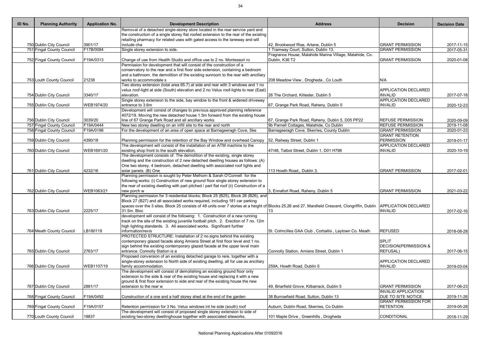| ID No. | <b>Planning Authority</b> | <b>Application No.</b> | <b>Development Description</b>                                                                                                                    | <b>Address</b>                                          | <b>Decision</b>             | <b>Decision Date</b> |
|--------|---------------------------|------------------------|---------------------------------------------------------------------------------------------------------------------------------------------------|---------------------------------------------------------|-----------------------------|----------------------|
|        |                           |                        | Removal of a detached single-storey store located in the rear service yard and                                                                    |                                                         |                             |                      |
|        |                           |                        | the construction of a single storey flat roofed extension to the rear of the existing                                                             |                                                         |                             |                      |
|        |                           |                        | retailing pharmacy for related uses with gated access to the laneway and will                                                                     |                                                         |                             |                      |
|        | 750 Dublin City Council   | 3901/17                | include cha                                                                                                                                       | 42, Brookwood Rise, Artane, Dublin 5                    | <b>GRANT PERMISSION</b>     | 2017-11-15           |
|        | 751 Fingal County Council | F17B/0084              | Single storey extension to side.                                                                                                                  | 1 Tramway Court, Sutton, Dublin 13.                     | <b>GRANT PERMISSION</b>     | 2017-05-31           |
|        |                           |                        |                                                                                                                                                   | Fragrance House, Malahide Marina Village, Malahide, Co. |                             |                      |
|        | 752 Fingal County Council | F19A/0313              | Change of use from Health Studio and office use to 2 no. Montessori ro                                                                            | Dublin, K36 T2                                          | <b>GRANT PERMISSION</b>     | 2020-01-08           |
|        |                           |                        | Permission for development that will consist of the construction of a                                                                             |                                                         |                             |                      |
|        |                           |                        | conservatory to the rear and a first floor side extension, containing a bedroom                                                                   |                                                         |                             |                      |
|        |                           |                        | and a bathroom. the demolition of the existing sunroom to the rear with ancillary                                                                 |                                                         |                             |                      |
|        | 753 Louth County Council  | 21238                  | works to accommodate s                                                                                                                            | 208 Meadow View, Drogheda, Co Louth                     | N/A                         |                      |
|        |                           |                        | Two storey extension (total area 65.7) at side and rear with 3 windows and 1 no                                                                   |                                                         | <b>APPLICATION DECLARED</b> |                      |
|        | 754 Dublin City Council   | 3340/17                | velux roof-light at side (South) elevation and 2 no Velux roof-lights to rear (East)<br>elevation.                                                | 26 The Orchard, Killester, Dublin 5                     | <b>INVALID</b>              |                      |
|        |                           |                        | Single storey extension to the side, bay window to the front & widened driveway                                                                   |                                                         | <b>APPLICATION DECLARED</b> | 2017-07-18           |
|        | 755 Dublin City Council   | WEB1974/20             | entrance to 3.6m                                                                                                                                  | 67, Grange Park Road, Raheny, Dublin 5                  | <b>INVALID</b>              | 2020-12-23           |
|        |                           |                        | Development will consist of changes to previous approved planning reference                                                                       |                                                         |                             |                      |
|        |                           |                        | 4072/19. Moving the new detached house 1.5m forward from the existing house                                                                       |                                                         |                             |                      |
|        | 756 Dublin City Council   | 3039/20                | line of 67 Grange Park Road and all ancillary works.                                                                                              | 67, Grange Park Road, Raheny, Dublin 5, D05 PP22        | <b>REFUSE PERMISSION</b>    | 2020-09-09           |
|        | 757 Fingal County Council | F19A/0444              | New two storey dwelling on an infill site to the rear and north                                                                                   | 9b Parnell Cottages, Malahide, Co Dublin                | <b>REFUSE PERMISSION</b>    | 2019-11-08           |
|        | 758 Fingal County Council | F19A/0196              | For the development of an area of open space at Barnageeragh Cove, Ske                                                                            | Barnageeragh Cove, Skerries, County Dublin              | <b>GRANT PERMISSION</b>     | 2020-01-23           |
|        |                           |                        |                                                                                                                                                   |                                                         | <b>GRANT RETENTION</b>      |                      |
|        | 759 Dublin City Council   | 4390/18                | Planning permission for the retention of the Bay Window and overhead Canopy                                                                       | 52, Railway Street, Dublin 1                            | <b>PERMISSION</b>           | 2019-01-17           |
|        |                           |                        | The development will consist of the installation of an ATM machine to the                                                                         |                                                         | <b>APPLICATION DECLARED</b> |                      |
|        | 760 Dublin City Council   | WEB1691/20             | existing shop front to the south elevation.                                                                                                       | 47/48, Talbot Street, Dublin 1, D01 H798                | <b>INVALID</b>              | 2020-10-19           |
|        |                           |                        | The development consists of: The demolition of the existing, single storey                                                                        |                                                         |                             |                      |
|        |                           |                        | dwelling and the construction of 2 new detached dwelling houses as follows: (A)                                                                   |                                                         |                             |                      |
|        |                           |                        | One two storey, 4 bedroom, detached dwelling with associated roof lights and                                                                      |                                                         |                             |                      |
|        | 761 Dublin City Council   | 4232/16                | solar panels. (B) One                                                                                                                             | 113 Howth Road,, Dublin 3.                              | <b>GRANT PERMISSION</b>     | 2017-02-01           |
|        |                           |                        | Planning permission is sought by Peter Melhorn & Sarah O'Connell for the                                                                          |                                                         |                             |                      |
|        |                           |                        | following works: (i) Construction of new ground floor single storey extension to                                                                  |                                                         |                             |                      |
|        |                           |                        | the rear of existing dwelling with part pitched / part flat roof (ii) Construction of a                                                           |                                                         |                             |                      |
|        | 762 Dublin City Council   | WEB1063/21             | new porch w                                                                                                                                       | 3, Ennafort Road, Raheny, Dublin 5                      | <b>GRANT PERMISSION</b>     | 2021-03-22           |
|        |                           |                        | Planning permission for 3 residential blocks; Block 25 (B25), Block 26 (B26), and                                                                 |                                                         |                             |                      |
|        |                           |                        | Block 27 (B27) and all associated works required, including 181 car parking                                                                       |                                                         |                             |                      |
|        |                           |                        | spaces over the 3 sites. Block 25 consists of 48 units over 7 stories at a height of Blocks 25,26 and 27, Marsfield Crescent, Clongriffin, Dublin |                                                         | <b>APPLICATION DECLARED</b> |                      |
|        | 763 Dublin City Council   | 2225/17                | 31.5m. Bloc                                                                                                                                       | 13                                                      | <b>INVALID</b>              | 2017-02-16           |
|        |                           |                        | development will consist of the following: 1. Construction of a new running                                                                       |                                                         |                             |                      |
|        |                           |                        | track on the site of the existing juvenile football pitch. 2. Erection of 7 no. 12m                                                               |                                                         |                             |                      |
|        |                           |                        | high lighting standards. 3. All associated works. Significant further                                                                             |                                                         |                             |                      |
|        | 764 Meath County Council  | LB180119               | information/revis                                                                                                                                 | St. Colmcilles GAA Club, Corballis, Laytown Co. Meath   | <b>REFUSED</b>              | 2018-08-28           |
|        |                           |                        | PROTECTED STRUCTURE: Installation of 2 no.signs behind the existing                                                                               |                                                         |                             |                      |
|        |                           |                        | contemporary glazed facade along Amiens Street at first floor level and 1 no.                                                                     |                                                         | <b>SPLIT</b>                |                      |
|        |                           |                        | sign behind the existing contemporary glazed facade at the upper level main                                                                       |                                                         | DECISION(PERMISSION &       |                      |
|        | 765 Dublin City Council   | 2763/17                | entrance. Connolly Station is a                                                                                                                   | Connolly Station, Amiens Street, Dublin 1               | <b>REFUSAL)</b>             | 2017-06-15           |
|        |                           |                        | Proposed conversion of an existing detached garage to rere, together with a                                                                       |                                                         |                             |                      |
|        |                           |                        | single-storey extension to North side of existing dwelling, all for use as ancillary                                                              |                                                         | <b>APPLICATION DECLARED</b> |                      |
|        | 766 Dublin City Council   | WEB1107/19             | family accommodation.                                                                                                                             | 259A, Howth Road, Dublin 5                              | <b>INVALID</b>              | 2019-03-04           |
|        |                           |                        | The development will consist of demolishing an existing ground floor only                                                                         |                                                         |                             |                      |
|        |                           |                        | extension to the side & rear of the existing house and replacing it with a new                                                                    |                                                         |                             |                      |
|        |                           |                        | ground & first floor extension to side and rear of the existing house the new                                                                     |                                                         |                             |                      |
|        | 767 Dublin City Council   | 2881/17                | extension to the rear w                                                                                                                           | 49, Briarfield Grove, Kilbarrack, Dublin 5              | <b>GRANT PERMISSION</b>     | 2017-06-23           |
|        |                           |                        |                                                                                                                                                   |                                                         | <b>INVALID APPLICATION</b>  |                      |
|        | 768 Fingal County Council | F19A/0492              | Construction of a one and a half storey shed at the end of the garden                                                                             | 38 Burrowfield Road, Sutton, Dublin 13                  | <b>DUE TO SITE NOTICE</b>   | 2019-11-26           |
|        |                           |                        |                                                                                                                                                   |                                                         | <b>GRANT PERMISSION FOR</b> |                      |
|        | 769 Fingal County Council | F19A/0157              | Retention permission for 3 No. Velux windows int he side (south) roof                                                                             | Auburn, Dublin Road, Skerries, Co Dublin                | <b>RETENTION</b>            | 2019-05-28           |
|        |                           |                        | The development will consist of proposed single storey extension to side of                                                                       |                                                         |                             |                      |
|        | 770 Louth County Council  | 18837                  | existing two-storey dwellinghouse together with associated siteworks.                                                                             | 101 Maple Drive, Greenhills, Drogheda                   | CONDITIONAL                 | 2018-11-29           |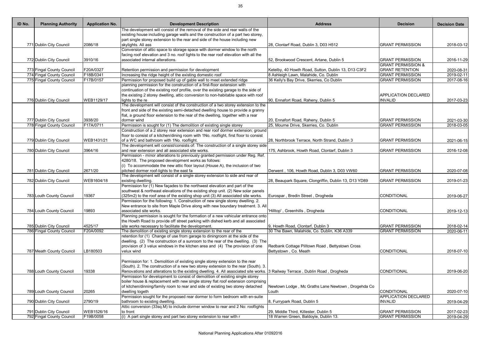| ID No. | <b>Planning Authority</b> | <b>Application No.</b> | <b>Development Description</b>                                                                                               | <b>Address</b>                                        | <b>Decision</b>               | <b>Decision Date</b>     |
|--------|---------------------------|------------------------|------------------------------------------------------------------------------------------------------------------------------|-------------------------------------------------------|-------------------------------|--------------------------|
|        |                           |                        | The development will consist of the removal of the side and rear walls of the                                                |                                                       |                               |                          |
|        |                           |                        | existing house including garage walls and the construction of a part two storey,                                             |                                                       |                               |                          |
|        |                           |                        | part single storey extension to the rear and side of the house including new                                                 |                                                       |                               |                          |
|        | 771 Dublin City Council   | 2086/18                | skylights. All ass                                                                                                           | 28, Clontarf Road, Dublin 3, D03 H512                 | <b>GRANT PERMISSION</b>       | 2018-03-12               |
|        |                           |                        | Conversion of attic space to storage space with dormer window to the north                                                   |                                                       |                               |                          |
|        |                           |                        | facing roof elevation and 3 no. roof lights to the rear roof elevation with all the                                          |                                                       |                               |                          |
|        | 772 Dublin City Council   | 3910/16                | associated internal alterations.                                                                                             | 52, Brookwood Crescent, Artane, Dublin 5              | <b>GRANT PERMISSION</b>       | 2016-11-29               |
|        |                           |                        |                                                                                                                              |                                                       | <b>GRANT PERMISSION &amp;</b> |                          |
|        | 773 Fingal County Council | F20A/0327              | Retention permission and permission for development                                                                          | Ketelby, 40 Howth Road, Sutton, Dublin 13, D13 C3F2   | <b>GRANT RETENTION</b>        | 2020-08-31               |
|        | 774 Fingal County Council | F18B/0341              | Increasing the ridge height of the existing domestic roof                                                                    | 8 Ashleigh Lawn, Malahide, Co. Dublin                 | <b>GRANT PERMISSION</b>       | $\overline{20}$ 19-02-11 |
|        | 775 Fingal County Council | F17B/0157              | Permission for proposed build up of gable wall to meet extended ridge                                                        | 36 Kelly's Bay Drive, Skerries, Co Dublin             | <b>GRANT PERMISSION</b>       | 2017-08-16               |
|        |                           |                        | planning permission for the construction of a first-floor extension with                                                     |                                                       |                               |                          |
|        |                           |                        | continuation of the existing roof profile, over the existing garage to the side of                                           |                                                       |                               |                          |
|        |                           |                        | the existing 2 storey dwelling, attic conversion to non-habitable space with roof                                            |                                                       | <b>APPLICATION DECLARED</b>   |                          |
|        | 776 Dublin City Council   | WEB1129/17             | lights to the re                                                                                                             | 90, Ennafort Road, Raheny, Dublin 5                   | <b>INVALID</b>                | 2017-03-23               |
|        |                           |                        | The development will consist of the construction of a two storey extension to the                                            |                                                       |                               |                          |
|        |                           |                        | front and side of the existing semi-detached dwelling house to provide a granny                                              |                                                       |                               |                          |
|        |                           |                        | flat, a ground floor extension to the rear of the dwelling, together with a rear                                             |                                                       |                               |                          |
|        | 777 Dublin City Council   | 3938/20                | dormer wind                                                                                                                  | 20, Ennafort Road, Raheny, Dublin 5                   | <b>GRANT PERMISSION</b>       | 2021-03-30               |
|        | 778 Fingal County Council | F17A/0711              | Permission is sought for (1) The demolition of existing single storey                                                        | 25, Mourne Drive, Skerries, Co. Dublin                | <b>GRANT PERMISSION</b>       | 2018-03-05               |
|        |                           |                        | Construction of a 2 storey rear extension and rear roof dormer extension; ground                                             |                                                       |                               |                          |
|        |                           |                        | floor to consist of a kitchen/dining room with 1No. rooflight, first floor to consist                                        |                                                       |                               |                          |
|        | 779 Dublin City Council   | WEB1431/21             | of a WC and bathroom with 1No. rooflight.                                                                                    | 28, Northbrook Terrace, North Strand, Dublin 3        | <b>GRANT PERMISSION</b>       | 2021-06-15               |
|        |                           |                        | The development will consist/consists of: The construction of a single storey side                                           |                                                       |                               |                          |
|        | 780 Dublin City Council   | 3964/16                | and rear extension and all associated site works.                                                                            | 175, Ashbrook, Howth Road, Clontarf, Dublin 3         | <b>GRANT PERMISSION</b>       | 2016-12-08               |
|        |                           |                        | Permission - minor alterations to previously granted permission under Reg. Ref.                                              |                                                       |                               |                          |
|        |                           |                        | 4280/18. The proposed development works as follows:                                                                          |                                                       |                               |                          |
|        |                           |                        | (i) To accommodate the new attic floor layout (House A), the inclusion of two                                                |                                                       |                               |                          |
|        | 781 Dublin City Council   | 2671/20                | pitched dormer roof-lights to the east fa                                                                                    | Derwent, 106, Howth Road, Dublin 3, D03 VW60          | <b>GRANT PERMISSION</b>       | 2020-07-08               |
|        |                           |                        | The development will consist of a single storey extension to side and rear of                                                |                                                       |                               |                          |
|        | 782 Dublin City Council   | WEB1604/18             | existing dwelling.                                                                                                           | 28, Beaupark Square, Clongriffin, Dublin 13, D13 YD89 | <b>GRANT PERMISSION</b>       | 2019-01-23               |
|        |                           |                        | Permission for (1) New façades to the northwest elevation and part of the                                                    |                                                       |                               |                          |
|        |                           |                        | southwest & northeast elevations of the existing shop unit. (2) New solar panels                                             |                                                       |                               |                          |
|        |                           |                        |                                                                                                                              |                                                       | CONDITIONAL                   |                          |
|        | 783 Louth County Council  | 19367                  | (325m2) to the roof area of the existing shop unit (3) All associated site works.                                            | Eurospar, Bredin Street, Drogheda                     |                               | 2019-06-27               |
|        |                           |                        | Permission for the following: 1. Construction of new single storey dwelling. 2.                                              |                                                       |                               |                          |
|        |                           |                        | New entrance to site from Maple Drive along with new boundary treatment. 3. All                                              |                                                       |                               |                          |
|        | 784 Louth County Council  | 19893                  | associated site works.                                                                                                       | Hilltop', Greenhills, Drogheda                        | <b>CONDITIONAL</b>            | 2019-12-13               |
|        |                           |                        | Planning permission is sought for the formation of a new vehicular entrance onto                                             |                                                       |                               |                          |
|        |                           |                        | the Howth Road to provide off street parking with dished kerb and all associated                                             |                                                       |                               |                          |
|        | 785 Dublin City Council   | 4525/17                | site works necessary to facilitate the development.                                                                          | 9, Howth Road, Clontarf, Dublin 3                     | <b>GRANT PERMISSION</b>       | 2018-02-14               |
|        | 786 Fingal County Council | F20A/0092              | The demolition of existing single storey extension to the rear of the                                                        | 30 The Bawn, Malahide, Co. Dublin, K36 A339           | <b>GRANT PERMISSION</b>       | 2020-06-11               |
|        |                           |                        | retention for (1) Change of use from garage to diningroom at the side of the                                                 |                                                       |                               |                          |
|        |                           |                        | dwelling. (2) The construction of a sunroom to the rear of the dwelling. (3) The                                             |                                                       |                               |                          |
|        |                           |                        | provision of 3 velux windows in the kitchen area and (4) The provision of one                                                | Redbank Cottage Pilltown Road, Bettystown Cross       |                               |                          |
|        | 787 Meath County Council  | LB180503               | velux wind                                                                                                                   | Bettystown, Co. Meath                                 | CONDITIONAL                   | 2018-07-10               |
|        |                           |                        |                                                                                                                              |                                                       |                               |                          |
|        |                           |                        | Permission for: 1. Demolition of existing single storey extension to the rear                                                |                                                       |                               |                          |
|        |                           |                        | (South). 2. The construction of a new two storey extension to the rear (South). 3.                                           |                                                       |                               |                          |
|        | 788 Louth County Council  | 19338                  | Renovations and alterations to the existing dwelling. 4. All associated site works. 3 Railway Terrace, Dublin Road, Drogheda |                                                       | CONDITIONAL                   | 2019-06-20               |
|        |                           |                        | Permission for development to consist of demolition of existing single storey                                                |                                                       |                               |                          |
|        |                           |                        | boiler house & replacement with new single storey flat roof extension comprising                                             |                                                       |                               |                          |
|        |                           |                        | of kitchen/dinning/family room to rear and side of existing two storey detached                                              | Newtown Lodge, Mc Graths Lane Newtown, Drogehda Co    |                               |                          |
|        | 789 Louth County Council  | 20265                  | dwelling togeth                                                                                                              | Louth                                                 | <b>CONDITIONAL</b>            | 2020-07-10               |
|        |                           |                        | Permission sought for the proposed rear dormer to form bedroom with en-suite                                                 |                                                       | <b>APPLICATION DECLARED</b>   |                          |
|        | 790 Dublin City Council   | 2790/19                | bathroom to existing dwelling.                                                                                               | 8, Furrypark Road, Dublin 5                           | <b>INVALID</b>                | 2019-04-29               |
|        |                           |                        | Attic conversion (33sq.M) to include dormer window to rear and 2 No: rooflights                                              |                                                       |                               |                          |
|        |                           |                        | to front                                                                                                                     |                                                       |                               |                          |
|        | 791 Dublin City Council   | WEB1526/16             |                                                                                                                              | 29, Middle Third, Killester, Dublin 5                 | <b>GRANT PERMISSION</b>       | 2017-02-23               |
|        | 792 Fingal County Council | F19B/0058              | $(i)$ A part single storey and part two storey extension to rear with r                                                      | 18 Warren Green, Baldoyle, Dublin 13.                 | <b>GRANT PERMISSION</b>       | 2019-04-29               |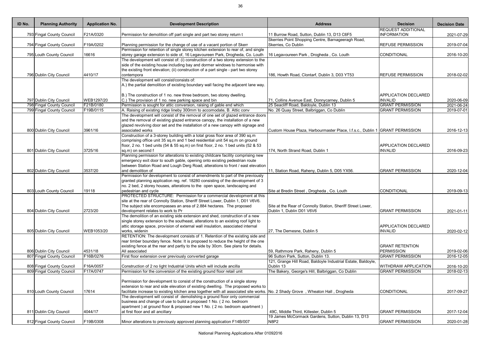| ID No. | <b>Planning Authority</b> | <b>Application No.</b> | <b>Development Description</b>                                                                                                                               | <b>Address</b>                                                               | <b>Decision</b>             | <b>Decision Date</b>     |
|--------|---------------------------|------------------------|--------------------------------------------------------------------------------------------------------------------------------------------------------------|------------------------------------------------------------------------------|-----------------------------|--------------------------|
|        |                           |                        |                                                                                                                                                              |                                                                              | <b>REQUEST ADDITIONAL</b>   |                          |
|        | 793 Fingal County Council | F21A/0320              | Permission for demolition off part single and part two storey return t                                                                                       | 11 Burrow Road, Sutton, Dublin 13, D13 C6F5                                  | <b>INFORMATION</b>          | 2021-07-29               |
|        |                           |                        |                                                                                                                                                              | Skerries Point Shopping Centre, Barnageeragh Road,                           |                             |                          |
|        | 794 Fingal County Council | F19A/0202              | Planning permission for the change of use of a vacant portion of Skerr<br>Permission for retention of single storey kitchen extension to rear of, and single | Skerries, Co Dublin                                                          | <b>REFUSE PERMISSION</b>    | 2019-07-04               |
|        | 795 Louth County Council  | 16616                  | storey garage extension to side of, 16 Legavoureen Park, Drogheda, Co. Louth                                                                                 | 16 Legavoureen Park, Drogheda, Co. Louth                                     | CONDITIONAL                 | 2016-10-20               |
|        |                           |                        | The development will consist of: (i) construction of a two storey extension to the                                                                           |                                                                              |                             |                          |
|        |                           |                        | side of the existing house including bay and dormer windows to harmonise with                                                                                |                                                                              |                             |                          |
|        |                           |                        | the existing front elevation; (ii) construction of a part single - part two storey                                                                           |                                                                              |                             |                          |
|        | 796 Dublin City Council   | 4410/17                | contempora                                                                                                                                                   | 186, Howth Road, Clontarf, Dublin 3, D03 YT53                                | <b>REFUSE PERMISSION</b>    | 2018-02-02               |
|        |                           |                        | The development will consist/consists of:                                                                                                                    |                                                                              |                             |                          |
|        |                           |                        | A.) the partial demolition of existing boundary wall facing the adjacent lane way.                                                                           |                                                                              |                             |                          |
|        |                           |                        |                                                                                                                                                              |                                                                              |                             |                          |
|        |                           |                        | B.) The construction of 1 no. new three bedroom, two storey dwelling.                                                                                        |                                                                              | <b>APPLICATION DECLARED</b> |                          |
|        | 797 Dublin City Council   | WEB1297/20             | C.) The provision of 1 no. new parking space and bin                                                                                                         | 71, Collins Avenue East, Donnycarney, Dublin 5                               | <b>INVALID</b>              | 2020-06-09               |
|        | 798 Fingal County Council | F21B/0180              | Permission is sought for attic conversion, raising of gable end which                                                                                        | 25 Seacliff Road, Baldoyle, Dublin 13                                        | <b>GRANT PERMISSION</b>     | 2021-06-24               |
|        | 799 Fingal County Council | F19B/0115              | A. Raising of existing ridge lineby 300mm to accomodate, B. Attic conv                                                                                       | No. 26 Quay Street, Balbriggan, Co Dublin                                    | <b>GRANT PERMISSION</b>     | 2019-07-01               |
|        |                           |                        | The development will consist of the removal of one set of glazed entrance doors                                                                              |                                                                              |                             |                          |
|        |                           |                        | and the removal of existing glazed entrance canopy, the installation of a new                                                                                |                                                                              |                             |                          |
|        |                           |                        | glazed revolving door set and the installation of a new canopy with signage and                                                                              |                                                                              |                             |                          |
|        | 800 Dublin City Council   | 3961/16                | associated works                                                                                                                                             | Custom House Plaza, Harbourmaster Place, I.f.s.c., Dublin 1 GRANT PERMISSION |                             | 2016-12-13               |
|        |                           |                        | Construction of a 3-storey building with a total gross floor area of 390 sq.m                                                                                |                                                                              |                             |                          |
|        |                           |                        | comprising office unit 35 sq.m and 1 bed residential unit 54 sq.m on ground                                                                                  |                                                                              | <b>APPLICATION DECLARED</b> |                          |
|        | 801 Dublin City Council   | 3725/16                | floor, 2 no. 1 bed units (54 & 55 sq.m) on first floor, 2 no. 1 bed units (52 & 53<br>sq.m) on second f                                                      | 174, North Strand Road, Dublin 1                                             | <b>INVALID</b>              | 2016-09-23               |
|        |                           |                        | Planning permission for alterations to existing childcare facility comprising new                                                                            |                                                                              |                             |                          |
|        |                           |                        | emergency exit door to south gable, opening onto existing pedestrian route                                                                                   |                                                                              |                             |                          |
|        |                           |                        | between Station Road and Lough Derg Road, alterations to front / east elevation                                                                              |                                                                              |                             |                          |
|        | 802 Dublin City Council   | 3537/20                | and demolition of                                                                                                                                            | 11, Station Road, Raheny, Dublin 5, D05 YX56.                                | <b>GRANT PERMISSION</b>     | 2020-12-04               |
|        |                           |                        | Permission for development to consist of amendments to part of the previously                                                                                |                                                                              |                             |                          |
|        |                           |                        | granted planning application reg. ref. 18280 consisting of the development of 3                                                                              |                                                                              |                             |                          |
|        |                           |                        | no. 2 bed, 2 storey houses, alterations to the open space, landscaping and                                                                                   |                                                                              |                             |                          |
|        | 803 Louth County Council  | 19118                  | pedestrian and cycle                                                                                                                                         | Site at Bredin Street, Drogheda, Co. Louth                                   | CONDITIONAL                 | 2019-09-13               |
|        |                           |                        | PROTECTED STRUCTURE: Permission for a commercial development at this                                                                                         |                                                                              |                             |                          |
|        |                           |                        | site at the rear of Connolly Station, Sheriff Street Lower, Dublin 1, D01 V6V6.                                                                              |                                                                              |                             |                          |
|        |                           |                        | The subject site encompasses an area of 2.884 hectares. The proposed                                                                                         | Site at the Rear of Connolly Station, Sheriff Street Lower,                  |                             |                          |
|        | 804 Dublin City Council   | 2723/20                | development relates to work to Pr                                                                                                                            | Dublin 1, Dublin D01 V6V6                                                    | <b>GRANT PERMISSION</b>     | 2021-01-11               |
|        |                           |                        | The demolition of an existing side extension and shed, construction of a new                                                                                 |                                                                              |                             |                          |
|        |                           |                        | single storey extension to the southeast, alterations to an existing roof light to                                                                           |                                                                              |                             |                          |
|        |                           |                        | attic storage space, provision of external wall insulation, associated internal                                                                              |                                                                              | <b>APPLICATION DECLARED</b> |                          |
|        | 805 Dublin City Council   | WEB1053/20             | works, widenin                                                                                                                                               | 27, The Demesne, Dublin 5                                                    | <b>INVALID</b>              | 2020-02-12               |
|        |                           |                        | RETENTION: The development consists of 1. Retention of the existing side and                                                                                 |                                                                              |                             |                          |
|        |                           |                        | rear timber boundary fence. Note: It is proposed to reduce the height of the one                                                                             |                                                                              |                             |                          |
|        |                           |                        | existing fence at the rear and partly to the side by 30cm. See plans for details.                                                                            |                                                                              | <b>GRANT RETENTION</b>      |                          |
|        | 806 Dublin City Council   | 4531/18                | All associated                                                                                                                                               | 59, Rathmore Park, Raheny, Dublin 5                                          | <b>PERMISSION</b>           | 2019-02-06               |
|        | 807 Fingal County Council | F16B/0276              | First floor extension over previously converted garage                                                                                                       | 96 Sutton Park, Sutton, Dublin 13.                                           | <b>GRANT PERMISSION</b>     | 2016-12-05               |
|        | 808 Fingal County Council | F16A/0057              |                                                                                                                                                              | 121, Grange Hill Road, Baldoyle Industrial Estate, Baldoyle,<br>Dublin 13    | WITHDRAW APPLICATION        |                          |
|        | 809 Fingal County Council | F17A/0747              | Construction of 2 no light Industrial Units which will include ancilla<br>Permission for the conversion of the existing ground floor retail unit             | The Bakery, George's Hill, Balbriggan, Co Dublin                             | <b>GRANT PERMISSION</b>     | 2016-10-20<br>2018-02-13 |
|        |                           |                        |                                                                                                                                                              |                                                                              |                             |                          |
|        |                           |                        | Permission for development to consist of the construction of a single storey                                                                                 |                                                                              |                             |                          |
|        |                           |                        | extension to rear and side elevation of existing dwelling. The proposed works to                                                                             |                                                                              |                             |                          |
|        | 810 Louth County Council  | 17614                  | facilitate increase to existing kitchen area together with all associated site works. No. 2 Shady Grove, Wheaton Hall, Drogheda                              |                                                                              | CONDITIONAL                 | 2017-09-27               |
|        |                           |                        | The development will consist of demolishing a ground floor only commercial                                                                                   |                                                                              |                             |                          |
|        |                           |                        | business and change of use to build a proposed 1 No. (2 no. bedroom                                                                                          |                                                                              |                             |                          |
|        |                           |                        | apartment) at ground floor & proposed new 1 No. (2 no. bedroom apartment)                                                                                    |                                                                              |                             |                          |
|        | 811 Dublin City Council   | 4044/17                | at first floor and all ancillary                                                                                                                             | 49C, Middle Third, Killester, Dublin 5                                       | <b>GRANT PERMISSION</b>     | 2017-12-04               |
|        |                           |                        |                                                                                                                                                              | 19 James McCormack Gardens, Sutton, Dublin 13, D13                           |                             |                          |
|        | 812 Fingal County Council | F19B/0308              | Minor alterations to previously approved planning application F14B/007                                                                                       | N8P <sub>2</sub>                                                             | <b>GRANT PERMISSION</b>     | 2020-01-28               |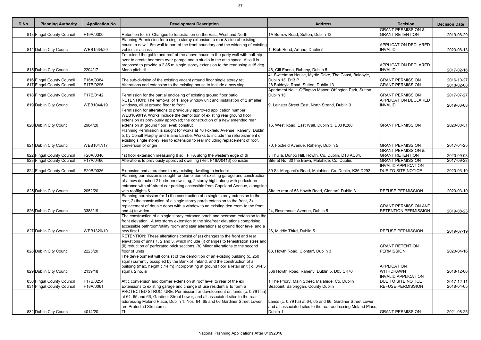| <b>GRANT PERMISSION &amp;</b><br>F19A/0300<br>813 Fingal County Council<br>Retention for (i) Changes to fenestration on the East, West and North<br>1A Burrow Road, Sutton, Dublin 13<br><b>GRANT RETENTION</b><br>2019-08-29<br>Planning Permission for a single storey extension to rear & side of existing<br>house, a new 1.8m wall to part of the front boundary and the widening of existing<br><b>APPLICATION DECLARED</b><br>WEB1534/20<br>vehicular access.<br>1, Ribh Road, Artane, Dublin 5<br><b>INVALID</b><br>814 Dublin City Council<br>2020-08-13<br>To extend the gable and roof of the above house to the party wall with half-hip<br>over to create bedroom over garage and a studio in the attic space. Also it is<br>proposed to provide a 2.85 m single storey extension to the rear using a 15 deg.<br><b>APPLICATION DECLARED</b><br>2204/17<br>46, Cill Eanna, Raheny, Dublin 5<br><b>INVALID</b><br>815 Dublin City Council<br>Mono pitch til<br>41 Sweetman House, Myrtle Drive, The Coast, Baldoyle,<br>F16A/0384<br>The sub-division of the existing vacant ground floor single storey ret<br><b>GRANT PERMISSION</b><br>816 Fingal County Council<br>Dublin 13, D13 P<br>2016-10-27<br>28 Baldoyle Road, Sutton, Dublin 13<br>817 Fingal County Council<br>F17B/0296<br><b>GRANT PERMISSION</b><br>Alterations and extension to the existing house to include a new singl<br>2018-02-08<br>Apartment No. 1 Offington Manor, Offington Park, Sutton,<br>F17B/0142<br><b>GRANT PERMISSION</b><br>818 Fingal County Council<br>Permission for the partial enclosing of existing ground floor patio<br>Dublin 13<br>2017-07-27<br>RETENTION: The removal of 1 large window unit and installation of 2 smaller<br><b>APPLICATION DECLARED</b><br>WEB1044/19<br>windows, all at ground floor to front.<br>9, Leinster Street East, North Strand, Dublin 3<br><b>INVALID</b><br>2019-03-08<br>819 Dublin City Council<br>Permission for alterations to previously approved application number<br>WEB1090/19. Works include the demolition of existing rear ground floor<br>extension as previously approved; the construction of a new amended rear<br>2984/20<br>extension at ground floor level; construc<br><b>GRANT PERMISSION</b><br>820 Dublin City Council<br>16, West Road, East Wall, Dublin 3, D03 K288<br>Planning Permission is sought for works at 70 Foxfield Avenue, Raheny, Dublin<br>5, by Conall Murphy and Elaine Lambe. Works to include the refurbishment of<br>existing single storey lean to extension to rear including replacement of roof,<br>821 Dublin City Council<br>WEB1047/17<br>conversion of origin<br>70, Foxfield Avenue, Raheny, Dublin 5<br><b>GRANT PERMISSION</b><br>2017-04-25<br><b>GRANT PERMISSION &amp;</b><br>F20A/0340<br>822 Fingal County Council<br>1st floor extension measuring 8 sq., FIFA along the western edge of th<br>3 Thulla, Dunbo Hill, Howth, Co. Dublin, D13 AC84.<br><b>GRANT RETENTION</b><br>2020-09-08<br>823 Fingal County Council<br>F17A/0466<br>Alterations to previously approved dwelling (Ref: F16A/0413) consistin<br>Site at No. 30 the Bawn, Malahide, Co. Dublin.<br><b>GRANT PERMISSION</b><br>2017-09-28<br><b>INVALID APPLICATION</b><br><b>DUE TO SITE NOTICE</b><br>824 Fingal County Council<br>F20B/0026<br>Extension and alterations to my existing dwelling to include:<br>39 St. Margaret's Road, Malahide, Co. Dublin, K36 D292<br>2020-03-10<br>Planning permission is sought for demolition of existing garage and construction<br>of a new detached 2 bedroom dwelling, 2 storey high, along with pedestrian<br>entrance with off-street car parking accessible from Copeland Avenue, alongside<br>2052/20<br><b>REFUSE PERMISSION</b><br>825 Dublin City Council<br>with rooflights &<br>Site to rear of 58 Howth Road, Clontarf, Dublin 3.<br>Planning permission for 1) the construction of a single storey extension to the<br>rear, 2) the construction of a single storey porch extension to the front, 3)<br>replacement of double doors with a window to an existing den room to the front,<br><b>GRANT PERMISSION AND</b><br>826 Dublin City Council<br>3388/19<br><b>RETENTION PERMISSION</b><br>and 4) to widen<br>24, Rosemount Avenue, Dublin 5<br>2019-08-23<br>The construction of a single storey entrance porch and bedroom extension to the<br>front elevation. A two storey extension to the side/rear elevations comprising<br>accessible bathroom/utility room and stair alterations at ground floor level and a<br>WEB1320/19<br>827 Dublin City Council<br>new first f<br>26, Middle Third, Dublin 5<br><b>REFUSE PERMISSION</b><br>2019-07-19<br>RETENTION: These alterations consist of (a) changes to the front and rear<br>elevations of units 1, 2 and 3, which include (i) changes to fenestration sizes and<br>(ii) reduction of perforated brick sections. (b) Minor alterations to the second<br><b>GRANT RETENTION</b><br><b>PERMISSION</b><br>828 Dublin City Council<br>2225/20<br>floor of units<br>63, Howth Road, Clontarf, Dublin 3<br>The development will consist of the demolition of an existing building (c. 250<br>sq.m) currently occupied by the Bank of Ireland, and the construction of a<br>building (max. height c.14 m) incorporating at ground floor a retail unit (c. 344.5<br>APPLICATION<br>2139/18<br>WITHDRAWN<br>829 Dublin City Council<br>566 Howth Road, Raheny, Dublin 5, D05 CK70<br>2018-12-06<br>sq.m), 2 no. si<br><b>INVALID APPLICATION</b><br>F17B/0254<br><b>DUE TO SITE NOTICE</b><br>830 Fingal County Council<br>Attic conversion and dormer extension at roof level to rear of the exi<br>1 The Priory, Main Street, Malahide, Co. Dublin<br>2017-12-11<br>831 Fingal County Council<br>F18A/0061<br>Extensions to existing garage and change of use residential to form a<br>Seapoint, Balbriggan, County Dublin<br><b>REFUSE PERMISSION</b><br>2018-04-05<br>PROTECTED STRUCTURE: Permission for development on lands (c. 0.791 ha)<br>at 64, 65 and 66, Gardiner Street Lower, and all associated sites to the rear<br>addressing Moland Place, Dublin 1. Nos. 64, 65 and 66 Gardiner Street Lower<br>Lands (c. 0.79 ha) at 64, 65 and 66, Gardiner Street Lower,<br>are Protected Structures.<br>and all associated sites to the rear addressing Moland Place,<br>4014/20<br>Dublin 1<br><b>GRANT PERMISSION</b><br>832 Dublin City Council<br>Тh | ID No. | <b>Planning Authority</b> | <b>Application No.</b> | <b>Development Description</b> | <b>Address</b> | <b>Decision</b> | <b>Decision Date</b> |
|------------------------------------------------------------------------------------------------------------------------------------------------------------------------------------------------------------------------------------------------------------------------------------------------------------------------------------------------------------------------------------------------------------------------------------------------------------------------------------------------------------------------------------------------------------------------------------------------------------------------------------------------------------------------------------------------------------------------------------------------------------------------------------------------------------------------------------------------------------------------------------------------------------------------------------------------------------------------------------------------------------------------------------------------------------------------------------------------------------------------------------------------------------------------------------------------------------------------------------------------------------------------------------------------------------------------------------------------------------------------------------------------------------------------------------------------------------------------------------------------------------------------------------------------------------------------------------------------------------------------------------------------------------------------------------------------------------------------------------------------------------------------------------------------------------------------------------------------------------------------------------------------------------------------------------------------------------------------------------------------------------------------------------------------------------------------------------------------------------------------------------------------------------------------------------------------------------------------------------------------------------------------------------------------------------------------------------------------------------------------------------------------------------------------------------------------------------------------------------------------------------------------------------------------------------------------------------------------------------------------------------------------------------------------------------------------------------------------------------------------------------------------------------------------------------------------------------------------------------------------------------------------------------------------------------------------------------------------------------------------------------------------------------------------------------------------------------------------------------------------------------------------------------------------------------------------------------------------------------------------------------------------------------------------------------------------------------------------------------------------------------------------------------------------------------------------------------------------------------------------------------------------------------------------------------------------------------------------------------------------------------------------------------------------------------------------------------------------------------------------------------------------------------------------------------------------------------------------------------------------------------------------------------------------------------------------------------------------------------------------------------------------------------------------------------------------------------------------------------------------------------------------------------------------------------------------------------------------------------------------------------------------------------------------------------------------------------------------------------------------------------------------------------------------------------------------------------------------------------------------------------------------------------------------------------------------------------------------------------------------------------------------------------------------------------------------------------------------------------------------------------------------------------------------------------------------------------------------------------------------------------------------------------------------------------------------------------------------------------------------------------------------------------------------------------------------------------------------------------------------------------------------------------------------------------------------------------------------------------------------------------------------------------------------------------------------------------------------------------------------------------------------------------------------------------------------------------------------------------------------------------------------------------------------------------------------------------------------------------------------------------------------------------------------------------------------------------------------------------------------------------------------------------------------------------------------------------------------------------------------------------------------------------------------------------------------------------------------------------------------------------------------------------------------------------------------------------------------------------------------------------------------------------------------------------------------------------------------------------------------------------------------------------------------------------------------------------------------------------------------------------------------------------------------------------------------------|--------|---------------------------|------------------------|--------------------------------|----------------|-----------------|----------------------|
|                                                                                                                                                                                                                                                                                                                                                                                                                                                                                                                                                                                                                                                                                                                                                                                                                                                                                                                                                                                                                                                                                                                                                                                                                                                                                                                                                                                                                                                                                                                                                                                                                                                                                                                                                                                                                                                                                                                                                                                                                                                                                                                                                                                                                                                                                                                                                                                                                                                                                                                                                                                                                                                                                                                                                                                                                                                                                                                                                                                                                                                                                                                                                                                                                                                                                                                                                                                                                                                                                                                                                                                                                                                                                                                                                                                                                                                                                                                                                                                                                                                                                                                                                                                                                                                                                                                                                                                                                                                                                                                                                                                                                                                                                                                                                                                                                                                                                                                                                                                                                                                                                                                                                                                                                                                                                                                                                                                                                                                                                                                                                                                                                                                                                                                                                                                                                                                                                                                                                                                                                                                                                                                                                                                                                                                                                                                                                                                                                                                      |        |                           |                        |                                |                |                 |                      |
|                                                                                                                                                                                                                                                                                                                                                                                                                                                                                                                                                                                                                                                                                                                                                                                                                                                                                                                                                                                                                                                                                                                                                                                                                                                                                                                                                                                                                                                                                                                                                                                                                                                                                                                                                                                                                                                                                                                                                                                                                                                                                                                                                                                                                                                                                                                                                                                                                                                                                                                                                                                                                                                                                                                                                                                                                                                                                                                                                                                                                                                                                                                                                                                                                                                                                                                                                                                                                                                                                                                                                                                                                                                                                                                                                                                                                                                                                                                                                                                                                                                                                                                                                                                                                                                                                                                                                                                                                                                                                                                                                                                                                                                                                                                                                                                                                                                                                                                                                                                                                                                                                                                                                                                                                                                                                                                                                                                                                                                                                                                                                                                                                                                                                                                                                                                                                                                                                                                                                                                                                                                                                                                                                                                                                                                                                                                                                                                                                                                      |        |                           |                        |                                |                |                 |                      |
|                                                                                                                                                                                                                                                                                                                                                                                                                                                                                                                                                                                                                                                                                                                                                                                                                                                                                                                                                                                                                                                                                                                                                                                                                                                                                                                                                                                                                                                                                                                                                                                                                                                                                                                                                                                                                                                                                                                                                                                                                                                                                                                                                                                                                                                                                                                                                                                                                                                                                                                                                                                                                                                                                                                                                                                                                                                                                                                                                                                                                                                                                                                                                                                                                                                                                                                                                                                                                                                                                                                                                                                                                                                                                                                                                                                                                                                                                                                                                                                                                                                                                                                                                                                                                                                                                                                                                                                                                                                                                                                                                                                                                                                                                                                                                                                                                                                                                                                                                                                                                                                                                                                                                                                                                                                                                                                                                                                                                                                                                                                                                                                                                                                                                                                                                                                                                                                                                                                                                                                                                                                                                                                                                                                                                                                                                                                                                                                                                                                      |        |                           |                        |                                |                |                 |                      |
|                                                                                                                                                                                                                                                                                                                                                                                                                                                                                                                                                                                                                                                                                                                                                                                                                                                                                                                                                                                                                                                                                                                                                                                                                                                                                                                                                                                                                                                                                                                                                                                                                                                                                                                                                                                                                                                                                                                                                                                                                                                                                                                                                                                                                                                                                                                                                                                                                                                                                                                                                                                                                                                                                                                                                                                                                                                                                                                                                                                                                                                                                                                                                                                                                                                                                                                                                                                                                                                                                                                                                                                                                                                                                                                                                                                                                                                                                                                                                                                                                                                                                                                                                                                                                                                                                                                                                                                                                                                                                                                                                                                                                                                                                                                                                                                                                                                                                                                                                                                                                                                                                                                                                                                                                                                                                                                                                                                                                                                                                                                                                                                                                                                                                                                                                                                                                                                                                                                                                                                                                                                                                                                                                                                                                                                                                                                                                                                                                                                      |        |                           |                        |                                |                |                 |                      |
|                                                                                                                                                                                                                                                                                                                                                                                                                                                                                                                                                                                                                                                                                                                                                                                                                                                                                                                                                                                                                                                                                                                                                                                                                                                                                                                                                                                                                                                                                                                                                                                                                                                                                                                                                                                                                                                                                                                                                                                                                                                                                                                                                                                                                                                                                                                                                                                                                                                                                                                                                                                                                                                                                                                                                                                                                                                                                                                                                                                                                                                                                                                                                                                                                                                                                                                                                                                                                                                                                                                                                                                                                                                                                                                                                                                                                                                                                                                                                                                                                                                                                                                                                                                                                                                                                                                                                                                                                                                                                                                                                                                                                                                                                                                                                                                                                                                                                                                                                                                                                                                                                                                                                                                                                                                                                                                                                                                                                                                                                                                                                                                                                                                                                                                                                                                                                                                                                                                                                                                                                                                                                                                                                                                                                                                                                                                                                                                                                                                      |        |                           |                        |                                |                |                 |                      |
|                                                                                                                                                                                                                                                                                                                                                                                                                                                                                                                                                                                                                                                                                                                                                                                                                                                                                                                                                                                                                                                                                                                                                                                                                                                                                                                                                                                                                                                                                                                                                                                                                                                                                                                                                                                                                                                                                                                                                                                                                                                                                                                                                                                                                                                                                                                                                                                                                                                                                                                                                                                                                                                                                                                                                                                                                                                                                                                                                                                                                                                                                                                                                                                                                                                                                                                                                                                                                                                                                                                                                                                                                                                                                                                                                                                                                                                                                                                                                                                                                                                                                                                                                                                                                                                                                                                                                                                                                                                                                                                                                                                                                                                                                                                                                                                                                                                                                                                                                                                                                                                                                                                                                                                                                                                                                                                                                                                                                                                                                                                                                                                                                                                                                                                                                                                                                                                                                                                                                                                                                                                                                                                                                                                                                                                                                                                                                                                                                                                      |        |                           |                        |                                |                |                 |                      |
|                                                                                                                                                                                                                                                                                                                                                                                                                                                                                                                                                                                                                                                                                                                                                                                                                                                                                                                                                                                                                                                                                                                                                                                                                                                                                                                                                                                                                                                                                                                                                                                                                                                                                                                                                                                                                                                                                                                                                                                                                                                                                                                                                                                                                                                                                                                                                                                                                                                                                                                                                                                                                                                                                                                                                                                                                                                                                                                                                                                                                                                                                                                                                                                                                                                                                                                                                                                                                                                                                                                                                                                                                                                                                                                                                                                                                                                                                                                                                                                                                                                                                                                                                                                                                                                                                                                                                                                                                                                                                                                                                                                                                                                                                                                                                                                                                                                                                                                                                                                                                                                                                                                                                                                                                                                                                                                                                                                                                                                                                                                                                                                                                                                                                                                                                                                                                                                                                                                                                                                                                                                                                                                                                                                                                                                                                                                                                                                                                                                      |        |                           |                        |                                |                |                 |                      |
|                                                                                                                                                                                                                                                                                                                                                                                                                                                                                                                                                                                                                                                                                                                                                                                                                                                                                                                                                                                                                                                                                                                                                                                                                                                                                                                                                                                                                                                                                                                                                                                                                                                                                                                                                                                                                                                                                                                                                                                                                                                                                                                                                                                                                                                                                                                                                                                                                                                                                                                                                                                                                                                                                                                                                                                                                                                                                                                                                                                                                                                                                                                                                                                                                                                                                                                                                                                                                                                                                                                                                                                                                                                                                                                                                                                                                                                                                                                                                                                                                                                                                                                                                                                                                                                                                                                                                                                                                                                                                                                                                                                                                                                                                                                                                                                                                                                                                                                                                                                                                                                                                                                                                                                                                                                                                                                                                                                                                                                                                                                                                                                                                                                                                                                                                                                                                                                                                                                                                                                                                                                                                                                                                                                                                                                                                                                                                                                                                                                      |        |                           |                        |                                |                |                 | 2017-02-16           |
|                                                                                                                                                                                                                                                                                                                                                                                                                                                                                                                                                                                                                                                                                                                                                                                                                                                                                                                                                                                                                                                                                                                                                                                                                                                                                                                                                                                                                                                                                                                                                                                                                                                                                                                                                                                                                                                                                                                                                                                                                                                                                                                                                                                                                                                                                                                                                                                                                                                                                                                                                                                                                                                                                                                                                                                                                                                                                                                                                                                                                                                                                                                                                                                                                                                                                                                                                                                                                                                                                                                                                                                                                                                                                                                                                                                                                                                                                                                                                                                                                                                                                                                                                                                                                                                                                                                                                                                                                                                                                                                                                                                                                                                                                                                                                                                                                                                                                                                                                                                                                                                                                                                                                                                                                                                                                                                                                                                                                                                                                                                                                                                                                                                                                                                                                                                                                                                                                                                                                                                                                                                                                                                                                                                                                                                                                                                                                                                                                                                      |        |                           |                        |                                |                |                 |                      |
|                                                                                                                                                                                                                                                                                                                                                                                                                                                                                                                                                                                                                                                                                                                                                                                                                                                                                                                                                                                                                                                                                                                                                                                                                                                                                                                                                                                                                                                                                                                                                                                                                                                                                                                                                                                                                                                                                                                                                                                                                                                                                                                                                                                                                                                                                                                                                                                                                                                                                                                                                                                                                                                                                                                                                                                                                                                                                                                                                                                                                                                                                                                                                                                                                                                                                                                                                                                                                                                                                                                                                                                                                                                                                                                                                                                                                                                                                                                                                                                                                                                                                                                                                                                                                                                                                                                                                                                                                                                                                                                                                                                                                                                                                                                                                                                                                                                                                                                                                                                                                                                                                                                                                                                                                                                                                                                                                                                                                                                                                                                                                                                                                                                                                                                                                                                                                                                                                                                                                                                                                                                                                                                                                                                                                                                                                                                                                                                                                                                      |        |                           |                        |                                |                |                 |                      |
|                                                                                                                                                                                                                                                                                                                                                                                                                                                                                                                                                                                                                                                                                                                                                                                                                                                                                                                                                                                                                                                                                                                                                                                                                                                                                                                                                                                                                                                                                                                                                                                                                                                                                                                                                                                                                                                                                                                                                                                                                                                                                                                                                                                                                                                                                                                                                                                                                                                                                                                                                                                                                                                                                                                                                                                                                                                                                                                                                                                                                                                                                                                                                                                                                                                                                                                                                                                                                                                                                                                                                                                                                                                                                                                                                                                                                                                                                                                                                                                                                                                                                                                                                                                                                                                                                                                                                                                                                                                                                                                                                                                                                                                                                                                                                                                                                                                                                                                                                                                                                                                                                                                                                                                                                                                                                                                                                                                                                                                                                                                                                                                                                                                                                                                                                                                                                                                                                                                                                                                                                                                                                                                                                                                                                                                                                                                                                                                                                                                      |        |                           |                        |                                |                |                 |                      |
|                                                                                                                                                                                                                                                                                                                                                                                                                                                                                                                                                                                                                                                                                                                                                                                                                                                                                                                                                                                                                                                                                                                                                                                                                                                                                                                                                                                                                                                                                                                                                                                                                                                                                                                                                                                                                                                                                                                                                                                                                                                                                                                                                                                                                                                                                                                                                                                                                                                                                                                                                                                                                                                                                                                                                                                                                                                                                                                                                                                                                                                                                                                                                                                                                                                                                                                                                                                                                                                                                                                                                                                                                                                                                                                                                                                                                                                                                                                                                                                                                                                                                                                                                                                                                                                                                                                                                                                                                                                                                                                                                                                                                                                                                                                                                                                                                                                                                                                                                                                                                                                                                                                                                                                                                                                                                                                                                                                                                                                                                                                                                                                                                                                                                                                                                                                                                                                                                                                                                                                                                                                                                                                                                                                                                                                                                                                                                                                                                                                      |        |                           |                        |                                |                |                 |                      |
|                                                                                                                                                                                                                                                                                                                                                                                                                                                                                                                                                                                                                                                                                                                                                                                                                                                                                                                                                                                                                                                                                                                                                                                                                                                                                                                                                                                                                                                                                                                                                                                                                                                                                                                                                                                                                                                                                                                                                                                                                                                                                                                                                                                                                                                                                                                                                                                                                                                                                                                                                                                                                                                                                                                                                                                                                                                                                                                                                                                                                                                                                                                                                                                                                                                                                                                                                                                                                                                                                                                                                                                                                                                                                                                                                                                                                                                                                                                                                                                                                                                                                                                                                                                                                                                                                                                                                                                                                                                                                                                                                                                                                                                                                                                                                                                                                                                                                                                                                                                                                                                                                                                                                                                                                                                                                                                                                                                                                                                                                                                                                                                                                                                                                                                                                                                                                                                                                                                                                                                                                                                                                                                                                                                                                                                                                                                                                                                                                                                      |        |                           |                        |                                |                |                 |                      |
|                                                                                                                                                                                                                                                                                                                                                                                                                                                                                                                                                                                                                                                                                                                                                                                                                                                                                                                                                                                                                                                                                                                                                                                                                                                                                                                                                                                                                                                                                                                                                                                                                                                                                                                                                                                                                                                                                                                                                                                                                                                                                                                                                                                                                                                                                                                                                                                                                                                                                                                                                                                                                                                                                                                                                                                                                                                                                                                                                                                                                                                                                                                                                                                                                                                                                                                                                                                                                                                                                                                                                                                                                                                                                                                                                                                                                                                                                                                                                                                                                                                                                                                                                                                                                                                                                                                                                                                                                                                                                                                                                                                                                                                                                                                                                                                                                                                                                                                                                                                                                                                                                                                                                                                                                                                                                                                                                                                                                                                                                                                                                                                                                                                                                                                                                                                                                                                                                                                                                                                                                                                                                                                                                                                                                                                                                                                                                                                                                                                      |        |                           |                        |                                |                |                 |                      |
|                                                                                                                                                                                                                                                                                                                                                                                                                                                                                                                                                                                                                                                                                                                                                                                                                                                                                                                                                                                                                                                                                                                                                                                                                                                                                                                                                                                                                                                                                                                                                                                                                                                                                                                                                                                                                                                                                                                                                                                                                                                                                                                                                                                                                                                                                                                                                                                                                                                                                                                                                                                                                                                                                                                                                                                                                                                                                                                                                                                                                                                                                                                                                                                                                                                                                                                                                                                                                                                                                                                                                                                                                                                                                                                                                                                                                                                                                                                                                                                                                                                                                                                                                                                                                                                                                                                                                                                                                                                                                                                                                                                                                                                                                                                                                                                                                                                                                                                                                                                                                                                                                                                                                                                                                                                                                                                                                                                                                                                                                                                                                                                                                                                                                                                                                                                                                                                                                                                                                                                                                                                                                                                                                                                                                                                                                                                                                                                                                                                      |        |                           |                        |                                |                |                 |                      |
|                                                                                                                                                                                                                                                                                                                                                                                                                                                                                                                                                                                                                                                                                                                                                                                                                                                                                                                                                                                                                                                                                                                                                                                                                                                                                                                                                                                                                                                                                                                                                                                                                                                                                                                                                                                                                                                                                                                                                                                                                                                                                                                                                                                                                                                                                                                                                                                                                                                                                                                                                                                                                                                                                                                                                                                                                                                                                                                                                                                                                                                                                                                                                                                                                                                                                                                                                                                                                                                                                                                                                                                                                                                                                                                                                                                                                                                                                                                                                                                                                                                                                                                                                                                                                                                                                                                                                                                                                                                                                                                                                                                                                                                                                                                                                                                                                                                                                                                                                                                                                                                                                                                                                                                                                                                                                                                                                                                                                                                                                                                                                                                                                                                                                                                                                                                                                                                                                                                                                                                                                                                                                                                                                                                                                                                                                                                                                                                                                                                      |        |                           |                        |                                |                |                 |                      |
|                                                                                                                                                                                                                                                                                                                                                                                                                                                                                                                                                                                                                                                                                                                                                                                                                                                                                                                                                                                                                                                                                                                                                                                                                                                                                                                                                                                                                                                                                                                                                                                                                                                                                                                                                                                                                                                                                                                                                                                                                                                                                                                                                                                                                                                                                                                                                                                                                                                                                                                                                                                                                                                                                                                                                                                                                                                                                                                                                                                                                                                                                                                                                                                                                                                                                                                                                                                                                                                                                                                                                                                                                                                                                                                                                                                                                                                                                                                                                                                                                                                                                                                                                                                                                                                                                                                                                                                                                                                                                                                                                                                                                                                                                                                                                                                                                                                                                                                                                                                                                                                                                                                                                                                                                                                                                                                                                                                                                                                                                                                                                                                                                                                                                                                                                                                                                                                                                                                                                                                                                                                                                                                                                                                                                                                                                                                                                                                                                                                      |        |                           |                        |                                |                |                 |                      |
|                                                                                                                                                                                                                                                                                                                                                                                                                                                                                                                                                                                                                                                                                                                                                                                                                                                                                                                                                                                                                                                                                                                                                                                                                                                                                                                                                                                                                                                                                                                                                                                                                                                                                                                                                                                                                                                                                                                                                                                                                                                                                                                                                                                                                                                                                                                                                                                                                                                                                                                                                                                                                                                                                                                                                                                                                                                                                                                                                                                                                                                                                                                                                                                                                                                                                                                                                                                                                                                                                                                                                                                                                                                                                                                                                                                                                                                                                                                                                                                                                                                                                                                                                                                                                                                                                                                                                                                                                                                                                                                                                                                                                                                                                                                                                                                                                                                                                                                                                                                                                                                                                                                                                                                                                                                                                                                                                                                                                                                                                                                                                                                                                                                                                                                                                                                                                                                                                                                                                                                                                                                                                                                                                                                                                                                                                                                                                                                                                                                      |        |                           |                        |                                |                |                 | 2020-08-31           |
|                                                                                                                                                                                                                                                                                                                                                                                                                                                                                                                                                                                                                                                                                                                                                                                                                                                                                                                                                                                                                                                                                                                                                                                                                                                                                                                                                                                                                                                                                                                                                                                                                                                                                                                                                                                                                                                                                                                                                                                                                                                                                                                                                                                                                                                                                                                                                                                                                                                                                                                                                                                                                                                                                                                                                                                                                                                                                                                                                                                                                                                                                                                                                                                                                                                                                                                                                                                                                                                                                                                                                                                                                                                                                                                                                                                                                                                                                                                                                                                                                                                                                                                                                                                                                                                                                                                                                                                                                                                                                                                                                                                                                                                                                                                                                                                                                                                                                                                                                                                                                                                                                                                                                                                                                                                                                                                                                                                                                                                                                                                                                                                                                                                                                                                                                                                                                                                                                                                                                                                                                                                                                                                                                                                                                                                                                                                                                                                                                                                      |        |                           |                        |                                |                |                 |                      |
|                                                                                                                                                                                                                                                                                                                                                                                                                                                                                                                                                                                                                                                                                                                                                                                                                                                                                                                                                                                                                                                                                                                                                                                                                                                                                                                                                                                                                                                                                                                                                                                                                                                                                                                                                                                                                                                                                                                                                                                                                                                                                                                                                                                                                                                                                                                                                                                                                                                                                                                                                                                                                                                                                                                                                                                                                                                                                                                                                                                                                                                                                                                                                                                                                                                                                                                                                                                                                                                                                                                                                                                                                                                                                                                                                                                                                                                                                                                                                                                                                                                                                                                                                                                                                                                                                                                                                                                                                                                                                                                                                                                                                                                                                                                                                                                                                                                                                                                                                                                                                                                                                                                                                                                                                                                                                                                                                                                                                                                                                                                                                                                                                                                                                                                                                                                                                                                                                                                                                                                                                                                                                                                                                                                                                                                                                                                                                                                                                                                      |        |                           |                        |                                |                |                 |                      |
|                                                                                                                                                                                                                                                                                                                                                                                                                                                                                                                                                                                                                                                                                                                                                                                                                                                                                                                                                                                                                                                                                                                                                                                                                                                                                                                                                                                                                                                                                                                                                                                                                                                                                                                                                                                                                                                                                                                                                                                                                                                                                                                                                                                                                                                                                                                                                                                                                                                                                                                                                                                                                                                                                                                                                                                                                                                                                                                                                                                                                                                                                                                                                                                                                                                                                                                                                                                                                                                                                                                                                                                                                                                                                                                                                                                                                                                                                                                                                                                                                                                                                                                                                                                                                                                                                                                                                                                                                                                                                                                                                                                                                                                                                                                                                                                                                                                                                                                                                                                                                                                                                                                                                                                                                                                                                                                                                                                                                                                                                                                                                                                                                                                                                                                                                                                                                                                                                                                                                                                                                                                                                                                                                                                                                                                                                                                                                                                                                                                      |        |                           |                        |                                |                |                 |                      |
|                                                                                                                                                                                                                                                                                                                                                                                                                                                                                                                                                                                                                                                                                                                                                                                                                                                                                                                                                                                                                                                                                                                                                                                                                                                                                                                                                                                                                                                                                                                                                                                                                                                                                                                                                                                                                                                                                                                                                                                                                                                                                                                                                                                                                                                                                                                                                                                                                                                                                                                                                                                                                                                                                                                                                                                                                                                                                                                                                                                                                                                                                                                                                                                                                                                                                                                                                                                                                                                                                                                                                                                                                                                                                                                                                                                                                                                                                                                                                                                                                                                                                                                                                                                                                                                                                                                                                                                                                                                                                                                                                                                                                                                                                                                                                                                                                                                                                                                                                                                                                                                                                                                                                                                                                                                                                                                                                                                                                                                                                                                                                                                                                                                                                                                                                                                                                                                                                                                                                                                                                                                                                                                                                                                                                                                                                                                                                                                                                                                      |        |                           |                        |                                |                |                 |                      |
|                                                                                                                                                                                                                                                                                                                                                                                                                                                                                                                                                                                                                                                                                                                                                                                                                                                                                                                                                                                                                                                                                                                                                                                                                                                                                                                                                                                                                                                                                                                                                                                                                                                                                                                                                                                                                                                                                                                                                                                                                                                                                                                                                                                                                                                                                                                                                                                                                                                                                                                                                                                                                                                                                                                                                                                                                                                                                                                                                                                                                                                                                                                                                                                                                                                                                                                                                                                                                                                                                                                                                                                                                                                                                                                                                                                                                                                                                                                                                                                                                                                                                                                                                                                                                                                                                                                                                                                                                                                                                                                                                                                                                                                                                                                                                                                                                                                                                                                                                                                                                                                                                                                                                                                                                                                                                                                                                                                                                                                                                                                                                                                                                                                                                                                                                                                                                                                                                                                                                                                                                                                                                                                                                                                                                                                                                                                                                                                                                                                      |        |                           |                        |                                |                |                 |                      |
|                                                                                                                                                                                                                                                                                                                                                                                                                                                                                                                                                                                                                                                                                                                                                                                                                                                                                                                                                                                                                                                                                                                                                                                                                                                                                                                                                                                                                                                                                                                                                                                                                                                                                                                                                                                                                                                                                                                                                                                                                                                                                                                                                                                                                                                                                                                                                                                                                                                                                                                                                                                                                                                                                                                                                                                                                                                                                                                                                                                                                                                                                                                                                                                                                                                                                                                                                                                                                                                                                                                                                                                                                                                                                                                                                                                                                                                                                                                                                                                                                                                                                                                                                                                                                                                                                                                                                                                                                                                                                                                                                                                                                                                                                                                                                                                                                                                                                                                                                                                                                                                                                                                                                                                                                                                                                                                                                                                                                                                                                                                                                                                                                                                                                                                                                                                                                                                                                                                                                                                                                                                                                                                                                                                                                                                                                                                                                                                                                                                      |        |                           |                        |                                |                |                 |                      |
|                                                                                                                                                                                                                                                                                                                                                                                                                                                                                                                                                                                                                                                                                                                                                                                                                                                                                                                                                                                                                                                                                                                                                                                                                                                                                                                                                                                                                                                                                                                                                                                                                                                                                                                                                                                                                                                                                                                                                                                                                                                                                                                                                                                                                                                                                                                                                                                                                                                                                                                                                                                                                                                                                                                                                                                                                                                                                                                                                                                                                                                                                                                                                                                                                                                                                                                                                                                                                                                                                                                                                                                                                                                                                                                                                                                                                                                                                                                                                                                                                                                                                                                                                                                                                                                                                                                                                                                                                                                                                                                                                                                                                                                                                                                                                                                                                                                                                                                                                                                                                                                                                                                                                                                                                                                                                                                                                                                                                                                                                                                                                                                                                                                                                                                                                                                                                                                                                                                                                                                                                                                                                                                                                                                                                                                                                                                                                                                                                                                      |        |                           |                        |                                |                |                 |                      |
|                                                                                                                                                                                                                                                                                                                                                                                                                                                                                                                                                                                                                                                                                                                                                                                                                                                                                                                                                                                                                                                                                                                                                                                                                                                                                                                                                                                                                                                                                                                                                                                                                                                                                                                                                                                                                                                                                                                                                                                                                                                                                                                                                                                                                                                                                                                                                                                                                                                                                                                                                                                                                                                                                                                                                                                                                                                                                                                                                                                                                                                                                                                                                                                                                                                                                                                                                                                                                                                                                                                                                                                                                                                                                                                                                                                                                                                                                                                                                                                                                                                                                                                                                                                                                                                                                                                                                                                                                                                                                                                                                                                                                                                                                                                                                                                                                                                                                                                                                                                                                                                                                                                                                                                                                                                                                                                                                                                                                                                                                                                                                                                                                                                                                                                                                                                                                                                                                                                                                                                                                                                                                                                                                                                                                                                                                                                                                                                                                                                      |        |                           |                        |                                |                |                 |                      |
|                                                                                                                                                                                                                                                                                                                                                                                                                                                                                                                                                                                                                                                                                                                                                                                                                                                                                                                                                                                                                                                                                                                                                                                                                                                                                                                                                                                                                                                                                                                                                                                                                                                                                                                                                                                                                                                                                                                                                                                                                                                                                                                                                                                                                                                                                                                                                                                                                                                                                                                                                                                                                                                                                                                                                                                                                                                                                                                                                                                                                                                                                                                                                                                                                                                                                                                                                                                                                                                                                                                                                                                                                                                                                                                                                                                                                                                                                                                                                                                                                                                                                                                                                                                                                                                                                                                                                                                                                                                                                                                                                                                                                                                                                                                                                                                                                                                                                                                                                                                                                                                                                                                                                                                                                                                                                                                                                                                                                                                                                                                                                                                                                                                                                                                                                                                                                                                                                                                                                                                                                                                                                                                                                                                                                                                                                                                                                                                                                                                      |        |                           |                        |                                |                |                 |                      |
|                                                                                                                                                                                                                                                                                                                                                                                                                                                                                                                                                                                                                                                                                                                                                                                                                                                                                                                                                                                                                                                                                                                                                                                                                                                                                                                                                                                                                                                                                                                                                                                                                                                                                                                                                                                                                                                                                                                                                                                                                                                                                                                                                                                                                                                                                                                                                                                                                                                                                                                                                                                                                                                                                                                                                                                                                                                                                                                                                                                                                                                                                                                                                                                                                                                                                                                                                                                                                                                                                                                                                                                                                                                                                                                                                                                                                                                                                                                                                                                                                                                                                                                                                                                                                                                                                                                                                                                                                                                                                                                                                                                                                                                                                                                                                                                                                                                                                                                                                                                                                                                                                                                                                                                                                                                                                                                                                                                                                                                                                                                                                                                                                                                                                                                                                                                                                                                                                                                                                                                                                                                                                                                                                                                                                                                                                                                                                                                                                                                      |        |                           |                        |                                |                |                 |                      |
|                                                                                                                                                                                                                                                                                                                                                                                                                                                                                                                                                                                                                                                                                                                                                                                                                                                                                                                                                                                                                                                                                                                                                                                                                                                                                                                                                                                                                                                                                                                                                                                                                                                                                                                                                                                                                                                                                                                                                                                                                                                                                                                                                                                                                                                                                                                                                                                                                                                                                                                                                                                                                                                                                                                                                                                                                                                                                                                                                                                                                                                                                                                                                                                                                                                                                                                                                                                                                                                                                                                                                                                                                                                                                                                                                                                                                                                                                                                                                                                                                                                                                                                                                                                                                                                                                                                                                                                                                                                                                                                                                                                                                                                                                                                                                                                                                                                                                                                                                                                                                                                                                                                                                                                                                                                                                                                                                                                                                                                                                                                                                                                                                                                                                                                                                                                                                                                                                                                                                                                                                                                                                                                                                                                                                                                                                                                                                                                                                                                      |        |                           |                        |                                |                |                 |                      |
|                                                                                                                                                                                                                                                                                                                                                                                                                                                                                                                                                                                                                                                                                                                                                                                                                                                                                                                                                                                                                                                                                                                                                                                                                                                                                                                                                                                                                                                                                                                                                                                                                                                                                                                                                                                                                                                                                                                                                                                                                                                                                                                                                                                                                                                                                                                                                                                                                                                                                                                                                                                                                                                                                                                                                                                                                                                                                                                                                                                                                                                                                                                                                                                                                                                                                                                                                                                                                                                                                                                                                                                                                                                                                                                                                                                                                                                                                                                                                                                                                                                                                                                                                                                                                                                                                                                                                                                                                                                                                                                                                                                                                                                                                                                                                                                                                                                                                                                                                                                                                                                                                                                                                                                                                                                                                                                                                                                                                                                                                                                                                                                                                                                                                                                                                                                                                                                                                                                                                                                                                                                                                                                                                                                                                                                                                                                                                                                                                                                      |        |                           |                        |                                |                |                 | 2020-03-10           |
|                                                                                                                                                                                                                                                                                                                                                                                                                                                                                                                                                                                                                                                                                                                                                                                                                                                                                                                                                                                                                                                                                                                                                                                                                                                                                                                                                                                                                                                                                                                                                                                                                                                                                                                                                                                                                                                                                                                                                                                                                                                                                                                                                                                                                                                                                                                                                                                                                                                                                                                                                                                                                                                                                                                                                                                                                                                                                                                                                                                                                                                                                                                                                                                                                                                                                                                                                                                                                                                                                                                                                                                                                                                                                                                                                                                                                                                                                                                                                                                                                                                                                                                                                                                                                                                                                                                                                                                                                                                                                                                                                                                                                                                                                                                                                                                                                                                                                                                                                                                                                                                                                                                                                                                                                                                                                                                                                                                                                                                                                                                                                                                                                                                                                                                                                                                                                                                                                                                                                                                                                                                                                                                                                                                                                                                                                                                                                                                                                                                      |        |                           |                        |                                |                |                 |                      |
|                                                                                                                                                                                                                                                                                                                                                                                                                                                                                                                                                                                                                                                                                                                                                                                                                                                                                                                                                                                                                                                                                                                                                                                                                                                                                                                                                                                                                                                                                                                                                                                                                                                                                                                                                                                                                                                                                                                                                                                                                                                                                                                                                                                                                                                                                                                                                                                                                                                                                                                                                                                                                                                                                                                                                                                                                                                                                                                                                                                                                                                                                                                                                                                                                                                                                                                                                                                                                                                                                                                                                                                                                                                                                                                                                                                                                                                                                                                                                                                                                                                                                                                                                                                                                                                                                                                                                                                                                                                                                                                                                                                                                                                                                                                                                                                                                                                                                                                                                                                                                                                                                                                                                                                                                                                                                                                                                                                                                                                                                                                                                                                                                                                                                                                                                                                                                                                                                                                                                                                                                                                                                                                                                                                                                                                                                                                                                                                                                                                      |        |                           |                        |                                |                |                 |                      |
|                                                                                                                                                                                                                                                                                                                                                                                                                                                                                                                                                                                                                                                                                                                                                                                                                                                                                                                                                                                                                                                                                                                                                                                                                                                                                                                                                                                                                                                                                                                                                                                                                                                                                                                                                                                                                                                                                                                                                                                                                                                                                                                                                                                                                                                                                                                                                                                                                                                                                                                                                                                                                                                                                                                                                                                                                                                                                                                                                                                                                                                                                                                                                                                                                                                                                                                                                                                                                                                                                                                                                                                                                                                                                                                                                                                                                                                                                                                                                                                                                                                                                                                                                                                                                                                                                                                                                                                                                                                                                                                                                                                                                                                                                                                                                                                                                                                                                                                                                                                                                                                                                                                                                                                                                                                                                                                                                                                                                                                                                                                                                                                                                                                                                                                                                                                                                                                                                                                                                                                                                                                                                                                                                                                                                                                                                                                                                                                                                                                      |        |                           |                        |                                |                |                 |                      |
|                                                                                                                                                                                                                                                                                                                                                                                                                                                                                                                                                                                                                                                                                                                                                                                                                                                                                                                                                                                                                                                                                                                                                                                                                                                                                                                                                                                                                                                                                                                                                                                                                                                                                                                                                                                                                                                                                                                                                                                                                                                                                                                                                                                                                                                                                                                                                                                                                                                                                                                                                                                                                                                                                                                                                                                                                                                                                                                                                                                                                                                                                                                                                                                                                                                                                                                                                                                                                                                                                                                                                                                                                                                                                                                                                                                                                                                                                                                                                                                                                                                                                                                                                                                                                                                                                                                                                                                                                                                                                                                                                                                                                                                                                                                                                                                                                                                                                                                                                                                                                                                                                                                                                                                                                                                                                                                                                                                                                                                                                                                                                                                                                                                                                                                                                                                                                                                                                                                                                                                                                                                                                                                                                                                                                                                                                                                                                                                                                                                      |        |                           |                        |                                |                |                 |                      |
|                                                                                                                                                                                                                                                                                                                                                                                                                                                                                                                                                                                                                                                                                                                                                                                                                                                                                                                                                                                                                                                                                                                                                                                                                                                                                                                                                                                                                                                                                                                                                                                                                                                                                                                                                                                                                                                                                                                                                                                                                                                                                                                                                                                                                                                                                                                                                                                                                                                                                                                                                                                                                                                                                                                                                                                                                                                                                                                                                                                                                                                                                                                                                                                                                                                                                                                                                                                                                                                                                                                                                                                                                                                                                                                                                                                                                                                                                                                                                                                                                                                                                                                                                                                                                                                                                                                                                                                                                                                                                                                                                                                                                                                                                                                                                                                                                                                                                                                                                                                                                                                                                                                                                                                                                                                                                                                                                                                                                                                                                                                                                                                                                                                                                                                                                                                                                                                                                                                                                                                                                                                                                                                                                                                                                                                                                                                                                                                                                                                      |        |                           |                        |                                |                |                 |                      |
|                                                                                                                                                                                                                                                                                                                                                                                                                                                                                                                                                                                                                                                                                                                                                                                                                                                                                                                                                                                                                                                                                                                                                                                                                                                                                                                                                                                                                                                                                                                                                                                                                                                                                                                                                                                                                                                                                                                                                                                                                                                                                                                                                                                                                                                                                                                                                                                                                                                                                                                                                                                                                                                                                                                                                                                                                                                                                                                                                                                                                                                                                                                                                                                                                                                                                                                                                                                                                                                                                                                                                                                                                                                                                                                                                                                                                                                                                                                                                                                                                                                                                                                                                                                                                                                                                                                                                                                                                                                                                                                                                                                                                                                                                                                                                                                                                                                                                                                                                                                                                                                                                                                                                                                                                                                                                                                                                                                                                                                                                                                                                                                                                                                                                                                                                                                                                                                                                                                                                                                                                                                                                                                                                                                                                                                                                                                                                                                                                                                      |        |                           |                        |                                |                |                 |                      |
|                                                                                                                                                                                                                                                                                                                                                                                                                                                                                                                                                                                                                                                                                                                                                                                                                                                                                                                                                                                                                                                                                                                                                                                                                                                                                                                                                                                                                                                                                                                                                                                                                                                                                                                                                                                                                                                                                                                                                                                                                                                                                                                                                                                                                                                                                                                                                                                                                                                                                                                                                                                                                                                                                                                                                                                                                                                                                                                                                                                                                                                                                                                                                                                                                                                                                                                                                                                                                                                                                                                                                                                                                                                                                                                                                                                                                                                                                                                                                                                                                                                                                                                                                                                                                                                                                                                                                                                                                                                                                                                                                                                                                                                                                                                                                                                                                                                                                                                                                                                                                                                                                                                                                                                                                                                                                                                                                                                                                                                                                                                                                                                                                                                                                                                                                                                                                                                                                                                                                                                                                                                                                                                                                                                                                                                                                                                                                                                                                                                      |        |                           |                        |                                |                |                 |                      |
|                                                                                                                                                                                                                                                                                                                                                                                                                                                                                                                                                                                                                                                                                                                                                                                                                                                                                                                                                                                                                                                                                                                                                                                                                                                                                                                                                                                                                                                                                                                                                                                                                                                                                                                                                                                                                                                                                                                                                                                                                                                                                                                                                                                                                                                                                                                                                                                                                                                                                                                                                                                                                                                                                                                                                                                                                                                                                                                                                                                                                                                                                                                                                                                                                                                                                                                                                                                                                                                                                                                                                                                                                                                                                                                                                                                                                                                                                                                                                                                                                                                                                                                                                                                                                                                                                                                                                                                                                                                                                                                                                                                                                                                                                                                                                                                                                                                                                                                                                                                                                                                                                                                                                                                                                                                                                                                                                                                                                                                                                                                                                                                                                                                                                                                                                                                                                                                                                                                                                                                                                                                                                                                                                                                                                                                                                                                                                                                                                                                      |        |                           |                        |                                |                |                 |                      |
|                                                                                                                                                                                                                                                                                                                                                                                                                                                                                                                                                                                                                                                                                                                                                                                                                                                                                                                                                                                                                                                                                                                                                                                                                                                                                                                                                                                                                                                                                                                                                                                                                                                                                                                                                                                                                                                                                                                                                                                                                                                                                                                                                                                                                                                                                                                                                                                                                                                                                                                                                                                                                                                                                                                                                                                                                                                                                                                                                                                                                                                                                                                                                                                                                                                                                                                                                                                                                                                                                                                                                                                                                                                                                                                                                                                                                                                                                                                                                                                                                                                                                                                                                                                                                                                                                                                                                                                                                                                                                                                                                                                                                                                                                                                                                                                                                                                                                                                                                                                                                                                                                                                                                                                                                                                                                                                                                                                                                                                                                                                                                                                                                                                                                                                                                                                                                                                                                                                                                                                                                                                                                                                                                                                                                                                                                                                                                                                                                                                      |        |                           |                        |                                |                |                 |                      |
|                                                                                                                                                                                                                                                                                                                                                                                                                                                                                                                                                                                                                                                                                                                                                                                                                                                                                                                                                                                                                                                                                                                                                                                                                                                                                                                                                                                                                                                                                                                                                                                                                                                                                                                                                                                                                                                                                                                                                                                                                                                                                                                                                                                                                                                                                                                                                                                                                                                                                                                                                                                                                                                                                                                                                                                                                                                                                                                                                                                                                                                                                                                                                                                                                                                                                                                                                                                                                                                                                                                                                                                                                                                                                                                                                                                                                                                                                                                                                                                                                                                                                                                                                                                                                                                                                                                                                                                                                                                                                                                                                                                                                                                                                                                                                                                                                                                                                                                                                                                                                                                                                                                                                                                                                                                                                                                                                                                                                                                                                                                                                                                                                                                                                                                                                                                                                                                                                                                                                                                                                                                                                                                                                                                                                                                                                                                                                                                                                                                      |        |                           |                        |                                |                |                 |                      |
|                                                                                                                                                                                                                                                                                                                                                                                                                                                                                                                                                                                                                                                                                                                                                                                                                                                                                                                                                                                                                                                                                                                                                                                                                                                                                                                                                                                                                                                                                                                                                                                                                                                                                                                                                                                                                                                                                                                                                                                                                                                                                                                                                                                                                                                                                                                                                                                                                                                                                                                                                                                                                                                                                                                                                                                                                                                                                                                                                                                                                                                                                                                                                                                                                                                                                                                                                                                                                                                                                                                                                                                                                                                                                                                                                                                                                                                                                                                                                                                                                                                                                                                                                                                                                                                                                                                                                                                                                                                                                                                                                                                                                                                                                                                                                                                                                                                                                                                                                                                                                                                                                                                                                                                                                                                                                                                                                                                                                                                                                                                                                                                                                                                                                                                                                                                                                                                                                                                                                                                                                                                                                                                                                                                                                                                                                                                                                                                                                                                      |        |                           |                        |                                |                |                 | 2020-04-16           |
|                                                                                                                                                                                                                                                                                                                                                                                                                                                                                                                                                                                                                                                                                                                                                                                                                                                                                                                                                                                                                                                                                                                                                                                                                                                                                                                                                                                                                                                                                                                                                                                                                                                                                                                                                                                                                                                                                                                                                                                                                                                                                                                                                                                                                                                                                                                                                                                                                                                                                                                                                                                                                                                                                                                                                                                                                                                                                                                                                                                                                                                                                                                                                                                                                                                                                                                                                                                                                                                                                                                                                                                                                                                                                                                                                                                                                                                                                                                                                                                                                                                                                                                                                                                                                                                                                                                                                                                                                                                                                                                                                                                                                                                                                                                                                                                                                                                                                                                                                                                                                                                                                                                                                                                                                                                                                                                                                                                                                                                                                                                                                                                                                                                                                                                                                                                                                                                                                                                                                                                                                                                                                                                                                                                                                                                                                                                                                                                                                                                      |        |                           |                        |                                |                |                 |                      |
|                                                                                                                                                                                                                                                                                                                                                                                                                                                                                                                                                                                                                                                                                                                                                                                                                                                                                                                                                                                                                                                                                                                                                                                                                                                                                                                                                                                                                                                                                                                                                                                                                                                                                                                                                                                                                                                                                                                                                                                                                                                                                                                                                                                                                                                                                                                                                                                                                                                                                                                                                                                                                                                                                                                                                                                                                                                                                                                                                                                                                                                                                                                                                                                                                                                                                                                                                                                                                                                                                                                                                                                                                                                                                                                                                                                                                                                                                                                                                                                                                                                                                                                                                                                                                                                                                                                                                                                                                                                                                                                                                                                                                                                                                                                                                                                                                                                                                                                                                                                                                                                                                                                                                                                                                                                                                                                                                                                                                                                                                                                                                                                                                                                                                                                                                                                                                                                                                                                                                                                                                                                                                                                                                                                                                                                                                                                                                                                                                                                      |        |                           |                        |                                |                |                 |                      |
|                                                                                                                                                                                                                                                                                                                                                                                                                                                                                                                                                                                                                                                                                                                                                                                                                                                                                                                                                                                                                                                                                                                                                                                                                                                                                                                                                                                                                                                                                                                                                                                                                                                                                                                                                                                                                                                                                                                                                                                                                                                                                                                                                                                                                                                                                                                                                                                                                                                                                                                                                                                                                                                                                                                                                                                                                                                                                                                                                                                                                                                                                                                                                                                                                                                                                                                                                                                                                                                                                                                                                                                                                                                                                                                                                                                                                                                                                                                                                                                                                                                                                                                                                                                                                                                                                                                                                                                                                                                                                                                                                                                                                                                                                                                                                                                                                                                                                                                                                                                                                                                                                                                                                                                                                                                                                                                                                                                                                                                                                                                                                                                                                                                                                                                                                                                                                                                                                                                                                                                                                                                                                                                                                                                                                                                                                                                                                                                                                                                      |        |                           |                        |                                |                |                 |                      |
|                                                                                                                                                                                                                                                                                                                                                                                                                                                                                                                                                                                                                                                                                                                                                                                                                                                                                                                                                                                                                                                                                                                                                                                                                                                                                                                                                                                                                                                                                                                                                                                                                                                                                                                                                                                                                                                                                                                                                                                                                                                                                                                                                                                                                                                                                                                                                                                                                                                                                                                                                                                                                                                                                                                                                                                                                                                                                                                                                                                                                                                                                                                                                                                                                                                                                                                                                                                                                                                                                                                                                                                                                                                                                                                                                                                                                                                                                                                                                                                                                                                                                                                                                                                                                                                                                                                                                                                                                                                                                                                                                                                                                                                                                                                                                                                                                                                                                                                                                                                                                                                                                                                                                                                                                                                                                                                                                                                                                                                                                                                                                                                                                                                                                                                                                                                                                                                                                                                                                                                                                                                                                                                                                                                                                                                                                                                                                                                                                                                      |        |                           |                        |                                |                |                 |                      |
|                                                                                                                                                                                                                                                                                                                                                                                                                                                                                                                                                                                                                                                                                                                                                                                                                                                                                                                                                                                                                                                                                                                                                                                                                                                                                                                                                                                                                                                                                                                                                                                                                                                                                                                                                                                                                                                                                                                                                                                                                                                                                                                                                                                                                                                                                                                                                                                                                                                                                                                                                                                                                                                                                                                                                                                                                                                                                                                                                                                                                                                                                                                                                                                                                                                                                                                                                                                                                                                                                                                                                                                                                                                                                                                                                                                                                                                                                                                                                                                                                                                                                                                                                                                                                                                                                                                                                                                                                                                                                                                                                                                                                                                                                                                                                                                                                                                                                                                                                                                                                                                                                                                                                                                                                                                                                                                                                                                                                                                                                                                                                                                                                                                                                                                                                                                                                                                                                                                                                                                                                                                                                                                                                                                                                                                                                                                                                                                                                                                      |        |                           |                        |                                |                |                 |                      |
|                                                                                                                                                                                                                                                                                                                                                                                                                                                                                                                                                                                                                                                                                                                                                                                                                                                                                                                                                                                                                                                                                                                                                                                                                                                                                                                                                                                                                                                                                                                                                                                                                                                                                                                                                                                                                                                                                                                                                                                                                                                                                                                                                                                                                                                                                                                                                                                                                                                                                                                                                                                                                                                                                                                                                                                                                                                                                                                                                                                                                                                                                                                                                                                                                                                                                                                                                                                                                                                                                                                                                                                                                                                                                                                                                                                                                                                                                                                                                                                                                                                                                                                                                                                                                                                                                                                                                                                                                                                                                                                                                                                                                                                                                                                                                                                                                                                                                                                                                                                                                                                                                                                                                                                                                                                                                                                                                                                                                                                                                                                                                                                                                                                                                                                                                                                                                                                                                                                                                                                                                                                                                                                                                                                                                                                                                                                                                                                                                                                      |        |                           |                        |                                |                |                 |                      |
|                                                                                                                                                                                                                                                                                                                                                                                                                                                                                                                                                                                                                                                                                                                                                                                                                                                                                                                                                                                                                                                                                                                                                                                                                                                                                                                                                                                                                                                                                                                                                                                                                                                                                                                                                                                                                                                                                                                                                                                                                                                                                                                                                                                                                                                                                                                                                                                                                                                                                                                                                                                                                                                                                                                                                                                                                                                                                                                                                                                                                                                                                                                                                                                                                                                                                                                                                                                                                                                                                                                                                                                                                                                                                                                                                                                                                                                                                                                                                                                                                                                                                                                                                                                                                                                                                                                                                                                                                                                                                                                                                                                                                                                                                                                                                                                                                                                                                                                                                                                                                                                                                                                                                                                                                                                                                                                                                                                                                                                                                                                                                                                                                                                                                                                                                                                                                                                                                                                                                                                                                                                                                                                                                                                                                                                                                                                                                                                                                                                      |        |                           |                        |                                |                |                 |                      |
|                                                                                                                                                                                                                                                                                                                                                                                                                                                                                                                                                                                                                                                                                                                                                                                                                                                                                                                                                                                                                                                                                                                                                                                                                                                                                                                                                                                                                                                                                                                                                                                                                                                                                                                                                                                                                                                                                                                                                                                                                                                                                                                                                                                                                                                                                                                                                                                                                                                                                                                                                                                                                                                                                                                                                                                                                                                                                                                                                                                                                                                                                                                                                                                                                                                                                                                                                                                                                                                                                                                                                                                                                                                                                                                                                                                                                                                                                                                                                                                                                                                                                                                                                                                                                                                                                                                                                                                                                                                                                                                                                                                                                                                                                                                                                                                                                                                                                                                                                                                                                                                                                                                                                                                                                                                                                                                                                                                                                                                                                                                                                                                                                                                                                                                                                                                                                                                                                                                                                                                                                                                                                                                                                                                                                                                                                                                                                                                                                                                      |        |                           |                        |                                |                |                 |                      |
|                                                                                                                                                                                                                                                                                                                                                                                                                                                                                                                                                                                                                                                                                                                                                                                                                                                                                                                                                                                                                                                                                                                                                                                                                                                                                                                                                                                                                                                                                                                                                                                                                                                                                                                                                                                                                                                                                                                                                                                                                                                                                                                                                                                                                                                                                                                                                                                                                                                                                                                                                                                                                                                                                                                                                                                                                                                                                                                                                                                                                                                                                                                                                                                                                                                                                                                                                                                                                                                                                                                                                                                                                                                                                                                                                                                                                                                                                                                                                                                                                                                                                                                                                                                                                                                                                                                                                                                                                                                                                                                                                                                                                                                                                                                                                                                                                                                                                                                                                                                                                                                                                                                                                                                                                                                                                                                                                                                                                                                                                                                                                                                                                                                                                                                                                                                                                                                                                                                                                                                                                                                                                                                                                                                                                                                                                                                                                                                                                                                      |        |                           |                        |                                |                |                 |                      |
|                                                                                                                                                                                                                                                                                                                                                                                                                                                                                                                                                                                                                                                                                                                                                                                                                                                                                                                                                                                                                                                                                                                                                                                                                                                                                                                                                                                                                                                                                                                                                                                                                                                                                                                                                                                                                                                                                                                                                                                                                                                                                                                                                                                                                                                                                                                                                                                                                                                                                                                                                                                                                                                                                                                                                                                                                                                                                                                                                                                                                                                                                                                                                                                                                                                                                                                                                                                                                                                                                                                                                                                                                                                                                                                                                                                                                                                                                                                                                                                                                                                                                                                                                                                                                                                                                                                                                                                                                                                                                                                                                                                                                                                                                                                                                                                                                                                                                                                                                                                                                                                                                                                                                                                                                                                                                                                                                                                                                                                                                                                                                                                                                                                                                                                                                                                                                                                                                                                                                                                                                                                                                                                                                                                                                                                                                                                                                                                                                                                      |        |                           |                        |                                |                |                 |                      |
|                                                                                                                                                                                                                                                                                                                                                                                                                                                                                                                                                                                                                                                                                                                                                                                                                                                                                                                                                                                                                                                                                                                                                                                                                                                                                                                                                                                                                                                                                                                                                                                                                                                                                                                                                                                                                                                                                                                                                                                                                                                                                                                                                                                                                                                                                                                                                                                                                                                                                                                                                                                                                                                                                                                                                                                                                                                                                                                                                                                                                                                                                                                                                                                                                                                                                                                                                                                                                                                                                                                                                                                                                                                                                                                                                                                                                                                                                                                                                                                                                                                                                                                                                                                                                                                                                                                                                                                                                                                                                                                                                                                                                                                                                                                                                                                                                                                                                                                                                                                                                                                                                                                                                                                                                                                                                                                                                                                                                                                                                                                                                                                                                                                                                                                                                                                                                                                                                                                                                                                                                                                                                                                                                                                                                                                                                                                                                                                                                                                      |        |                           |                        |                                |                |                 | 2021-08-25           |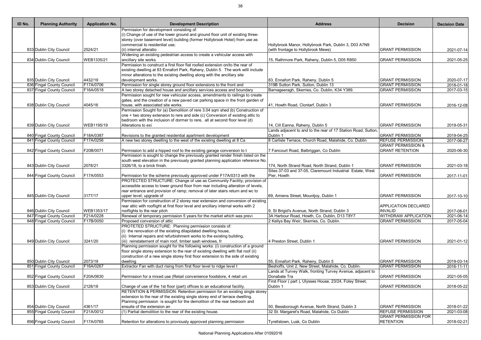| ID No. | <b>Planning Authority</b> | <b>Application No.</b> | <b>Development Description</b>                                                                                                                                | <b>Address</b>                                                | <b>Decision</b>               | <b>Decision Date</b>    |
|--------|---------------------------|------------------------|---------------------------------------------------------------------------------------------------------------------------------------------------------------|---------------------------------------------------------------|-------------------------------|-------------------------|
|        |                           |                        | Permission for development consisting of:                                                                                                                     |                                                               |                               |                         |
|        |                           |                        | (i) Change of use of the lower ground and ground floor unit of existing three-<br>storey (over basement level) building (former Hollybrook Hotel) from use as |                                                               |                               |                         |
|        |                           |                        | commercial to residential use;                                                                                                                                | Hollybrook Manor, Hollybrook Park, Dublin 3, D03 A7N9         |                               |                         |
|        | 833 Dublin City Council   | 2524/21                | (ii) internal alteratio                                                                                                                                       | (with frontage to Hollybrook Mews)                            | <b>GRANT PERMISSION</b>       | 2021-07-14              |
|        |                           |                        | Widening an existing pedestrian access to create a vehicular access with                                                                                      |                                                               |                               |                         |
|        | 834 Dublin City Council   | WEB1335/21             | ancillary site works.                                                                                                                                         | 15, Rathmore Park, Raheny, Dublin 5, D05 R850                 | <b>GRANT PERMISSION</b>       | 2021-05-25              |
|        |                           |                        | Permission to construct a first floor flat roofed extension on/to the rear of                                                                                 |                                                               |                               |                         |
|        |                           |                        | existing dwelling at 83 Ennafort Park, Raheny, Dublin 5. The work willl include                                                                               |                                                               |                               |                         |
|        |                           |                        | minor alterations to the existing dwelling along with the ancillary site                                                                                      |                                                               |                               |                         |
|        | 835 Dublin City Council   | 4432/19                | development works.                                                                                                                                            | 83, Ennafort Park, Raheny, Dublin 5                           | <b>GRANT PERMISSION</b>       | 2020-07-17              |
|        | 836 Fingal County Council | F17A/0706              | Permission for single storey ground floor extensions to the front and                                                                                         | 319B Sutton Park, Sutton, Dublin 13                           | <b>GRANT PERMISSION</b>       | 2018-01-18              |
|        | 837 Fingal County Council | F16A/0518              | A two storey detached house and ancillary services access and boundary<br>Permission sought for new vehicular access, amendments to railings to create        | Barnageeragh, Skerries, Co. Dublin, K34 Y389.                 | <b>GRANT PERMISSION</b>       | $\overline{2017-03-15}$ |
|        |                           |                        | gates, and the creation of a new paved car parking space in the front garden of                                                                               |                                                               |                               |                         |
|        | 838 Dublin City Council   | 4045/16                | house, with associated site works.                                                                                                                            | 41, Howth Road, Clontarf, Dublin 3                            | <b>GRANT PERMISSION</b>       | 2016-12-08              |
|        |                           |                        | Permission Sought for (a) Demolition of rere 3.04 sqm shed (b) Construction of                                                                                |                                                               |                               |                         |
|        |                           |                        | one + two storey extension to rere and side (c) Conversion of existing attic to                                                                               |                                                               |                               |                         |
|        |                           |                        | bedroom with the inclusion of dormer to rere, all at second floor level (d)                                                                                   |                                                               |                               |                         |
|        | 839 Dublin City Council   | WEB1195/19             | Alterations to exi                                                                                                                                            | 14, Cill Eanna, Raheny, Dublin 5                              | <b>GRANT PERMISSION</b>       | 2019-05-31              |
|        |                           |                        |                                                                                                                                                               | Lands adjacent to and to the rear of 17 Station Road, Sutton, |                               |                         |
|        | 840 Fingal County Council | F18A/0387              | Revisions to the granted residential apartment development                                                                                                    | Dublin 1                                                      | <b>GRANT PERMISSION</b>       | 2019-04-25              |
|        | 841 Fingal County Council | F17A/0256              | A new two storey dwelling to the west of the existing dwelling at 8 Ca                                                                                        | 8 Carlisle Terrace, Church Road, Malahide, Co. Dublin         | <b>REFUSE PERMISSION</b>      | 2017-06-27              |
|        |                           |                        |                                                                                                                                                               |                                                               | <b>GRANT PERMISSION &amp;</b> |                         |
|        | 842 Fingal County Council | F20B/0071              | Permission to add a hipped roof to the existing garage conversion to t                                                                                        | 7 Fancourt Road, Balbriggan, Co Dublin                        | <b>GRANT RETENTION</b>        | 2020-06-30              |
|        |                           |                        | Permission is sought to change the previously granted render finish listed on the                                                                             |                                                               |                               |                         |
|        | 843 Dublin City Council   | 2078/21                | south west elevation in the previously granted planning application reference No.<br>3326/18, to a brick finish.                                              | 174, North Strand Road, North Strand, Dublin 1                | <b>GRANT PERMISSION</b>       |                         |
|        |                           |                        |                                                                                                                                                               | Sites 37-03 and 37-05, Claremount Industrial Estate, West     |                               | 2021-03-18              |
|        | 844 Fingal County Council | F17A/0553              | Permission for the scheme previously approved under F17A/0313 with the                                                                                        | Pier, Howth                                                   | <b>GRANT PERMISSION</b>       | 2017-11-01              |
|        |                           |                        | PROTECTED STRUCTURE: Change of use as Community Facility; provision of                                                                                        |                                                               |                               |                         |
|        |                           |                        | accessible access to lower ground floor from rear including alteration of levels,                                                                             |                                                               |                               |                         |
|        |                           |                        | rear entrance and provision of ramp; removal of later stairs return and wc to                                                                                 |                                                               |                               |                         |
|        | 845 Dublin City Council   | 3177/17                | upper level; upgrade of                                                                                                                                       | 69, Amiens Street, Mountjoy, Dublin 1                         | <b>GRANT PERMISSION</b>       | 2017-10-10              |
|        |                           |                        | Permission for construction of 2 storey rear extension and conversion of existing                                                                             |                                                               |                               |                         |
|        |                           |                        | rear attic with rooflight at first floor level and ancillary internal works with 2                                                                            |                                                               | <b>APPLICATION DECLARED</b>   |                         |
|        | 846 Dublin City Council   | WEB1353/17             | rooflights to the rear pitch                                                                                                                                  | 9, St Brigid's Avenue, North Strand, Dublin 3                 | <b>INVALID</b>                | 2017-08-01              |
|        | 847 Fingal County Council | F21A/0228              | Renewal of temporary permission 5 years for the market which was previ                                                                                        | 3A Harbour Road, Howth, Co. Dublin, D13 T8Y7                  | <b>WITHDRAW APPLICATION</b>   | 2021-06-14              |
|        | 848 Fingal County Council | F17B/0050              | Proposed conversion of attic                                                                                                                                  | 2 Kellys Bay Weir, Skerries, Co. Dublin.                      | <b>GRANT PERMISSION</b>       | 2017-05-04              |
|        |                           |                        | PROTETED STRUCTURE: Planning permission consists of:<br>$(i)$ the renovation of the existing dilapidated dwelling house,                                      |                                                               |                               |                         |
|        |                           |                        | $(iii)$ Internal repairs and refurbishment works to the existing building,                                                                                    |                                                               |                               |                         |
|        | 849 Dublin City Council   | 3241/20                | (iii) reinstatement of main roof, timber sash windows, fr                                                                                                     | 4 Preston Street, Dublin 1                                    | <b>GRANT PERMISSION</b>       | 2021-01-12              |
|        |                           |                        | Planning permission sought for the following works: (i) construction of a ground                                                                              |                                                               |                               |                         |
|        |                           |                        | floor single storey extension to the rear of existing dwelling with flat roof (ii)                                                                            |                                                               |                               |                         |
|        |                           |                        | construction of a new single storey first floor extension to the side of existing                                                                             |                                                               |                               |                         |
|        | 850 Dublin City Council   | 2073/19                | dwelling                                                                                                                                                      | 55, Ennafort Park, Raheny, Dublin 5                           | <b>GRANT PERMISSION</b>       | 2019-03-14              |
|        | 851 Fingal County Council | F16A/0267              | Extractor Fan with duct rising from first floor level to ridge level t                                                                                        | Beshoffs, Unit 2, New Street, Malahide, Co. Dublin.           | <b>GRANT PERMISSION</b>       | 2016-11-11              |
|        |                           |                        |                                                                                                                                                               | Lands at Turvey Walk, fronting Turvey Avenue, adjacent to     |                               |                         |
|        | 852 Fingal County Council | F20A/0630              | Permission for a mixed use (Retail convenience foodstore, 4 retail uni                                                                                        | Donabate Tra                                                  | <b>GRANT PERMISSION</b>       | 2021-05-05              |
|        |                           |                        |                                                                                                                                                               | First Floor (part), Ulysses House, 23/24, Foley Street,       |                               |                         |
|        | 853 Dublin City Council   | 2128/18                | Change of use of the 1st floor (part) offices to an educational facility.                                                                                     | Dublin 1                                                      | <b>GRANT PERMISSION</b>       | 2018-05-22              |
|        |                           |                        | RETENTION & PERMISSION: Retention permission for an existing single storey                                                                                    |                                                               |                               |                         |
|        |                           |                        | extension to the rear of the existing single storey end of terrace dwelling.                                                                                  |                                                               |                               |                         |
|        | 854 Dublin City Council   | 4361/17                | Planning permission is sought for the demolition of the rear bedroom and<br>ensuite of the extension an                                                       | 50, Bessborough Avenue, North Strand, Dublin 3                | <b>GRANT PERMISSION</b>       | 2018-01-22              |
|        | 855 Fingal County Council | F21A/0012              | $(1)$ Partial demolition to the rear of the existing house.                                                                                                   | 32 St. Margaret's Road, Malahide, Co Dublin                   | <b>REFUSE PERMISSION</b>      | 2021-03-08              |
|        |                           |                        |                                                                                                                                                               |                                                               | <b>GRANT PERMISSION FOR</b>   |                         |
|        | 856 Fingal County Council | F17A/0765              | Retention for alterations to proviously approved planning permission                                                                                          | Tyrellstown, Lusk, Co Dublin                                  | <b>RETENTION</b>              | 2018-02-21              |
|        |                           |                        |                                                                                                                                                               |                                                               |                               |                         |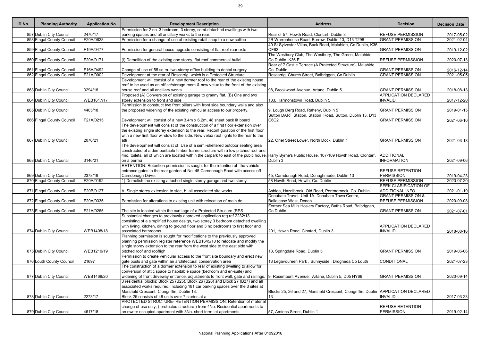| ID No. | <b>Planning Authority</b> | <b>Application No.</b> | <b>Development Description</b>                                                                                                                                   | <b>Address</b>                                                                     | <b>Decision</b>               | <b>Decision Date</b>    |
|--------|---------------------------|------------------------|------------------------------------------------------------------------------------------------------------------------------------------------------------------|------------------------------------------------------------------------------------|-------------------------------|-------------------------|
|        |                           |                        | Permission for 2 no. 3 bedroom, 3 storey, semi-detached dwellings with two                                                                                       |                                                                                    |                               |                         |
|        | 857 Dublin City Council   | 2470/17                | parking spaces and all ancillary works to the rear.                                                                                                              | Rear of 57, Howth Road, Clontarf, Dublin 3                                         | <b>REFUSE PERMISSION</b>      | 2017-05-02              |
|        | 858 Fingal County Council | F20A/0628              | Permission for a change of use of existing retail shop to a new coffee                                                                                           | 2B Warrenhouse Road, Burrow, Dublin 13, D13 T298                                   | <b>GRANT PERMISSION</b>       | $2021 - 02 - 04$        |
|        |                           |                        |                                                                                                                                                                  | 40 St Sylvester Villas, Back Road, Malahide, Co Dublin, K36                        |                               |                         |
|        | 859 Fingal County Council | F19A/0477              | Permission for general house upgrade consisting of flat roof rear exte                                                                                           | CF62                                                                               | <b>GRANT PERMISSION</b>       | 2019-12-02              |
|        |                           |                        |                                                                                                                                                                  | The Westbury Club, The Westbury, The Green, Malahide,                              |                               |                         |
|        | 860 Fingal County Council | F20A/0171              | (i) Demolition of the existing one storey, flat roof commercial buildi                                                                                           | Co Dublin K36 E                                                                    | <b>REFUSE PERMISSION</b>      | 2020-07-13              |
|        |                           |                        |                                                                                                                                                                  | Rear of 7 Castle Terrace (A Protected Structure), Malahide,                        |                               |                         |
|        | 861 Fingal County Council | F16A/0492              | Change of use of 55 sq.m. two-storey office building to dental surgery                                                                                           | Co. Dublin                                                                         | <b>GRANT PERMISSION</b>       | 2016-12-14              |
|        | 862 Fingal County Council | F21A/0002              | Development at the rear of Roscarrig, which is a Protected Structure.                                                                                            | Roscarrig, Church Street, Balbriggan, Co Dublin                                    | <b>GRANT PERMISSION</b>       | $\overline{2021-05-05}$ |
|        |                           |                        | Development will consist of a new dormer roof to the rear of the existing house                                                                                  |                                                                                    |                               |                         |
|        |                           |                        | roof to be used as an office/storage room & new velux to the front of the existing                                                                               |                                                                                    |                               |                         |
|        | 863 Dublin City Council   | 3294/18                | house roof and all ancillary works.                                                                                                                              | 98, Brookwood Avenue, Artane, Dublin 5                                             | <b>GRANT PERMISSION</b>       | 2018-08-13              |
|        |                           |                        | Proposed (A) Conversion of existing garage to granny flat, (B) One and two                                                                                       |                                                                                    | <b>APPLICATION DECLARED</b>   |                         |
|        | 864 Dublin City Council   | WEB1617/17             | storey extension to front and side                                                                                                                               | 133, Harmonstown Road, Dublin 5                                                    | <b>INVALID</b>                | 2017-12-20              |
|        |                           |                        | Permission to construct two front pillars with front side boundary walls and also                                                                                |                                                                                    |                               |                         |
|        | 865 Dublin City Council   | 4405/18                | the proposed widening of the existing vehicular access to our property.                                                                                          | 9, Lough Derg Road, Raheny, Dublin 5                                               | <b>GRANT PERMISSION</b>       | 2019-01-15              |
|        |                           |                        |                                                                                                                                                                  | Sutton DART Station, Station Road, Sutton, Dublin 13, D13                          |                               |                         |
|        | 866 Fingal County Council | F21A/0215              | Development will consist of a new 3.4m x 6.2m, 48 sheet back lit board                                                                                           | C <sub>6</sub> C <sub>2</sub>                                                      | <b>GRANT PERMISSION</b>       | 2021-06-10              |
|        |                           |                        | The development will consist of the construction of a first floor extension over                                                                                 |                                                                                    |                               |                         |
|        |                           |                        | the existing single storey extension to the rear. Reconfiguration of the first floor                                                                             |                                                                                    |                               |                         |
|        |                           |                        | with a new first floor window to the side. New velux roof lights to the rear to the                                                                              |                                                                                    |                               |                         |
|        | 867 Dublin City Council   | 2076/21                |                                                                                                                                                                  | 22, Oriel Street Lower, North Dock, Dublin 1                                       | <b>GRANT PERMISSION</b>       | 2021-03-18              |
|        |                           |                        | The development will consist of: Use of a semi-sheltered outdoor seating area<br>constructed of a demountable timber frame structure with a low pitched roof and |                                                                                    |                               |                         |
|        |                           |                        |                                                                                                                                                                  |                                                                                    | <b>ADDITIONAL</b>             |                         |
|        | 868 Dublin City Council   |                        | 4no. toilets, all of which are located within the carpark to east of the pubic house, Harry Byrne's Public House, 107-109 Howth Road, Clontarf,                  | Dublin 3                                                                           | <b>INFORMATION</b>            |                         |
|        |                           | 3146/21                | on a perma<br>RETENTION: Retention permission is sought for the retention of the vehicle                                                                         |                                                                                    |                               | 2021-09-06              |
|        |                           |                        | entrance gates to the rear garden of No. 45 Carndonagh Road with access off                                                                                      |                                                                                    | <b>REFUSE RETENTION</b>       |                         |
|        | 869 Dublin City Council   | 2378/19                | Carndonagh Drive.                                                                                                                                                | 45, Carndonagh Road, Donaghmede, Dublin 13                                         | <b>PERMISSION</b>             | 2019-04-23              |
|        | 870 Fingal County Council | F20A/0192              | 1) Demolish the existing attached single storey garage and two storey                                                                                            | 58 Howth Road, Howth, Co. Dublin                                                   | <b>REFUSE PERMISSION</b>      | 2020-07-20              |
|        |                           |                        |                                                                                                                                                                  |                                                                                    | <b>SEEK CLARIFICATION OF</b>  |                         |
|        | 871 Fingal County Council | F20B/0127              | A. Single storey extension to side, b. all associated site works                                                                                                 | Ashlea, Hazelbrook, Old Road, Portmarnock, Co. Dublin.                             | ADDITIONAL INFO.              | 2021-01-19              |
|        |                           |                        |                                                                                                                                                                  | Donabate Travel, Unit 1A Donabate Town Centre,                                     | <b>GRANT PERMISSION &amp;</b> |                         |
|        | 872 Fingal County Council | F20A/0335              | Permission for alterations to existing unit with relocation of main do                                                                                           | Ballalease West, Donab                                                             | <b>REFUSE PERMISSION</b>      | 2020-09-08              |
|        |                           |                        |                                                                                                                                                                  | Former Sea Mills Hosiery Factory, Baths Road, Balbriggan,                          |                               |                         |
|        | 873 Fingal County Council | F21A/0265              | The site is located within the curtilage of a Protected Strucure (RPS                                                                                            | Co Dublin                                                                          | <b>GRANT PERMISSION</b>       | 2021-07-01              |
|        |                           |                        | Substantial changes to previously approved application reg ref 2232/13                                                                                           |                                                                                    |                               |                         |
|        |                           |                        | consisting of a simplified house design, two storey 3 bedroom detached dwelling                                                                                  |                                                                                    |                               |                         |
|        |                           |                        | with living, kitchen, dining to ground floor and 3 no bedrooms to first floor and                                                                                |                                                                                    | APPLICATION DECLARED          |                         |
|        | 874 Dublin City Council   | WEB1408/18             | associated bathrooms.                                                                                                                                            | 201, Howth Road, Clontarf, Dublin 3                                                | <b>INVALID</b>                | 2018-08-16              |
|        |                           |                        | Planning permission is sought for modifications to the previously approved                                                                                       |                                                                                    |                               |                         |
|        |                           |                        | planning permission register reference WEB1645/18 to relocate and modify the                                                                                     |                                                                                    |                               |                         |
|        |                           |                        | single storey extension to the rear from the west side to the east side with                                                                                     |                                                                                    |                               |                         |
|        | 875 Dublin City Council   | WEB1210/19             | pitched roof and roofligh                                                                                                                                        | 13, Springdale Road, Dublin 5                                                      | <b>GRANT PERMISSION</b>       | 2019-06-06              |
|        |                           |                        | Permission to create vehicular access to the front site boundary and erect new                                                                                   |                                                                                    |                               |                         |
|        | 876 Louth County Council  | 21697                  | gate posts and gate within an architectural conservation area                                                                                                    | 13 Legavoureen Park, Sunnyside, Drogheda Co Louth                                  | CONDITIONAL                   | 2021-07-23              |
|        |                           |                        | The construction of a dormer extension to rear of existing dwelling to allow for                                                                                 |                                                                                    |                               |                         |
|        |                           |                        | conversion of attic space to habitable space (bedroom and en-suite) and                                                                                          |                                                                                    |                               |                         |
|        | 877 Dublin City Council   | WEB1469/20             | widening of front driveway entrance, adjustments to front wall, gate and railings. 9, Rosemount Avenue, Artane, Dublin 5, D05 HY66                               |                                                                                    | <b>GRANT PERMISSION</b>       | 2020-09-14              |
|        |                           |                        | 3 residential blocks: Block 25 (B25), Block 26 (B26) and Block 27 (B27) and all                                                                                  |                                                                                    |                               |                         |
|        |                           |                        | associated works required, including 181 car parking spaces over the 3 sites at                                                                                  |                                                                                    |                               |                         |
|        |                           |                        | Marsfield Crescent, Clongriffin, Dublin 13.                                                                                                                      | Blocks 25, 26 and 27, Marsfield Crescent, Clongriffin, Dublin APPLICATION DECLARED |                               |                         |
|        | 878 Dublin City Council   | 2273/17                | Block 25 consists of 48 units over 7 stories at a                                                                                                                | 13                                                                                 | <b>INVALID</b>                | 2017-03-23              |
|        |                           |                        | PROTECTED STRUCTURE- RETENTION PERMISSION: Retention of material                                                                                                 |                                                                                    |                               |                         |
|        |                           |                        | change of use only, (protected structure) from 4No. Residential apartments to                                                                                    |                                                                                    | <b>REFUSE RETENTION</b>       |                         |
|        | 879 Dublin City Council   | 4617/18                | an owner occupied apartment with 3No. short term let apartments.                                                                                                 | 57, Amiens Street, Dublin 1                                                        | <b>PERMISSION</b>             | 2019-02-14              |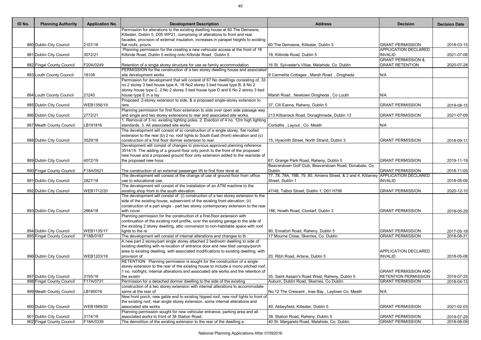|                  | <b>Decision</b>                                         | <b>Decision Date</b>     |
|------------------|---------------------------------------------------------|--------------------------|
|                  |                                                         |                          |
|                  | <b>GRANT PERMISSION</b>                                 | 2018-03-15               |
|                  | <b>APPLICATION DECLARED</b><br><b>INVALID</b>           | 2021-07-08               |
|                  | <b>GRANT PERMISSION &amp;</b><br><b>GRANT RETENTION</b> |                          |
|                  |                                                         | 2020-07-28               |
|                  | N/A                                                     |                          |
|                  |                                                         |                          |
|                  | N/A                                                     |                          |
|                  | <b>GRANT PERMISSION</b>                                 | 2019-08-15               |
|                  | <b>GRANT PERMISSION</b>                                 | 2021-07-09               |
|                  | N/A                                                     |                          |
|                  |                                                         |                          |
|                  | <b>GRANT PERMISSION</b>                                 | 2018-09-11               |
|                  |                                                         |                          |
|                  | <b>GRANT PERMISSION</b>                                 | 2019-11-19               |
| e, Co.           | <b>GRANT PERMISSION</b>                                 | 2018-11-05               |
| <b>Gillarney</b> | <b>APPLICATION DECLARED</b><br><b>INVALID</b>           | 2018-05-09               |
|                  | <b>GRANT PERMISSION</b>                                 | 2020-12-10               |
|                  |                                                         |                          |
|                  |                                                         |                          |
|                  | <b>GRANT PERMISSION</b>                                 | 2018-05-29               |
|                  |                                                         |                          |
|                  | <b>GRANT PERMISSION</b><br><b>GRANT PERMISSION</b>      | 2017-05-18<br>2018-08-31 |
|                  |                                                         |                          |
|                  | <b>APPLICATION DECLARED</b>                             |                          |
|                  | <b>INVALID</b>                                          | 2018-05-08               |
|                  | <b>GRANT PERMISSION AND</b>                             |                          |
|                  | <b>RETENTION PERMISSION</b>                             | 2019-07-25               |
|                  | <b>GRANT PERMISSION</b>                                 | 2018-04-13               |
|                  | N/A                                                     |                          |
|                  | <b>GRANT PERMISSION</b>                                 | 2021-02-03               |
|                  |                                                         |                          |
|                  | <b>GRANT PERMISSION</b><br><b>GRANT PERMISSION</b>      | 2019-07-29<br>2018-08-09 |

| ID No. | <b>Planning Authority</b> | <b>Application No.</b> | <b>Development Description</b>                                                                                                                                        | <b>Address</b>                                                            | <b>Decision</b>                                        | <b>Decision Date</b> |
|--------|---------------------------|------------------------|-----------------------------------------------------------------------------------------------------------------------------------------------------------------------|---------------------------------------------------------------------------|--------------------------------------------------------|----------------------|
|        |                           |                        | Permission for alterations to the existing dwelling house at 60 The Demesne,                                                                                          |                                                                           |                                                        |                      |
|        |                           |                        | Killester, Dublin 5, D05 WP21, comprising of alterations to front and rear                                                                                            |                                                                           |                                                        |                      |
|        | 880 Dublin City Council   | 2107/18                | facades, provision of external insulation, increases in parapet heights to existing<br>flat roofs, provis                                                             | 60 The Demesne, Killester, Dublin 5                                       | <b>GRANT PERMISSION</b>                                |                      |
|        |                           |                        | Planning permission for the creating a new vehicular access at the front of 18                                                                                        |                                                                           | <b>APPLICATION DECLARED</b>                            | 2018-03-15           |
|        | 881 Dublin City Council   | 3072/21                | Kilbride Road, Dublin 5 exiting onto Kilbride Road, Dublin 5.                                                                                                         | 18, Kilbride Road, Dublin 5                                               | <b>INVALID</b>                                         | 2021-07-08           |
|        |                           |                        |                                                                                                                                                                       |                                                                           | <b>GRANT PERMISSION &amp;</b>                          |                      |
|        | 882 Fingal County Council | F20A/0249              | Retention of a single storey structure for use as family accommodation                                                                                                | 16 St. Sylvester's Villas, Malahide, Co. Dublin                           | <b>GRANT RETENTION</b>                                 | 2020-07-28           |
|        |                           |                        | PERMISSION for the construction of a two storey dwelling house and associated                                                                                         |                                                                           |                                                        |                      |
|        | 883 Louth County Council  | 18108                  | site development works.                                                                                                                                               | 9 Carmelite Cottages, Marsh Road, Drogheda                                | N/A                                                    |                      |
|        |                           |                        | Permission for development that will consist of 67 No dwellings consisting of, 33<br>no 2 storey 3 bed house type A, 18 No2 storey 3 bed house type B, 8 No 2         |                                                                           |                                                        |                      |
|        |                           |                        | storey house type C, 2 No 2 storey 3 bed house type D and 6 No 2 storey 3 bed                                                                                         |                                                                           |                                                        |                      |
|        | 884 Louth County Council  | 21240                  | house type E in a lay                                                                                                                                                 | Marsh Road, Newtown Drogheda, Co Louth                                    | N/A                                                    |                      |
|        |                           |                        | Proposed 2-storey extension to side, & a proposed single-storey extension to                                                                                          |                                                                           |                                                        |                      |
|        | 885 Dublin City Council   | WEB1356/19             | rere.                                                                                                                                                                 | 37, Cill Eanna, Raheny, Dublin 5                                          | <b>GRANT PERMISSION</b>                                | 2019-08-15           |
|        |                           |                        | Planning permission for first floor extension to side over open side passage way                                                                                      |                                                                           |                                                        |                      |
|        | 886 Dublin City Council   | 2772/21                | and single and two storey extensions to rear and associated site works.                                                                                               | 213 Kilbarrack Road, Donaghmede, Dublin 13                                | <b>GRANT PERMISSION</b>                                | 2021-07-09           |
|        |                           |                        | Removal of 3 no. existing lighting poles. 2. Erection of 4 no. 12m high lighting<br>standards. 3. All associated site works                                           |                                                                           |                                                        |                      |
|        | 887 Meath County Council  | LB191816               | The development will consist of a) construction of a single storey, flat roofed                                                                                       | Corballis, Layout, Co. Meath                                              | N/A                                                    |                      |
|        |                           |                        | extension to the rear (b) 2 no. roof lights to South East (front) elevation and (c)                                                                                   |                                                                           |                                                        |                      |
|        | 888 Dublin City Council   | 3529/18                | construction of a first floor dormer extension to rear.                                                                                                               | 15, Hyacinth Street, North Strand, Dublin 3                               | <b>GRANT PERMISSION</b>                                | 2018-09-11           |
|        |                           |                        | Development will consist of changes to previous approved planning reference                                                                                           |                                                                           |                                                        |                      |
|        |                           |                        | 3514/15. The adding of a ground floor only porch to the front of the proposed                                                                                         |                                                                           |                                                        |                      |
|        |                           |                        | new house and a proposed ground floor only extension added to the rear/side of                                                                                        |                                                                           |                                                        |                      |
|        | 889 Dublin City Council   | 4072/19                | the proposed new hous                                                                                                                                                 | 67, Grange Park Road, Raheny, Dublin 5                                    | <b>GRANT PERMISSION</b>                                | 2019-11-19           |
|        |                           |                        |                                                                                                                                                                       | Beaverstown Golf Club, Beaverstown Road, Donabate, Co.                    |                                                        |                      |
|        | 890 Fingal County Council | F18A/0521              | The construction of an external passenger lift to first floor level at<br>The development will consist of the change of use of ground floor from office               | Dublin.<br>[77, 78, 78A, 78B, 79, 80, Amiens Street, & 2 and 4, Killarney | <b>GRANT PERMISSION</b><br><b>APPLICATION DECLARED</b> | 2018-11-05           |
|        | 891 Dublin City Council   | 2827/18                | use to educational use.                                                                                                                                               | Street, Dublin 1                                                          | <b>INVALID</b>                                         | 2018-05-09           |
|        |                           |                        | The development will consist of the installation of an ATM machine to the                                                                                             |                                                                           |                                                        |                      |
|        | 892 Dublin City Council   | WEB1712/20             | existing shop front to the south elevation.                                                                                                                           | 47/48, Talbot Street, Dublin 1, D01 H798                                  | <b>GRANT PERMISSION</b>                                | 2020-12-10           |
|        |                           |                        | The development will consist of: (i) construction of a two storey extension to the                                                                                    |                                                                           |                                                        |                      |
|        |                           |                        | side of the existing house, subservient of the existing front elevation; (ii)                                                                                         |                                                                           |                                                        |                      |
|        |                           |                        | construction of a part single - part two storey contemporary extension to the rear                                                                                    |                                                                           |                                                        |                      |
|        | 893 Dublin City Council   | 2664/18                | with cover<br>Planning permission for the construction of a first-floor extension with                                                                                | 186, Howth Road, Clontarf, Dublin 3                                       | <b>GRANT PERMISSION</b>                                | 2018-05-29           |
|        |                           |                        | continuation of the existing roof profile, over the existing garage to the side of                                                                                    |                                                                           |                                                        |                      |
|        |                           |                        | the existing 2 storey dwelling, attic conversion to non-habitable space with roof                                                                                     |                                                                           |                                                        |                      |
|        | 894 Dublin City Council   | WEB1135/17             | lights to the re                                                                                                                                                      | 90, Ennafort Road, Raheny, Dublin 5                                       | <b>GRANT PERMISSION</b>                                | 2017-05-18           |
|        | 895 Fingal County Council | F18B/0187              | The development will consist of internal alterations and changes to th                                                                                                | 17 Mourne Close, Skerries, Co. Dublin                                     | <b>GRANT PERMISSION</b>                                | 2018-08-31           |
|        |                           |                        | A new part 2 storey/part single storey attached 2 bedroom dwelling to side of                                                                                         |                                                                           |                                                        |                      |
|        |                           |                        | existing dwelling with re-location of entrance door and new tiled canopy/porch                                                                                        |                                                                           |                                                        |                      |
|        | 896 Dublin City Council   | WEB1203/18             | area to existing dwelling, with associated modifications to existing dwelling, with<br>provision of                                                                   | 20, Ribh Road, Artane, Dublin 5                                           | <b>APPLICATION DECLARED</b><br><b>INVALID</b>          | 2018-05-08           |
|        |                           |                        | RETENTION: Planning permission is sought for the construction of a single                                                                                             |                                                                           |                                                        |                      |
|        |                           |                        | storey extension to the rear of the existing house to include a mono pitched roof,                                                                                    |                                                                           |                                                        |                      |
|        |                           |                        | 1 no. rooflight, internal alterations and associated site works and the retention of                                                                                  |                                                                           | <b>GRANT PERMISSION AND</b>                            |                      |
|        | 897 Dublin City Council   | 3155/19                | the existin                                                                                                                                                           | 35, Saint Assam's Road West, Raheny, Dublin 5                             | <b>RETENTION PERMISSION</b>                            | 2019-07-25           |
|        | 898 Fingal County Council | F17A/0731              | Permission for a detached dormer dwelling to the side of the existing                                                                                                 | Auburn, Dublin Road, Skerries, Co Dublin                                  | <b>GRANT PERMISSION</b>                                | 2018-04-13           |
|        |                           |                        | construction of a two storey extension with internal alterations to accommodate                                                                                       |                                                                           |                                                        |                      |
|        | 899 Meath County Council  | LB180016               | same at the rear of                                                                                                                                                   | No.12 The Crescent, Inse Bay, Laytown Co. Meath                           | N/A                                                    |                      |
|        |                           |                        | New front porch, new gable end to existing hipped roof, new roof lights to front of<br>the existing roof, rear single storey extension, some internal alterations and |                                                                           |                                                        |                      |
|        | 900 Dublin City Council   | WEB1889/20             | associated site works                                                                                                                                                 | 49, Abbeyfield, Killester, Dublin 5                                       | <b>GRANT PERMISSION</b>                                | 2021-02-03           |
|        |                           |                        | Planning permission sought for new vehicular entrance, parking area and all                                                                                           |                                                                           |                                                        |                      |
|        | 901 Dublin City Council   | 3174/19                | associated works to front of 38 Station Road.                                                                                                                         | 38, Station Road, Raheny, Dublin 5                                        | <b>GRANT PERMISSION</b>                                | 2019-07-29           |
|        | 902 Fingal County Council | F18A/0339              | The demolition of the existing extension to the rear of the dwelling a                                                                                                | 40 St. Margarets Road, Malahide, Co. Dublin.                              | <b>GRANT PERMISSION</b>                                | 2018-08-09           |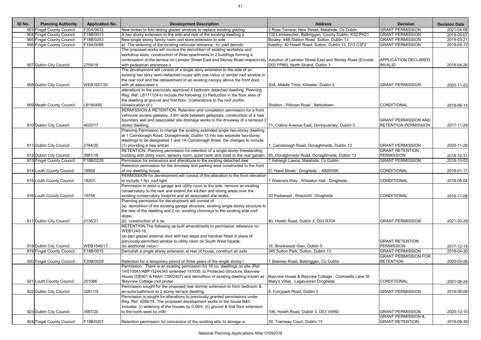| ID No. | <b>Planning Authority</b> | <b>Application No.</b> | <b>Development Description</b>                                                                                                                           | <b>Address</b>                                      | <b>Decision</b>               | <b>Decision Date</b> |
|--------|---------------------------|------------------------|----------------------------------------------------------------------------------------------------------------------------------------------------------|-----------------------------------------------------|-------------------------------|----------------------|
|        | 903 Fingal County Council | F20A/0633              | New timber bi-fold sliding glazed windows to replace existing glazing                                                                                    | 2 Ross Terrace, New Street, Malahide, Co Dublin     | <b>GRANT PERMISSION</b>       | 2021-04-08           |
|        | 904 Fingal County Council | F19B/0013              | A two storey extension to the side and rear of the existing dwelling a                                                                                   | 132 Lambeecher, Balbriggan, County Dublin, K32 PH21 | <b>GRANT PERMISSION</b>       | 2019-05-07           |
|        | 905 Fingal County Council | F18B/0283              | New single storey family room and store extension to side                                                                                                | Bouley, 44B Station Road, Sutton, Dublin 13         | <b>GRANT PERMISSION</b>       | 2019-03-21           |
|        | 906 Fingal County Council | F19A/0089              | a) The widening of the existing vehicular entrance; b) part demolit                                                                                      | Ketelby, 40 Howth Road, Sutton, Dublin 13, D13 C3F2 | <b>GRANT PERMISSION</b>       | 2019-04-12           |
|        |                           |                        | The proposed works will involve the demolition of existing workshop and                                                                                  |                                                     |                               |                      |
|        |                           |                        | workshop store, construction of three apartments in 2 buildings forming a                                                                                |                                                     |                               |                      |
|        |                           |                        | continuation of the terrace on Leinster Street East and Stoney Road respectively Junction of Leinster Street East and Stoney Road (Eircode               |                                                     | APPLICATION DECLARED          |                      |
|        | 907 Dublin City Council   | 2759/18                | with pedestrian entrances o                                                                                                                              | D03 FP89), North Strand, Dublin 3                   | <b>INVALID</b>                | 2018-04-26           |
|        |                           |                        | The development will consist of a single story extension to the side of an                                                                               |                                                     |                               |                      |
|        |                           |                        | existing two story semi-detached house with one Velux or similar roof window in                                                                          |                                                     |                               |                      |
|        |                           |                        | the rear roof and the replacement of an existing canopy above the front door,                                                                            |                                                     |                               |                      |
|        | 908 Dublin City Council   | WEB1657/20             | with all associated s                                                                                                                                    | 20A, Middle Third, Killester, Dublin 5              | <b>GRANT PERMISSION</b>       | 2020-11-23           |
|        |                           |                        | alterations to the previously approved 4 bedroom detached dwelling: Planning                                                                             |                                                     |                               |                      |
|        |                           |                        | Reg. Ref. LB171124 to include the following: (i) Reduction in the floor area of                                                                          |                                                     |                               |                      |
|        |                           |                        | the dwelling at ground and first floor, (ii) alterations to the roof profile,                                                                            |                                                     |                               |                      |
|        | 909 Meath County Council  | LB190495               | (iii) relocation of c<br>PERMISSION & RETENTION: Retention and completion permission for a front                                                         | Shelton, Pilltown Road, Bettystown                  | <b>CONDITIONAL</b>            | 2019-06-14           |
|        |                           |                        | vehicular access gateway, 3.6m wide between gateposts, construction of a new                                                                             |                                                     |                               |                      |
|        |                           |                        | boundary wall and associated site drainage works to the driveway of a terraced 2                                                                         |                                                     | <b>GRANT PERMISSION AND</b>   |                      |
|        | 910 Dublin City Council   | 4020/17                | storey dwelling.                                                                                                                                         | 71, Collins Avenue East, Donnycarney, Dublin 5      | <b>RETENTION PERMISSION</b>   | 2017-11-29           |
|        |                           |                        | Planning Permission to change the existing extended single two-storey dwelling                                                                           |                                                     |                               |                      |
|        |                           |                        | at 1 Carndonagh Road, Donaghmede, Dublin 13 into two separate two-storey                                                                                 |                                                     |                               |                      |
|        |                           |                        | dwellings to be designated 1 and 1A Carndonagh Road, the changes to include                                                                              |                                                     |                               |                      |
|        | 911 Dublin City Council   | 2794/20                | (1) providing a new entran                                                                                                                               | , Carndonagh Road, Donaghmede, Dublin 13            | <b>GRANT PERMISSION</b>       | 2020-11-26           |
|        |                           |                        | RETENTION: Planning permission for retention of a single storey freestanding                                                                             |                                                     | <b>GRANT RETENTION</b>        |                      |
|        | 912 Dublin City Council   | 3881/18                | building with utility room, sensory room, quiet room and toilet to the rear garden. [95, Donaghmede Road, Donaghmede, Dublin 13                          |                                                     | <b>PERMISSION</b>             | 2018-10-31           |
|        | 913 Fingal County Council | F18B/0229              | Permission for extensions and alterations to the existing detached dwe                                                                                   | 7 Ashleigh Lawns, Malahide, Co Dublin               | <b>GRANT PERMISSION</b>       | 2018-10-03           |
|        |                           |                        | Retention permission for the driveway and parking area constructed to the front                                                                          |                                                     |                               |                      |
|        | 914 Louth County Council  | 18959                  | of my dwelling house.                                                                                                                                    | 51 Hand Street, Drogheda, A92K59X                   | <b>CONDITIONAL</b>            | 2019-01-17           |
|        |                           |                        | PERMISSION for development will consist of the alteration to the front elevation                                                                         |                                                     |                               |                      |
|        | 915 Louth County Council  | 18203                  | to include 1 No. roof light.                                                                                                                             | 1 Weavers Way, Wheaton Hall, Drogheda               | CONDITIONAL                   | 2018-05-04           |
|        |                           |                        | Permission to erect a garage and utility room to the side, remove an existing                                                                            |                                                     |                               |                      |
|        |                           |                        | conservatory to the rear and extend the kitchen and dining areas over the                                                                                |                                                     |                               |                      |
|        | 916 Louth County Council  | 19758                  | existing conservatory footprint and all associated site works.                                                                                           | 33 Parkwood, Roschoill, Drogheda                    | <b>CONDITIONAL</b>            | 2019-11-08           |
|        |                           |                        | Planning permission for development will consist of:                                                                                                     |                                                     |                               |                      |
|        |                           |                        | (a) demolition of the existing garage structure, existing single storey structure to                                                                     |                                                     |                               |                      |
|        |                           |                        | the rear of the dwelling and 2 no. existing chimneys to the existing side roof-                                                                          |                                                     |                               |                      |
|        |                           |                        | slope,                                                                                                                                                   |                                                     |                               |                      |
|        | 917 Dublin City Council   | 2136/21                | $(b)$ construction of a ne                                                                                                                               | 80, Howth Road, Dublin 3, D03 R704                  | <b>GRANT PERMISSION</b>       | 2021-03-29           |
|        |                           |                        | RETENTION: The following as-built amendments to permission reference no.                                                                                 |                                                     |                               |                      |
|        |                           |                        | WEB1240-16,                                                                                                                                              |                                                     |                               |                      |
|        |                           |                        | $\vert$ (a) part glazed external door with two steps and handrail fitted in place of                                                                     |                                                     |                               |                      |
|        |                           |                        | previously permitted window to utility room on South West façade,                                                                                        |                                                     | <b>GRANT RETENTION</b>        |                      |
|        | 918 Dublin City Council   | WEB1546/17             | (b) additional velux r                                                                                                                                   | 16, Brookwood Glen, Dublin 5                        | <b>PERMISSION</b>             | 2017-12-14           |
|        | 919 Fingal County Council | F18B/0015              | Demolish a single storey extension at rear of house, construct an exte                                                                                   | 345 Sutton Park, Sutton, Dublin 13.                 | <b>GRANT PERMISSION</b>       | 2018-04-30           |
|        |                           |                        |                                                                                                                                                          |                                                     | <b>GRANT PERMISSION FOR</b>   |                      |
|        | 920 Fingal County Council | F20B/0028              | Retention for a temporary period of three years of the single storey I                                                                                   | 7 Skerries Road, Balbriggan, Co Dublin              | <b>RETENTION</b>              | 2020-03-26           |
|        |                           |                        | Permission: There is an existing permission for 16 no. dwellings on site (Ref.<br>14/510041/ABP15244345 extended 191030, to Protected Structure, Bayview |                                                     |                               |                      |
|        |                           |                        |                                                                                                                                                          |                                                     |                               |                      |
|        |                           |                        | House (DB301 & NIAH 13902407) and demolition of existing dwelling known as                                                                               | Bayview House & Bayview Cottage, Cromwells Lane St  |                               |                      |
|        | 921 Louth County Council  | 201086                 | 'Bayview Cottage (not protec<br>Permission sought for the proposed rear dormer extension to form bedroom &                                               | Mary's Villas, Lagavooren Drogheda                  | <b>CONDITIONAL</b>            | 2021-06-24           |
|        | 922 Dublin City Council   | 3281/19                | en-suite bathroom to 2 storey terrace dwelling.                                                                                                          | 8, Furrypark Road, Dublin 5                         | <b>GRANT PERMISSION</b>       | 2019-08-09           |
|        |                           |                        | Permission is sought for alterations to previously granted permissions under                                                                             |                                                     |                               |                      |
|        |                           |                        | Reg. Ref. 4280/18. The proposed development works to the house B&C                                                                                       |                                                     |                               |                      |
|        |                           |                        | includes: (i) widening of the houses by 0.55m; (ii) ground & first floor extension                                                                       |                                                     |                               |                      |
|        | 923 Dublin City Council   | 3587/20                | to the north-west by infill                                                                                                                              | 106, Howth Road, Dublin 3, D03 VW60                 | <b>GRANT PERMISSION</b>       | 2020-12-10           |
|        |                           |                        |                                                                                                                                                          |                                                     | <b>GRANT PERMISSION &amp;</b> |                      |
|        | 924 Fingal County Council | F19B/0207              | Retention permission for conversion of the existing attic to storage w                                                                                   | 30, Tramway Court, Dublin 13                        | <b>GRANT RETENTION</b>        | 2019-09-30           |
|        |                           |                        |                                                                                                                                                          |                                                     |                               |                      |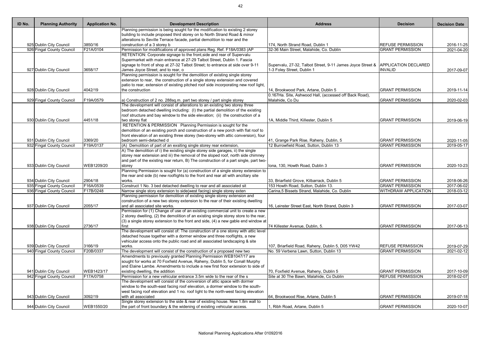| ID No. | <b>Planning Authority</b> | <b>Application No.</b> | <b>Development Description</b>                                                                                                                        | <b>Address</b>                                             | <b>Decision</b>             | <b>Decision Date</b>     |
|--------|---------------------------|------------------------|-------------------------------------------------------------------------------------------------------------------------------------------------------|------------------------------------------------------------|-----------------------------|--------------------------|
|        |                           |                        | Planning permission is being sought for the modification to existing 2 storey                                                                         |                                                            |                             |                          |
|        |                           |                        | building to include proposed third storey on to North Strand Road & minor                                                                             |                                                            |                             |                          |
|        |                           |                        | alterations to Seville Terrace facade, partial demolition to rear and the                                                                             |                                                            |                             |                          |
|        | 925 Dublin City Council   | 3850/16                | construction of a 3 storey b                                                                                                                          | 174, North Strand Road, Dublin 1                           | <b>REFUSE PERMISSION</b>    | 2016-11-25               |
|        | 926 Fingal County Council | F21A/0104              | Permission for modifications of approved plans Reg. Ref. F18A/0383 (AP                                                                                | 32-36 Main Street, Malahide, Co. Dublin                    | <b>GRANT PERMISSION</b>     | 2021-04-20               |
|        |                           |                        | RETENTION: Corporate signage to the front, side and rear of Supervalu                                                                                 |                                                            |                             |                          |
|        |                           |                        | Supermarket with main entrance at 27-29 Talbot Street, Dublin 1. Fascia                                                                               |                                                            |                             |                          |
|        |                           |                        | signage to front of shop at 27-32 Talbot Street; to entrance at side over 9-11                                                                        | Supervalu, 27-32, Talbot Street, 9-11 James Joyce Street & | <b>APPLICATION DECLARED</b> |                          |
|        | 927 Dublin City Council   | 3658/17                | James Joyce Street; and to rear, o                                                                                                                    | 1-3 Foley Street, Dublin 1                                 | <b>INVALID</b>              | 2017-09-07               |
|        |                           |                        | Planning permission is sought for the demolition of existing single storey                                                                            |                                                            |                             |                          |
|        |                           |                        | extension to rear, the construction of a single storey extension and covered                                                                          |                                                            |                             |                          |
|        |                           |                        | patio to rear, extension of existing pitched roof side incorporating new roof light,                                                                  |                                                            |                             |                          |
|        | 928 Dublin City Council   | 4042/19                | the construction                                                                                                                                      | 14, Brookwood Park, Artane, Dublin 5                       | <b>GRANT PERMISSION</b>     | 2019-11-14               |
|        |                           |                        |                                                                                                                                                       | 0.167Ha. Site, Ashwood Hall, (accessed off Back Road),     |                             |                          |
|        | 929 Fingal County Council | F19A/0579              | a) Construction of 2 no. 288sq.m. part two storey / part single storey<br>The development will consist of alterations to an existing two storey three | Malahide, Co Du                                            | <b>GRANT PERMISSION</b>     | 2020-02-03               |
|        |                           |                        | bedroom detached dwelling including: (I) the partial demolition of the existing                                                                       |                                                            |                             |                          |
|        |                           |                        | roof structure and bay window to the side elevation; (ii) the construction of a                                                                       |                                                            |                             |                          |
|        | 930 Dublin City Council   | 4451/18                | two storey flat                                                                                                                                       | 1A, Middle Third, Killester, Dublin 5                      | <b>GRANT PERMISSION</b>     | 2019-06-19               |
|        |                           |                        | RETENTION & PERMISSION Planning Permission is sought for the                                                                                          |                                                            |                             |                          |
|        |                           |                        | demolition of an existing porch and construction of a new porch with flat roof to                                                                     |                                                            |                             |                          |
|        |                           |                        | front elevation of an existing three storey (two-storey with attic conversion), four                                                                  |                                                            |                             |                          |
|        | 931 Dublin City Council   | 3369/20                | bedroom semi-detached d                                                                                                                               | 41, Grange Park Rise, Raheny, Dublin, 5                    | <b>GRANT PERMISSION</b>     | 2020-11-05               |
|        | 932 Fingal County Council | F19A/0137              | (A) Demolition of part of an exsiting single storey rear extension,                                                                                   | 12 Burrowfield Road, Sutton, Dublin 13                     | <b>GRANT PERMISSION</b>     | 2019-05-17               |
|        |                           |                        | A) The demolition of i) the existing single storey side garages, ii) the single                                                                       |                                                            |                             |                          |
|        |                           |                        | storey rear extension and iii) the removal of the sloped roof, north side chimney                                                                     |                                                            |                             |                          |
|        |                           |                        | and part of the existing rear return, B) The construction of a part single, part two-                                                                 |                                                            |                             |                          |
|        | 933 Dublin City Council   | WEB1209/20             | storey                                                                                                                                                | Iona, 130, Howth Road, Dublin 3                            | <b>GRANT PERMISSION</b>     | 2020-10-23               |
|        |                           |                        | Planning Permission is sought for (a) construction of a single storey extension to                                                                    |                                                            |                             |                          |
|        |                           |                        | the rear and side (b) new rooflights to the front and rear all with ancillary site                                                                    |                                                            |                             |                          |
|        | 934 Dublin City Council   | 2904/18                | works.                                                                                                                                                | 33. Briarfield Grove, Kilbarrack, Dublin 5                 | <b>GRANT PERMISSION</b>     | 2018-06-26               |
|        | 935 Fingal County Council | F16A/0539              | Construct 1 No. 3 bed detached dwelling to rear and all associated sit                                                                                | 153 Howth Road, Sutton, Dublin 13.                         | <b>GRANT PERMISSION</b>     | 2017-06-02               |
|        | 936 Fingal County Council | F17B/0248              | Narrow single story extension to side(west facing) single storey exten                                                                                | Carina, 5 Bissets Strand, Malahide, Co. Dublin             | <b>WITHDRAW APPLICATION</b> | 2018-03-12               |
|        |                           |                        | Planning permission for demolition of existing single storey extension and                                                                            |                                                            |                             |                          |
|        |                           |                        | construction of a new two storey extension to the rear of their existing dwelling                                                                     |                                                            |                             |                          |
|        | 937 Dublin City Council   | 2055/17                | and all associated site works.                                                                                                                        | 16, Leinster Street East, North Strand, Dublin 3           | <b>GRANT PERMISSION</b>     | 2017-03-07               |
|        |                           |                        | Permission for (1) Change of use of an existing commercial unit to create a new                                                                       |                                                            |                             |                          |
|        |                           |                        | 2 storey dwelling, (2) the demolition of an existing single storey store to the rear,                                                                 |                                                            |                             |                          |
|        |                           |                        | $(3)$ a single storey extension to the front and side, $(4)$ a new gable end window at                                                                |                                                            |                             |                          |
|        | 938 Dublin City Council   | 2736/17                | first                                                                                                                                                 | 74 Killester Avenue, Dublin, 5.                            | <b>GRANT PERMISSION</b>     | 2017-06-13               |
|        |                           |                        | The development will consist of: The construction of a one storey with attic level                                                                    |                                                            |                             |                          |
|        |                           |                        | detached house together with a dormer window and three rooflights, a new                                                                              |                                                            |                             |                          |
|        |                           |                        | vehicular access onto the public road and all associated landscaping & site                                                                           |                                                            |                             |                          |
|        | 939 Dublin City Council   | 3166/19                | works.                                                                                                                                                | 107, Briarfield Road, Raheny, Dublin 5, D05 YW42           | <b>REFUSE PERMISSION</b>    | 2019-07-29               |
|        | 940 Fingal County Council | F20B/0337              | The development will consist of the construction of a proposed new two                                                                                | No. 59 Verbena Lawn, Sutton, Dublin 13                     | <b>GRANT PERMISSION</b>     | 2021-02-12               |
|        |                           |                        | Amendments to previously granted Planning Permission WEB1047/17 are                                                                                   |                                                            |                             |                          |
|        |                           |                        | sought for works at 70 Foxfield Avenue, Raheny, Dublin 5, for Conall Murphy                                                                           |                                                            |                             |                          |
|        |                           |                        | and Elaine Lambe. Amendments to include a new first floor extension to side of                                                                        |                                                            |                             |                          |
|        | 941 Dublin City Council   | WEB1423/17             | existing dwelling, the addition                                                                                                                       | 70, Foxfield Avenue, Raheny, Dublin 5                      | <b>GRANT PERMISSION</b>     | 2017-10-09               |
|        | 942 Fingal County Council | F17A/0758              | Permission for a new vehicular entrance 3.5m wide to the rear of the s                                                                                | Site at 30 The Bawn, Malahide, Co Dublin                   | <b>REFUSE PERMISSION</b>    | $\overline{20}$ 18-02-07 |
|        |                           |                        | The development will consist of the conversion of attic space with dormer                                                                             |                                                            |                             |                          |
|        |                           |                        | window to the south-east facing roof elevation, a dormer window to the south-                                                                         |                                                            |                             |                          |
|        |                           |                        | west facing roof elevation and 1 no. roof light to the north-west facing elevation                                                                    |                                                            |                             |                          |
|        | 943 Dublin City Council   | 3092/19                | with all associated                                                                                                                                   | 64, Brookwood Rise, Artane, Dublin 5                       | <b>GRANT PERMISSION</b>     | 2019-07-18               |
|        |                           |                        | Single storey extension to the side & rear of existing house. New 1.8m wall to                                                                        |                                                            |                             |                          |
|        | 944 Dublin City Council   | WEB1550/20             | the part of front boundary & the widening of existing vehicular access.                                                                               | , Ribh Road, Artane, Dublin 5                              | <b>GRANT PERMISSION</b>     | 2020-10-07               |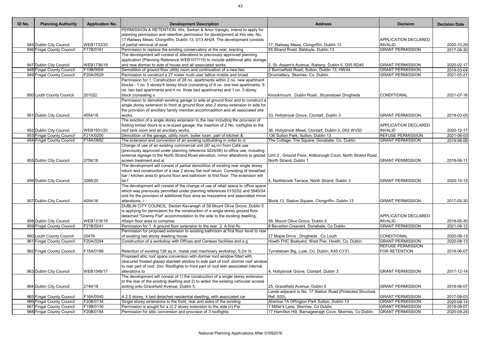| ID No. | <b>Planning Authority</b> | <b>Application No.</b> | <b>Development Description</b>                                                                                                                                         | <b>Address</b>                                             | <b>Decision</b>          | <b>Decision Date</b> |
|--------|---------------------------|------------------------|------------------------------------------------------------------------------------------------------------------------------------------------------------------------|------------------------------------------------------------|--------------------------|----------------------|
|        |                           |                        | PERMISSION & RETENTION: We, Serkan & Iknur Varoglu, intend to apply for                                                                                                |                                                            |                          |                      |
|        |                           |                        | planning permission and retention permission for development at this site, No.                                                                                         |                                                            |                          |                      |
|        |                           |                        | 17 Railway Mews, Clongriffin, Dublin 13, D13 AH24. The development consists                                                                                            |                                                            | APPLICATION DECLARED     |                      |
|        | 945 Dublin City Council   | WEB1733/20             | of partial removal of exist                                                                                                                                            | 17, Railway Mews, Clongriffin, Dublin 13                   | <b>INVALID</b>           | 2020-10-29           |
|        | 946 Fingal County Council | F17B/0161              | Permission to replace the existing conservatory at the rear, erecting                                                                                                  | 55 Strand Road, Baldoyle, Dublin 13                        | <b>GRANT PERMISSION</b>  | 2017-08-30           |
|        |                           |                        | The development will consist of alterations to previously approved planning<br>application (Planning Reference WEB1077/19) to include additional attic storage         |                                                            |                          |                      |
|        | 947 Dublin City Council   | WEB1736/19             | and new dormer to side of house and all associated works.                                                                                                              | 2, St. Assam's Avenue, Raheny, Dublin 5, D05 RD45          | <b>GRANT PERMISSION</b>  | 2020-02-17           |
|        | 948 Fingal County Council | F19B/0008              | Demolition of ground floor utility room, and continuation of a new two                                                                                                 | 2 Burrowfield Road, Sutton, Dublin 13, HW44                | <b>GRANT PERMISSION</b>  | 2019-03-04           |
|        | 949 Fingal County Council | F20A/0529              | Permission to construct a 27 meter multi-user lattice mobile and broad                                                                                                 | Drumlattery, Skerries, Co. Dublin.                         | <b>GRANT PERMISSION</b>  | 2021-05-21           |
|        |                           |                        | Permission for 1. Construction of 28 no. apartments within 2 no. new apartment                                                                                         |                                                            |                          |                      |
|        |                           |                        | blocks - 1 no. 5 storey/4 storey block (consisting of 9 no. one bed apartments, 9                                                                                      |                                                            |                          |                      |
|        |                           |                        | no. two bed apartments and 4 no. three bed apartments) and 1 no. 3 storey                                                                                              |                                                            |                          |                      |
|        | 950 Louth County Council  | 201022                 | block (consisting o                                                                                                                                                    | Knockmount, Dublin Road, Bryanstown Drogheda               | CONDITIONAL              | 2021-07-16           |
|        |                           |                        | Permission to demolish existing garage to side at ground floor and to construct a                                                                                      |                                                            |                          |                      |
|        |                           |                        | single storey extension to front at ground floor also 2 storey extension to side for<br>the provision of ancillary family member accommadition and all associated site |                                                            |                          |                      |
|        | 951 Dublin City Council   | 4554/18                | works.                                                                                                                                                                 | 33, Hollybrook Grove, Clontarf, Dublin 3                   | <b>GRANT PERMISSION</b>  | 2019-03-05           |
|        |                           |                        | The erection of a single storey extension to the rear including the provision of                                                                                       |                                                            |                          |                      |
|        |                           |                        | folding timber doors to a re-sized garage; the insertion of 2 No. rooflights to the                                                                                    |                                                            | APPLICATION DECLARED     |                      |
|        | 952 Dublin City Council   | WEB1931/20             | roof tank room and all ancillary works.                                                                                                                                | 36, Hollybrook Mews, Clontarf, Dublin 3, D03 WV50          | <b>INVALID</b>           | 2020-12-17           |
|        | 953 Fingal County Council | F21A/0200              | Demolition of the garage, utility room, boiler room, part of kitchen &                                                                                                 | 136 Sutton Park, Sutton, Dublin 13                         | <b>REFUSE PERMISSION</b> | 2021-06-03           |
|        | 954 Fingal County Council | F18A/0692              | The extension and conversion of an existing outbuilding in order to cr                                                                                                 | The Cottage, The Square, Donabate, Co. Dublin.             | <b>GRANT PERMISSION</b>  | 2019-06-06           |
|        |                           |                        | Change of use of an existing commercial unit (87 sq.m) from Café use                                                                                                   |                                                            |                          |                      |
|        |                           |                        | (previously approved under planning reference 5224/06) to office use, including                                                                                        |                                                            |                          |                      |
|        |                           |                        | external signage to the North Strand Road elevation, minor alterations to glazed Unit 2, Ground Floor, Aldborough Court, North Strand Road,                            |                                                            |                          |                      |
|        | 955 Dublin City Council   | 2756/18                | screen treatment and al                                                                                                                                                | North Strand, Dublin 1                                     | <b>GRANT PERMISSION</b>  | 2018-06-11           |
|        |                           |                        | The development will consist of partial demolition of existing rear single storey                                                                                      |                                                            |                          |                      |
|        |                           |                        | return and construction of a rear 2 storey flat roof return. Consisting of breakfast                                                                                   |                                                            |                          |                      |
|        |                           |                        | bar / kitchen area to ground floor and bathroom to first floor. The extension will                                                                                     |                                                            |                          |                      |
|        | 956 Dublin City Council   | 3288/20                | be f                                                                                                                                                                   | 4, Northbrook Terrace, North Strand, Dublin 3              | <b>GRANT PERMISSION</b>  | 2020-10-15           |
|        |                           |                        | The development will consist of the change of use of retail space to office space                                                                                      |                                                            |                          |                      |
|        |                           |                        | which was previously permitted under planning references 0132/02 and 5945/04                                                                                           |                                                            |                          |                      |
|        |                           |                        |                                                                                                                                                                        |                                                            |                          |                      |
|        |                           |                        | and for the provision of additional floor area as mezzanine and associated minor                                                                                       |                                                            |                          |                      |
|        | 957 Dublin City Council   | 4054/16                | alterations, i                                                                                                                                                         | Block 12, Station Square, Clongriffin, Dublin 13           | <b>GRANT PERMISSION</b>  | 2017-05-30           |
|        |                           |                        | DUBLIN CITY COUNCIL. Declan Kavanagh of 58 Mount Olive Grove., Dublin 5                                                                                                |                                                            |                          |                      |
|        |                           |                        | is applying for permission for the construction of a single storey ground floor                                                                                        |                                                            |                          |                      |
|        |                           |                        | detached "Granny Flat" accommodation to the side to the existing dwelling,                                                                                             |                                                            | APPLICATION DECLARED     |                      |
|        | 958 Dublin City Council   | WEB1318/19             | 45sqm floor area to comprise                                                                                                                                           | 58, Mount Olive Grove, Dublin 5                            | <b>INVALID</b>           | 2019-05-30           |
|        | 959 Fingal County Council | F21B/0241              | Permission for 1. A ground floor extension to the rear. 2. A first flo                                                                                                 | 6 Beverton Crescent, Donabate, Co Dublin                   | <b>GRANT PERMISSION</b>  | 2021-08-12           |
|        |                           |                        | Permission for proposed extension to existing bathroom at first floor level to rear                                                                                    |                                                            |                          |                      |
|        | 960 Louth County Council  | 20476                  | of existing two storey dwelling house                                                                                                                                  | 27 Maple Drive, Drogheda, Co Louth                         | <b>CONDITIONAL</b>       | 2020-08-13           |
|        | 961 Fingal County Council | F20A/0294              | Construction of a workshop with Offices and Canteen facilities and a g                                                                                                 | Howth FHC Boatyard, West Pier, Howth, Co. Dublin           | <b>GRANT PERMISSION</b>  | 2020-08-13           |
|        |                           |                        |                                                                                                                                                                        |                                                            | <b>REFUSE PERMISSION</b> |                      |
|        | 962 Fingal County Council | F18A/0189              | Retention of existing 128 sq.m. metal clad machinery workshop, 5.2m hi                                                                                                 | Tyrrelstown Big, Lusk, Co. Dublin, K45 CY31.               | FOR RETENTION            | 2018-06-07           |
|        |                           |                        | Proposed attic roof space conversion with dormer roof window fitted with<br>obscured frosted glazed stairwell window to side part of roof, dormer roof window          |                                                            |                          |                      |
|        |                           |                        | to rear part of roof, 2no. Rooflights to front part of roof with associated internal                                                                                   |                                                            |                          |                      |
|        | 963 Dublin City Council   | WEB1548/17             | alterations to                                                                                                                                                         | 4, Hollybrook Grove, Clontarf, Dublin 3                    | <b>GRANT PERMISSION</b>  | 2017-12-14           |
|        |                           |                        | The development will consist of 1) the construction of a single storey extension                                                                                       |                                                            |                          |                      |
|        |                           |                        | to the rear of the existing dwelling and 2) to widen the existing vehicular access                                                                                     |                                                            |                          |                      |
|        | 964 Dublin City Council   | 2746/18                | exiting onto Gracefield Avenue, Dublin 5.                                                                                                                              | 25, Gracefield Avenue, Dublin 5                            | <b>GRANT PERMISSION</b>  | 2018-06-07           |
|        |                           |                        |                                                                                                                                                                        | Lands adjacent to No. 17 Station Road (Protected Structure |                          |                      |
|        | 965 Fingal County Council | F16A/0540              | A 2.5 storey, 4 bed detached residential dwelling, with associated car                                                                                                 | Ref. 920),                                                 | <b>GRANT PERMISSION</b>  | 2017-08-03           |
|        | 966 Fingal County Council | F20B/0134              | Single storey extensions to the front, rear and sides of the existing                                                                                                  | Aherlow 1A Offington Park Sutton, Dublin 13                | <b>GRANT PERMISSION</b>  | 2020-08-14           |
|        | 967 Fingal County Council | F19B/0130              | Permission is sought for a (i) 2 storey extension to the side (ii) Par                                                                                                 | 1 Miller's Lane, Skerries, Co Dublin                       | <b>GRANT PERMISSION</b>  | 2019-08-07           |
|        | 968 Fingal County Council | F20B/0184              | Permission for attic conversion and provision of 3 rooflights.                                                                                                         | 17 Hamilton Hill, Barnageeragh Cove, Skerries, Co Dublin   | <b>GRANT PERMISSION</b>  | 2020-09-24           |
|        |                           |                        |                                                                                                                                                                        |                                                            |                          |                      |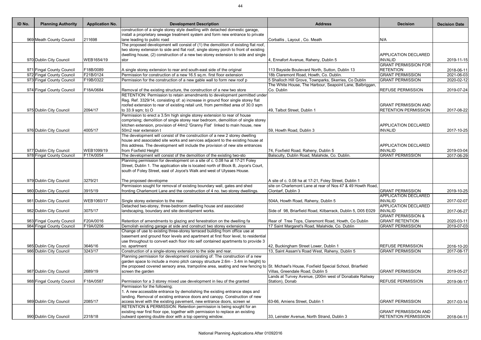| ID No. | <b>Planning Authority</b>                            | <b>Application No.</b> | <b>Development Description</b>                                                                                                          | <b>Address</b>                                                                         | <b>Decision</b>                               | <b>Decision Date</b>     |
|--------|------------------------------------------------------|------------------------|-----------------------------------------------------------------------------------------------------------------------------------------|----------------------------------------------------------------------------------------|-----------------------------------------------|--------------------------|
|        |                                                      |                        | construction of a single storey style dwelling with detached domestic garage,                                                           |                                                                                        |                                               |                          |
|        |                                                      |                        | install a proprietary sewage treatment system and form new entrance to private                                                          |                                                                                        |                                               |                          |
|        | 969 Meath County Council                             | 211698                 | lane leading to public road                                                                                                             | Corballis, Layout, Co. Meath                                                           | N/A                                           |                          |
|        |                                                      |                        | The proposed development will consist of (1) the demolition of existing flat roof,                                                      |                                                                                        |                                               |                          |
|        |                                                      |                        | two storey extension to side and flat roof, single storey porch to front of existing                                                    |                                                                                        |                                               |                          |
|        | 970 Dublin City Council                              | WEB1654/19             | dwelling house, (2) construction of a new two storey extension to side and single                                                       | 4, Ennafort Avenue, Raheny, Dublin 5                                                   | <b>APPLICATION DECLARED</b><br><b>INVALID</b> | 2019-11-15               |
|        |                                                      |                        | stor                                                                                                                                    |                                                                                        | <b>GRANT PERMISSION FOR</b>                   |                          |
|        | 971 Fingal County Council                            | F18B/0089              | A single storey extension to rear and south-east side of the original                                                                   | 113 Bayside Boulevard North, Sutton, Dublin 13                                         | <b>RETENTION</b>                              | 2018-06-11               |
|        | 972 Fingal County Council                            | F21B/0124              | Permission for construction of a new 16.5 sq.m. first floor extension                                                                   | 18b Claremont Road, Howth, Co. Dublin.                                                 | <b>GRANT PERMISSION</b>                       | 2021-06-03               |
|        | 973 Fingal County Council                            | F19B/0322              | Permission for the construction of a new gable wall to form new roof p                                                                  | 5 Shalloch Hill Grove, Townparks, Skerries, Co Dublin                                  | <b>GRANT PERMISSION</b>                       | 2020-02-12               |
|        |                                                      |                        |                                                                                                                                         | The White House, The Harbour, Seapoint Lane, Balbriggan,                               |                                               |                          |
|        | 974 Fingal County Council                            | F18A/0684              | Removal of the existing structure, the construction of a new two store                                                                  | Co. Dublin                                                                             | <b>REFUSE PERMISSION</b>                      | 2019-07-24               |
|        |                                                      |                        | RETENTION: Permission to retain amendments to development permitted under                                                               |                                                                                        |                                               |                          |
|        |                                                      |                        | Reg. Ref. 3329/14, consisting of: a) increase in ground floor single storey flat                                                        |                                                                                        |                                               |                          |
|        |                                                      |                        | roofed extension to rear of existing retail unit, from permitted area of 30.0 sqm                                                       |                                                                                        | <b>GRANT PERMISSION AND</b>                   |                          |
|        | 975 Dublin City Council                              | 2094/17                | to 33.9 sqm; b) O                                                                                                                       | 49. Talbot Street, Dublin 1                                                            | <b>RETENTION PERMISSION</b>                   | 2017-08-22               |
|        |                                                      |                        | Permission to erect a 3.5m high single storey extension to rear of house                                                                |                                                                                        |                                               |                          |
|        |                                                      |                        | comprising; demolition of single storey rear bedroom, demolition of single storey                                                       |                                                                                        |                                               |                          |
|        |                                                      |                        | kitchen extension, provision of 44m2 'Granny Flat' linked to main house, new                                                            |                                                                                        | <b>APPLICATION DECLARED</b>                   |                          |
|        | 976 Dublin City Council                              | 4005/17                | 50m2 rear extension t                                                                                                                   | 59, Howth Road, Dublin 3                                                               | <b>INVALID</b>                                | 2017-10-25               |
|        |                                                      |                        | The development will consist of the construction of a new 2 storey dwelling                                                             |                                                                                        |                                               |                          |
|        |                                                      |                        | house and associated site works and services adjacent to the existing house at                                                          |                                                                                        |                                               |                          |
|        |                                                      | WEB1099/19             | this address. The development will include the provision of new site entrances                                                          |                                                                                        | <b>APPLICATION DECLARED</b><br><b>INVALID</b> |                          |
|        | 977 Dublin City Council<br>978 Fingal County Council | F17A/0054              | from Foxfield Height<br>The development will consist of the demolition of the existing two-sto                                          | 74, Foxfield Road, Raheny, Dublin 5<br>Balsculty, Dublin Road, Malahide, Co. Dublin.   | <b>GRANT PERMISSION</b>                       | 2019-03-04<br>2017-06-29 |
|        |                                                      |                        | Planning permission for development on a site of c. 0.08 ha at 17-21 Foley                                                              |                                                                                        |                                               |                          |
|        |                                                      |                        | Street, Dublin 1. The application site is located north of Block B, Joyce's Court,                                                      |                                                                                        |                                               |                          |
|        |                                                      |                        | south of Foley Street, east of Joyce's Walk and west of Ulysses House.                                                                  |                                                                                        |                                               |                          |
|        |                                                      |                        |                                                                                                                                         |                                                                                        |                                               |                          |
|        | 979 Dublin City Council                              | 3279/21                | The proposed developme                                                                                                                  | A site of c. 0.08 ha at 17-21, Foley Street, Dublin 1                                  |                                               |                          |
|        |                                                      |                        | Permission sought for removal of existing boundary wall, gates and shed                                                                 | site on Charlemont Lane at rear of Nos 47 & 49 Howth Road,                             |                                               |                          |
|        | 980 Dublin City Council                              | 3915/19                | fronting Charlemont Lane and the construction of 4 no. two storey dwellings.                                                            | Clontarf, Dublin 3                                                                     | <b>GRANT PERMISSION</b>                       | 2019-10-25               |
|        |                                                      |                        |                                                                                                                                         |                                                                                        | <b>APPLICATION DECLARED</b>                   |                          |
|        | 981 Dublin City Council                              | WEB1060/17             | Single storey extension to the rear.                                                                                                    | 504A, Howth Road, Raheny, Dublin 5                                                     | <b>INVALID</b>                                | 2017-02-07               |
|        |                                                      |                        | Detached two-storey, three-bedroom dwelling house and associated                                                                        |                                                                                        | <b>APPLICATION DECLARED</b>                   |                          |
|        | 982 Dublin City Council                              | 3075/17                | landscaping, boundary and site development works.                                                                                       | Side of 98, Briarfield Road, Kilbarrack, Dublin 5, D05 E029                            | <b>INVALID</b>                                | 2017-06-27               |
|        |                                                      |                        |                                                                                                                                         |                                                                                        | <b>GRANT PERMISSION &amp;</b>                 |                          |
|        | 983 Fingal County Council                            | F20A/0016              | Retention of amendments to glazing and fenestration on the dwelling fa                                                                  | Rear of Tree Tops, Claremont Road, Howth, Co Dublin                                    | <b>GRANT RETENTION</b>                        | 2020-03-11               |
|        | 984 Fingal County Council                            | F19A/0206              | Demolish existing garage at side and construct two storey extensions                                                                    | 17 Saint Margaret's Road, Malahide, Co. Dublin                                         | <b>GRANT PERMISSION</b>                       | 2019-07-03               |
|        |                                                      |                        | Change of use to existing three-storey terraced building from office use at                                                             |                                                                                        |                                               |                          |
|        |                                                      |                        | basement and ground floor levels and apartment at first floor level, to residential                                                     |                                                                                        |                                               |                          |
|        | 985 Dublin City Council                              | 3646/16                | use throughout to convert each floor into self contained apartments to provide 3<br>no. apartment                                       |                                                                                        | <b>REFUSE PERMISSION</b>                      |                          |
|        | 986 Dublin City Council                              | 3243/17                | Construction of a single-storey extension to the side and rear.                                                                         | 42, Buckingham Street Lower, Dublin 1<br>13, Saint Assam's Road West, Raheny, Dublin 5 | <b>GRANT PERMISSION</b>                       | 2016-10-20<br>2017-08-17 |
|        |                                                      |                        | Planning permission for development consisting of: The construction of a new                                                            |                                                                                        |                                               |                          |
|        |                                                      |                        | garden space to include a mono pitch canopy structure 2.6m - 3.4m in height) to                                                         |                                                                                        |                                               |                          |
|        |                                                      |                        | the proposed covered sensory area, trampoline area, seating and new fencing to St. Michael's House, Foxfield Special School, Briarfield |                                                                                        |                                               |                          |
|        | 987 Dublin City Council                              | 2689/19                | screen the garden                                                                                                                       | Villas, Greendale Road, Dublin 5                                                       | <b>GRANT PERMISSION</b>                       | 2019-05-27               |
|        |                                                      |                        |                                                                                                                                         | Lands at Turvey Avenue, (200m west of Donabate Railway                                 |                                               |                          |
|        | 988 Fingal County Council                            | F18A/0587              | Permission for a 3 storey mixed use development in lieu of the granted                                                                  | Station), Donab                                                                        | <b>REFUSE PERMISSION</b>                      | 2019-06-17               |
|        |                                                      |                        | Permission for the following;                                                                                                           |                                                                                        |                                               |                          |
|        |                                                      |                        | . A new accessible entrance by demolishing the existing entrance steps and                                                              |                                                                                        |                                               |                          |
|        |                                                      |                        | landing. Removal of existing entrance doors and canopy. Construction of new                                                             |                                                                                        |                                               |                          |
|        | 989 Dublin City Council                              | 2085/17                | access level with the existing pavement, new entrance doors, screen wi                                                                  | 63-66, Amiens Street, Dublin 1                                                         | <b>GRANT PERMISSION</b>                       | 2017-03-14               |
|        |                                                      |                        | RETENTION & PERMISSION: Retention permission is being sought for an                                                                     |                                                                                        |                                               |                          |
|        |                                                      |                        | existing rear first floor ope, together with permission to replace an existing                                                          |                                                                                        | <b>GRANT PERMISSION AND</b>                   |                          |
|        | 990 Dublin City Council                              | 2318/18                | outward opening double door with a top opening window.                                                                                  | 33, Leinster Avenue, North Strand, Dublin 3                                            | <b>RETENTION PERMISSION</b>                   | 2018-04-11               |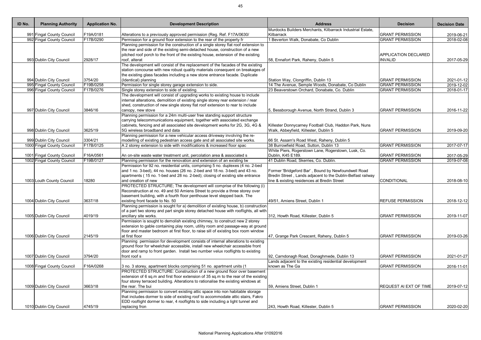| ID No. | <b>Planning Authority</b>  | <b>Application No.</b> | <b>Development Description</b>                                                                                                                                                                                                                                                                                                                            | <b>Address</b>                                                                                                                                                    | <b>Decision</b>                               | <b>Decision Date</b>    |
|--------|----------------------------|------------------------|-----------------------------------------------------------------------------------------------------------------------------------------------------------------------------------------------------------------------------------------------------------------------------------------------------------------------------------------------------------|-------------------------------------------------------------------------------------------------------------------------------------------------------------------|-----------------------------------------------|-------------------------|
|        |                            |                        |                                                                                                                                                                                                                                                                                                                                                           | Murdocks Builders Merchants, Kilbarrack Industrial Estate,                                                                                                        |                                               |                         |
|        | 991 Fingal County Council  | F19A/0181              | Alterations to a previously approved permission (Reg. Ref. F17A/0630/                                                                                                                                                                                                                                                                                     | Kilbarrack                                                                                                                                                        | <b>GRANT PERMISSION</b>                       | 2019-06-21              |
|        | 992 Fingal County Council  | F17B/0290              | Permission for a ground floor extension to the rear of the property fr                                                                                                                                                                                                                                                                                    | Beverton Walk, Donabate, Co Dublin                                                                                                                                | <b>GRANT PERMISSION</b>                       | $\overline{2018-02-08}$ |
|        | 993 Dublin City Council    | 2928/17                | Planning permission for the construction of a single storey flat roof extension to<br>the rear and side of the existing semi-detached house, construction of a new<br>pitched roof porch to the front of the existing house, extension of the existing<br>roof, alterat                                                                                   | 58, Ennafort Park, Raheny, Dublin 5                                                                                                                               | <b>APPLICATION DECLARED</b><br><b>INVALID</b> | 2017-05-29              |
|        | 994 Dublin City Council    | 3754/20                | The development will consist of the replacement of the facades of the existing<br>station concourse with new robust quality materials consequent on breakages of<br>the existing glass facades including a new stone entrance facade. Duplicate<br>(Identical) planning                                                                                   | Station Way, Clongriffin, Dublin 13                                                                                                                               | <b>GRANT PERMISSION</b>                       | 2021-01-12              |
|        | 995 Fingal County Council  | F19B/0258              | Permission for single storey garage extension to side.                                                                                                                                                                                                                                                                                                    | 14 The Avenue, Semple Woods, Donabate, Co Dublin                                                                                                                  | <b>GRANT PERMISSION</b>                       | 2019-12-02              |
|        | 996 Fingal County Council  | F17B/0276              | Single storey extension to side of existing.                                                                                                                                                                                                                                                                                                              | 23 Beaverstown Orchard, Donabate, Co. Dublin                                                                                                                      | <b>GRANT PERMISSION</b>                       | 2018-01-17              |
|        |                            | 3846/16                | The development will consist of upgrading works to existing house to include<br>internal alterations, demolition of existing single storey rear extension / rear<br>shed, construction of new single storey flat roof extension to rear to include                                                                                                        |                                                                                                                                                                   | <b>GRANT PERMISSION</b>                       |                         |
|        | 997 Dublin City Council    |                        | canopy, new stove<br>Planning permission for a 24m multi-user free standing support structure                                                                                                                                                                                                                                                             | 5, Bessborough Avenue, North Strand, Dublin 3                                                                                                                     |                                               | 2016-11-22              |
|        | 998 Dublin City Council    | 3625/19                | carrying telecommunications equipment, together with associated exchange<br>cabinets, fencing and all associated site development works for 2G, 3G, 4G &<br>5G wireless broadband and data                                                                                                                                                                | Killester Donnycarney Football Club, Haddon Park, Nuns<br>Walk, Abbeyfield, Killester, Dublin 5                                                                   | <b>GRANT PERMISSION</b>                       | 2019-09-20              |
|        |                            |                        | Planning permission for a new vehicular access driveway involving the re-                                                                                                                                                                                                                                                                                 |                                                                                                                                                                   |                                               |                         |
|        | 999 Dublin City Council    | 3304/21                | modelling of existing pedestrian access gate and all associated site works.                                                                                                                                                                                                                                                                               | 66 St. Assam's Road West, Raheny, Dublin 5                                                                                                                        |                                               |                         |
|        | 1000 Fingal County Council | F17B/0125              | A 2 storey extension to side with modifications & increased floor spac                                                                                                                                                                                                                                                                                    | 38 Burrowfield Road, Sutton, Dublin 13                                                                                                                            | <b>GRANT PERMISSION</b>                       | 2017-07-17              |
|        |                            |                        |                                                                                                                                                                                                                                                                                                                                                           | White Piers, Rogerstown Lane, Rogerstown, Lusk, Co.                                                                                                               |                                               |                         |
|        | 1001 Fingal County Council | F16A/0561              | An on-site waste water treatment unit, percolation area & associated s                                                                                                                                                                                                                                                                                    | Dublin, K45 E189.                                                                                                                                                 | <b>GRANT PERMISSION</b>                       | 2017-05-29              |
|        | 1002 Fingal County Council | F19B/0127              | Planning permission for the renovation and extension of an existing tw                                                                                                                                                                                                                                                                                    | 41 Dublin Road, Skerries, Co. Dublin.                                                                                                                             | <b>GRANT PERMISSION</b>                       | 2019-07-08              |
|        | 1003 Louth County Council  | 18280                  | Permission for 92 no. residential units, comprising 5 no. duplexes (4 no. 2-bed<br>and 1 no. 3-bed), 44 no. houses (26 no. 2-bed and 18 no. 3-bed) and 43 no.<br>apartments (15 no. 1-bed and 28 no. 2-bed); closing of existing site entrance<br>and creation of new                                                                                     | Former 'Bridgeford Bar', Bound by Newfoundwell Road<br>Bredin Street, Lands adjacent to the Dublin-Belfast railway<br>line & existing residences at Bredin Street | CONDITIONAL                                   | 2018-08-10              |
|        | 1004 Dublin City Council   | 3637/18                | PROTECTED STRUCTURE; The development will comprise of the following (i)<br>Reconstruction at no. 49 and 50 Amiens Street to provide a three storey over<br>basement building, with a fourth floor penthouse level stepped back. The<br>existing front facade to No. 50                                                                                    | 49/51, Amiens Street, Dublin 1                                                                                                                                    | <b>REFUSE PERMISSION</b>                      | 2018-12-12              |
|        |                            |                        | Planning permission is sought for a) demolition of existing house, b) construction                                                                                                                                                                                                                                                                        |                                                                                                                                                                   |                                               |                         |
|        | 1005 Dublin City Council   | 4019/19                | of a part two storey and part single storey detached house with rooflights, all with<br>ancillary site works.                                                                                                                                                                                                                                             | 312, Howth Road, Killester, Dublin 5                                                                                                                              | <b>GRANT PERMISSION</b>                       | 2019-11-07              |
|        | 1006 Dublin City Council   | 2145/19                | Permission is sought to demolish existing chimney, to construct new 2 storey<br>extension to gable containing play room, utility room and passage-way at ground<br>floor and master bedroom at first floor, to raise sill of existing box room window<br>at first floor                                                                                   | 47, Grange Park Crescent, Raheny, Dublin 5                                                                                                                        | <b>GRANT PERMISSION</b>                       | 2019-03-26              |
|        |                            |                        | Planning permission for development consists of internal alterations to existing                                                                                                                                                                                                                                                                          |                                                                                                                                                                   |                                               |                         |
|        | 1007 Dublin City Council   | 3794/20                | ground floor for wheelchair accessible, install new wheelchair accessible front<br>door and ramp to front garden. Install two number velux rooflights to existing<br>front roof s                                                                                                                                                                         | 92, Carndonagh Road, Donaghmede, Dublin 13                                                                                                                        | <b>GRANT PERMISSION</b>                       | 2021-01-27              |
|        |                            |                        |                                                                                                                                                                                                                                                                                                                                                           | Lands adjacent to the existing residential development                                                                                                            |                                               |                         |
|        | 1008 Fingal County Council | F16A/0268              | 3 no. 3 storey, apartment blocks comprising 51 no. apartment units (1)                                                                                                                                                                                                                                                                                    | known as The Ga                                                                                                                                                   | <b>GRANT PERMISSION</b>                       | 2016-11-01              |
|        | 1009 Dublin City Council   | 3663/18                | PROTECTED STRUCTURE: Construction of a new ground floor over basement<br>extension of 6 sq.m and first floor extension of 35 sq.m to the rear of the existing<br>four storey terraced building. Alterations to rationalise the existing windows at<br>the rear. The bui<br>Planning permission to convert existing attic space into non habitable storage | 59, Amiens Street, Dublin 1                                                                                                                                       | REQUEST AI EXT OF TIME                        | 2019-07-12              |
|        |                            |                        | that includes dormer to side of existing roof to accommodate attic stairs, Fakro<br>EDD rooflight dormer to rear, 4 rooflights to side including a light tunnel and                                                                                                                                                                                       |                                                                                                                                                                   |                                               |                         |
|        | 1010 Dublin City Council   | 4745/19                | replacing fron                                                                                                                                                                                                                                                                                                                                            | 243, Howth Road, Killester, Dublin 5                                                                                                                              | <b>GRANT PERMISSION</b>                       | 2020-02-20              |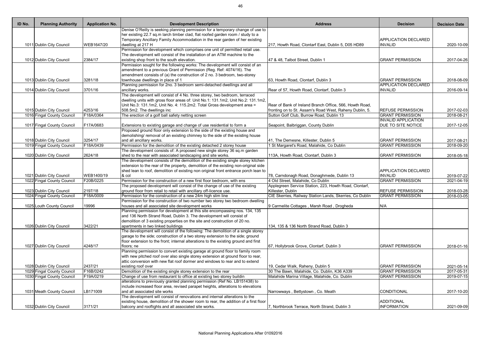| ID No. | <b>Planning Authority</b>  | <b>Application No.</b> | <b>Development Description</b>                                                       | <b>Address</b>                                           | <b>Decision</b>             | <b>Decision Date</b> |
|--------|----------------------------|------------------------|--------------------------------------------------------------------------------------|----------------------------------------------------------|-----------------------------|----------------------|
|        |                            |                        | Denise O'Reilly is seeking planning permission for a temporary change of use to      |                                                          |                             |                      |
|        |                            |                        | her existing 22.7 sq.m larch timber clad, flat roofed garden room / study to a       |                                                          |                             |                      |
|        |                            |                        | Temporary Ancillary Family Accommodation in the rear garden of her existing          |                                                          | <b>APPLICATION DECLARED</b> |                      |
|        | 1011 Dublin City Council   | WEB1647/20             | dwelling at 217 H                                                                    | 217, Howth Road, Clontarf East, Dublin 5, D05 HD89       | <b>INVALID</b>              | 2020-10-09           |
|        |                            |                        | Permission for development which comprises one unit of permitted retail use.         |                                                          |                             |                      |
|        |                            |                        | The development will consist of the installation of an ATM machine to the            |                                                          |                             |                      |
|        | 1012 Dublin City Council   | 2384/17                | existing shop front to the south elevation.                                          | 47 & 48, Talbot Street, Dublin 1                         | <b>GRANT PERMISSION</b>     | 2017-04-26           |
|        |                            |                        | Permission sought for the following works: The development will consist of an        |                                                          |                             |                      |
|        |                            |                        | amendment to a previous Grant of Permission (Reg. Ref: 4074/16). The                 |                                                          |                             |                      |
|        |                            |                        | amendment consists of (a) the construction of 2 no. 3 bedroom, two-storey            |                                                          |                             |                      |
|        | 1013 Dublin City Council   | 3281/18                | townhouse dwellings in place of 1                                                    | 63, Howth Road, Clontarf, Dublin 3                       | <b>GRANT PERMISSION</b>     | 2018-08-09           |
|        |                            |                        | Planning permission for 2no. 3 bedroom semi-detached dwellings and all               |                                                          | <b>APPLICATION DECLARED</b> |                      |
|        | 1014 Dublin City Council   | 3701/16                | ancillary works.                                                                     | Rear of 57, Howth Road, Clontarf, Dublin 3               | <b>INVALID</b>              | 2016-09-14           |
|        |                            |                        | The development will consist of 4 No. three storey, two bedroom, terraced            |                                                          |                             |                      |
|        |                            |                        | dwelling units with gross floor areas of: Unit No.1: 131.1m2, Unit No.2: 131.1m2,    |                                                          |                             |                      |
|        |                            |                        | Unit No.3: 131.1m2, Unit No. 4: 115.2m2. Total Gross development area =              | Rear of Bank of Ireland Branch Office, 566, Howth Road,  |                             |                      |
|        | 1015 Dublin City Council   | 4253/16                | 508.5m2. The dwellings inc                                                           | fronting on to St. Assam's Road West, Raheny Dublin, 5.  | <b>REFUSE PERMISSION</b>    | 2017-02-03           |
|        | 1016 Fingal County Council | F18A/0364              | The erection of a golf ball safety netting screen                                    | Sutton Golf Club, Burrow Road, Dublin 13                 | <b>GRANT PERMISSION</b>     | 2018-08-21           |
|        |                            |                        |                                                                                      |                                                          | <b>INVALID APPLICATION</b>  |                      |
|        | 1017 Fingal County Council | F17A/0683              | Extensions to existing garage and change of use residential to form a                | Seapoint, Balbriggan, County Dublin                      | DUE TO SITE NOTICE          | 2017-12-05           |
|        |                            |                        | Proposed ground floor only extension to the side of the existing house and           |                                                          |                             |                      |
|        |                            |                        | demolishing/ removal of an existing chimney to the side of the existing house        |                                                          |                             |                      |
|        | 1018 Dublin City Council   | 3254/17                | and all ancillary works.                                                             | 41, The Demesne, Killester, Dublin 5                     | <b>GRANT PERMISSION</b>     | 2017-08-21           |
|        | 1019 Fingal County Council | F18A/0439              | Permission for the demolition of the existing detached 2 storey house                | 1 St Margaret's Road, Malahide, Co Dublin                | <b>GRANT PERMISSION</b>     | 2018-09-20           |
|        |                            |                        | The development consists of: A proposed new single storey 36 sq.m garden             |                                                          |                             |                      |
|        | 1020 Dublin City Council   | 2624/18                | shed to the rear with associated landscaping and site works.                         | 113A, Howth Road, Clontarf, Dublin 3                     | <b>GRANT PERMISSION</b>     | 2018-05-18           |
|        |                            |                        | The development consists of the demolition of the existing single storey kitchen     |                                                          |                             |                      |
|        |                            |                        | extension to the rear of the property, demolition of the existing non-original side  |                                                          |                             |                      |
|        |                            |                        | shed lean to roof, demolition of existing non original front entrance porch lean to  |                                                          | <b>APPLICATION DECLARED</b> |                      |
|        | 1021 Dublin City Council   | WEB1400/19             | & col                                                                                | 78, Carndonagh Road, Donaghmede, Dublin 13               | <b>INVALID</b>              | 2019-07-22           |
|        | 1022 Fingal County Council | F20B/0225              | Permission for the construction of a new first floor bedroom, with ens               | 4 Old Street, Malahide, Co Dublin                        | <b>GRANT PERMISSION</b>     | 2021-04-19           |
|        |                            |                        | The proposed development will consist of the change of use of the existing           | Applegreen Service Station, 223, Howth Road, Clontarf,   |                             |                      |
|        | 1023 Dublin City Council   | 2197/18                | ground floor from retail to retail with ancillary off-licence use.                   | Killester, Dublin                                        | <b>REFUSE PERMISSION</b>    | 2018-03-28           |
|        | 1024 Fingal County Council | F18A/0009              | Permission for the construction of a new 24m high slim line                          | CIE Skerries, Railway Station Lands, Skerries, Co Dublin | <b>GRANT PERMISSION</b>     | 2018-03-05           |
|        |                            |                        | Permission for the construction of two number two storey two bedroom dwelling        |                                                          |                             |                      |
|        | 1025 Louth County Council  | 19996                  | houses and all associated site development works                                     | 9 Carmelite Cottages, Marsh Road, Drogheda               | N/A                         |                      |
|        |                            |                        | Planning permission for development at this site encompassing nos. 134, 135          |                                                          |                             |                      |
|        |                            |                        | and 136 North Strand Road, Dublin 3. The development will consist of                 |                                                          |                             |                      |
|        |                            |                        | demolition of 3 existing properties on the site and construction of 20 no.           |                                                          |                             |                      |
|        | 1026 Dublin City Council   | 3422/21                | apartments in two linked buildings                                                   | 134, 135 & 136 North Strand Road, Dublin 3               |                             |                      |
|        |                            |                        | The development will consist of the following: The demolition of a single storey     |                                                          |                             |                      |
|        |                            |                        | garage to the side; construction of a two storey extension to the side; ground       |                                                          |                             |                      |
|        |                            |                        | floor extension to the front; internal alterations to the existing ground and first  |                                                          |                             |                      |
|        | 1027 Dublin City Council   | 4248/17                | floors; ne                                                                           | 67, Hollybrook Grove, Clontarf, Dublin 3                 | <b>GRANT PERMISSION</b>     | 2018-01-16           |
|        |                            |                        | Planning permission to convert existing garage at ground floor to family room        |                                                          |                             |                      |
|        |                            |                        | with new pitched roof over also single storey extension at ground floor to rear,     |                                                          |                             |                      |
|        |                            |                        | attic conversion with new flat roof dormer and windows to rear and to extend         |                                                          |                             |                      |
|        | 1028 Dublin City Council   | 2437/21                | existing roof over                                                                   | 19, Cedar Walk, Raheny, Dublin 5                         | <b>GRANT PERMISSION</b>     | 2021-05-14           |
|        | 1029 Fingal County Council | F16B/0242              | Demolition of the existing single storey extension to the rear                       | 30 The Bawn, Malahide, Co. Dublin, K36 A339              | <b>GRANT PERMISSION</b>     | 2017-05-31           |
|        | 1030 Fingal County Council | F19A/0219              | Change of use from restaurant to office at existing two storey buildin               | Malahide Marina Village, Malahide, Co. Dublin            | <b>GRANT PERMISSION</b>     | 2019-07-15           |
|        |                            |                        | alterations to previously granted planning permission (Ref No. LB151438) to          |                                                          |                             |                      |
|        |                            |                        | include increased floor area, revised parapet heights, alterations to elevations     |                                                          |                             |                      |
|        | 1031 Meath County Council  | LB171009               | and all associated site works                                                        | Narrowways, Bettystown, Co. Meath                        | CONDITIONAL                 | 2017-10-20           |
|        |                            |                        | The development will consist of renovations and internal alterations to the          |                                                          |                             |                      |
|        |                            |                        | existing house, demolition of the shower room to rear, the addition of a first floor |                                                          | <b>ADDITIONAL</b>           |                      |
|        | 1032 Dublin City Council   | 3171/21                | balcony and rooflights and all associated site works.                                | 7, Northbrook Terrace, North Strand, Dublin 3            | <b>INFORMATION</b>          | 2021-09-09           |
|        |                            |                        |                                                                                      |                                                          |                             |                      |

| <b>Address</b>                                                                                                     | <b>Decision</b>                               | <b>Decision Date</b> |
|--------------------------------------------------------------------------------------------------------------------|-----------------------------------------------|----------------------|
|                                                                                                                    |                                               |                      |
|                                                                                                                    | APPLICATION DECLARED                          |                      |
| 217, Howth Road, Clontarf East, Dublin 5, D05 HD89                                                                 | <b>INVALID</b>                                | 2020-10-09           |
|                                                                                                                    |                                               |                      |
| 47 & 48, Talbot Street, Dublin 1                                                                                   | <b>GRANT PERMISSION</b>                       | 2017-04-26           |
|                                                                                                                    |                                               |                      |
|                                                                                                                    |                                               |                      |
| 63, Howth Road, Clontarf, Dublin 3                                                                                 | <b>GRANT PERMISSION</b>                       | 2018-08-09           |
| Rear of 57, Howth Road, Clontarf, Dublin 3                                                                         | <b>APPLICATION DECLARED</b><br><b>INVALID</b> | 2016-09-14           |
|                                                                                                                    |                                               |                      |
|                                                                                                                    |                                               |                      |
| Rear of Bank of Ireland Branch Office, 566, Howth Road,<br>fronting on to St. Assam's Road West, Raheny Dublin, 5. | <b>REFUSE PERMISSION</b>                      | 2017-02-03           |
| Sutton Golf Club, Burrow Road, Dublin 13                                                                           | <b>GRANT PERMISSION</b>                       | 2018-08-21           |
|                                                                                                                    | <b>INVALID APPLICATION</b>                    |                      |
| Seapoint, Balbriggan, County Dublin                                                                                | DUE TO SITE NOTICE                            | 2017-12-05           |
|                                                                                                                    |                                               |                      |
| 41, The Demesne, Killester, Dublin 5                                                                               | <b>GRANT PERMISSION</b>                       | 2017-08-21           |
| 1 St Margaret's Road, Malahide, Co Dublin                                                                          | <b>GRANT PERMISSION</b>                       | 2018-09-20           |
| 113A, Howth Road, Clontarf, Dublin 3                                                                               | <b>GRANT PERMISSION</b>                       | 2018-05-18           |
|                                                                                                                    |                                               |                      |
|                                                                                                                    |                                               |                      |
| 78, Carndonagh Road, Donaghmede, Dublin 13                                                                         | APPLICATION DECLARED<br><b>INVALID</b>        | 2019-07-22           |
| 4 Old Street, Malahide, Co Dublin                                                                                  | <b>GRANT PERMISSION</b>                       | 2021-04-19           |
| Applegreen Service Station, 223, Howth Road, Clontarf,                                                             |                                               |                      |
| Killester, Dublin                                                                                                  | <b>REFUSE PERMISSION</b>                      | 2018-03-28           |
| CIE Skerries, Railway Station Lands, Skerries, Co Dublin                                                           | <b>GRANT PERMISSION</b>                       | 2018-03-05           |
| 9 Carmelite Cottages, Marsh Road, Drogheda                                                                         | N/A                                           |                      |
|                                                                                                                    |                                               |                      |
|                                                                                                                    |                                               |                      |
| 134, 135 & 136 North Strand Road, Dublin 3                                                                         |                                               |                      |
|                                                                                                                    |                                               |                      |
|                                                                                                                    |                                               |                      |
| 67, Hollybrook Grove, Clontarf, Dublin 3                                                                           | <b>GRANT PERMISSION</b>                       | 2018-01-16           |
|                                                                                                                    |                                               |                      |
|                                                                                                                    |                                               |                      |
| 19, Cedar Walk, Raheny, Dublin 5                                                                                   | <b>GRANT PERMISSION</b>                       | 2021-05-14           |
| 30 The Bawn, Malahide, Co. Dublin, K36 A339                                                                        | <b>GRANT PERMISSION</b>                       | 2017-05-31           |
| Malahide Marina Village, Malahide, Co. Dublin                                                                      | <b>GRANT PERMISSION</b>                       | 2019-07-15           |
|                                                                                                                    |                                               |                      |
| Narrowways, Bettystown, Co. Meath                                                                                  | <b>CONDITIONAL</b>                            | 2017-10-20           |
|                                                                                                                    |                                               |                      |
|                                                                                                                    | <b>ADDITIONAL</b>                             |                      |
| 7, Northbrook Terrace, North Strand, Dublin 3                                                                      | <b>INFORMATION</b>                            | 2021-09-09           |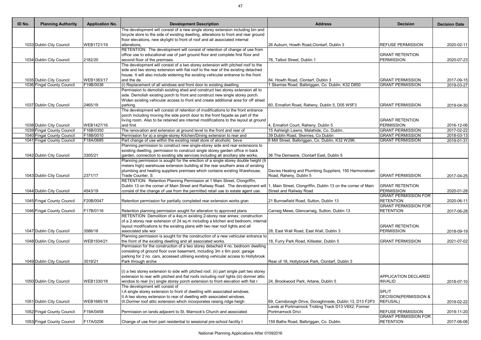| ID No. | <b>Planning Authority</b>  | <b>Application No.</b> | <b>Development Description</b>                                                                                                                                  | <b>Address</b>                                         | <b>Decision</b>             | <b>Decision Date</b> |
|--------|----------------------------|------------------------|-----------------------------------------------------------------------------------------------------------------------------------------------------------------|--------------------------------------------------------|-----------------------------|----------------------|
|        |                            |                        | The development will consist of a new single storey extension including bin and                                                                                 |                                                        |                             |                      |
|        |                            |                        | bicycle store to the side of existing dwelling, alterations to front and rear ground                                                                            |                                                        |                             |                      |
|        |                            |                        | floor elevations, new skylight to front of roof and all associated internal                                                                                     |                                                        |                             |                      |
|        | 1033 Dublin City Council   | WEB1721/19             | alterations,                                                                                                                                                    | 26 Auburn, Howth Road, Clontarf, Dublin 3              | <b>REFUSE PERMISSION</b>    | 2020-02-11           |
|        |                            |                        | RETENTION: The development will consist of retention of change of use from                                                                                      |                                                        |                             |                      |
|        |                            |                        | office use to educational use of part ground floor and complete first floor and                                                                                 |                                                        | <b>GRANT RETENTION</b>      |                      |
|        | 1034 Dublin City Council   | 2182/20                | second floor of the premises.                                                                                                                                   | 76, Talbot Street, Dublin 1                            | <b>PERMISSION</b>           | 2020-07-23           |
|        |                            |                        | The development will consist of a two storey extension with pitched roof to the                                                                                 |                                                        |                             |                      |
|        |                            |                        | side and two storey extension with flat roof to the rear of the existing detached                                                                               |                                                        |                             |                      |
|        |                            |                        | house. It will also include widening the existing vehicular entrance to the front                                                                               |                                                        |                             |                      |
|        | 1035 Dublin City Council   | WEB1383/17             | and the de                                                                                                                                                      | 84, Howth Road, Clontarf, Dublin 3                     | <b>GRANT PERMISSION</b>     | 2017-09-15           |
|        | 1036 Fingal County Council | F19B/0036              | (i) Replacement of all windows and front door to existing dwelling                                                                                              | Skerries Road, Balbriggan, Co. Dublin, K32 D850        | <b>GRANT PERMISSION</b>     | 2019-03-27           |
|        |                            |                        | Permission to demolish existing shed and construct two storey extension all to<br>side. Demolish existing porch to front and construct new single storey porch. |                                                        |                             |                      |
|        |                            |                        |                                                                                                                                                                 |                                                        |                             |                      |
|        |                            | 2465/19                | Widen existing vehicular access to front and create additional area for off street<br>parking.                                                                  | 60, Ennafort Road, Raheny, Dublin 5, D05 W5F3          | <b>GRANT PERMISSION</b>     | 2019-04-30           |
|        | 1037 Dublin City Council   |                        | The development will consist of retention of modifications to the front entrance                                                                                |                                                        |                             |                      |
|        |                            |                        | porch including moving the side porch door to the front façade as part of the                                                                                   |                                                        |                             |                      |
|        |                            |                        | living room. Also to be retained are internal modifications to the layout at ground                                                                             |                                                        | <b>GRANT RETENTION</b>      |                      |
|        | 1038 Dublin City Council   | WEB1427/16             | and first                                                                                                                                                       | 4, Ennafort Court, Raheny, Dublin 5                    | <b>PERMISSION</b>           | 2016-12-06           |
|        | 1039 Fingal County Council | F16B/0350              | The renovation and extension at ground level to the front and rear of                                                                                           | 15 Ashleigh Lawns, Malahide, Co. Dublin.               | <b>GRANT PERMISSION</b>     | 2017-02-22           |
|        | 1040 Fingal County Council | F18B/0010              | Permission for a) a single-storey Kitchen/Dining extension to rear and                                                                                          | 39 Dublin Road, Skerries, Co Dublin                    | <b>GRANT PERMISSION</b>     | 2018-03-13           |
|        | 1041 Fingal County Council | F18A/0685              | Part change of use within the existing retail store of alcoholic beve                                                                                           | 6 Mill Street, Balbriggan, Co. Dublin, K32 W296.       | <b>GRANT PERMISSION</b>     | 2019-01-31           |
|        |                            |                        | Planning permission to construct new single-storey side and rear extensions to                                                                                  |                                                        |                             |                      |
|        |                            |                        | existing dwelling, permission to construct single storey garden office in back                                                                                  |                                                        |                             |                      |
|        | 1042 Dublin City Council   | 3305/21                | garden, connection to existing site services including all ancillary site works.                                                                                | 36 The Demesne, Clontarf East, Dublin 5                |                             |                      |
|        |                            |                        | Planning permission is sought for the erection of a single storey double height (9                                                                              |                                                        |                             |                      |
|        |                            |                        | meters high) warehouse extension building at the rear southern area of existing                                                                                 |                                                        |                             |                      |
|        |                            |                        | plumbing and heating suppliers premises which contains existing Warehouse,                                                                                      | Davies Heating and Plumbing Suppliers, 150 Harmonstown |                             |                      |
|        | 1043 Dublin City Council   | 2371/17                | Trade Counter, S                                                                                                                                                | Road, Raheny, Dublin 5                                 | <b>GRANT PERMISSION</b>     | 2017-04-25           |
|        |                            |                        | RETENTION: Retention Planning Permission at 1 Main Street, Clongriffin,                                                                                         |                                                        |                             |                      |
|        |                            |                        | Dublin 13 on the corner of Main Street and Railway Road. The development will  1, Main Street, Clongriffin, Dublin 13 on the corner of Main                     |                                                        | <b>GRANT RETENTION</b>      |                      |
|        | 1044 Dublin City Council   | 4543/19                | consist of the change of use from the permitted retail use to estate agent use.                                                                                 | <b>Street and Railway Road</b>                         | <b>PERMISSION</b>           | 2020-01-28           |
|        |                            |                        |                                                                                                                                                                 |                                                        | <b>GRANT PERMISSION FOR</b> |                      |
|        | 1045 Fingal County Council | F20B/0047              | Retention permission for partially completed rear extension works gran                                                                                          | 21 Burrowfield Road, Sutton, Dublin 13                 | <b>RETENTION</b>            | 2020-06-11           |
|        |                            |                        |                                                                                                                                                                 |                                                        | <b>GRANT PERMISSION FOR</b> |                      |
|        | 1046 Fingal County Council | F17B/0116              | Retention planning permission sought for alteration to approved plans                                                                                           | Carraig Mews, Glencarraig, Sutton, Dublin 13           | <b>RETENTION</b>            | 2017-06-28           |
|        |                            |                        | RETENTION: Demolition of a 4sq.m existing 2-storey rear annex; construction                                                                                     |                                                        |                             |                      |
|        |                            |                        | of a 2-storey rear extension of 24 sq.m including a kitchen and bedroom; internal                                                                               |                                                        |                             |                      |
|        |                            |                        | layout modifications to the existing plans with two rear roof lights and all                                                                                    |                                                        | <b>GRANT RETENTION</b>      |                      |
|        | 1047 Dublin City Council   | 3586/18                | associated site wor                                                                                                                                             | 28, East Wall Road, East Wall, Dublin 3                | <b>PERMISSION</b>           | 2018-09-19           |
|        |                            |                        | Planning permission is sought for the construction of a new vehicular entrance to                                                                               |                                                        |                             |                      |
|        | 1048 Dublin City Council   | WEB1504/21             | the front of the existing dwelling and all associated works.                                                                                                    | 18, Furry Park Road, Killester, Dublin 5               | <b>GRANT PERMISSION</b>     | 2021-07-02           |
|        |                            |                        | Permission for the construction of a two storey detached 4 no. bedroom dwelling                                                                                 |                                                        |                             |                      |
|        |                            |                        | consisting of ground floor over basement, including 3m x 6m pool, garage                                                                                        |                                                        |                             |                      |
|        |                            |                        | parking for 2 no. cars, accessed utilising existing vehicular access to Hollybrook                                                                              |                                                        |                             |                      |
|        | 1049 Dublin City Council   | 3519/21                | Park through archw                                                                                                                                              | Rear of 18, Hollybrook Park, Clontarf, Dublin 3        |                             |                      |
|        |                            |                        |                                                                                                                                                                 |                                                        |                             |                      |
|        |                            |                        | (i) a two storey extension to side with pitched roof, (ii) part single part two storey                                                                          |                                                        |                             |                      |
|        |                            |                        | extension to rear with pitched and flat roofs including roof lights (iii) dormer attic                                                                          |                                                        | <b>APPLICATION DECLARED</b> |                      |
|        | 1050 Dublin City Council   | WEB1330/18             | window to rear (iv) single storey porch extension to front elevation with flat r                                                                                | 24, Brookwood Park, Artane, Dublin 5                   | <b>INVALID</b>              | 2018-07-10           |
|        |                            |                        | The development will consist of                                                                                                                                 |                                                        |                             |                      |
|        |                            |                        | I.A single storey extension to front of dwelling with associated windows.                                                                                       |                                                        | <b>SPLIT</b>                |                      |
|        |                            |                        | II.A two storey extension to rear of dwelling with associated windows.                                                                                          |                                                        | DECISION(PERMISSION &       |                      |
|        | 1051 Dublin City Council   | WEB1685/18             | III. Dormer roof attic extension which incorporates raising ridge heigh                                                                                         | 69, Carndonagh Drive, Donaghmede, Dublin 13, D13 F2P3  | <b>REFUSAL)</b>             | 2019-02-22           |
|        |                            |                        |                                                                                                                                                                 | Lands at Portmarnock Trotting Track D13 V8X2, Former   |                             |                      |
|        | 1052 Fingal County Council | F19A/0458              | Permission on lands adjacent to St. Marnock's Church and associated                                                                                             | Portmarnock Drivi                                      | <b>REFUSE PERMISSION</b>    | 2019-11-20           |
|        |                            |                        |                                                                                                                                                                 |                                                        | <b>GRANT PERMISSION FOR</b> |                      |
|        | 1053 Fingal County Council | F17A/0206              | Change of use from part residential to sessional pre-school facility t                                                                                          | 159 Baths Road, Balbriggan, Co. Dublin.                | <b>RETENTION</b>            | 2017-06-06           |

| <b>Address</b>                                                                  | <b>Decision</b>                                 | <b>Decision Date</b>     |
|---------------------------------------------------------------------------------|-------------------------------------------------|--------------------------|
|                                                                                 |                                                 |                          |
|                                                                                 |                                                 |                          |
| 26 Auburn, Howth Road, Clontarf, Dublin 3                                       | <b>REFUSE PERMISSION</b>                        | 2020-02-11               |
|                                                                                 | <b>GRANT RETENTION</b>                          |                          |
| 76, Talbot Street, Dublin 1                                                     | <b>PERMISSION</b>                               | 2020-07-23               |
|                                                                                 |                                                 |                          |
| 84, Howth Road, Clontarf, Dublin 3                                              | <b>GRANT PERMISSION</b>                         | 2017-09-15               |
| 1 Skerries Road, Balbriggan, Co. Dublin, K32 D850                               | <b>GRANT PERMISSION</b>                         | 2019-03-27               |
|                                                                                 |                                                 |                          |
|                                                                                 |                                                 |                          |
| 60, Ennafort Road, Raheny, Dublin 5, D05 W5F3                                   | <b>GRANT PERMISSION</b>                         | 2019-04-30               |
|                                                                                 |                                                 |                          |
|                                                                                 | <b>GRANT RETENTION</b><br><b>PERMISSION</b>     |                          |
| 4, Ennafort Court, Raheny, Dublin 5<br>15 Ashleigh Lawns, Malahide, Co. Dublin. | <b>GRANT PERMISSION</b>                         | 2016-12-06<br>2017-02-22 |
| 39 Dublin Road, Skerries, Co Dublin                                             | <b>GRANT PERMISSION</b>                         | 2018-03-13               |
| 6 Mill Street, Balbriggan, Co. Dublin, K32 W296.                                | <b>GRANT PERMISSION</b>                         | 2019-01-31               |
|                                                                                 |                                                 |                          |
| 36 The Demesne, Clontarf East, Dublin 5                                         |                                                 |                          |
|                                                                                 |                                                 |                          |
| Davies Heating and Plumbing Suppliers, 150 Harmonstown                          |                                                 |                          |
| Road, Raheny, Dublin 5                                                          | <b>GRANT PERMISSION</b>                         | 2017-04-25               |
| 1, Main Street, Clongriffin, Dublin 13 on the corner of Main                    | <b>GRANT RETENTION</b>                          |                          |
| <b>Street and Railway Road</b>                                                  | <b>PERMISSION</b>                               | 2020-01-28               |
|                                                                                 | <b>GRANT PERMISSION FOR</b>                     |                          |
| 21 Burrowfield Road, Sutton, Dublin 13                                          | <b>RETENTION</b>                                | 2020-06-11               |
| Carraig Mews, Glencarraig, Sutton, Dublin 13                                    | <b>GRANT PERMISSION FOR</b><br><b>RETENTION</b> | 2017-06-28               |
|                                                                                 |                                                 |                          |
|                                                                                 |                                                 |                          |
| 28, East Wall Road, East Wall, Dublin 3                                         | <b>GRANT RETENTION</b><br><b>PERMISSION</b>     | 2018-09-19               |
|                                                                                 |                                                 |                          |
| 18, Furry Park Road, Killester, Dublin 5                                        | <b>GRANT PERMISSION</b>                         | 2021-07-02               |
|                                                                                 |                                                 |                          |
| Rear of 18, Hollybrook Park, Clontarf, Dublin 3                                 |                                                 |                          |
|                                                                                 |                                                 |                          |
|                                                                                 |                                                 |                          |
| 24, Brookwood Park, Artane, Dublin 5                                            | <b>APPLICATION DECLARED</b><br><b>INVALID</b>   | 2018-07-10               |
|                                                                                 |                                                 |                          |
|                                                                                 | <b>SPLIT</b>                                    |                          |
| 69, Carndonagh Drive, Donaghmede, Dublin 13, D13 F2P3                           | DECISION(PERMISSION &<br><b>REFUSAL)</b>        | 2019-02-22               |
| Lands at Portmarnock Trotting Track D13 V8X2, Former                            |                                                 |                          |
| Portmarnock Drivi                                                               | <b>REFUSE PERMISSION</b>                        | 2019-11-20               |
| 159 Baths Road, Balbriggan, Co. Dublin.                                         | <b>GRANT PERMISSION FOR</b><br><b>RETENTION</b> | 2017-06-06               |
|                                                                                 |                                                 |                          |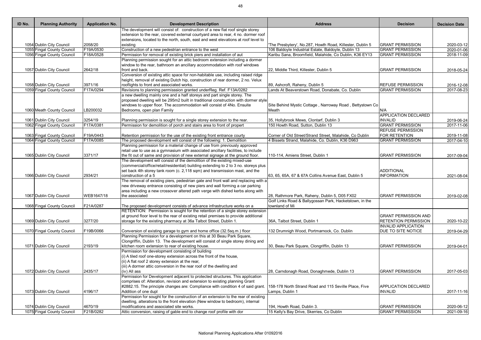| ID No. | <b>Planning Authority</b>  | <b>Application No.</b> | <b>Development Description</b>                                                                                                                  | <b>Address</b>                                           | <b>Decision</b>             | <b>Decision Date</b> |
|--------|----------------------------|------------------------|-------------------------------------------------------------------------------------------------------------------------------------------------|----------------------------------------------------------|-----------------------------|----------------------|
|        |                            |                        | The development will consist of: construction of a new flat roof single storey                                                                  |                                                          |                             |                      |
|        |                            |                        | extension to the rear, covered external courtyard area to rear, 4 no. dormer roof                                                               |                                                          |                             |                      |
|        |                            |                        | extensions, located to the north, south, east and west elevations at roof level to                                                              |                                                          |                             |                      |
|        | 1054 Dublin City Council   | 2058/20                | existing                                                                                                                                        | The Presbytery', No.287, Howth Road, Killester, Dublin 5 | <b>GRANT PERMISSION</b>     | 2020-03-12           |
|        | 1055 Fingal County Council | F19A/0530              | Construction of a new pedestrian entrance to the west                                                                                           | 106 Baldoyle Industrial Estate, Baldoyle, Dublin 13      | <b>GRANT PERMISSION</b>     | 2020-01-06           |
|        | 1056 Fingal County Council | F18A/0528              | Permission for removal of existing brick piers and installation of aut                                                                          | Karibu Sana, Broomfield, Malahide, Co Dublin, K36 EY13   | <b>GRANT PERMISSION</b>     | 2018-11-09           |
|        |                            |                        | Planning permission sought for an attic bedroom extension including a dormer                                                                    |                                                          |                             |                      |
|        |                            |                        | window to the rear, bathroom an ancillary accommodation with roof windows                                                                       |                                                          |                             |                      |
|        | 1057 Dublin City Council   | 2642/18                | front and back.                                                                                                                                 | 22, Middle Third, Killester, Dublin 5                    | <b>GRANT PERMISSION</b>     | 2018-05-24           |
|        |                            |                        | Conversion of existing attic space for non-habitable use, including raised ridge                                                                |                                                          |                             |                      |
|        |                            |                        | height, removal of existing Dutch hip, construction of rear dormer, 2 no. Velux                                                                 |                                                          |                             |                      |
|        | 1058 Dublin City Council   | 3971/16                | rooflights to front and associated works.                                                                                                       | 89, Ashcroft, Raheny, Dublin 5                           | <b>REFUSE PERMISSION</b>    | 2016-12-08           |
|        | 1059 Fingal County Council | F17A/0294              | Revisions to planning permisssion granted underReg. Ref. F13A/0282                                                                              | Lands At Beaverstown Road, Donabate, Co. Dublin          | <b>GRANT PERMISSION</b>     | 2017-08-23           |
|        |                            |                        | a new dwelling mainly one and a half storeys and part single storey. The                                                                        |                                                          |                             |                      |
|        |                            |                        | proposed dwelling will be 295m2 built in traditional construction with dormer style                                                             |                                                          |                             |                      |
|        |                            |                        | windows to upper floor. The accommodation will consist of 4No. Ensuite                                                                          | Site Behind Mystic Cottage, Narroway Road, Bettystown Co |                             |                      |
|        | 1060 Meath County Council  | LB200032               | Bedrooms, open plan Family                                                                                                                      | Meath                                                    | N/A                         |                      |
|        |                            |                        |                                                                                                                                                 |                                                          | <b>APPLICATION DECLARED</b> |                      |
|        | 1061 Dublin City Council   | 3254/19                | Planning permission is sought for a single storey extension to the rear.                                                                        | 35, Hollybrook Mews, Clontarf, Dublin 3                  | <b>INVALID</b>              | 2019-06-24           |
|        | 1062 Fingal County Council | F17A/0381              | Permission for demolition of porch and stairs area to front of propert                                                                          | 150 Howth Road, Sutton, Dublin 13                        | <b>GRANT PERMISSION</b>     | 2017-11-06           |
|        |                            |                        |                                                                                                                                                 |                                                          | <b>REFUSE PERMISSION</b>    |                      |
|        |                            | F19A/0443              |                                                                                                                                                 |                                                          | FOR RETENTION               |                      |
|        | 1063 Fingal County Council |                        | Retention permission for the use of the existing front entrance courty                                                                          | Corner of Old Street/Strand Street, Malahide, Co Dublin  |                             | 2019-11-08           |
|        | 1064 Fingal County Council | F17A/0085              | The proposed development will consist of the following: 1. Demolition                                                                           | 4 Bissets Strand, Malahide, Co. Dublin, K36 D963         | <b>GRANT PERMISSION</b>     | 2017-04-10           |
|        |                            |                        | Planning permission for a material change of use from previously approved                                                                       |                                                          |                             |                      |
|        |                            |                        | retail use to use as a gymnasium with associated ancillary facilities, to include                                                               |                                                          |                             |                      |
|        | 1065 Dublin City Council   | 3371/17                | the fit out of same and provision of new external signage at the ground floor.                                                                  | 110-114, Amiens Street, Dublin 1                         | <b>GRANT PERMISSION</b>     | 2017-09-04           |
|        |                            |                        | The development will consist of the demolition of the existing mixed-use                                                                        |                                                          |                             |                      |
|        |                            |                        | (commercial/office/retail/residential) building extending to 2 to 3 no. storeys plus                                                            |                                                          |                             |                      |
|        |                            |                        | set back 4th storey tank room (c. 2,118 sqm) and transmission mast, and the                                                                     |                                                          | <b>ADDITIONAL</b>           |                      |
|        | 1066 Dublin City Council   | 2934/21                | construction of a 5                                                                                                                             | 63, 65, 65A, 67 & 67A Collins Avenue East, Dublin 5      | <b>INFORMATION</b>          | 2021-08-04           |
|        |                            |                        | The removal of existing piers, pedestrian gate and front wall and replacing with a                                                              |                                                          |                             |                      |
|        |                            |                        | new driveway entrance consisting of new piers and wall forming a car parking                                                                    |                                                          |                             |                      |
|        |                            |                        | area including a new crossover altered path verge with dished kerbs along with                                                                  |                                                          |                             |                      |
|        | 1067 Dublin City Council   | WEB1647/18             | the associated                                                                                                                                  | 28, Rathmore Park, Raheny, Dublin 5, D05 FX02            | <b>GRANT PERMISSION</b>     | 2019-02-08           |
|        |                            |                        |                                                                                                                                                 | Golf Links Road & Ballygossan Park, Hacketstown, in the  |                             |                      |
|        | 1068 Fingal County Council | F21A/0287              | The proposed development consists of advance infrastructure works on a                                                                          | townland of Mi                                           |                             |                      |
|        |                            |                        | RETENTION: Permission is sought for the retention of a single storey extension                                                                  |                                                          |                             |                      |
|        |                            |                        | at ground floor level to the rear of existing retail premises to provide additional                                                             |                                                          | <b>GRANT PERMISSION AND</b> |                      |
|        | 1069 Dublin City Council   | 3277/20                | storage for the existing pharmacy at 36a Talbot Street, Dublin 1.                                                                               | 36A, Talbot Street, Dublin 1                             | <b>RETENTION PERMISSION</b> | 2020-10-22           |
|        |                            |                        |                                                                                                                                                 |                                                          | <b>INVALID APPLICATION</b>  |                      |
|        | 1070 Fingal County Council | F19B/0066              |                                                                                                                                                 | 132 Drumnigh Wood, Portmarnock, Co. Dublin               | DUE TO SITE NOTICE          |                      |
|        |                            |                        | Conversion of existing garage to gym and home office (32.5sq.m.) floor<br>Planning Permission for a development on this at 30 Beau Park Square, |                                                          |                             | 2019-04-29           |
|        |                            |                        |                                                                                                                                                 |                                                          |                             |                      |
|        |                            |                        | Clongriffin, Dublin 13. The development will consist of single storey dining and                                                                |                                                          |                             |                      |
|        | 1071 Dublin City Council   | 2193/19                | kitchen room extension to rear of existing house.                                                                                               | 30, Beau Park Square, Clongriffin, Dublin 13             | <b>GRANT PERMISSION</b>     | 2019-04-01           |
|        |                            |                        | Permission for development consisting of building                                                                                               |                                                          |                             |                      |
|        |                            |                        | (i) A tiled roof one-storey extension across the front of the house,                                                                            |                                                          |                             |                      |
|        |                            |                        | (ii) A flat roof 2 storey extension at the rear,                                                                                                |                                                          |                             |                      |
|        |                            |                        | (iii) A dormer attic conversion in the rear roof of the dwelling and                                                                            |                                                          |                             |                      |
|        | 1072 Dublin City Council   | 2435/17                | (iv) All ass                                                                                                                                    | 28, Carndonagh Road, Donaghmede, Dublin 13               | <b>GRANT PERMISSION</b>     | 2017-05-03           |
|        |                            |                        | Permission for Development adjacent to protected structures. This application                                                                   |                                                          |                             |                      |
|        |                            |                        | comprises of: Alteration, revision and extension to existing planning Grant                                                                     |                                                          |                             |                      |
|        |                            |                        | #2882.15. The principle changes are: Compliance with condition 4 of said grant.                                                                 | 158-178 North Strand Road and 115 Seville Place, Five    | <b>APPLICATION DECLARED</b> |                      |
|        | 1073 Dublin City Council   | 4196/17                | Addition of one dupl                                                                                                                            | Lamps, Dublin 1                                          | <b>INVALID</b>              | 2017-11-16           |
|        |                            |                        | Permission for sought for the construction of an extension to the rear of existing                                                              |                                                          |                             |                      |
|        |                            |                        | dwelling, alterations to the front elevation (New window to bedroom), internal                                                                  |                                                          |                             |                      |
|        | 1074 Dublin City Council   | 4670/19                | modifications and associated site works.                                                                                                        | 194, Howth Road, Dublin 3.                               | <b>GRANT PERMISSION</b>     | 2020-06-12           |
|        | 1075 Fingal County Council | F21B/0282              | Attic conversion, raising of gable end to change roof profile with dor                                                                          | 15 Kelly's Bay Drive, Skerries, Co Dublin                | <b>GRANT PERMISSION</b>     | 2021-09-16           |
|        |                            |                        |                                                                                                                                                 |                                                          |                             |                      |